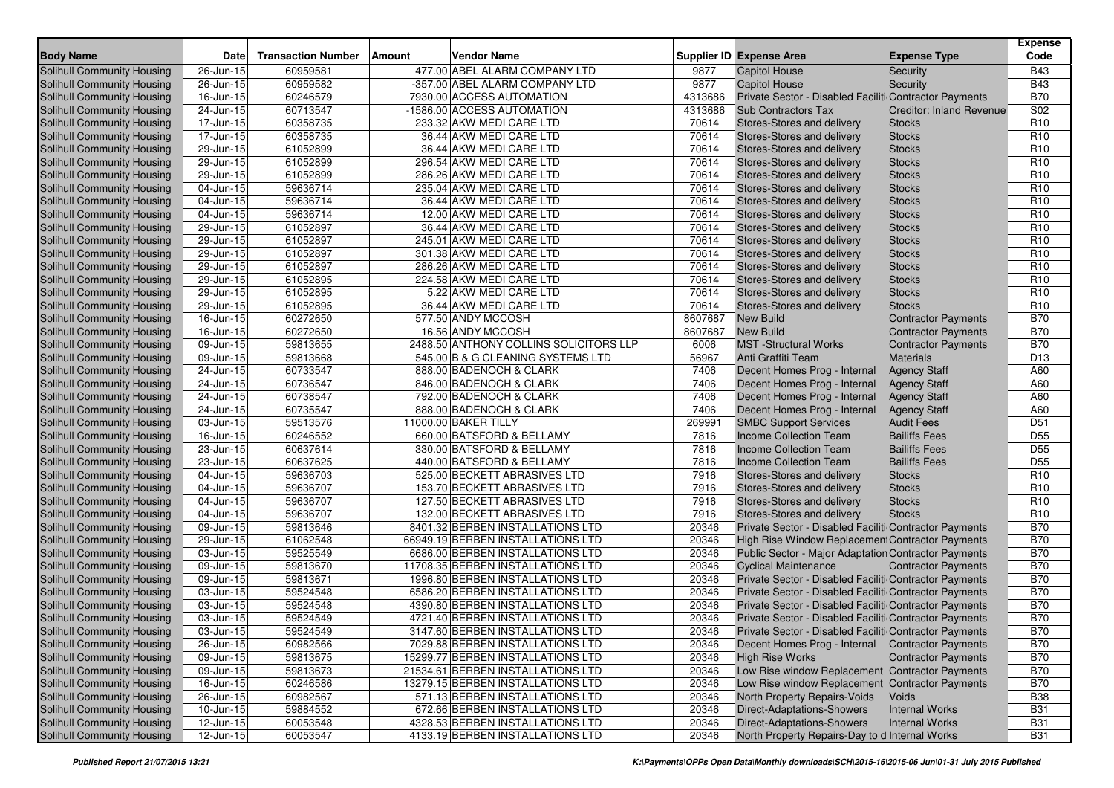| <b>Body Name</b>                  | <b>Date</b>             | <b>Transaction Number</b> | Amount | <b>Vendor Name</b>                     |         | Supplier ID Expense Area                               | <b>Expense Type</b>             | <b>Expense</b><br>Code |
|-----------------------------------|-------------------------|---------------------------|--------|----------------------------------------|---------|--------------------------------------------------------|---------------------------------|------------------------|
| Solihull Community Housing        | 26-Jun-15               | 60959581                  |        | 477.00 ABEL ALARM COMPANY LTD          | 9877    | <b>Capitol House</b>                                   | Security                        | <b>B43</b>             |
| Solihull Community Housing        | 26-Jun-15               | 60959582                  |        | -357.00 ABEL ALARM COMPANY LTD         | 9877    | <b>Capitol House</b>                                   | Security                        | <b>B43</b>             |
| <b>Solihull Community Housing</b> | 16-Jun-15               | 60246579                  |        | 7930.00 ACCESS AUTOMATION              | 4313686 | Private Sector - Disabled Faciliti Contractor Payments |                                 | <b>B70</b>             |
| Solihull Community Housing        | 24-Jun-15               | 60713547                  |        | -1586.00 ACCESS AUTOMATION             | 4313686 | <b>Sub Contractors Tax</b>                             | <b>Creditor: Inland Revenue</b> | S02                    |
| Solihull Community Housing        | 17-Jun-15               | 60358735                  |        | 233.32 AKW MEDI CARE LTD               | 70614   | Stores-Stores and delivery                             | <b>Stocks</b>                   | R <sub>10</sub>        |
| Solihull Community Housing        | 17-Jun-15               | 60358735                  |        | 36.44 AKW MEDI CARE LTD                | 70614   | Stores-Stores and delivery                             | <b>Stocks</b>                   | R <sub>10</sub>        |
| Solihull Community Housing        | 29-Jun-15               | 61052899                  |        | 36.44 AKW MEDI CARE LTD                | 70614   | Stores-Stores and delivery                             | <b>Stocks</b>                   | R <sub>10</sub>        |
| <b>Solihull Community Housing</b> | 29-Jun-15               | 61052899                  |        | 296.54 AKW MEDI CARE LTD               | 70614   | Stores-Stores and delivery                             | <b>Stocks</b>                   | R <sub>10</sub>        |
| <b>Solihull Community Housing</b> | 29-Jun-15               | 61052899                  |        | 286.26 AKW MEDI CARE LTD               | 70614   | Stores-Stores and delivery                             | <b>Stocks</b>                   | R <sub>10</sub>        |
| Solihull Community Housing        | 04-Jun-15               | 59636714                  |        | 235.04 AKW MEDI CARE LTD               | 70614   | Stores-Stores and delivery                             | <b>Stocks</b>                   | R <sub>10</sub>        |
| Solihull Community Housing        | 04-Jun-15               | 59636714                  |        | 36.44 AKW MEDI CARE LTD                | 70614   | Stores-Stores and delivery                             | <b>Stocks</b>                   | R <sub>10</sub>        |
| Solihull Community Housing        | 04-Jun-15               | 59636714                  |        | 12.00 AKW MEDI CARE LTD                | 70614   | Stores-Stores and delivery                             | <b>Stocks</b>                   | R <sub>10</sub>        |
| Solihull Community Housing        | 29-Jun-15               | 61052897                  |        | 36.44 AKW MEDI CARE LTD                | 70614   | Stores-Stores and delivery                             | <b>Stocks</b>                   | R <sub>10</sub>        |
| Solihull Community Housing        | 29-Jun-15               | 61052897                  |        | 245.01 AKW MEDI CARE LTD               | 70614   | Stores-Stores and delivery                             | <b>Stocks</b>                   | R <sub>10</sub>        |
| <b>Solihull Community Housing</b> | 29-Jun-15               | 61052897                  |        | 301.38 AKW MEDI CARE LTD               | 70614   | Stores-Stores and delivery                             | <b>Stocks</b>                   | R <sub>10</sub>        |
| <b>Solihull Community Housing</b> | 29-Jun-15               | 61052897                  |        | 286.26 AKW MEDI CARE LTD               | 70614   | Stores-Stores and delivery                             | <b>Stocks</b>                   | R <sub>10</sub>        |
| <b>Solihull Community Housing</b> | 29-Jun-15               | 61052895                  |        | 224.58 AKW MEDI CARE LTD               | 70614   | Stores-Stores and delivery                             | <b>Stocks</b>                   | R <sub>10</sub>        |
| Solihull Community Housing        | 29-Jun-15               | 61052895                  |        | 5.22 AKW MEDI CARE LTD                 | 70614   | Stores-Stores and delivery                             | <b>Stocks</b>                   | R <sub>10</sub>        |
| Solihull Community Housing        | 29-Jun-15               | 61052895                  |        | 36.44 AKW MEDI CARE LTD                | 70614   | Stores-Stores and delivery                             | <b>Stocks</b>                   | R <sub>10</sub>        |
| <b>Solihull Community Housing</b> | 16-Jun-15               | 60272650                  |        | 577.50 ANDY MCCOSH                     | 8607687 | <b>New Build</b>                                       | <b>Contractor Payments</b>      | <b>B70</b>             |
| Solihull Community Housing        | 16-Jun-15               | 60272650                  |        | 16.56 ANDY MCCOSH                      | 8607687 | <b>New Build</b>                                       | <b>Contractor Payments</b>      | <b>B70</b>             |
| Solihull Community Housing        | 09-Jun-15               | 59813655                  |        | 2488.50 ANTHONY COLLINS SOLICITORS LLP | 6006    | <b>MST</b> -Structural Works                           | <b>Contractor Payments</b>      | <b>B70</b>             |
| Solihull Community Housing        | 09-Jun-15               | 59813668                  |        | 545.00 B & G CLEANING SYSTEMS LTD      | 56967   | Anti Graffiti Team                                     | <b>Materials</b>                | D <sub>13</sub>        |
| Solihull Community Housing        | 24-Jun-15               | 60733547                  |        | 888.00 BADENOCH & CLARK                | 7406    | Decent Homes Prog - Internal                           | <b>Agency Staff</b>             | A60                    |
| Solihull Community Housing        | 24-Jun-15               | 60736547                  |        | 846.00 BADENOCH & CLARK                | 7406    | Decent Homes Prog - Internal                           | <b>Agency Staff</b>             | A60                    |
| Solihull Community Housing        | 24-Jun-15               | 60738547                  |        | 792.00 BADENOCH & CLARK                | 7406    | Decent Homes Prog - Internal                           | <b>Agency Staff</b>             | A60                    |
| Solihull Community Housing        | 24-Jun-15               | 60735547                  |        | 888.00 BADENOCH & CLARK                | 7406    | Decent Homes Prog - Internal                           | <b>Agency Staff</b>             | A60                    |
| Solihull Community Housing        | 03-Jun-15               | 59513576                  |        | 11000.00 BAKER TILLY                   | 269991  | <b>SMBC Support Services</b>                           | <b>Audit Fees</b>               | D <sub>51</sub>        |
| Solihull Community Housing        | 16-Jun-15               | 60246552                  |        | 660.00 BATSFORD & BELLAMY              | 7816    | Income Collection Team                                 | <b>Bailiffs Fees</b>            | D <sub>55</sub>        |
| Solihull Community Housing        | 23-Jun-15               | 60637614                  |        | 330.00 BATSFORD & BELLAMY              | 7816    | Income Collection Team                                 | <b>Bailiffs Fees</b>            | D <sub>55</sub>        |
| <b>Solihull Community Housing</b> | 23-Jun-15               | 60637625                  |        | 440.00 BATSFORD & BELLAMY              | 7816    | Income Collection Team                                 | <b>Bailiffs Fees</b>            | D <sub>55</sub>        |
| Solihull Community Housing        | 04-Jun-15               | 59636703                  |        | 525.00 BECKETT ABRASIVES LTD           | 7916    | Stores-Stores and delivery                             | <b>Stocks</b>                   | R <sub>10</sub>        |
| Solihull Community Housing        | 04-Jun-15               | 59636707                  |        | 153.70 BECKETT ABRASIVES LTD           | 7916    | Stores-Stores and delivery                             | <b>Stocks</b>                   | R <sub>10</sub>        |
| <b>Solihull Community Housing</b> | 04-Jun-15               | 59636707                  |        | 127.50 BECKETT ABRASIVES LTD           | 7916    | Stores-Stores and delivery                             | <b>Stocks</b>                   | R <sub>10</sub>        |
| Solihull Community Housing        | 04-Jun-15               | 59636707                  |        | 132.00 BECKETT ABRASIVES LTD           | 7916    | Stores-Stores and delivery                             | <b>Stocks</b>                   | R <sub>10</sub>        |
| Solihull Community Housing        | 09-Jun-15               | 59813646                  |        | 8401.32 BERBEN INSTALLATIONS LTD       | 20346   | Private Sector - Disabled Faciliti Contractor Payments |                                 | <b>B70</b>             |
| <b>Solihull Community Housing</b> | 29-Jun-15               | 61062548                  |        | 66949.19 BERBEN INSTALLATIONS LTD      | 20346   | High Rise Window Replacement Contractor Payments       |                                 | <b>B70</b>             |
| <b>Solihull Community Housing</b> | 03-Jun-15               | 59525549                  |        | 6686.00 BERBEN INSTALLATIONS LTD       | 20346   | Public Sector - Major Adaptation Contractor Payments   |                                 | <b>B70</b>             |
| <b>Solihull Community Housing</b> | 09-Jun-15               | 59813670                  |        | 11708.35 BERBEN INSTALLATIONS LTD      | 20346   | <b>Cyclical Maintenance</b>                            | <b>Contractor Payments</b>      | <b>B70</b>             |
| <b>Solihull Community Housing</b> | 09-Jun-15               | 59813671                  |        | 1996.80 BERBEN INSTALLATIONS LTD       | 20346   | Private Sector - Disabled Faciliti Contractor Payments |                                 | <b>B70</b>             |
| <b>Solihull Community Housing</b> | 03-Jun-15               | 59524548                  |        | 6586.20 BERBEN INSTALLATIONS LTD       | 20346   | Private Sector - Disabled Faciliti Contractor Payments |                                 | <b>B70</b>             |
| Solihull Community Housing        | 03-Jun-15               | 59524548                  |        | 4390.80 BERBEN INSTALLATIONS LTD       | 20346   | Private Sector - Disabled Faciliti Contractor Payments |                                 | <b>B70</b>             |
| Solihull Community Housing        | 03-Jun-15               | 59524549                  |        | 4721.40 BERBEN INSTALLATIONS LTD       | 20346   | Private Sector - Disabled Faciliti Contractor Payments |                                 | <b>B70</b>             |
| Solihull Community Housing        | 03-Jun-15               | 59524549                  |        | 3147.60 BERBEN INSTALLATIONS LTD       | 20346   | Private Sector - Disabled Faciliti Contractor Payments |                                 | <b>B70</b>             |
| Solihull Community Housing        | 26-Jun-15               | 60982566                  |        | 7029.88 BERBEN INSTALLATIONS LTD       | 20346   | Decent Homes Prog - Internal Contractor Payments       |                                 | <b>B70</b>             |
| Solihull Community Housing        | 09-Jun-15               | 59813675                  |        | 15299.77 BERBEN INSTALLATIONS LTD      | 20346   | <b>High Rise Works</b>                                 | <b>Contractor Payments</b>      | B70                    |
| Solihull Community Housing        | $\overline{0}9$ -Jun-15 | 59813673                  |        | 21534.61 BERBEN INSTALLATIONS LTD      | 20346   | Low Rise window Replacement Contractor Payments        |                                 | <b>B70</b>             |
| Solihull Community Housing        | 16-Jun-15               | 60246586                  |        | 13279.15 BERBEN INSTALLATIONS LTD      | 20346   | Low Rise window Replacement Contractor Payments        |                                 | <b>B70</b>             |
| Solihull Community Housing        | 26-Jun-15               | 60982567                  |        | 571.13 BERBEN INSTALLATIONS LTD        | 20346   | North Property Repairs-Voids                           | Voids                           | <b>B38</b>             |
| Solihull Community Housing        | 10-Jun-15               | 59884552                  |        | 672.66 BERBEN INSTALLATIONS LTD        | 20346   | Direct-Adaptations-Showers                             | <b>Internal Works</b>           | <b>B31</b>             |
| Solihull Community Housing        | $12$ -Jun-15            | 60053548                  |        | 4328.53 BERBEN INSTALLATIONS LTD       | 20346   | Direct-Adaptations-Showers                             | <b>Internal Works</b>           | <b>B31</b>             |
| Solihull Community Housing        | $12$ -Jun-15            | 60053547                  |        | 4133.19 BERBEN INSTALLATIONS LTD       | 20346   | North Property Repairs-Day to d Internal Works         |                                 | <b>B31</b>             |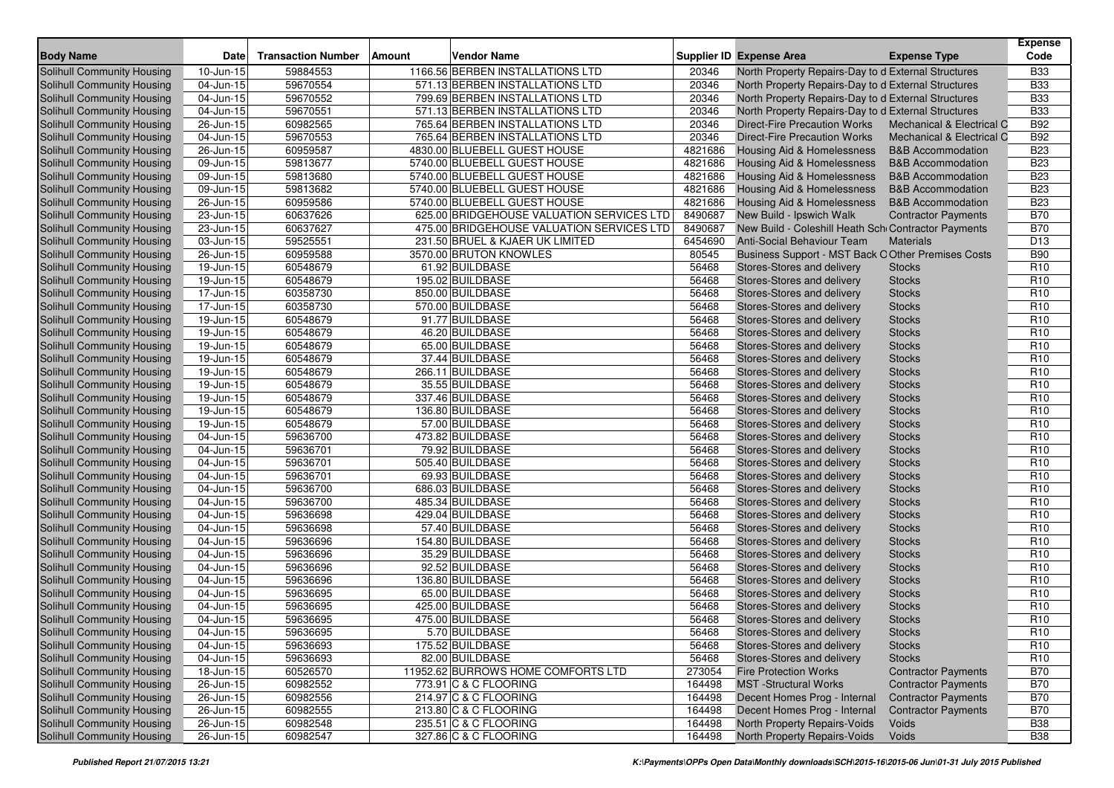| <b>Body Name</b>                  | Date                    | <b>Transaction Number</b> | Vendor Name<br>Amount                     |         | <b>Supplier ID Expense Area</b>                     | <b>Expense Type</b>          | <b>Expense</b><br>Code |
|-----------------------------------|-------------------------|---------------------------|-------------------------------------------|---------|-----------------------------------------------------|------------------------------|------------------------|
| <b>Solihull Community Housing</b> | 10-Jun-15               | 59884553                  | 1166.56 BERBEN INSTALLATIONS LTD          | 20346   | North Property Repairs-Day to d External Structures |                              | <b>B33</b>             |
| Solihull Community Housing        | 04-Jun-15               | 59670554                  | 571.13 BERBEN INSTALLATIONS LTD           | 20346   | North Property Repairs-Day to d External Structures |                              | <b>B33</b>             |
| Solihull Community Housing        | 04-Jun-15               | 59670552                  | 799.69 BERBEN INSTALLATIONS LTD           | 20346   | North Property Repairs-Day to d External Structures |                              | <b>B33</b>             |
| Solihull Community Housing        | 04-Jun-15               | 59670551                  | 571.13 BERBEN INSTALLATIONS LTD           | 20346   | North Property Repairs-Day to d External Structures |                              | <b>B33</b>             |
| Solihull Community Housing        | 26-Jun-15               | 60982565                  | 765.64 BERBEN INSTALLATIONS LTD           | 20346   | Direct-Fire Precaution Works                        | Mechanical & Electrical C    | <b>B92</b>             |
| Solihull Community Housing        | 04-Jun-15               | 59670553                  | 765.64 BERBEN INSTALLATIONS LTD           | 20346   | <b>Direct-Fire Precaution Works</b>                 | Mechanical & Electrical C    | <b>B92</b>             |
| Solihull Community Housing        | 26-Jun-15               | 60959587                  | 4830.00 BLUEBELL GUEST HOUSE              | 4821686 | <b>Housing Aid &amp; Homelessness</b>               | <b>B&amp;B Accommodation</b> | <b>B23</b>             |
| Solihull Community Housing        | 09-Jun-15               | 59813677                  | 5740.00 BLUEBELL GUEST HOUSE              | 4821686 | Housing Aid & Homelessness                          | <b>B&amp;B Accommodation</b> | <b>B23</b>             |
| <b>Solihull Community Housing</b> | 09-Jun-15               | 59813680                  | 5740.00 BLUEBELL GUEST HOUSE              | 4821686 | <b>Housing Aid &amp; Homelessness</b>               | <b>B&amp;B Accommodation</b> | <b>B23</b>             |
| Solihull Community Housing        | 09-Jun-15               | 59813682                  | 5740.00 BLUEBELL GUEST HOUSE              | 4821686 | Housing Aid & Homelessness                          | <b>B&amp;B Accommodation</b> | <b>B23</b>             |
| Solihull Community Housing        | 26-Jun-15               | 60959586                  | 5740.00 BLUEBELL GUEST HOUSE              | 4821686 | Housing Aid & Homelessness                          | <b>B&amp;B Accommodation</b> | <b>B23</b>             |
| Solihull Community Housing        | 23-Jun-15               | 60637626                  | 625.00 BRIDGEHOUSE VALUATION SERVICES LTD | 8490687 | New Build - Ipswich Walk                            | <b>Contractor Payments</b>   | <b>B70</b>             |
| Solihull Community Housing        | 23-Jun-15               | 60637627                  | 475.00 BRIDGEHOUSE VALUATION SERVICES LTD | 8490687 | New Build - Coleshill Heath Sch Contractor Payments |                              | <b>B70</b>             |
| Solihull Community Housing        | 03-Jun-15               | 59525551                  | 231.50 BRUEL & KJAER UK LIMITED           | 6454690 | Anti-Social Behaviour Team                          | <b>Materials</b>             | D <sub>13</sub>        |
| Solihull Community Housing        | 26-Jun-15               | 60959588                  | 3570.00 BRUTON KNOWLES                    | 80545   | Business Support - MST Back O Other Premises Costs  |                              | <b>B90</b>             |
| Solihull Community Housing        | 19-Jun-15               | 60548679                  | 61.92 BUILDBASE                           | 56468   | Stores-Stores and delivery                          | <b>Stocks</b>                | R <sub>10</sub>        |
| Solihull Community Housing        | 19-Jun-15               | 60548679                  | 195.02 BUILDBASE                          | 56468   | Stores-Stores and delivery                          | <b>Stocks</b>                | R <sub>10</sub>        |
| Solihull Community Housing        | 17-Jun-15               | 60358730                  | 850.00 BUILDBASE                          | 56468   | Stores-Stores and delivery                          | <b>Stocks</b>                | R <sub>10</sub>        |
| Solihull Community Housing        | 17-Jun-15               | 60358730                  | 570.00 BUILDBASE                          | 56468   | Stores-Stores and delivery                          | <b>Stocks</b>                | R <sub>10</sub>        |
| Solihull Community Housing        | 19-Jun-15               | 60548679                  | 91.77 BUILDBASE                           | 56468   | Stores-Stores and delivery                          | <b>Stocks</b>                | R <sub>10</sub>        |
| Solihull Community Housing        | 19-Jun-15               | 60548679                  | 46.20 BUILDBASE                           | 56468   | Stores-Stores and delivery                          | <b>Stocks</b>                | R <sub>10</sub>        |
| Solihull Community Housing        | 19-Jun-15               | 60548679                  | 65.00 BUILDBASE                           | 56468   | Stores-Stores and delivery                          | <b>Stocks</b>                | R <sub>10</sub>        |
| <b>Solihull Community Housing</b> | 19-Jun-15               | 60548679                  | 37.44 BUILDBASE                           | 56468   | Stores-Stores and delivery                          | <b>Stocks</b>                | R <sub>10</sub>        |
| Solihull Community Housing        | 19-Jun-15               | 60548679                  | 266.11 BUILDBASE                          | 56468   | Stores-Stores and delivery                          | <b>Stocks</b>                | R <sub>10</sub>        |
| Solihull Community Housing        | 19-Jun-15               | 60548679                  | 35.55 BUILDBASE                           | 56468   | Stores-Stores and delivery                          | <b>Stocks</b>                | R <sub>10</sub>        |
| Solihull Community Housing        | 19-Jun-15               | 60548679                  | 337.46 BUILDBASE                          | 56468   | Stores-Stores and delivery                          | <b>Stocks</b>                | R <sub>10</sub>        |
| Solihull Community Housing        | 19-Jun-15               | 60548679                  | 136.80 BUILDBASE                          | 56468   | Stores-Stores and delivery                          | <b>Stocks</b>                | R <sub>10</sub>        |
| Solihull Community Housing        | 19-Jun-15               | 60548679                  | 57.00 BUILDBASE                           | 56468   | Stores-Stores and delivery                          | <b>Stocks</b>                | R <sub>10</sub>        |
| Solihull Community Housing        | 04-Jun-15               | 59636700                  | 473.82 BUILDBASE                          | 56468   | Stores-Stores and delivery                          | <b>Stocks</b>                | R <sub>10</sub>        |
| Solihull Community Housing        | 04-Jun-15               | 59636701                  | 79.92 BUILDBASE                           | 56468   | Stores-Stores and delivery                          | <b>Stocks</b>                | R <sub>10</sub>        |
| Solihull Community Housing        | 04-Jun-15               | 59636701                  | 505.40 BUILDBASE                          | 56468   | Stores-Stores and delivery                          | <b>Stocks</b>                | R <sub>10</sub>        |
| Solihull Community Housing        | 04-Jun-15               | 59636701                  | 69.93 BUILDBASE                           | 56468   | Stores-Stores and delivery                          | <b>Stocks</b>                | R <sub>10</sub>        |
| Solihull Community Housing        | 04-Jun-15               | 59636700                  | 686.03 BUILDBASE                          | 56468   | Stores-Stores and delivery                          | <b>Stocks</b>                | R <sub>10</sub>        |
| Solihull Community Housing        | 04-Jun-15               | 59636700                  | 485.34 BUILDBASE                          | 56468   | Stores-Stores and delivery                          | <b>Stocks</b>                | R <sub>10</sub>        |
| Solihull Community Housing        | 04-Jun-15               | 59636698                  | 429.04 BUILDBASE                          | 56468   | Stores-Stores and delivery                          | <b>Stocks</b>                | R <sub>10</sub>        |
| Solihull Community Housing        | 04-Jun-15               | 59636698                  | 57.40 BUILDBASE                           | 56468   | Stores-Stores and delivery                          | <b>Stocks</b>                | R <sub>10</sub>        |
| <b>Solihull Community Housing</b> | 04-Jun-15               | 59636696                  | 154.80 BUILDBASE                          | 56468   | Stores-Stores and delivery                          | <b>Stocks</b>                | R <sub>10</sub>        |
| Solihull Community Housing        | 04-Jun-15               | 59636696                  | 35.29 BUILDBASE                           | 56468   | Stores-Stores and delivery                          | <b>Stocks</b>                | R <sub>10</sub>        |
| Solihull Community Housing        | 04-Jun-15               | 59636696                  | 92.52 BUILDBASE                           | 56468   | Stores-Stores and delivery                          | <b>Stocks</b>                | R <sub>10</sub>        |
| Solihull Community Housing        | 04-Jun-15               | 59636696                  | 136.80 BUILDBASE                          | 56468   | Stores-Stores and delivery                          | <b>Stocks</b>                | R <sub>10</sub>        |
| Solihull Community Housing        | 04-Jun-15               | 59636695                  | 65.00 BUILDBASE                           | 56468   | Stores-Stores and delivery                          | <b>Stocks</b>                | R <sub>10</sub>        |
| Solihull Community Housing        | 04-Jun-15               | 59636695                  | 425.00 BUILDBASE                          | 56468   | Stores-Stores and delivery                          | <b>Stocks</b>                | R <sub>10</sub>        |
| Solihull Community Housing        | 04-Jun-15               | 59636695                  | 475.00 BUILDBASE                          | 56468   | Stores-Stores and delivery                          | <b>Stocks</b>                | R <sub>10</sub>        |
| Solihull Community Housing        | 04-Jun-15               | 59636695                  | 5.70 BUILDBASE                            | 56468   | Stores-Stores and delivery                          | Stocks                       | R <sub>10</sub>        |
| Solihull Community Housing        | $\overline{04}$ -Jun-15 | 59636693                  | 175.52 BUILDBASE                          | 56468   | Stores-Stores and delivery                          | <b>Stocks</b>                | R <sub>10</sub>        |
| Solihull Community Housing        | 04-Jun-15               | 59636693                  | 82.00 BUILDBASE                           | 56468   | Stores-Stores and delivery                          | <b>Stocks</b>                | R <sub>10</sub>        |
| <b>Solihull Community Housing</b> | 18-Jun-15               | 60526570                  | 11952.62 BURROWS HOME COMFORTS LTD        | 273054  | <b>Fire Protection Works</b>                        | <b>Contractor Payments</b>   | <b>B70</b>             |
| Solihull Community Housing        | 26-Jun-15               | 60982552                  | 773.91 C & C FLOORING                     | 164498  | <b>MST</b> -Structural Works                        | <b>Contractor Payments</b>   | <b>B70</b>             |
| Solihull Community Housing        | 26-Jun-15               | 60982556                  | 214.97 C & C FLOORING                     | 164498  | Decent Homes Prog - Internal                        | <b>Contractor Payments</b>   | <b>B70</b>             |
| Solihull Community Housing        | 26-Jun-15               | 60982555                  | 213.80 C & C FLOORING                     | 164498  | Decent Homes Prog - Internal                        | <b>Contractor Payments</b>   | <b>B70</b>             |
| Solihull Community Housing        | 26-Jun-15               | 60982548                  | 235.51 C & C FLOORING                     | 164498  | North Property Repairs-Voids                        | Voids                        | <b>B38</b>             |
| Solihull Community Housing        | 26-Jun-15               | 60982547                  | 327.86 C & C FLOORING                     | 164498  | <b>North Property Repairs-Voids</b>                 | Voids                        | <b>B38</b>             |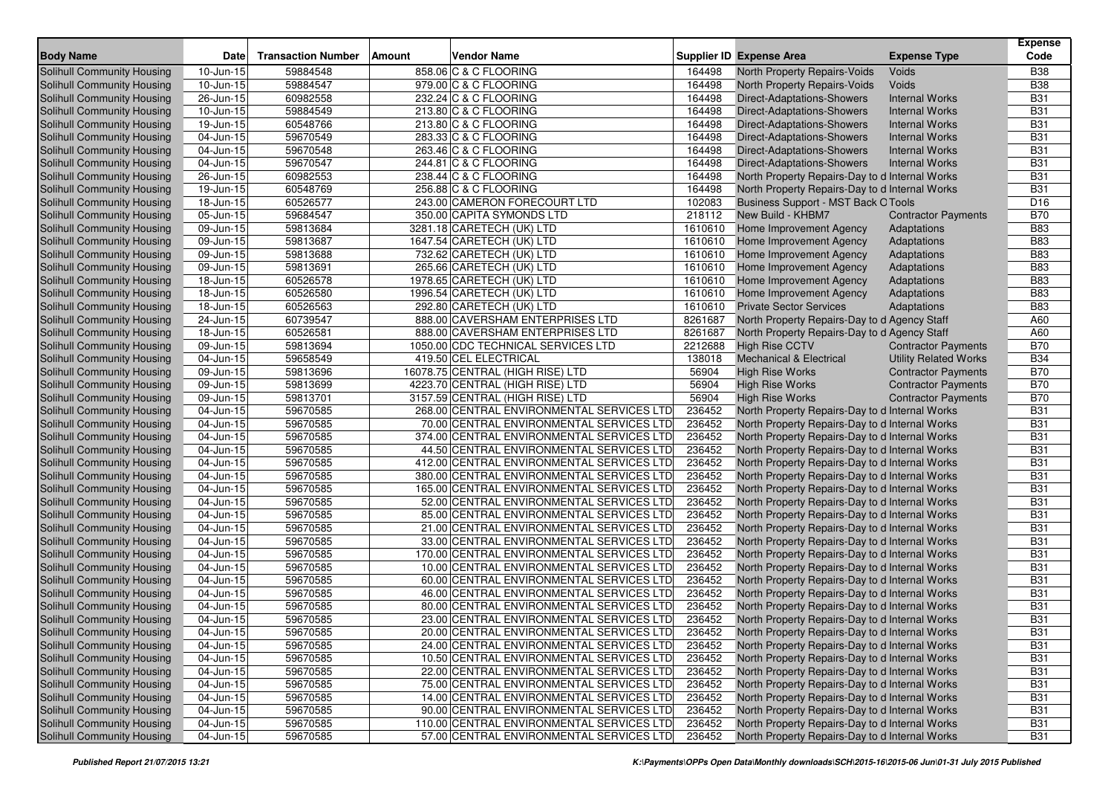| <b>Body Name</b>                  | <b>Date</b>             | <b>Transaction Number</b> | Amount | <b>Vendor Name</b>                        |         | Supplier ID Expense Area                       | <b>Expense Type</b>          | <b>Expense</b><br>Code |
|-----------------------------------|-------------------------|---------------------------|--------|-------------------------------------------|---------|------------------------------------------------|------------------------------|------------------------|
| Solihull Community Housing        | 10-Jun-15               | 59884548                  |        | 858.06 C & C FLOORING                     | 164498  | North Property Repairs-Voids                   | Voids                        | <b>B38</b>             |
| Solihull Community Housing        | $10$ -Jun-15            | 59884547                  |        | 979.00 C & C FLOORING                     | 164498  | North Property Repairs-Voids                   | Voids                        | <b>B38</b>             |
| Solihull Community Housing        | 26-Jun-15               | 60982558                  |        | 232.24 C & C FLOORING                     | 164498  | Direct-Adaptations-Showers                     | <b>Internal Works</b>        | <b>B31</b>             |
| Solihull Community Housing        | 10-Jun-15               | 59884549                  |        | 213.80 C & C FLOORING                     | 164498  | Direct-Adaptations-Showers                     | <b>Internal Works</b>        | <b>B31</b>             |
| Solihull Community Housing        | 19-Jun-15               | 60548766                  |        | 213.80 C & C FLOORING                     | 164498  | Direct-Adaptations-Showers                     | <b>Internal Works</b>        | <b>B31</b>             |
| Solihull Community Housing        | 04-Jun-15               | 59670549                  |        | 283.33 C & C FLOORING                     | 164498  | <b>Direct-Adaptations-Showers</b>              | <b>Internal Works</b>        | <b>B31</b>             |
| Solihull Community Housing        | $\overline{0}$ 4-Jun-15 | 59670548                  |        | 263.46 C & C FLOORING                     | 164498  | Direct-Adaptations-Showers                     | <b>Internal Works</b>        | <b>B31</b>             |
| Solihull Community Housing        | $04$ -Jun- $15$         | 59670547                  |        | 244.81 C & C FLOORING                     | 164498  | Direct-Adaptations-Showers                     | <b>Internal Works</b>        | <b>B31</b>             |
| Solihull Community Housing        | 26-Jun-15               | 60982553                  |        | 238.44 C & C FLOORING                     | 164498  | North Property Repairs-Day to d Internal Works |                              | <b>B31</b>             |
| Solihull Community Housing        | 19-Jun-15               | 60548769                  |        | 256.88 C & C FLOORING                     | 164498  | North Property Repairs-Day to d Internal Works |                              | <b>B31</b>             |
| Solihull Community Housing        | 18-Jun-15               | 60526577                  |        | 243.00 CAMERON FORECOURT LTD              | 102083  | <b>Business Support - MST Back O Tools</b>     |                              | D <sub>16</sub>        |
| Solihull Community Housing        | $05 - Jun - 15$         | 59684547                  |        | 350.00 CAPITA SYMONDS LTD                 | 218112  | New Build - KHBM7                              | <b>Contractor Payments</b>   | <b>B70</b>             |
| Solihull Community Housing        | 09-Jun-15               | 59813684                  |        | 3281.18 CARETECH (UK) LTD                 | 1610610 | Home Improvement Agency                        | Adaptations                  | <b>B83</b>             |
| Solihull Community Housing        | 09-Jun-15               | 59813687                  |        | 1647.54 CARETECH (UK) LTD                 | 1610610 | Home Improvement Agency                        | Adaptations                  | <b>B83</b>             |
| Solihull Community Housing        | 09-Jun-15               | 59813688                  |        | 732.62 CARETECH (UK) LTD                  | 1610610 | Home Improvement Agency                        | Adaptations                  | <b>B83</b>             |
| Solihull Community Housing        | 09-Jun-15               | 59813691                  |        | 265.66 CARETECH (UK) LTD                  | 1610610 | Home Improvement Agency                        | Adaptations                  | <b>B83</b>             |
| Solihull Community Housing        | 18-Jun-15               | 60526578                  |        | 1978.65 CARETECH (UK) LTD                 | 1610610 | Home Improvement Agency                        | Adaptations                  | <b>B83</b>             |
| Solihull Community Housing        | 18-Jun-15               | 60526580                  |        | 1996.54 CARETECH (UK) LTD                 | 1610610 | Home Improvement Agency                        | Adaptations                  | <b>B83</b>             |
| Solihull Community Housing        | 18-Jun-15               | 60526563                  |        | 292.80 CARETECH (UK) LTD                  | 1610610 | <b>Private Sector Services</b>                 | Adaptations                  | <b>B83</b>             |
| Solihull Community Housing        | 24-Jun-15               | 60739547                  |        | 888.00 CAVERSHAM ENTERPRISES LTD          | 8261687 | North Property Repairs-Day to d Agency Staff   |                              | A60                    |
| Solihull Community Housing        | 18-Jun-15               | 60526581                  |        | 888.00 CAVERSHAM ENTERPRISES LTD          | 8261687 | North Property Repairs-Day to d Agency Staff   |                              | A60                    |
| Solihull Community Housing        | 09-Jun-15               | 59813694                  |        | 1050.00 CDC TECHNICAL SERVICES LTD        | 2212688 | <b>High Rise CCTV</b>                          | <b>Contractor Payments</b>   | <b>B70</b>             |
| Solihull Community Housing        | 04-Jun-15               | 59658549                  |        | 419.50 CEL ELECTRICAL                     | 138018  | <b>Mechanical &amp; Electrical</b>             | <b>Utility Related Works</b> | <b>B34</b>             |
| Solihull Community Housing        | 09-Jun-15               | 59813696                  |        | 16078.75 CENTRAL (HIGH RISE) LTD          | 56904   | <b>High Rise Works</b>                         | <b>Contractor Payments</b>   | <b>B70</b>             |
| Solihull Community Housing        | 09-Jun-15               | 59813699                  |        | 4223.70 CENTRAL (HIGH RISE) LTD           | 56904   | <b>High Rise Works</b>                         | <b>Contractor Payments</b>   | <b>B70</b>             |
| Solihull Community Housing        | 09-Jun-15               | 59813701                  |        | 3157.59 CENTRAL (HIGH RISE) LTD           | 56904   | <b>High Rise Works</b>                         | <b>Contractor Payments</b>   | <b>B70</b>             |
| Solihull Community Housing        | 04-Jun-15               | 59670585                  |        | 268.00 CENTRAL ENVIRONMENTAL SERVICES LTD | 236452  | North Property Repairs-Day to d Internal Works |                              | <b>B31</b>             |
| <b>Solihull Community Housing</b> | 04-Jun-15               | 59670585                  |        | 70.00 CENTRAL ENVIRONMENTAL SERVICES LTD  | 236452  | North Property Repairs-Day to d Internal Works |                              | <b>B31</b>             |
| <b>Solihull Community Housing</b> | 04-Jun-15               | 59670585                  |        | 374.00 CENTRAL ENVIRONMENTAL SERVICES LTD | 236452  | North Property Repairs-Day to d Internal Works |                              | <b>B31</b>             |
| Solihull Community Housing        | 04-Jun-15               | 59670585                  |        | 44.50 CENTRAL ENVIRONMENTAL SERVICES LTD  | 236452  | North Property Repairs-Day to d Internal Works |                              | <b>B31</b>             |
| Solihull Community Housing        | 04-Jun-15               | 59670585                  |        | 412.00 CENTRAL ENVIRONMENTAL SERVICES LTD | 236452  | North Property Repairs-Day to d Internal Works |                              | <b>B31</b>             |
| Solihull Community Housing        | 04-Jun-15               | 59670585                  |        | 380.00 CENTRAL ENVIRONMENTAL SERVICES LTD | 236452  | North Property Repairs-Day to d Internal Works |                              | <b>B31</b>             |
| Solihull Community Housing        | 04-Jun-15               | 59670585                  |        | 165.00 CENTRAL ENVIRONMENTAL SERVICES LTD | 236452  | North Property Repairs-Day to d Internal Works |                              | <b>B31</b>             |
| Solihull Community Housing        | 04-Jun-15               | 59670585                  |        | 52.00 CENTRAL ENVIRONMENTAL SERVICES LTD  | 236452  | North Property Repairs-Day to d Internal Works |                              | <b>B31</b>             |
| Solihull Community Housing        | 04-Jun-15               | 59670585                  |        | 85.00 CENTRAL ENVIRONMENTAL SERVICES LTD  | 236452  | North Property Repairs-Day to d Internal Works |                              | <b>B31</b>             |
| Solihull Community Housing        | 04-Jun-15               | 59670585                  |        | 21.00 CENTRAL ENVIRONMENTAL SERVICES LTD  | 236452  | North Property Repairs-Day to d Internal Works |                              | <b>B31</b>             |
| Solihull Community Housing        | 04-Jun-15               | 59670585                  |        | 33.00 CENTRAL ENVIRONMENTAL SERVICES LTD  | 236452  | North Property Repairs-Day to d Internal Works |                              | <b>B31</b>             |
| Solihull Community Housing        | 04-Jun-15               | 59670585                  |        | 170.00 CENTRAL ENVIRONMENTAL SERVICES LTD | 236452  | North Property Repairs-Day to d Internal Works |                              | <b>B31</b>             |
| Solihull Community Housing        | 04-Jun-15               | 59670585                  |        | 10.00 CENTRAL ENVIRONMENTAL SERVICES LTD  | 236452  | North Property Repairs-Day to d Internal Works |                              | <b>B31</b>             |
| Solihull Community Housing        | 04-Jun-15               | 59670585                  |        | 60.00 CENTRAL ENVIRONMENTAL SERVICES LTD  | 236452  | North Property Repairs-Day to d Internal Works |                              | <b>B31</b>             |
| Solihull Community Housing        | 04-Jun-15               | 59670585                  |        | 46.00 CENTRAL ENVIRONMENTAL SERVICES LTD  | 236452  | North Property Repairs-Day to d Internal Works |                              | <b>B31</b>             |
| Solihull Community Housing        | 04-Jun-15               | 59670585                  |        | 80.00 CENTRAL ENVIRONMENTAL SERVICES LTD  | 236452  | North Property Repairs-Day to d Internal Works |                              | <b>B31</b>             |
| Solihull Community Housing        | 04-Jun-15               | 59670585                  |        | 23.00 CENTRAL ENVIRONMENTAL SERVICES LTD  | 236452  | North Property Repairs-Day to d Internal Works |                              | <b>B31</b>             |
| Solihull Community Housing        | 04-Jun-15               | 59670585                  |        | 20.00 CENTRAL ENVIRONMENTAL SERVICES LTD  | 236452  | North Property Repairs-Day to d Internal Works |                              | <b>B31</b>             |
| Solihull Community Housing        | 04-Jun-15               | 59670585                  |        | 24.00 CENTRAL ENVIRONMENTAL SERVICES LTD  | 236452  | North Property Repairs-Day to d Internal Works |                              | <b>B31</b>             |
| Solihull Community Housing        | $\overline{0}$ 4-Jun-15 | 59670585                  |        | 10.50 CENTRAL ENVIRONMENTAL SERVICES LTD  | 236452  | North Property Repairs-Day to d Internal Works |                              | <b>B31</b>             |
| Solihull Community Housing        | 04-Jun-15               | 59670585                  |        | 22.00 CENTRAL ENVIRONMENTAL SERVICES LTD  | 236452  | North Property Repairs-Day to d Internal Works |                              | <b>B31</b>             |
| Solihull Community Housing        | 04-Jun-15               | 59670585                  |        | 75.00 CENTRAL ENVIRONMENTAL SERVICES LTD  | 236452  | North Property Repairs-Day to d Internal Works |                              | <b>B31</b>             |
| Solihull Community Housing        | 04-Jun-15               | 59670585                  |        | 14.00 CENTRAL ENVIRONMENTAL SERVICES LTD  | 236452  | North Property Repairs-Day to d Internal Works |                              | <b>B31</b>             |
| Solihull Community Housing        | 04-Jun-15               | 59670585                  |        | 90.00 CENTRAL ENVIRONMENTAL SERVICES LTD  | 236452  | North Property Repairs-Day to d Internal Works |                              | <b>B31</b>             |
| Solihull Community Housing        | 04-Jun-15               | 59670585                  |        | 110.00 CENTRAL ENVIRONMENTAL SERVICES LTD | 236452  | North Property Repairs-Day to d Internal Works |                              | <b>B31</b>             |
| Solihull Community Housing        | 04-Jun-15               | 59670585                  |        | 57.00 CENTRAL ENVIRONMENTAL SERVICES LTD  | 236452  | North Property Repairs-Day to d Internal Works |                              | <b>B31</b>             |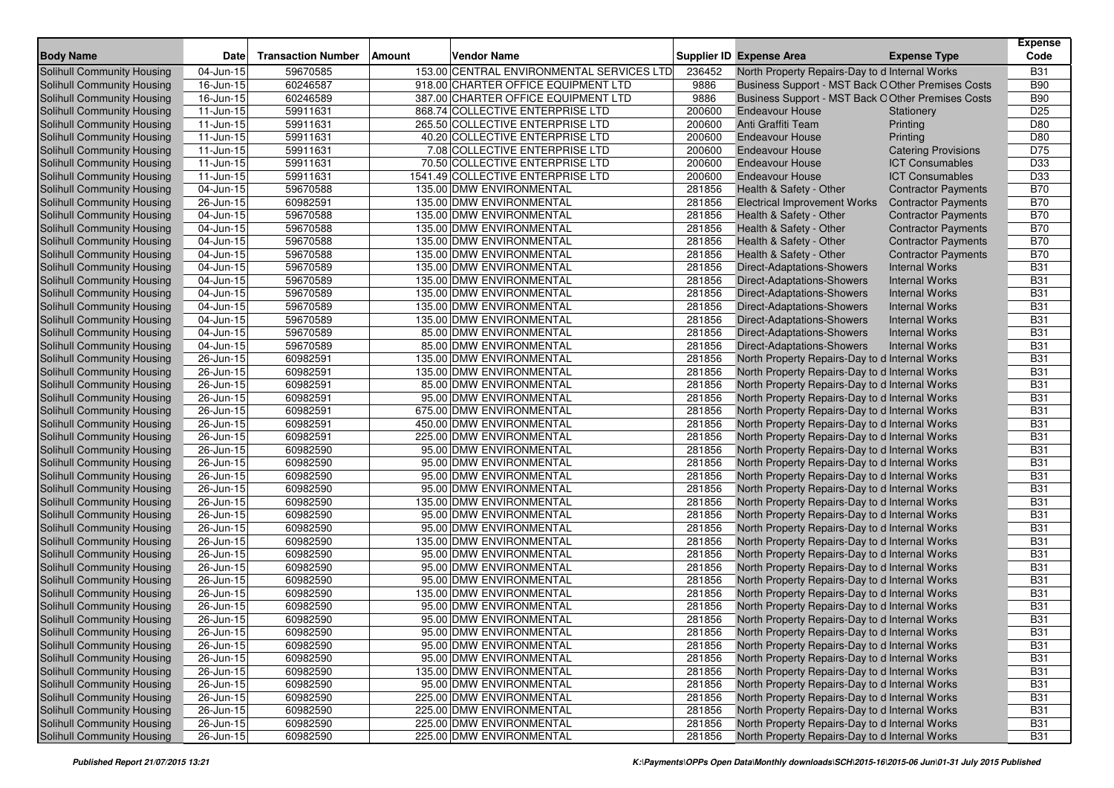| <b>Body Name</b>                  | Date                    | <b>Transaction Number</b> | Amount | <b>Vendor Name</b>                        |        | Supplier ID Expense Area                           | <b>Expense Type</b>        | <b>Expense</b><br>Code |
|-----------------------------------|-------------------------|---------------------------|--------|-------------------------------------------|--------|----------------------------------------------------|----------------------------|------------------------|
| Solihull Community Housing        | 04-Jun-15               | 59670585                  |        | 153.00 CENTRAL ENVIRONMENTAL SERVICES LTD | 236452 | North Property Repairs-Day to d Internal Works     |                            | <b>B31</b>             |
| Solihull Community Housing        | 16-Jun-15               | 60246587                  |        | 918.00 CHARTER OFFICE EQUIPMENT LTD       | 9886   | Business Support - MST Back O Other Premises Costs |                            | <b>B90</b>             |
| Solihull Community Housing        | 16-Jun-15               | 60246589                  |        | 387.00 CHARTER OFFICE EQUIPMENT LTD       | 9886   | Business Support - MST Back O Other Premises Costs |                            | <b>B90</b>             |
| Solihull Community Housing        | 11-Jun-15               | 59911631                  |        | 868.74 COLLECTIVE ENTERPRISE LTD          | 200600 | <b>Endeavour House</b>                             | Stationery                 | D <sub>25</sub>        |
| Solihull Community Housing        | 11-Jun-15               | 59911631                  |        | 265.50 COLLECTIVE ENTERPRISE LTD          | 200600 | Anti Graffiti Team                                 | Printing                   | D80                    |
| Solihull Community Housing        | 11-Jun-15               | 59911631                  |        | 40.20 COLLECTIVE ENTERPRISE LTD           | 200600 | <b>Endeavour House</b>                             | Printing                   | D80                    |
| Solihull Community Housing        | 11-Jun-15               | 59911631                  |        | 7.08 COLLECTIVE ENTERPRISE LTD            | 200600 | <b>Endeavour House</b>                             | <b>Catering Provisions</b> | D75                    |
| Solihull Community Housing        | 11-Jun-15               | 59911631                  |        | 70.50 COLLECTIVE ENTERPRISE LTD           | 200600 | <b>Endeavour House</b>                             | <b>ICT Consumables</b>     | D33                    |
| Solihull Community Housing        | $11$ -Jun-15            | 59911631                  |        | 1541.49 COLLECTIVE ENTERPRISE LTD         | 200600 | <b>Endeavour House</b>                             | <b>ICT Consumables</b>     | D33                    |
| Solihull Community Housing        | 04-Jun-15               | 59670588                  |        | 135.00 DMW ENVIRONMENTAL                  | 281856 | Health & Safety - Other                            | <b>Contractor Payments</b> | <b>B70</b>             |
| Solihull Community Housing        | 26-Jun-15               | 60982591                  |        | 135.00 DMW ENVIRONMENTAL                  | 281856 | <b>Electrical Improvement Works</b>                | <b>Contractor Payments</b> | <b>B70</b>             |
| Solihull Community Housing        | 04-Jun-15               | 59670588                  |        | 135.00 DMW ENVIRONMENTAL                  | 281856 | Health & Safety - Other                            | <b>Contractor Payments</b> | <b>B70</b>             |
| Solihull Community Housing        | 04-Jun-15               | 59670588                  |        | 135.00 DMW ENVIRONMENTAL                  | 281856 | Health & Safety - Other                            | <b>Contractor Payments</b> | <b>B70</b>             |
| Solihull Community Housing        | 04-Jun-15               | 59670588                  |        | 135.00 DMW ENVIRONMENTAL                  | 281856 | Health & Safety - Other                            | <b>Contractor Payments</b> | <b>B70</b>             |
| Solihull Community Housing        | 04-Jun-15               | 59670588                  |        | 135.00 DMW ENVIRONMENTAL                  | 281856 | Health & Safety - Other                            | <b>Contractor Payments</b> | <b>B70</b>             |
| Solihull Community Housing        | 04-Jun-15               | 59670589                  |        | 135.00 DMW ENVIRONMENTAL                  | 281856 | <b>Direct-Adaptations-Showers</b>                  | <b>Internal Works</b>      | <b>B31</b>             |
| Solihull Community Housing        | 04-Jun-15               | 59670589                  |        | 135.00 DMW ENVIRONMENTAL                  | 281856 | Direct-Adaptations-Showers                         | <b>Internal Works</b>      | <b>B31</b>             |
| Solihull Community Housing        | 04-Jun-15               | 59670589                  |        | 135.00 DMW ENVIRONMENTAL                  | 281856 | Direct-Adaptations-Showers                         | <b>Internal Works</b>      | <b>B31</b>             |
| Solihull Community Housing        | 04-Jun-15               | 59670589                  |        | 135.00 DMW ENVIRONMENTAL                  | 281856 | Direct-Adaptations-Showers                         | <b>Internal Works</b>      | <b>B31</b>             |
| Solihull Community Housing        | 04-Jun-15               | 59670589                  |        | 135.00 DMW ENVIRONMENTAL                  | 281856 | Direct-Adaptations-Showers                         | <b>Internal Works</b>      | <b>B31</b>             |
| Solihull Community Housing        | 04-Jun-15               | 59670589                  |        | 85.00 DMW ENVIRONMENTAL                   | 281856 | <b>Direct-Adaptations-Showers</b>                  | <b>Internal Works</b>      | <b>B31</b>             |
| Solihull Community Housing        | 04-Jun-15               | 59670589                  |        | 85.00 DMW ENVIRONMENTAL                   | 281856 | <b>Direct-Adaptations-Showers</b>                  | <b>Internal Works</b>      | <b>B31</b>             |
| Solihull Community Housing        | 26-Jun-15               | 60982591                  |        | 135.00 DMW ENVIRONMENTAL                  | 281856 | North Property Repairs-Day to d Internal Works     |                            | <b>B31</b>             |
| Solihull Community Housing        | 26-Jun-15               | 60982591                  |        | 135.00 DMW ENVIRONMENTAL                  | 281856 | North Property Repairs-Day to d Internal Works     |                            | <b>B31</b>             |
| Solihull Community Housing        | 26-Jun-15               | 60982591                  |        | 85.00 DMW ENVIRONMENTAL                   | 281856 | North Property Repairs-Day to d Internal Works     |                            | <b>B31</b>             |
| Solihull Community Housing        | 26-Jun-15               | 60982591                  |        | 95.00 DMW ENVIRONMENTAL                   | 281856 | North Property Repairs-Day to d Internal Works     |                            | <b>B31</b>             |
| Solihull Community Housing        | 26-Jun-15               | 60982591                  |        | 675.00 DMW ENVIRONMENTAL                  | 281856 | North Property Repairs-Day to d Internal Works     |                            | <b>B31</b>             |
| <b>Solihull Community Housing</b> | 26-Jun-15               | 60982591                  |        | 450.00 DMW ENVIRONMENTAL                  | 281856 | North Property Repairs-Day to d Internal Works     |                            | <b>B31</b>             |
| <b>Solihull Community Housing</b> | 26-Jun-15               | 60982591                  |        | 225.00 DMW ENVIRONMENTAL                  | 281856 | North Property Repairs-Day to d Internal Works     |                            | <b>B31</b>             |
| Solihull Community Housing        | 26-Jun-15               | 60982590                  |        | 95.00 DMW ENVIRONMENTAL                   | 281856 | North Property Repairs-Day to d Internal Works     |                            | <b>B31</b>             |
| Solihull Community Housing        | 26-Jun-15               | 60982590                  |        | 95.00 DMW ENVIRONMENTAL                   | 281856 | North Property Repairs-Day to d Internal Works     |                            | <b>B31</b>             |
| Solihull Community Housing        | 26-Jun-15               | 60982590                  |        | 95.00 DMW ENVIRONMENTAL                   | 281856 | North Property Repairs-Day to d Internal Works     |                            | <b>B31</b>             |
| <b>Solihull Community Housing</b> | 26-Jun-15               | 60982590                  |        | 95.00 DMW ENVIRONMENTAL                   | 281856 | North Property Repairs-Day to d Internal Works     |                            | <b>B31</b>             |
| Solihull Community Housing        | 26-Jun-15               | 60982590                  |        | 135.00 DMW ENVIRONMENTAL                  | 281856 | North Property Repairs-Day to d Internal Works     |                            | <b>B31</b>             |
| Solihull Community Housing        | 26-Jun-15               | 60982590                  |        | 95.00 DMW ENVIRONMENTAL                   | 281856 | North Property Repairs-Day to d Internal Works     |                            | <b>B31</b>             |
| Solihull Community Housing        | 26-Jun-15               | 60982590                  |        | 95.00 DMW ENVIRONMENTAL                   | 281856 | North Property Repairs-Day to d Internal Works     |                            | <b>B31</b>             |
| <b>Solihull Community Housing</b> | 26-Jun-15               | 60982590                  |        | 135.00 DMW ENVIRONMENTAL                  | 281856 | North Property Repairs-Day to d Internal Works     |                            | <b>B31</b>             |
| Solihull Community Housing        | 26-Jun-15               | 60982590                  |        | 95.00 DMW ENVIRONMENTAL                   | 281856 | North Property Repairs-Day to d Internal Works     |                            | <b>B31</b>             |
| Solihull Community Housing        | 26-Jun-15               | 60982590                  |        | 95.00 DMW ENVIRONMENTAL                   | 281856 | North Property Repairs-Day to d Internal Works     |                            | <b>B31</b>             |
| Solihull Community Housing        | 26-Jun-15               | 60982590                  |        | 95.00 DMW ENVIRONMENTAL                   | 281856 | North Property Repairs-Day to d Internal Works     |                            | <b>B31</b>             |
| Solihull Community Housing        | 26-Jun-15               | 60982590                  |        | 135.00 DMW ENVIRONMENTAL                  | 281856 | North Property Repairs-Day to d Internal Works     |                            | <b>B31</b>             |
| Solihull Community Housing        | 26-Jun-15               | 60982590                  |        | 95.00 DMW ENVIRONMENTAL                   | 281856 | North Property Repairs-Day to d Internal Works     |                            | <b>B31</b>             |
| Solihull Community Housing        | 26-Jun-15               | 60982590                  |        | 95.00 DMW ENVIRONMENTAL                   | 281856 | North Property Repairs-Day to d Internal Works     |                            | <b>B31</b>             |
| Solihull Community Housing        | $26 - Jun - 15$         | 60982590                  |        | 95.00 DMW ENVIRONMENTAL                   | 281856 | North Property Repairs-Day to d Internal Works     |                            | <b>B31</b>             |
| Solihull Community Housing        | $\overline{2}6$ -Jun-15 | 60982590                  |        | 95.00 DMW ENVIRONMENTAL                   | 281856 | North Property Repairs-Day to d Internal Works     |                            | <b>B31</b>             |
| Solihull Community Housing        | $\overline{2}$ 6-Jun-15 | 60982590                  |        | 95.00 DMW ENVIRONMENTAL                   | 281856 | North Property Repairs-Day to d Internal Works     |                            | <b>B31</b>             |
| <b>Solihull Community Housing</b> | 26-Jun-15               | 60982590                  |        | 135.00 DMW ENVIRONMENTAL                  | 281856 | North Property Repairs-Day to d Internal Works     |                            | <b>B31</b>             |
| Solihull Community Housing        | 26-Jun-15               | 60982590                  |        | 95.00 DMW ENVIRONMENTAL                   | 281856 | North Property Repairs-Day to d Internal Works     |                            | <b>B31</b>             |
| Solihull Community Housing        | 26-Jun-15               | 60982590                  |        | 225.00 DMW ENVIRONMENTAL                  | 281856 | North Property Repairs-Day to d Internal Works     |                            | <b>B31</b>             |
| Solihull Community Housing        | 26-Jun-15               | 60982590                  |        | 225.00 DMW ENVIRONMENTAL                  | 281856 | North Property Repairs-Day to d Internal Works     |                            | <b>B31</b>             |
| Solihull Community Housing        | 26-Jun-15               | 60982590                  |        | 225.00 DMW ENVIRONMENTAL                  | 281856 | North Property Repairs-Day to d Internal Works     |                            | <b>B31</b>             |
| Solihull Community Housing        | 26-Jun-15               | 60982590                  |        | 225.00 DMW ENVIRONMENTAL                  | 281856 | North Property Repairs-Day to d Internal Works     |                            | <b>B31</b>             |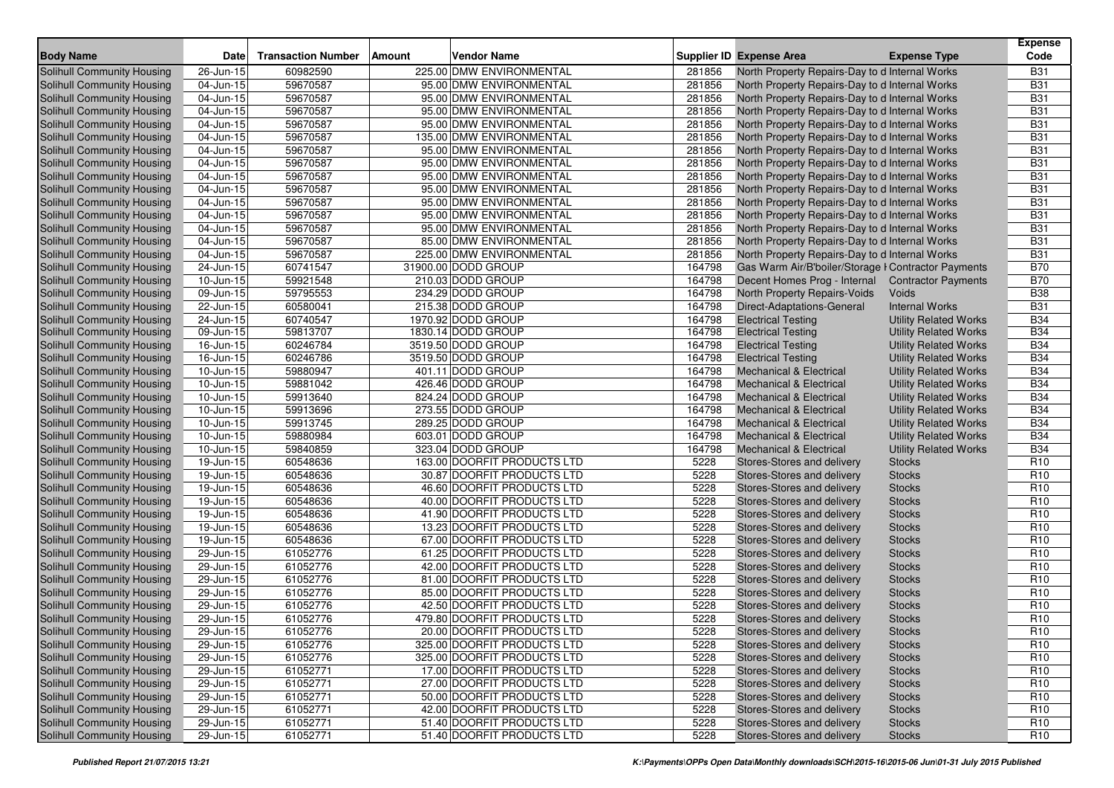| <b>Body Name</b>                  | <b>Date</b>             | <b>Transaction Number</b> | <b>Amount</b> | Vendor Name                 |        | <b>Supplier ID Expense Area</b>                     | <b>Expense Type</b>          | <b>Expense</b><br>Code |
|-----------------------------------|-------------------------|---------------------------|---------------|-----------------------------|--------|-----------------------------------------------------|------------------------------|------------------------|
| Solihull Community Housing        | 26-Jun-15               | 60982590                  |               | 225.00 DMW ENVIRONMENTAL    | 281856 | North Property Repairs-Day to d Internal Works      |                              | <b>B31</b>             |
| Solihull Community Housing        | 04-Jun-15               | 59670587                  |               | 95.00 DMW ENVIRONMENTAL     | 281856 | North Property Repairs-Day to d Internal Works      |                              | <b>B31</b>             |
| Solihull Community Housing        | 04-Jun-15               | 59670587                  |               | 95.00 DMW ENVIRONMENTAL     | 281856 | North Property Repairs-Day to d Internal Works      |                              | <b>B31</b>             |
| Solihull Community Housing        | 04-Jun-15               | 59670587                  |               | 95.00 DMW ENVIRONMENTAL     | 281856 | North Property Repairs-Day to d Internal Works      |                              | <b>B31</b>             |
| Solihull Community Housing        | 04-Jun-15               | 59670587                  |               | 95.00 DMW ENVIRONMENTAL     | 281856 | North Property Repairs-Day to d Internal Works      |                              | <b>B31</b>             |
| Solihull Community Housing        | 04-Jun-15               | 59670587                  |               | 135.00 DMW ENVIRONMENTAL    | 281856 | North Property Repairs-Day to d Internal Works      |                              | <b>B31</b>             |
| Solihull Community Housing        | 04-Jun-15               | 59670587                  |               | 95.00 DMW ENVIRONMENTAL     | 281856 | North Property Repairs-Day to d Internal Works      |                              | <b>B31</b>             |
| Solihull Community Housing        | 04-Jun-15               | 59670587                  |               | 95.00 DMW ENVIRONMENTAL     | 281856 | North Property Repairs-Day to d Internal Works      |                              | <b>B31</b>             |
| Solihull Community Housing        | 04-Jun-15               | 59670587                  |               | 95.00 DMW ENVIRONMENTAL     | 281856 | North Property Repairs-Day to d Internal Works      |                              | <b>B31</b>             |
| Solihull Community Housing        | 04-Jun-15               | 59670587                  |               | 95.00 DMW ENVIRONMENTAL     | 281856 | North Property Repairs-Day to d Internal Works      |                              | <b>B31</b>             |
| Solihull Community Housing        | 04-Jun-15               | 59670587                  |               | 95.00 DMW ENVIRONMENTAL     | 281856 | North Property Repairs-Day to d Internal Works      |                              | <b>B31</b>             |
| <b>Solihull Community Housing</b> | 04-Jun-15               | 59670587                  |               | 95.00 DMW ENVIRONMENTAL     | 281856 | North Property Repairs-Day to d Internal Works      |                              | <b>B31</b>             |
| Solihull Community Housing        | 04-Jun-15               | 59670587                  |               | 95.00 DMW ENVIRONMENTAL     | 281856 | North Property Repairs-Day to d Internal Works      |                              | <b>B31</b>             |
| Solihull Community Housing        | 04-Jun-15               | 59670587                  |               | 85.00 DMW ENVIRONMENTAL     | 281856 | North Property Repairs-Day to d Internal Works      |                              | <b>B31</b>             |
| <b>Solihull Community Housing</b> | 04-Jun-15               | 59670587                  |               | 225.00 DMW ENVIRONMENTAL    | 281856 | North Property Repairs-Day to d Internal Works      |                              | <b>B31</b>             |
| Solihull Community Housing        | 24-Jun-15               | 60741547                  |               | 31900.00 DODD GROUP         | 164798 | Gas Warm Air/B'boiler/Storage I Contractor Payments |                              | <b>B70</b>             |
| Solihull Community Housing        | 10-Jun-15               | 59921548                  |               | 210.03 DODD GROUP           | 164798 | Decent Homes Prog - Internal Contractor Payments    |                              | <b>B70</b>             |
| Solihull Community Housing        | 09-Jun-15               | 59795553                  |               | 234.29 DODD GROUP           | 164798 | North Property Repairs-Voids                        | Voids                        | <b>B38</b>             |
| Solihull Community Housing        | 22-Jun-15               | 60580041                  |               | 215.38 DODD GROUP           | 164798 | Direct-Adaptations-General                          | <b>Internal Works</b>        | <b>B31</b>             |
| Solihull Community Housing        | 24-Jun-15               | 60740547                  |               | 1970.92 DODD GROUP          | 164798 | <b>Electrical Testing</b>                           | <b>Utility Related Works</b> | <b>B34</b>             |
| Solihull Community Housing        | 09-Jun-15               | 59813707                  |               | 1830.14 DODD GROUP          | 164798 | <b>Electrical Testing</b>                           | <b>Utility Related Works</b> | <b>B34</b>             |
| Solihull Community Housing        | 16-Jun-15               | 60246784                  |               | 3519.50 DODD GROUP          | 164798 | <b>Electrical Testing</b>                           | <b>Utility Related Works</b> | <b>B34</b>             |
| Solihull Community Housing        | 16-Jun-15               | 60246786                  |               | 3519.50 DODD GROUP          | 164798 | <b>Electrical Testing</b>                           | <b>Utility Related Works</b> | <b>B34</b>             |
| Solihull Community Housing        | 10-Jun-15               | 59880947                  |               | 401.11 DODD GROUP           | 164798 | <b>Mechanical &amp; Electrical</b>                  | <b>Utility Related Works</b> | <b>B34</b>             |
| Solihull Community Housing        | 10-Jun-15               | 59881042                  |               | 426.46 DODD GROUP           | 164798 | <b>Mechanical &amp; Electrical</b>                  | <b>Utility Related Works</b> | <b>B34</b>             |
| Solihull Community Housing        | $10$ -Jun-15            | 59913640                  |               | 824.24 DODD GROUP           | 164798 | <b>Mechanical &amp; Electrical</b>                  | <b>Utility Related Works</b> | <b>B34</b>             |
| Solihull Community Housing        | 10-Jun-15               | 59913696                  |               | 273.55 DODD GROUP           | 164798 | <b>Mechanical &amp; Electrical</b>                  | <b>Utility Related Works</b> | <b>B34</b>             |
| Solihull Community Housing        | 10-Jun-15               | 59913745                  |               | 289.25 DODD GROUP           | 164798 | <b>Mechanical &amp; Electrical</b>                  | <b>Utility Related Works</b> | <b>B34</b>             |
| Solihull Community Housing        | 10-Jun-15               | 59880984                  |               | 603.01 DODD GROUP           | 164798 | <b>Mechanical &amp; Electrical</b>                  | <b>Utility Related Works</b> | <b>B34</b>             |
| Solihull Community Housing        | 10-Jun-15               | 59840859                  |               | 323.04 DODD GROUP           | 164798 | <b>Mechanical &amp; Electrical</b>                  | <b>Utility Related Works</b> | <b>B34</b>             |
| Solihull Community Housing        | 19-Jun-15               | 60548636                  |               | 163.00 DOORFIT PRODUCTS LTD | 5228   | Stores-Stores and delivery                          | <b>Stocks</b>                | R <sub>10</sub>        |
| Solihull Community Housing        | 19-Jun-15               | 60548636                  |               | 30.87 DOORFIT PRODUCTS LTD  | 5228   | Stores-Stores and delivery                          | <b>Stocks</b>                | R <sub>10</sub>        |
| Solihull Community Housing        | 19-Jun-15               | 60548636                  |               | 46.60 DOORFIT PRODUCTS LTD  | 5228   | Stores-Stores and delivery                          | <b>Stocks</b>                | R <sub>10</sub>        |
| <b>Solihull Community Housing</b> | $\overline{19}$ -Jun-15 | 60548636                  |               | 40.00 DOORFIT PRODUCTS LTD  | 5228   | Stores-Stores and delivery                          | <b>Stocks</b>                | R <sub>10</sub>        |
| Solihull Community Housing        | 19-Jun-15               | 60548636                  |               | 41.90 DOORFIT PRODUCTS LTD  | 5228   | Stores-Stores and delivery                          | <b>Stocks</b>                | R <sub>10</sub>        |
| Solihull Community Housing        | 19-Jun-15               | 60548636                  |               | 13.23 DOORFIT PRODUCTS LTD  | 5228   | Stores-Stores and delivery                          | <b>Stocks</b>                | R <sub>10</sub>        |
| Solihull Community Housing        | 19-Jun-15               | 60548636                  |               | 67.00 DOORFIT PRODUCTS LTD  | 5228   | Stores-Stores and delivery                          | <b>Stocks</b>                | R <sub>10</sub>        |
| Solihull Community Housing        | 29-Jun-15               | 61052776                  |               | 61.25 DOORFIT PRODUCTS LTD  | 5228   | Stores-Stores and delivery                          | <b>Stocks</b>                | R <sub>10</sub>        |
| Solihull Community Housing        | 29-Jun-15               | 61052776                  |               | 42.00 DOORFIT PRODUCTS LTD  | 5228   | Stores-Stores and delivery                          | <b>Stocks</b>                | R <sub>10</sub>        |
| Solihull Community Housing        | 29-Jun-15               | 61052776                  |               | 81.00 DOORFIT PRODUCTS LTD  | 5228   | Stores-Stores and delivery                          | <b>Stocks</b>                | R <sub>10</sub>        |
| Solihull Community Housing        | 29-Jun-15               | 61052776                  |               | 85.00 DOORFIT PRODUCTS LTD  | 5228   | Stores-Stores and delivery                          | <b>Stocks</b>                | R <sub>10</sub>        |
| Solihull Community Housing        | 29-Jun-15               | 61052776                  |               | 42.50 DOORFIT PRODUCTS LTD  | 5228   | Stores-Stores and delivery                          | <b>Stocks</b>                | R <sub>10</sub>        |
| Solihull Community Housing        | 29-Jun-15               | 61052776                  |               | 479.80 DOORFIT PRODUCTS LTD | 5228   | Stores-Stores and delivery                          | <b>Stocks</b>                | R <sub>10</sub>        |
| Solihull Community Housing        | 29-Jun-15               | 61052776                  |               | 20.00 DOORFIT PRODUCTS LTD  | 5228   | Stores-Stores and delivery                          | Stocks                       | R <sub>10</sub>        |
| <b>Solihull Community Housing</b> | $\overline{29}$ -Jun-15 | 61052776                  |               | 325.00 DOORFIT PRODUCTS LTD | 5228   | Stores-Stores and delivery                          | <b>Stocks</b>                | R <sub>10</sub>        |
| Solihull Community Housing        | 29-Jun-15               | 61052776                  |               | 325.00 DOORFIT PRODUCTS LTD | 5228   | Stores-Stores and delivery                          | <b>Stocks</b>                | R <sub>10</sub>        |
| <b>Solihull Community Housing</b> | 29-Jun-15               | 61052771                  |               | 17.00 DOORFIT PRODUCTS LTD  | 5228   | Stores-Stores and delivery                          | <b>Stocks</b>                | R <sub>10</sub>        |
| Solihull Community Housing        | $29$ -Jun-15            | 61052771                  |               | 27.00 DOORFIT PRODUCTS LTD  | 5228   | Stores-Stores and delivery                          | <b>Stocks</b>                | R <sub>10</sub>        |
| <b>Solihull Community Housing</b> | 29-Jun-15               | 61052771                  |               | 50.00 DOORFIT PRODUCTS LTD  | 5228   | Stores-Stores and delivery                          | <b>Stocks</b>                | R <sub>10</sub>        |
| Solihull Community Housing        | 29-Jun-15               | 61052771                  |               | 42.00 DOORFIT PRODUCTS LTD  | 5228   | Stores-Stores and delivery                          | <b>Stocks</b>                | R <sub>10</sub>        |
| <b>Solihull Community Housing</b> | 29-Jun-15               | 61052771                  |               | 51.40 DOORFIT PRODUCTS LTD  | 5228   | Stores-Stores and delivery                          | <b>Stocks</b>                | R <sub>10</sub>        |
| Solihull Community Housing        | 29-Jun-15               | 61052771                  |               | 51.40 DOORFIT PRODUCTS LTD  | 5228   | Stores-Stores and delivery                          | <b>Stocks</b>                | R <sub>10</sub>        |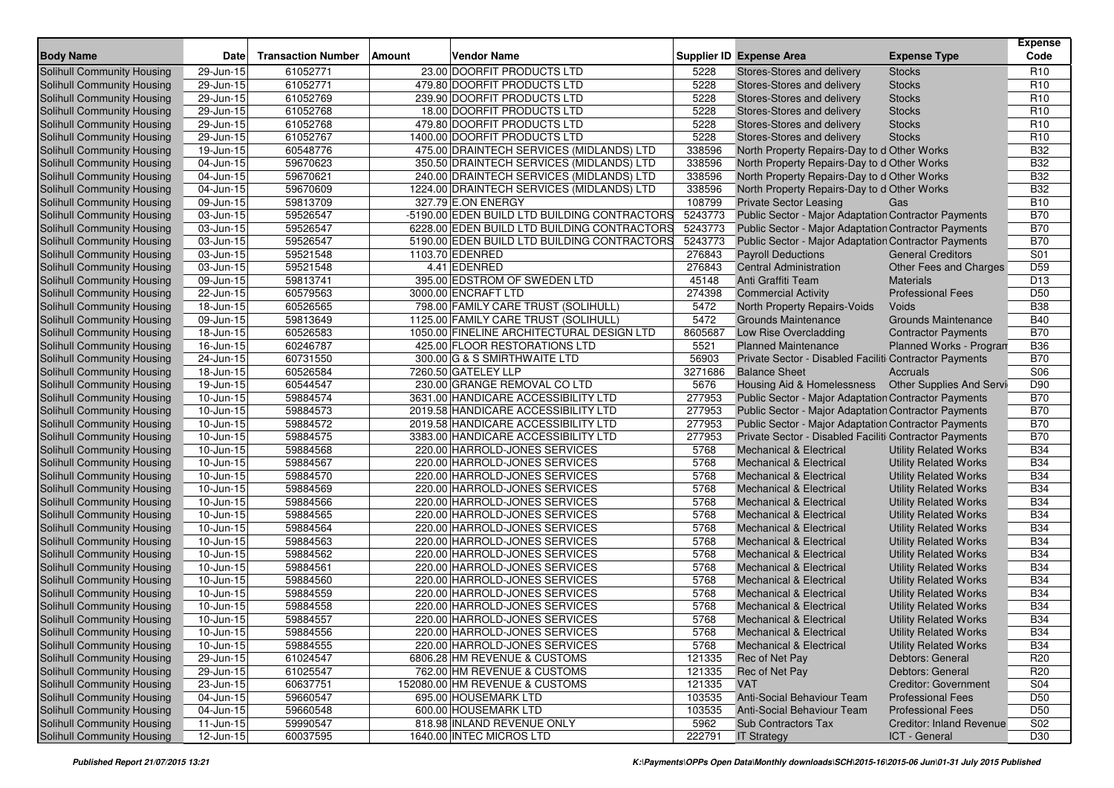| <b>Body Name</b>                  | Date                    | <b>Transaction Number</b> | Amount | Vendor Name                                  |         | <b>Supplier ID Expense Area</b>                             | <b>Expense Type</b>             | <b>Expense</b><br>Code |
|-----------------------------------|-------------------------|---------------------------|--------|----------------------------------------------|---------|-------------------------------------------------------------|---------------------------------|------------------------|
| <b>Solihull Community Housing</b> | 29-Jun-15               | 61052771                  |        | 23.00 DOORFIT PRODUCTS LTD                   | 5228    | Stores-Stores and delivery                                  | <b>Stocks</b>                   | R <sub>10</sub>        |
| Solihull Community Housing        | 29-Jun-15               | 61052771                  |        | 479.80 DOORFIT PRODUCTS LTD                  | 5228    | Stores-Stores and delivery                                  | <b>Stocks</b>                   | R <sub>10</sub>        |
| Solihull Community Housing        | 29-Jun-15               | 61052769                  |        | 239.90 DOORFIT PRODUCTS LTD                  | 5228    | Stores-Stores and delivery                                  | <b>Stocks</b>                   | R <sub>10</sub>        |
| Solihull Community Housing        | 29-Jun-15               | 61052768                  |        | 18.00 DOORFIT PRODUCTS LTD                   | 5228    | Stores-Stores and delivery                                  | <b>Stocks</b>                   | R <sub>10</sub>        |
| Solihull Community Housing        | 29-Jun-15               | 61052768                  |        | 479.80 DOORFIT PRODUCTS LTD                  | 5228    | Stores-Stores and delivery                                  | <b>Stocks</b>                   | R <sub>10</sub>        |
| Solihull Community Housing        | 29-Jun-15               | 61052767                  |        | 1400.00 DOORFIT PRODUCTS LTD                 | 5228    | Stores-Stores and delivery                                  | <b>Stocks</b>                   | R <sub>10</sub>        |
| Solihull Community Housing        | 19-Jun-15               | 60548776                  |        | 475.00 DRAINTECH SERVICES (MIDLANDS) LTD     | 338596  | North Property Repairs-Day to d Other Works                 |                                 | <b>B32</b>             |
| Solihull Community Housing        | 04-Jun-15               | 59670623                  |        | 350.50 DRAINTECH SERVICES (MIDLANDS) LTD     | 338596  | North Property Repairs-Day to d Other Works                 |                                 | <b>B32</b>             |
| <b>Solihull Community Housing</b> | 04-Jun-15               | 59670621                  |        | 240.00 DRAINTECH SERVICES (MIDLANDS) LTD     | 338596  | North Property Repairs-Day to d Other Works                 |                                 | <b>B32</b>             |
| Solihull Community Housing        | 04-Jun-15               | 59670609                  |        | 1224.00 DRAINTECH SERVICES (MIDLANDS) LTD    | 338596  | North Property Repairs-Day to d Other Works                 |                                 | <b>B32</b>             |
| Solihull Community Housing        | 09-Jun-15               | 59813709                  |        | 327.79 E.ON ENERGY                           | 108799  | <b>Private Sector Leasing</b>                               | Gas                             | <b>B10</b>             |
| Solihull Community Housing        | 03-Jun-15               | 59526547                  |        | -5190.00 EDEN BUILD LTD BUILDING CONTRACTORS | 5243773 | Public Sector - Major Adaptation Contractor Payments        |                                 | <b>B70</b>             |
| Solihull Community Housing        | 03-Jun-15               | 59526547                  |        | 6228.00 EDEN BUILD LTD BUILDING CONTRACTORS  | 5243773 | Public Sector - Major Adaptation Contractor Payments        |                                 | <b>B70</b>             |
| Solihull Community Housing        | 03-Jun-15               | 59526547                  |        | 5190.00 EDEN BUILD LTD BUILDING CONTRACTORS  | 5243773 | Public Sector - Major Adaptation Contractor Payments        |                                 | <b>B70</b>             |
| Solihull Community Housing        | $03$ -Jun-15            | 59521548                  |        | 1103.70 EDENRED                              | 276843  | <b>Payroll Deductions</b>                                   | <b>General Creditors</b>        | S01                    |
| Solihull Community Housing        | 03-Jun-15               | 59521548                  |        | 4.41 EDENRED                                 | 276843  | <b>Central Administration</b>                               | Other Fees and Charges          | D <sub>59</sub>        |
| Solihull Community Housing        | 09-Jun-15               | 59813741                  |        | 395.00 EDSTROM OF SWEDEN LTD                 | 45148   | Anti Graffiti Team                                          | <b>Materials</b>                | D <sub>13</sub>        |
| Solihull Community Housing        | 22-Jun-15               | 60579563                  |        | 3000.00 ENCRAFT LTD                          | 274398  | <b>Commercial Activity</b>                                  | <b>Professional Fees</b>        | D <sub>50</sub>        |
| Solihull Community Housing        | 18-Jun-15               | 60526565                  |        | 798.00 FAMILY CARE TRUST (SOLIHULL)          | 5472    | North Property Repairs-Voids                                | Voids                           | <b>B38</b>             |
| Solihull Community Housing        | 09-Jun-15               | 59813649                  |        | 1125.00 FAMILY CARE TRUST (SOLIHULL)         | 5472    | <b>Grounds Maintenance</b>                                  | <b>Grounds Maintenance</b>      | <b>B40</b>             |
| Solihull Community Housing        | 18-Jun-15               | 60526583                  |        | 1050.00 FINELINE ARCHITECTURAL DESIGN LTD    | 8605687 | Low Rise Overcladding                                       | <b>Contractor Payments</b>      | <b>B70</b>             |
| Solihull Community Housing        | 16-Jun-15               | 60246787                  |        | 425.00 FLOOR RESTORATIONS LTD                | 5521    | <b>Planned Maintenance</b>                                  | Planned Works - Progran         | <b>B36</b>             |
| <b>Solihull Community Housing</b> | 24-Jun-15               | 60731550                  |        | 300.00 G & S SMIRTHWAITE LTD                 | 56903   | Private Sector - Disabled Faciliti Contractor Payments      |                                 | <b>B70</b>             |
| Solihull Community Housing        | 18-Jun-15               | 60526584                  |        | 7260.50 GATELEY LLP                          | 3271686 | <b>Balance Sheet</b>                                        | Accruals                        | S06                    |
| Solihull Community Housing        | 19-Jun-15               | 60544547                  |        | 230.00 GRANGE REMOVAL CO LTD                 | 5676    | Housing Aid & Homelessness  Other Supplies And Servi        |                                 | D90                    |
| Solihull Community Housing        | 10-Jun-15               | 59884574                  |        | 3631.00 HANDICARE ACCESSIBILITY LTD          | 277953  | <b>Public Sector - Major Adaptation Contractor Payments</b> |                                 | <b>B70</b>             |
| Solihull Community Housing        | 10-Jun-15               | 59884573                  |        | 2019.58 HANDICARE ACCESSIBILITY LTD          | 277953  | Public Sector - Major Adaptation Contractor Payments        |                                 | <b>B70</b>             |
| Solihull Community Housing        | 10-Jun-15               | 59884572                  |        | 2019.58 HANDICARE ACCESSIBILITY LTD          | 277953  | Public Sector - Major Adaptation Contractor Payments        |                                 | <b>B70</b>             |
| Solihull Community Housing        | 10-Jun-15               | 59884575                  |        | 3383.00 HANDICARE ACCESSIBILITY LTD          | 277953  | Private Sector - Disabled Faciliti Contractor Payments      |                                 | <b>B70</b>             |
| Solihull Community Housing        | 10-Jun-15               | 59884568                  |        | 220.00 HARROLD-JONES SERVICES                | 5768    | <b>Mechanical &amp; Electrical</b>                          | <b>Utility Related Works</b>    | <b>B34</b>             |
| Solihull Community Housing        | 10-Jun-15               | 59884567                  |        | 220.00 HARROLD-JONES SERVICES                | 5768    | <b>Mechanical &amp; Electrical</b>                          | <b>Utility Related Works</b>    | <b>B34</b>             |
| <b>Solihull Community Housing</b> | 10-Jun-15               | 59884570                  |        | 220.00 HARROLD-JONES SERVICES                | 5768    | <b>Mechanical &amp; Electrical</b>                          | <b>Utility Related Works</b>    | <b>B34</b>             |
| Solihull Community Housing        | 10-Jun-15               | 59884569                  |        | 220.00 HARROLD-JONES SERVICES                | 5768    | <b>Mechanical &amp; Electrical</b>                          | <b>Utility Related Works</b>    | <b>B34</b>             |
| Solihull Community Housing        | 10-Jun-15               | 59884566                  |        | 220.00 HARROLD-JONES SERVICES                | 5768    | <b>Mechanical &amp; Electrical</b>                          | <b>Utility Related Works</b>    | <b>B34</b>             |
| Solihull Community Housing        | 10-Jun-15               | 59884565                  |        | 220.00 HARROLD-JONES SERVICES                | 5768    | Mechanical & Electrical                                     | <b>Utility Related Works</b>    | <b>B34</b>             |
| Solihull Community Housing        | 10-Jun-15               | 59884564                  |        | 220.00 HARROLD-JONES SERVICES                | 5768    | Mechanical & Electrical                                     | <b>Utility Related Works</b>    | <b>B34</b>             |
| <b>Solihull Community Housing</b> | 10-Jun-15               | 59884563                  |        | 220.00 HARROLD-JONES SERVICES                | 5768    | <b>Mechanical &amp; Electrical</b>                          | <b>Utility Related Works</b>    | <b>B34</b>             |
| <b>Solihull Community Housing</b> | 10-Jun-15               | 59884562                  |        | 220.00 HARROLD-JONES SERVICES                | 5768    | Mechanical & Electrical                                     | <b>Utility Related Works</b>    | <b>B34</b>             |
| Solihull Community Housing        | 10-Jun-15               | 59884561                  |        | 220.00 HARROLD-JONES SERVICES                | 5768    | <b>Mechanical &amp; Electrical</b>                          | <b>Utility Related Works</b>    | <b>B34</b>             |
| Solihull Community Housing        | $10$ -Jun-15            | 59884560                  |        | 220.00 HARROLD-JONES SERVICES                | 5768    | <b>Mechanical &amp; Electrical</b>                          | <b>Utility Related Works</b>    | <b>B34</b>             |
| Solihull Community Housing        | 10-Jun-15               | 59884559                  |        | 220.00 HARROLD-JONES SERVICES                | 5768    | <b>Mechanical &amp; Electrical</b>                          | <b>Utility Related Works</b>    | <b>B34</b>             |
| Solihull Community Housing        | 10-Jun-15               | 59884558                  |        | 220.00 HARROLD-JONES SERVICES                | 5768    | <b>Mechanical &amp; Electrical</b>                          | <b>Utility Related Works</b>    | <b>B34</b>             |
| Solihull Community Housing        | 10-Jun-15               | 59884557                  |        | 220.00 HARROLD-JONES SERVICES                | 5768    | <b>Mechanical &amp; Electrical</b>                          | <b>Utility Related Works</b>    | <b>B34</b>             |
| Solihull Community Housing        | $10 - Jun-15$           | 59884556                  |        | 220.00 HARROLD-JONES SERVICES                | 5768    | <b>Mechanical &amp; Electrical</b>                          | <b>Utility Related Works</b>    | <b>B34</b>             |
| Solihull Community Housing        | $10$ -Jun-15            | 59884555                  |        | 220.00 HARROLD-JONES SERVICES                | 5768    | Mechanical & Electrical                                     | <b>Utility Related Works</b>    | <b>B34</b>             |
| Solihull Community Housing        | 29-Jun-15               | 61024547                  |        | 6806.28 HM REVENUE & CUSTOMS                 | 121335  | Rec of Net Pay                                              | Debtors: General                | R <sub>20</sub>        |
| <b>Solihull Community Housing</b> | 29-Jun-15               | 61025547                  |        | 762.00 HM REVENUE & CUSTOMS                  | 121335  | Rec of Net Pay                                              | Debtors: General                | R <sub>20</sub>        |
| Solihull Community Housing        | $\overline{23}$ -Jun-15 | 60637751                  |        | 152080.00 HM REVENUE & CUSTOMS               | 121335  | <b>VAT</b>                                                  | <b>Creditor: Government</b>     | S04                    |
| Solihull Community Housing        | 04-Jun-15               | 59660547                  |        | 695.00 HOUSEMARK LTD                         | 103535  | <b>Anti-Social Behaviour Team</b>                           | <b>Professional Fees</b>        | D <sub>50</sub>        |
| Solihull Community Housing        | 04-Jun-15               | 59660548                  |        | 600.00 HOUSEMARK LTD                         | 103535  | <b>Anti-Social Behaviour Team</b>                           | <b>Professional Fees</b>        | D <sub>50</sub>        |
| Solihull Community Housing        | 11-Jun-15               | 59990547                  |        | 818.98 INLAND REVENUE ONLY                   | 5962    | <b>Sub Contractors Tax</b>                                  | <b>Creditor: Inland Revenue</b> | S02                    |
| <b>Solihull Community Housing</b> | 12-Jun-15               | 60037595                  |        | 1640.00 INTEC MICROS LTD                     | 222791  | <b>IT Strategy</b>                                          | ICT - General                   | D30                    |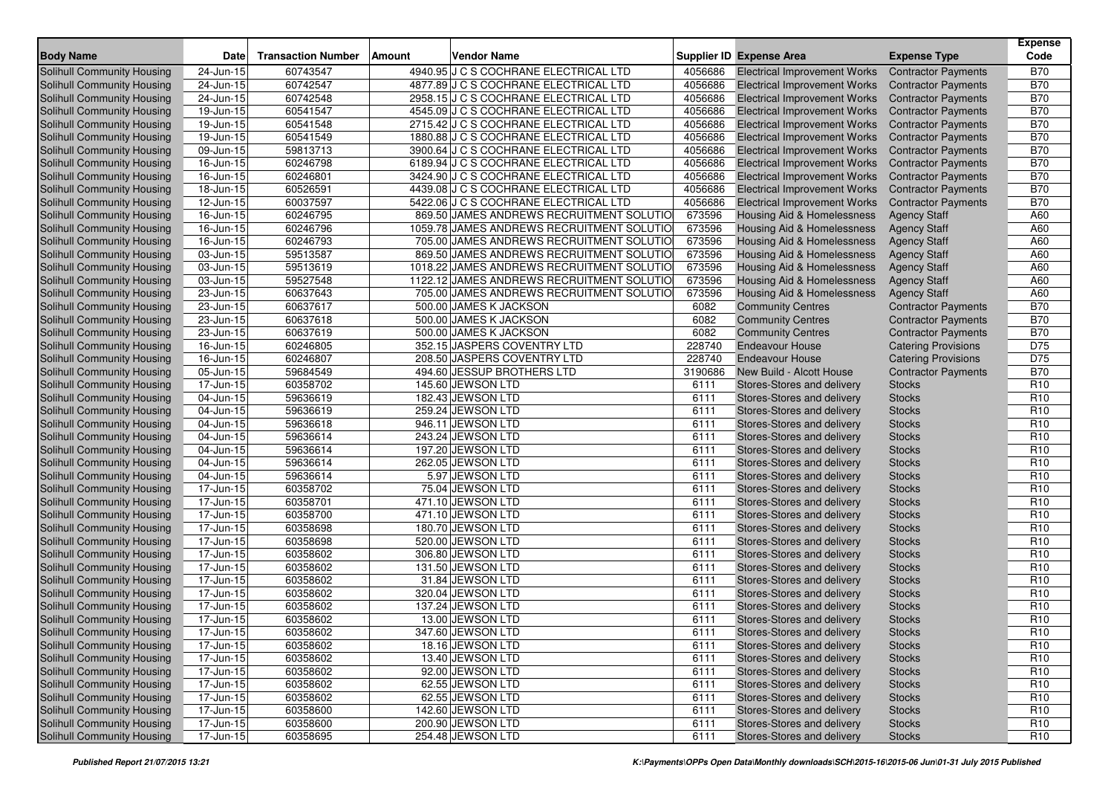| <b>Body Name</b>                  | <b>Date</b>             | <b>Transaction Number</b> | Amount | <b>Vendor Name</b>                        |         | <b>Supplier ID Expense Area</b>       | <b>Expense Type</b>        | <b>Expense</b><br>Code |
|-----------------------------------|-------------------------|---------------------------|--------|-------------------------------------------|---------|---------------------------------------|----------------------------|------------------------|
| <b>Solihull Community Housing</b> | 24-Jun-15               | 60743547                  |        | 4940.95 J C S COCHRANE ELECTRICAL LTD     | 4056686 | <b>Electrical Improvement Works</b>   | <b>Contractor Payments</b> | <b>B70</b>             |
| Solihull Community Housing        | 24-Jun-15               | 60742547                  |        | 4877.89 J C S COCHRANE ELECTRICAL LTD     | 4056686 | <b>Electrical Improvement Works</b>   | <b>Contractor Payments</b> | <b>B70</b>             |
| Solihull Community Housing        | 24-Jun-15               | 60742548                  |        | 2958.15 J C S COCHRANE ELECTRICAL LTD     | 4056686 | <b>Electrical Improvement Works</b>   | <b>Contractor Payments</b> | <b>B70</b>             |
| <b>Solihull Community Housing</b> | 19-Jun-15               | 60541547                  |        | 4545.09 J C S COCHRANE ELECTRICAL LTD     | 4056686 | <b>Electrical Improvement Works</b>   | <b>Contractor Payments</b> | <b>B70</b>             |
| Solihull Community Housing        | 19-Jun-15               | 60541548                  |        | 2715.42 J C S COCHRANE ELECTRICAL LTD     | 4056686 | <b>Electrical Improvement Works</b>   | <b>Contractor Payments</b> | <b>B70</b>             |
| Solihull Community Housing        | 19-Jun-15               | 60541549                  |        | 1880.88 J C S COCHRANE ELECTRICAL LTD     | 4056686 | <b>Electrical Improvement Works</b>   | <b>Contractor Payments</b> | <b>B70</b>             |
| Solihull Community Housing        | $\overline{0}9$ -Jun-15 | 59813713                  |        | 3900.64 J C S COCHRANE ELECTRICAL LTD     | 4056686 | <b>Electrical Improvement Works</b>   | <b>Contractor Payments</b> | <b>B70</b>             |
| Solihull Community Housing        | 16-Jun-15               | 60246798                  |        | 6189.94 J C S COCHRANE ELECTRICAL LTD     | 4056686 | <b>Electrical Improvement Works</b>   | <b>Contractor Payments</b> | <b>B70</b>             |
| Solihull Community Housing        | 16-Jun-15               | 60246801                  |        | 3424.90 J C S COCHRANE ELECTRICAL LTD     | 4056686 | <b>Electrical Improvement Works</b>   | <b>Contractor Payments</b> | <b>B70</b>             |
| Solihull Community Housing        | 18-Jun-15               | 60526591                  |        | 4439.08 J C S COCHRANE ELECTRICAL LTD     | 4056686 | <b>Electrical Improvement Works</b>   | <b>Contractor Payments</b> | <b>B70</b>             |
| Solihull Community Housing        | 12-Jun-15               | 60037597                  |        | 5422.06 J C S COCHRANE ELECTRICAL LTD     | 4056686 | <b>Electrical Improvement Works</b>   | <b>Contractor Payments</b> | <b>B70</b>             |
| Solihull Community Housing        | 16-Jun-15               | 60246795                  |        | 869.50 JAMES ANDREWS RECRUITMENT SOLUTIO  | 673596  | Housing Aid & Homelessness            | <b>Agency Staff</b>        | A60                    |
| Solihull Community Housing        | 16-Jun-15               | 60246796                  |        | 1059.78 JAMES ANDREWS RECRUITMENT SOLUTIO | 673596  | <b>Housing Aid &amp; Homelessness</b> | <b>Agency Staff</b>        | A60                    |
| Solihull Community Housing        | 16-Jun-15               | 60246793                  |        | 705.00 JAMES ANDREWS RECRUITMENT SOLUTIO  | 673596  | Housing Aid & Homelessness            | <b>Agency Staff</b>        | A60                    |
| <b>Solihull Community Housing</b> | 03-Jun-15               | 59513587                  |        | 869.50 JAMES ANDREWS RECRUITMENT SOLUTIO  | 673596  | Housing Aid & Homelessness            | <b>Agency Staff</b>        | A60                    |
| Solihull Community Housing        | 03-Jun-15               | 59513619                  |        | 1018.22 JAMES ANDREWS RECRUITMENT SOLUTIO | 673596  | Housing Aid & Homelessness            | <b>Agency Staff</b>        | A60                    |
| Solihull Community Housing        | 03-Jun-15               | 59527548                  |        | 1122.12 JAMES ANDREWS RECRUITMENT SOLUTIO | 673596  | <b>Housing Aid &amp; Homelessness</b> | <b>Agency Staff</b>        | A60                    |
| <b>Solihull Community Housing</b> | 23-Jun-15               | 60637643                  |        | 705.00 JAMES ANDREWS RECRUITMENT SOLUTIO  | 673596  | <b>Housing Aid &amp; Homelessness</b> | <b>Agency Staff</b>        | A60                    |
| Solihull Community Housing        | 23-Jun-15               | 60637617                  |        | 500.00 JAMES K JACKSON                    | 6082    | <b>Community Centres</b>              | <b>Contractor Payments</b> | <b>B70</b>             |
| Solihull Community Housing        | 23-Jun-15               | 60637618                  |        | 500.00 JAMES K JACKSON                    | 6082    | <b>Community Centres</b>              | <b>Contractor Payments</b> | <b>B70</b>             |
| <b>Solihull Community Housing</b> | 23-Jun-15               | 60637619                  |        | 500.00 JAMES K JACKSON                    | 6082    | <b>Community Centres</b>              | <b>Contractor Payments</b> | <b>B70</b>             |
| Solihull Community Housing        | 16-Jun-15               | 60246805                  |        | 352.15 JASPERS COVENTRY LTD               | 228740  | <b>Endeavour House</b>                | <b>Catering Provisions</b> | D75                    |
| Solihull Community Housing        | 16-Jun-15               | 60246807                  |        | 208.50 JASPERS COVENTRY LTD               | 228740  | <b>Endeavour House</b>                | <b>Catering Provisions</b> | D75                    |
| Solihull Community Housing        | 05-Jun-15               | 59684549                  |        | 494.60 JESSUP BROTHERS LTD                | 3190686 | New Build - Alcott House              | <b>Contractor Payments</b> | <b>B70</b>             |
| Solihull Community Housing        | 17-Jun-15               | 60358702                  |        | 145.60 JEWSON LTD                         | 6111    | Stores-Stores and delivery            | <b>Stocks</b>              | R <sub>10</sub>        |
| Solihull Community Housing        | 04-Jun-15               | 59636619                  |        | 182.43 JEWSON LTD                         | 6111    | Stores-Stores and delivery            | <b>Stocks</b>              | R <sub>10</sub>        |
| Solihull Community Housing        | 04-Jun-15               | 59636619                  |        | 259.24 JEWSON LTD                         | 6111    | Stores-Stores and delivery            | <b>Stocks</b>              | R <sub>10</sub>        |
| Solihull Community Housing        | 04-Jun-15               | 59636618                  |        | 946.11 JEWSON LTD                         | 6111    | Stores-Stores and delivery            | <b>Stocks</b>              | R <sub>10</sub>        |
| Solihull Community Housing        | 04-Jun-15               | 59636614                  |        | 243.24 JEWSON LTD                         | 6111    | Stores-Stores and delivery            | <b>Stocks</b>              | R <sub>10</sub>        |
| Solihull Community Housing        | 04-Jun-15               | 59636614                  |        | 197.20 JEWSON LTD                         | 6111    | Stores-Stores and delivery            | <b>Stocks</b>              | R <sub>10</sub>        |
| Solihull Community Housing        | 04-Jun-15               | 59636614                  |        | 262.05 JEWSON LTD                         | 6111    | Stores-Stores and delivery            | <b>Stocks</b>              | R <sub>10</sub>        |
| Solihull Community Housing        | 04-Jun-15               | 59636614                  |        | 5.97 JEWSON LTD                           | 6111    | Stores-Stores and delivery            | <b>Stocks</b>              | R <sub>10</sub>        |
| Solihull Community Housing        | 17-Jun-15               | 60358702                  |        | 75.04 JEWSON LTD                          | 6111    | Stores-Stores and delivery            | <b>Stocks</b>              | R <sub>10</sub>        |
| Solihull Community Housing        | 17-Jun-15               | 60358701                  |        | 471.10 JEWSON LTD                         | 6111    | Stores-Stores and delivery            | <b>Stocks</b>              | R <sub>10</sub>        |
| Solihull Community Housing        | 17-Jun-15               | 60358700                  |        | 471.10 JEWSON LTD                         | 6111    | Stores-Stores and delivery            | <b>Stocks</b>              | R <sub>10</sub>        |
| Solihull Community Housing        | 17-Jun-15               | 60358698                  |        | 180.70 JEWSON LTD                         | 6111    | Stores-Stores and delivery            | <b>Stocks</b>              | R <sub>10</sub>        |
| Solihull Community Housing        | 17-Jun-15               | 60358698                  |        | 520.00 JEWSON LTD                         | 6111    | Stores-Stores and delivery            | <b>Stocks</b>              | R <sub>10</sub>        |
| Solihull Community Housing        | 17-Jun-15               | 60358602                  |        | 306.80 JEWSON LTD                         | 6111    | Stores-Stores and delivery            | <b>Stocks</b>              | R <sub>10</sub>        |
| Solihull Community Housing        | 17-Jun-15               | 60358602                  |        | 131.50 JEWSON LTD                         | 6111    | Stores-Stores and delivery            | <b>Stocks</b>              | R <sub>10</sub>        |
| <b>Solihull Community Housing</b> | 17-Jun-15               | 60358602                  |        | 31.84 JEWSON LTD                          | 6111    | Stores-Stores and delivery            | <b>Stocks</b>              | R <sub>10</sub>        |
| Solihull Community Housing        | 17-Jun-15               | 60358602                  |        | 320.04 JEWSON LTD                         | 6111    | Stores-Stores and delivery            | <b>Stocks</b>              | R <sub>10</sub>        |
| Solihull Community Housing        | 17-Jun-15               | 60358602                  |        | 137.24 JEWSON LTD                         | 6111    | Stores-Stores and delivery            | <b>Stocks</b>              | R <sub>10</sub>        |
| <b>Solihull Community Housing</b> | 17-Jun-15               | 60358602                  |        | 13.00 JEWSON LTD                          | 6111    | Stores-Stores and delivery            | <b>Stocks</b>              | R <sub>10</sub>        |
| Solihull Community Housing        | $17 - Jun-15$           | 60358602                  |        | 347.60 JEWSON LTD                         | 6111    | Stores-Stores and delivery            | <b>Stocks</b>              | R <sub>10</sub>        |
| <b>Solihull Community Housing</b> | 17-Jun-15               | 60358602                  |        | 18.16 JEWSON LTD                          | 6111    | Stores-Stores and delivery            | <b>Stocks</b>              | R <sub>10</sub>        |
| Solihull Community Housing        | $\overline{17}$ -Jun-15 | 60358602                  |        | 13.40 JEWSON LTD                          | 6111    | Stores-Stores and delivery            | <b>Stocks</b>              | R <sub>10</sub>        |
| Solihull Community Housing        | 17-Jun-15               | 60358602                  |        | 92.00 JEWSON LTD                          | 6111    | Stores-Stores and delivery            | <b>Stocks</b>              | R <sub>10</sub>        |
| <b>Solihull Community Housing</b> | 17-Jun-15               | 60358602                  |        | 62.55 JEWSON LTD                          | 6111    | Stores-Stores and delivery            | <b>Stocks</b>              | R <sub>10</sub>        |
| Solihull Community Housing        | 17-Jun-15               | 60358602                  |        | 62.55 JEWSON LTD                          | 6111    | Stores-Stores and delivery            | <b>Stocks</b>              | R <sub>10</sub>        |
| Solihull Community Housing        | $17 - Jun - 15$         | 60358600                  |        | 142.60 JEWSON LTD                         | 6111    | Stores-Stores and delivery            | <b>Stocks</b>              | R <sub>10</sub>        |
| Solihull Community Housing        | 17-Jun-15               | 60358600                  |        | 200.90 JEWSON LTD                         | 6111    | Stores-Stores and delivery            | <b>Stocks</b>              | R <sub>10</sub>        |
| <b>Solihull Community Housing</b> | 17-Jun-15               | 60358695                  |        | 254.48 JEWSON LTD                         | 6111    | Stores-Stores and delivery            | <b>Stocks</b>              | R <sub>10</sub>        |
|                                   |                         |                           |        |                                           |         |                                       |                            |                        |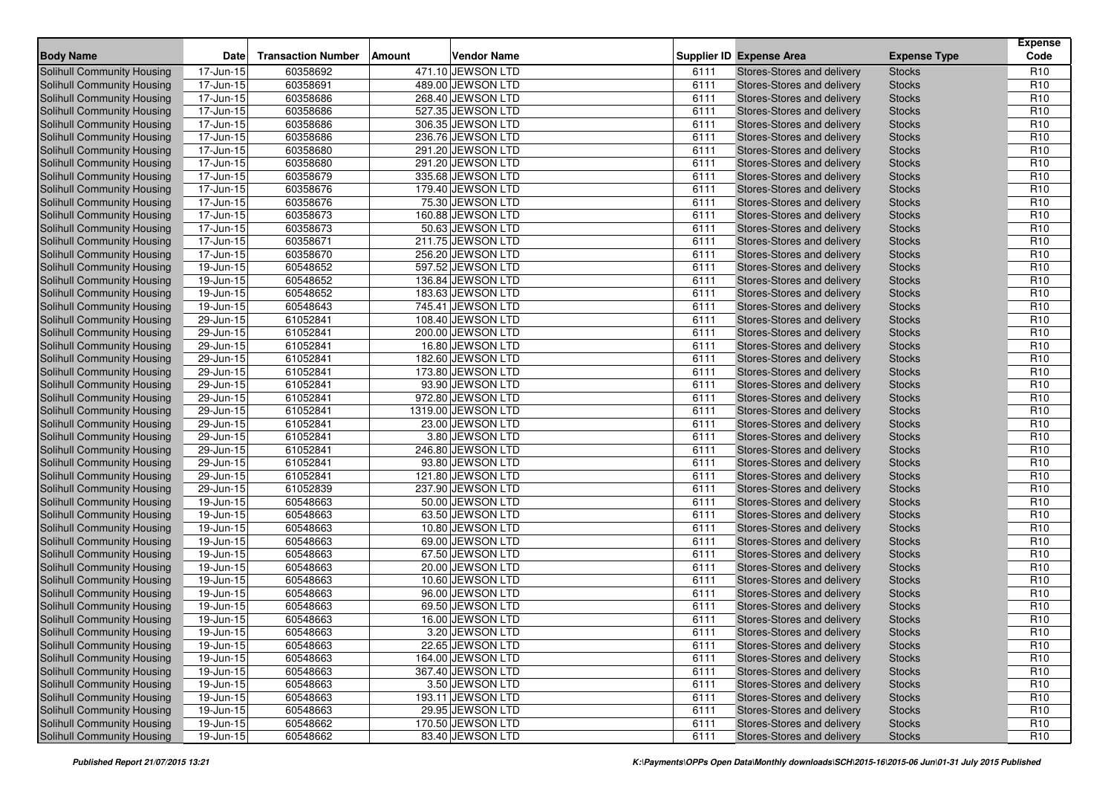| <b>Body Name</b>                  | <b>Date</b>                | <b>Transaction Number</b> | <b>Amount</b> | <b>Vendor Name</b> |      | <b>Supplier ID Expense Area</b> | <b>Expense Type</b> | <b>Expense</b><br>Code |
|-----------------------------------|----------------------------|---------------------------|---------------|--------------------|------|---------------------------------|---------------------|------------------------|
| <b>Solihull Community Housing</b> | 17-Jun-15                  | 60358692                  |               | 471.10 JEWSON LTD  | 6111 | Stores-Stores and delivery      | <b>Stocks</b>       | R <sub>10</sub>        |
| Solihull Community Housing        | 17-Jun-15                  | 60358691                  |               | 489.00 JEWSON LTD  | 6111 | Stores-Stores and delivery      | <b>Stocks</b>       | R <sub>10</sub>        |
| Solihull Community Housing        | 17-Jun-15                  | 60358686                  |               | 268.40 JEWSON LTD  | 6111 | Stores-Stores and delivery      | <b>Stocks</b>       | R <sub>10</sub>        |
| <b>Solihull Community Housing</b> | 17-Jun-15                  | 60358686                  |               | 527.35 JEWSON LTD  | 6111 | Stores-Stores and delivery      | <b>Stocks</b>       | R <sub>10</sub>        |
| Solihull Community Housing        | 17-Jun-15                  | 60358686                  |               | 306.35 JEWSON LTD  | 6111 | Stores-Stores and delivery      | <b>Stocks</b>       | R <sub>10</sub>        |
| Solihull Community Housing        | 17-Jun-15                  | 60358686                  |               | 236.76 JEWSON LTD  | 6111 | Stores-Stores and delivery      | <b>Stocks</b>       | R <sub>10</sub>        |
| Solihull Community Housing        | 17-Jun-15                  | 60358680                  |               | 291.20 JEWSON LTD  | 6111 | Stores-Stores and delivery      | <b>Stocks</b>       | R <sub>10</sub>        |
| <b>Solihull Community Housing</b> | 17-Jun-15                  | 60358680                  |               | 291.20 JEWSON LTD  | 6111 | Stores-Stores and delivery      | <b>Stocks</b>       | R <sub>10</sub>        |
| Solihull Community Housing        | 17-Jun-15                  | 60358679                  |               | 335.68 JEWSON LTD  | 6111 | Stores-Stores and delivery      | <b>Stocks</b>       | R <sub>10</sub>        |
| Solihull Community Housing        | 17-Jun-15                  | 60358676                  |               | 179.40 JEWSON LTD  | 6111 | Stores-Stores and delivery      | <b>Stocks</b>       | R <sub>10</sub>        |
| Solihull Community Housing        | 17-Jun-15                  | 60358676                  |               | 75.30 JEWSON LTD   | 6111 | Stores-Stores and delivery      | <b>Stocks</b>       | R <sub>10</sub>        |
| Solihull Community Housing        | 17-Jun-15                  | 60358673                  |               | 160.88 JEWSON LTD  | 6111 | Stores-Stores and delivery      | <b>Stocks</b>       | R <sub>10</sub>        |
| Solihull Community Housing        | 17-Jun-15                  | 60358673                  |               | 50.63 JEWSON LTD   | 6111 | Stores-Stores and delivery      | <b>Stocks</b>       | R <sub>10</sub>        |
| <b>Solihull Community Housing</b> | 17-Jun-15                  | 60358671                  |               | 211.75 JEWSON LTD  | 6111 | Stores-Stores and delivery      | <b>Stocks</b>       | R <sub>10</sub>        |
| <b>Solihull Community Housing</b> | $\overline{17}$ -Jun-15    | 60358670                  |               | 256.20 JEWSON LTD  | 6111 | Stores-Stores and delivery      | <b>Stocks</b>       | R <sub>10</sub>        |
| Solihull Community Housing        | 19-Jun-15                  | 60548652                  |               | 597.52 JEWSON LTD  | 6111 | Stores-Stores and delivery      | <b>Stocks</b>       | R <sub>10</sub>        |
| Solihull Community Housing        | $19$ -Jun-15               | 60548652                  |               | 136.84 JEWSON LTD  | 6111 | Stores-Stores and delivery      | <b>Stocks</b>       | R <sub>10</sub>        |
| Solihull Community Housing        | 19-Jun-15                  | 60548652                  |               | 183.63 JEWSON LTD  | 6111 | Stores-Stores and delivery      | <b>Stocks</b>       | R <sub>10</sub>        |
| <b>Solihull Community Housing</b> | 19-Jun-15                  | 60548643                  |               | 745.41 JEWSON LTD  | 6111 | Stores-Stores and delivery      | <b>Stocks</b>       | R <sub>10</sub>        |
| Solihull Community Housing        | 29-Jun-15                  | 61052841                  |               | 108.40 JEWSON LTD  | 6111 | Stores-Stores and delivery      | <b>Stocks</b>       | R <sub>10</sub>        |
| <b>Solihull Community Housing</b> | 29-Jun-15                  | 61052841                  |               | 200.00 JEWSON LTD  | 6111 | Stores-Stores and delivery      | <b>Stocks</b>       | R <sub>10</sub>        |
| Solihull Community Housing        | 29-Jun-15                  | 61052841                  |               | 16.80 JEWSON LTD   | 6111 | Stores-Stores and delivery      | <b>Stocks</b>       | R <sub>10</sub>        |
| Solihull Community Housing        | 29-Jun-15                  | 61052841                  |               | 182.60 JEWSON LTD  | 6111 | Stores-Stores and delivery      | <b>Stocks</b>       | R <sub>10</sub>        |
| <b>Solihull Community Housing</b> | 29-Jun-15                  | 61052841                  |               | 173.80 JEWSON LTD  | 6111 | Stores-Stores and delivery      | <b>Stocks</b>       | R <sub>10</sub>        |
| Solihull Community Housing        | 29-Jun-15                  | 61052841                  |               | 93.90 JEWSON LTD   | 6111 | Stores-Stores and delivery      | <b>Stocks</b>       | R <sub>10</sub>        |
| Solihull Community Housing        | $29$ -Jun-15               | 61052841                  |               | 972.80 JEWSON LTD  | 6111 | Stores-Stores and delivery      | <b>Stocks</b>       | R <sub>10</sub>        |
| Solihull Community Housing        | 29-Jun-15                  | 61052841                  |               | 1319.00 JEWSON LTD | 6111 | Stores-Stores and delivery      | <b>Stocks</b>       | R <sub>10</sub>        |
| Solihull Community Housing        | 29-Jun-15                  | 61052841                  |               | 23.00 JEWSON LTD   | 6111 | Stores-Stores and delivery      | <b>Stocks</b>       | R <sub>10</sub>        |
| <b>Solihull Community Housing</b> | 29-Jun-15                  | 61052841                  |               | 3.80 JEWSON LTD    | 6111 | Stores-Stores and delivery      | <b>Stocks</b>       | R <sub>10</sub>        |
| <b>Solihull Community Housing</b> | 29-Jun-15                  | 61052841                  |               | 246.80 JEWSON LTD  | 6111 | Stores-Stores and delivery      | <b>Stocks</b>       | R <sub>10</sub>        |
| Solihull Community Housing        | 29-Jun-15                  | 61052841                  |               | 93.80 JEWSON LTD   | 6111 | Stores-Stores and delivery      | <b>Stocks</b>       | R <sub>10</sub>        |
| Solihull Community Housing        | 29-Jun-15                  | 61052841                  |               | 121.80 JEWSON LTD  | 6111 | Stores-Stores and delivery      | <b>Stocks</b>       | R <sub>10</sub>        |
| Solihull Community Housing        | 29-Jun-15                  | 61052839                  |               | 237.90 JEWSON LTD  | 6111 | Stores-Stores and delivery      | <b>Stocks</b>       | R <sub>10</sub>        |
| Solihull Community Housing        | 19-Jun-15                  | 60548663                  |               | 50.00 JEWSON LTD   | 6111 | Stores-Stores and delivery      | <b>Stocks</b>       | R <sub>10</sub>        |
| <b>Solihull Community Housing</b> | 19-Jun-15                  | 60548663                  |               | 63.50 JEWSON LTD   | 6111 | Stores-Stores and delivery      | <b>Stocks</b>       | R <sub>10</sub>        |
| Solihull Community Housing        | 19-Jun-15                  | 60548663                  |               | 10.80 JEWSON LTD   | 6111 | Stores-Stores and delivery      | <b>Stocks</b>       | R <sub>10</sub>        |
| <b>Solihull Community Housing</b> | 19-Jun-15                  | 60548663                  |               | 69.00 JEWSON LTD   | 6111 | Stores-Stores and delivery      | <b>Stocks</b>       | R <sub>10</sub>        |
| Solihull Community Housing        | 19-Jun-15                  | 60548663                  |               | 67.50 JEWSON LTD   | 6111 | Stores-Stores and delivery      | <b>Stocks</b>       | R <sub>10</sub>        |
| Solihull Community Housing        | 19-Jun-15                  | 60548663                  |               | 20.00 JEWSON LTD   | 6111 | Stores-Stores and delivery      | <b>Stocks</b>       | R <sub>10</sub>        |
| <b>Solihull Community Housing</b> | 19-Jun-15                  | 60548663                  |               | 10.60 JEWSON LTD   | 6111 | Stores-Stores and delivery      | <b>Stocks</b>       | R <sub>10</sub>        |
| Solihull Community Housing        | 19-Jun-15                  | 60548663                  |               | 96.00 JEWSON LTD   | 6111 | Stores-Stores and delivery      | <b>Stocks</b>       | R <sub>10</sub>        |
| Solihull Community Housing        | 19-Jun-15                  | 60548663                  |               | 69.50 JEWSON LTD   | 6111 | Stores-Stores and delivery      | <b>Stocks</b>       | R <sub>10</sub>        |
| Solihull Community Housing        | 19-Jun-15                  | 60548663                  |               | 16.00 JEWSON LTD   | 6111 | Stores-Stores and delivery      | <b>Stocks</b>       | R <sub>10</sub>        |
| Solihull Community Housing        | $19$ -Jun-15               | 60548663                  |               | 3.20 JEWSON LTD    | 6111 | Stores-Stores and delivery      | Stocks              | R <sub>10</sub>        |
| Solihull Community Housing        | $\overline{19}$ -Jun-15    | 60548663                  |               | 22.65 JEWSON LTD   | 6111 | Stores-Stores and delivery      | <b>Stocks</b>       | R <sub>10</sub>        |
| Solihull Community Housing        | $\overline{19}$ -Jun-15    | 60548663                  |               | 164.00 JEWSON LTD  | 6111 | Stores-Stores and delivery      | <b>Stocks</b>       | R <sub>10</sub>        |
| Solihull Community Housing        | $19$ -Jun- $\overline{15}$ | 60548663                  |               | 367.40 JEWSON LTD  | 6111 | Stores-Stores and delivery      | <b>Stocks</b>       | R <sub>10</sub>        |
| Solihull Community Housing        | $19$ -Jun-15               | 60548663                  |               | 3.50 JEWSON LTD    | 6111 | Stores-Stores and delivery      | <b>Stocks</b>       | R <sub>10</sub>        |
| Solihull Community Housing        | 19-Jun-15                  | 60548663                  |               | 193.11 JEWSON LTD  | 6111 | Stores-Stores and delivery      | <b>Stocks</b>       | R <sub>10</sub>        |
| Solihull Community Housing        | 19-Jun-15                  | 60548663                  |               | 29.95 JEWSON LTD   | 6111 | Stores-Stores and delivery      | <b>Stocks</b>       | R <sub>10</sub>        |
| Solihull Community Housing        | $19$ -Jun-15               | 60548662                  |               | 170.50 JEWSON LTD  | 6111 | Stores-Stores and delivery      | <b>Stocks</b>       | R <sub>10</sub>        |
| Solihull Community Housing        | 19-Jun-15                  | 60548662                  |               | 83.40 JEWSON LTD   | 6111 | Stores-Stores and delivery      | <b>Stocks</b>       | R <sub>10</sub>        |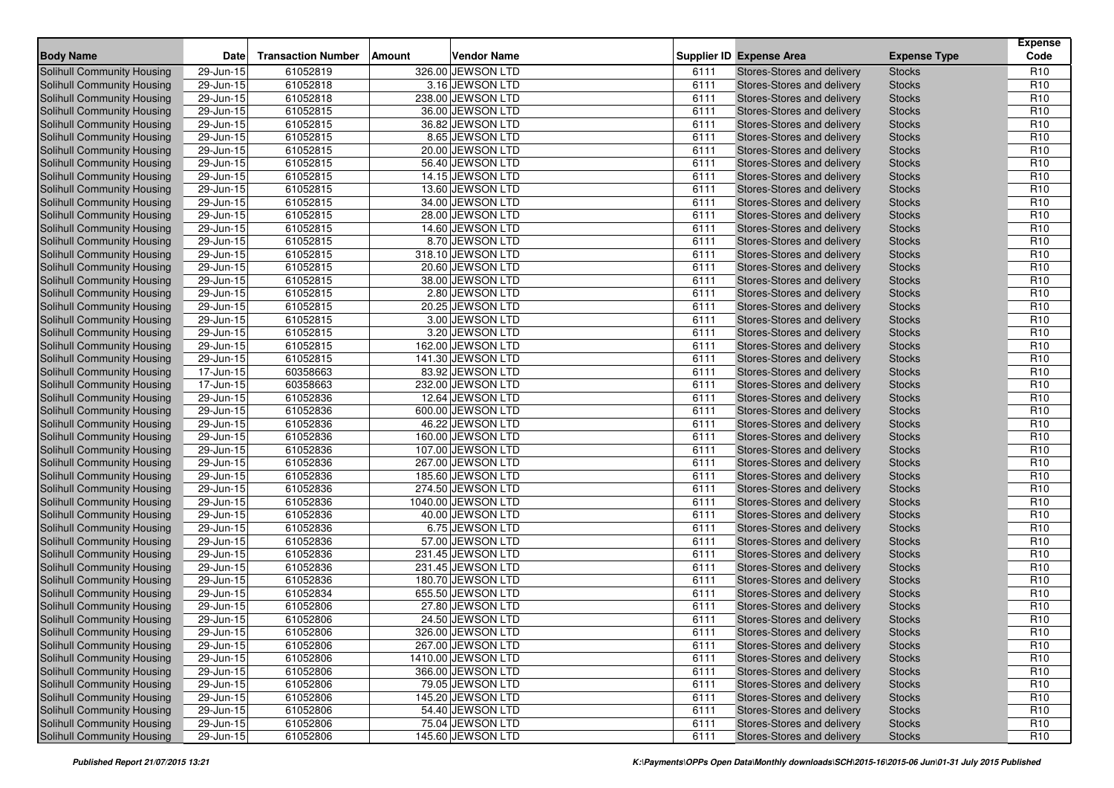| <b>Body Name</b>                  | <b>Date</b>             | <b>Transaction Number</b> | Vendor Name<br>Amount |      | <b>Supplier ID Expense Area</b> | <b>Expense Type</b> | <b>Expense</b><br>Code |
|-----------------------------------|-------------------------|---------------------------|-----------------------|------|---------------------------------|---------------------|------------------------|
| <b>Solihull Community Housing</b> | 29-Jun-15               | 61052819                  | 326.00 JEWSON LTD     | 6111 | Stores-Stores and delivery      | <b>Stocks</b>       | R <sub>10</sub>        |
| Solihull Community Housing        | 29-Jun-15               | 61052818                  | 3.16 JEWSON LTD       | 6111 | Stores-Stores and delivery      | <b>Stocks</b>       | R <sub>10</sub>        |
| Solihull Community Housing        | 29-Jun-15               | 61052818                  | 238.00 JEWSON LTD     | 6111 | Stores-Stores and delivery      | <b>Stocks</b>       | R <sub>10</sub>        |
| Solihull Community Housing        | 29-Jun-15               | 61052815                  | 36.00 JEWSON LTD      | 6111 | Stores-Stores and delivery      | <b>Stocks</b>       | R <sub>10</sub>        |
| Solihull Community Housing        | 29-Jun-15               | 61052815                  | 36.82 JEWSON LTD      | 6111 | Stores-Stores and delivery      | <b>Stocks</b>       | R <sub>10</sub>        |
| Solihull Community Housing        | 29-Jun-15               | 61052815                  | 8.65 JEWSON LTD       | 6111 | Stores-Stores and delivery      | <b>Stocks</b>       | R <sub>10</sub>        |
| Solihull Community Housing        | 29-Jun-15               | 61052815                  | 20.00 JEWSON LTD      | 6111 | Stores-Stores and delivery      | <b>Stocks</b>       | R <sub>10</sub>        |
| Solihull Community Housing        | 29-Jun-15               | 61052815                  | 56.40 JEWSON LTD      | 6111 | Stores-Stores and delivery      | <b>Stocks</b>       | R <sub>10</sub>        |
| Solihull Community Housing        | 29-Jun-15               | 61052815                  | 14.15 JEWSON LTD      | 6111 | Stores-Stores and delivery      | <b>Stocks</b>       | R <sub>10</sub>        |
| Solihull Community Housing        | 29-Jun-15               | 61052815                  | 13.60 JEWSON LTD      | 6111 | Stores-Stores and delivery      | <b>Stocks</b>       | R <sub>10</sub>        |
| Solihull Community Housing        | 29-Jun-15               | 61052815                  | 34.00 JEWSON LTD      | 6111 | Stores-Stores and delivery      | <b>Stocks</b>       | R <sub>10</sub>        |
| Solihull Community Housing        | 29-Jun-15               | 61052815                  | 28.00 JEWSON LTD      | 6111 | Stores-Stores and delivery      | <b>Stocks</b>       | R <sub>10</sub>        |
| Solihull Community Housing        | 29-Jun-15               | 61052815                  | 14.60 JEWSON LTD      | 6111 | Stores-Stores and delivery      | <b>Stocks</b>       | R <sub>10</sub>        |
| Solihull Community Housing        | 29-Jun-15               | 61052815                  | 8.70 JEWSON LTD       | 6111 | Stores-Stores and delivery      | <b>Stocks</b>       | R <sub>10</sub>        |
| <b>Solihull Community Housing</b> | 29-Jun-15               | 61052815                  | 318.10 JEWSON LTD     | 6111 | Stores-Stores and delivery      | <b>Stocks</b>       | R <sub>10</sub>        |
| Solihull Community Housing        | 29-Jun-15               | 61052815                  | 20.60 JEWSON LTD      | 6111 | Stores-Stores and delivery      | <b>Stocks</b>       | R <sub>10</sub>        |
| Solihull Community Housing        | 29-Jun-15               | 61052815                  | 38.00 JEWSON LTD      | 6111 | Stores-Stores and delivery      | <b>Stocks</b>       | R <sub>10</sub>        |
| Solihull Community Housing        | 29-Jun-15               | 61052815                  | 2.80 JEWSON LTD       | 6111 | Stores-Stores and delivery      | <b>Stocks</b>       | R <sub>10</sub>        |
| <b>Solihull Community Housing</b> | 29-Jun-15               | 61052815                  | 20.25 JEWSON LTD      | 6111 | Stores-Stores and delivery      | <b>Stocks</b>       | R <sub>10</sub>        |
| Solihull Community Housing        | 29-Jun-15               | 61052815                  | 3.00 JEWSON LTD       | 6111 | Stores-Stores and delivery      | <b>Stocks</b>       | R <sub>10</sub>        |
| <b>Solihull Community Housing</b> | 29-Jun-15               | 61052815                  | 3.20 JEWSON LTD       | 6111 | Stores-Stores and delivery      | <b>Stocks</b>       | R <sub>10</sub>        |
| Solihull Community Housing        | 29-Jun-15               | 61052815                  | 162.00 JEWSON LTD     | 6111 | Stores-Stores and delivery      | <b>Stocks</b>       | R <sub>10</sub>        |
| Solihull Community Housing        | 29-Jun-15               | 61052815                  | 141.30 JEWSON LTD     | 6111 | Stores-Stores and delivery      | <b>Stocks</b>       | R <sub>10</sub>        |
| <b>Solihull Community Housing</b> | 17-Jun-15               | 60358663                  | 83.92 JEWSON LTD      | 6111 | Stores-Stores and delivery      | <b>Stocks</b>       | R <sub>10</sub>        |
| Solihull Community Housing        | 17-Jun-15               | 60358663                  | 232.00 JEWSON LTD     | 6111 | Stores-Stores and delivery      | <b>Stocks</b>       | R <sub>10</sub>        |
| <b>Solihull Community Housing</b> | 29-Jun-15               | 61052836                  | 12.64 JEWSON LTD      | 6111 | Stores-Stores and delivery      | <b>Stocks</b>       | R <sub>10</sub>        |
| Solihull Community Housing        | 29-Jun-15               | 61052836                  | 600.00 JEWSON LTD     | 6111 | Stores-Stores and delivery      | <b>Stocks</b>       | R <sub>10</sub>        |
| Solihull Community Housing        | 29-Jun-15               | 61052836                  | 46.22 JEWSON LTD      | 6111 | Stores-Stores and delivery      | <b>Stocks</b>       | R <sub>10</sub>        |
| Solihull Community Housing        | 29-Jun-15               | 61052836                  | 160.00 JEWSON LTD     | 6111 | Stores-Stores and delivery      | <b>Stocks</b>       | R <sub>10</sub>        |
| <b>Solihull Community Housing</b> | 29-Jun-15               | 61052836                  | 107.00 JEWSON LTD     | 6111 | Stores-Stores and delivery      | <b>Stocks</b>       | R <sub>10</sub>        |
| Solihull Community Housing        | 29-Jun-15               | 61052836                  | 267.00 JEWSON LTD     | 6111 | Stores-Stores and delivery      | <b>Stocks</b>       | R <sub>10</sub>        |
| Solihull Community Housing        | 29-Jun-15               | 61052836                  | 185.60 JEWSON LTD     | 6111 | Stores-Stores and delivery      | <b>Stocks</b>       | R <sub>10</sub>        |
| Solihull Community Housing        | 29-Jun-15               | 61052836                  | 274.50 JEWSON LTD     | 6111 | Stores-Stores and delivery      | <b>Stocks</b>       | R <sub>10</sub>        |
| Solihull Community Housing        | 29-Jun-15               | 61052836                  | 1040.00 JEWSON LTD    | 6111 | Stores-Stores and delivery      | <b>Stocks</b>       | R <sub>10</sub>        |
| Solihull Community Housing        | 29-Jun-15               | 61052836                  | 40.00 JEWSON LTD      | 6111 | Stores-Stores and delivery      | <b>Stocks</b>       | R <sub>10</sub>        |
| Solihull Community Housing        | 29-Jun-15               | 61052836                  | 6.75 JEWSON LTD       | 6111 | Stores-Stores and delivery      | <b>Stocks</b>       | R <sub>10</sub>        |
| Solihull Community Housing        | $\overline{29}$ -Jun-15 | 61052836                  | 57.00 JEWSON LTD      | 6111 | Stores-Stores and delivery      | <b>Stocks</b>       | R <sub>10</sub>        |
| Solihull Community Housing        | 29-Jun-15               | 61052836                  | 231.45 JEWSON LTD     | 6111 | Stores-Stores and delivery      | <b>Stocks</b>       | R <sub>10</sub>        |
| Solihull Community Housing        | 29-Jun-15               | 61052836                  | 231.45 JEWSON LTD     | 6111 | Stores-Stores and delivery      | <b>Stocks</b>       | R <sub>10</sub>        |
| Solihull Community Housing        | $\overline{29}$ -Jun-15 | 61052836                  | 180.70 JEWSON LTD     | 6111 | Stores-Stores and delivery      | <b>Stocks</b>       | R <sub>10</sub>        |
| Solihull Community Housing        | 29-Jun-15               | 61052834                  | 655.50 JEWSON LTD     | 6111 | Stores-Stores and delivery      | <b>Stocks</b>       | R <sub>10</sub>        |
| Solihull Community Housing        | 29-Jun-15               | 61052806                  | 27.80 JEWSON LTD      | 6111 | Stores-Stores and delivery      | <b>Stocks</b>       | R <sub>10</sub>        |
| <b>Solihull Community Housing</b> | 29-Jun-15               | 61052806                  | 24.50 JEWSON LTD      | 6111 | Stores-Stores and delivery      | <b>Stocks</b>       | R <sub>10</sub>        |
| Solihull Community Housing        | $29$ -Jun-15            | 61052806                  | 326.00 JEWSON LTD     | 6111 | Stores-Stores and delivery      | <b>Stocks</b>       | R <sub>10</sub>        |
| Solihull Community Housing        | $\overline{29}$ -Jun-15 | 61052806                  | 267.00 JEWSON LTD     | 6111 | Stores-Stores and delivery      | <b>Stocks</b>       | R <sub>10</sub>        |
| Solihull Community Housing        | 29-Jun-15               | 61052806                  | 1410.00 JEWSON LTD    | 6111 | Stores-Stores and delivery      | <b>Stocks</b>       | R <sub>10</sub>        |
| Solihull Community Housing        | 29-Jun-15               | 61052806                  | 366.00 JEWSON LTD     | 6111 | Stores-Stores and delivery      | <b>Stocks</b>       | R <sub>10</sub>        |
| Solihull Community Housing        | 29-Jun-15               | 61052806                  | 79.05 JEWSON LTD      | 6111 | Stores-Stores and delivery      | <b>Stocks</b>       | R <sub>10</sub>        |
| Solihull Community Housing        | 29-Jun-15               | 61052806                  | 145.20 JEWSON LTD     | 6111 | Stores-Stores and delivery      | <b>Stocks</b>       | R <sub>10</sub>        |
| Solihull Community Housing        | 29-Jun-15               | 61052806                  | 54.40 JEWSON LTD      | 6111 | Stores-Stores and delivery      | <b>Stocks</b>       | R <sub>10</sub>        |
| Solihull Community Housing        | 29-Jun-15               | 61052806                  | 75.04 JEWSON LTD      | 6111 | Stores-Stores and delivery      | <b>Stocks</b>       | R <sub>10</sub>        |
| Solihull Community Housing        | 29-Jun-15               | 61052806                  | 145.60 JEWSON LTD     | 6111 | Stores-Stores and delivery      | <b>Stocks</b>       | R <sub>10</sub>        |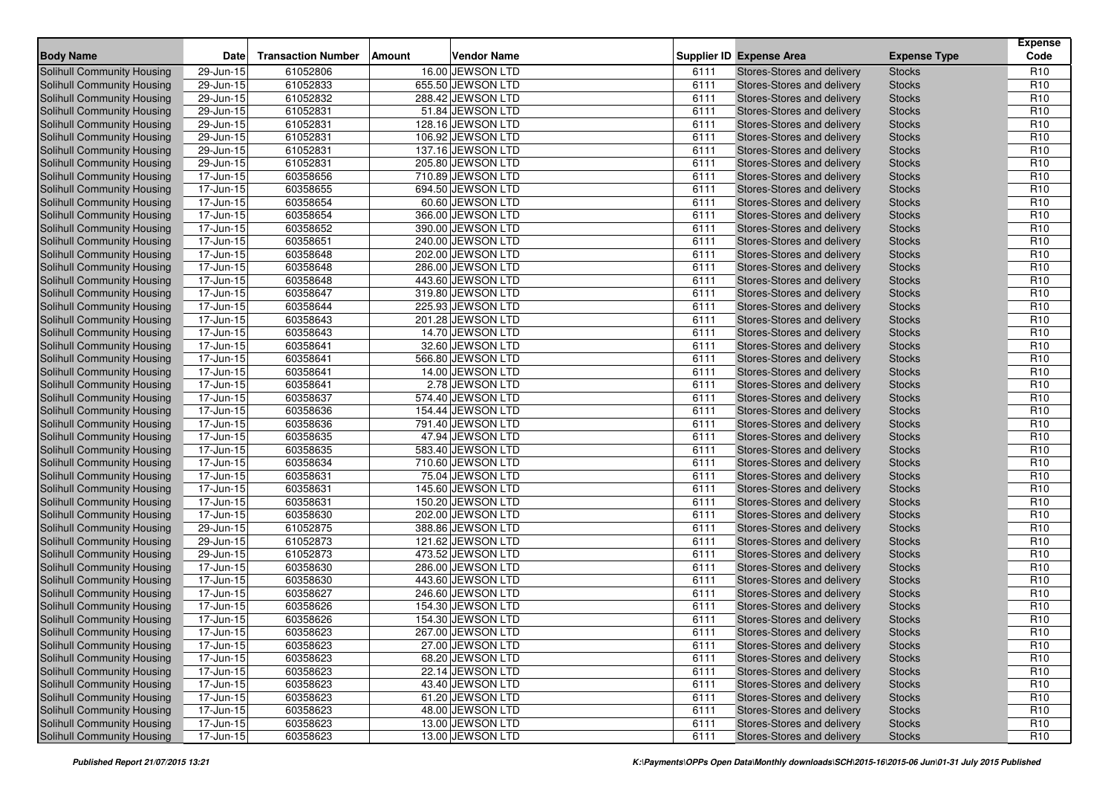| <b>Body Name</b>                  | <b>Date</b>   | <b>Transaction Number</b> | Vendor Name<br>Amount |              | <b>Supplier ID Expense Area</b> | <b>Expense Type</b>            | <b>Expense</b><br>Code |
|-----------------------------------|---------------|---------------------------|-----------------------|--------------|---------------------------------|--------------------------------|------------------------|
| <b>Solihull Community Housing</b> | 29-Jun-15     | 61052806                  | 16.00 JEWSON LTD      |              | Stores-Stores and delivery      |                                | R <sub>10</sub>        |
| Solihull Community Housing        | 29-Jun-15     | 61052833                  | 655.50 JEWSON LTD     | 6111<br>6111 | Stores-Stores and delivery      | <b>Stocks</b><br><b>Stocks</b> | R <sub>10</sub>        |
| Solihull Community Housing        | 29-Jun-15     | 61052832                  | 288.42 JEWSON LTD     | 6111         | Stores-Stores and delivery      | <b>Stocks</b>                  | R <sub>10</sub>        |
| Solihull Community Housing        | 29-Jun-15     | 61052831                  | 51.84 JEWSON LTD      | 6111         | Stores-Stores and delivery      | <b>Stocks</b>                  | R <sub>10</sub>        |
| Solihull Community Housing        | 29-Jun-15     | 61052831                  | 128.16 JEWSON LTD     | 6111         | Stores-Stores and delivery      | <b>Stocks</b>                  | R <sub>10</sub>        |
| Solihull Community Housing        | 29-Jun-15     | 61052831                  | 106.92 JEWSON LTD     | 6111         | Stores-Stores and delivery      | <b>Stocks</b>                  | R <sub>10</sub>        |
| Solihull Community Housing        | 29-Jun-15     | 61052831                  | 137.16 JEWSON LTD     | 6111         | Stores-Stores and delivery      | <b>Stocks</b>                  | R <sub>10</sub>        |
| Solihull Community Housing        | 29-Jun-15     | 61052831                  | 205.80 JEWSON LTD     | 6111         | Stores-Stores and delivery      | <b>Stocks</b>                  | R <sub>10</sub>        |
| Solihull Community Housing        | 17-Jun-15     | 60358656                  | 710.89 JEWSON LTD     | 6111         | Stores-Stores and delivery      | <b>Stocks</b>                  | R <sub>10</sub>        |
| Solihull Community Housing        | 17-Jun-15     | 60358655                  | 694.50 JEWSON LTD     | 6111         | Stores-Stores and delivery      | <b>Stocks</b>                  | R <sub>10</sub>        |
| Solihull Community Housing        | 17-Jun-15     | 60358654                  | 60.60 JEWSON LTD      | 6111         | Stores-Stores and delivery      | <b>Stocks</b>                  | R <sub>10</sub>        |
| Solihull Community Housing        | 17-Jun-15     | 60358654                  | 366.00 JEWSON LTD     | 6111         | Stores-Stores and delivery      | <b>Stocks</b>                  | R <sub>10</sub>        |
| Solihull Community Housing        | 17-Jun-15     | 60358652                  | 390.00 JEWSON LTD     | 6111         | Stores-Stores and delivery      | <b>Stocks</b>                  | R <sub>10</sub>        |
| Solihull Community Housing        | 17-Jun-15     | 60358651                  | 240.00 JEWSON LTD     | 6111         | Stores-Stores and delivery      | <b>Stocks</b>                  | R <sub>10</sub>        |
| <b>Solihull Community Housing</b> | 17-Jun-15     | 60358648                  | 202.00 JEWSON LTD     | 6111         | Stores-Stores and delivery      | <b>Stocks</b>                  | R <sub>10</sub>        |
| Solihull Community Housing        | 17-Jun-15     | 60358648                  | 286.00 JEWSON LTD     | 6111         | Stores-Stores and delivery      | <b>Stocks</b>                  | R <sub>10</sub>        |
| Solihull Community Housing        | 17-Jun-15     | 60358648                  | 443.60 JEWSON LTD     | 6111         | Stores-Stores and delivery      | <b>Stocks</b>                  | R <sub>10</sub>        |
| Solihull Community Housing        | 17-Jun-15     | 60358647                  | 319.80 JEWSON LTD     | 6111         | Stores-Stores and delivery      | <b>Stocks</b>                  | R <sub>10</sub>        |
| Solihull Community Housing        | 17-Jun-15     | 60358644                  | 225.93 JEWSON LTD     | 6111         | Stores-Stores and delivery      | <b>Stocks</b>                  | R <sub>10</sub>        |
| Solihull Community Housing        | 17-Jun-15     | 60358643                  | 201.28 JEWSON LTD     | 6111         | Stores-Stores and delivery      | <b>Stocks</b>                  | R <sub>10</sub>        |
| Solihull Community Housing        | 17-Jun-15     | 60358643                  | 14.70 JEWSON LTD      | 6111         | Stores-Stores and delivery      | <b>Stocks</b>                  | R <sub>10</sub>        |
| Solihull Community Housing        | 17-Jun-15     | 60358641                  | 32.60 JEWSON LTD      | 6111         | Stores-Stores and delivery      | <b>Stocks</b>                  | R <sub>10</sub>        |
| Solihull Community Housing        | 17-Jun-15     | 60358641                  | 566.80 JEWSON LTD     | 6111         | Stores-Stores and delivery      | <b>Stocks</b>                  | R <sub>10</sub>        |
| Solihull Community Housing        | 17-Jun-15     | 60358641                  | 14.00 JEWSON LTD      | 6111         | Stores-Stores and delivery      | <b>Stocks</b>                  | R <sub>10</sub>        |
| Solihull Community Housing        | 17-Jun-15     | 60358641                  | 2.78 JEWSON LTD       | 6111         | Stores-Stores and delivery      | <b>Stocks</b>                  | R <sub>10</sub>        |
| Solihull Community Housing        | 17-Jun-15     | 60358637                  | 574.40 JEWSON LTD     | 6111         | Stores-Stores and delivery      | <b>Stocks</b>                  | R <sub>10</sub>        |
| Solihull Community Housing        | 17-Jun-15     | 60358636                  | 154.44 JEWSON LTD     | 6111         | Stores-Stores and delivery      | <b>Stocks</b>                  | R <sub>10</sub>        |
| Solihull Community Housing        | 17-Jun-15     | 60358636                  | 791.40 JEWSON LTD     | 6111         | Stores-Stores and delivery      | <b>Stocks</b>                  | R <sub>10</sub>        |
| Solihull Community Housing        | 17-Jun-15     | 60358635                  | 47.94 JEWSON LTD      | 6111         | Stores-Stores and delivery      | <b>Stocks</b>                  | R <sub>10</sub>        |
| Solihull Community Housing        | 17-Jun-15     | 60358635                  | 583.40 JEWSON LTD     | 6111         | Stores-Stores and delivery      | <b>Stocks</b>                  | R <sub>10</sub>        |
| Solihull Community Housing        | 17-Jun-15     | 60358634                  | 710.60 JEWSON LTD     | 6111         | Stores-Stores and delivery      | <b>Stocks</b>                  | R <sub>10</sub>        |
| Solihull Community Housing        | 17-Jun-15     | 60358631                  | 75.04 JEWSON LTD      | 6111         | Stores-Stores and delivery      | <b>Stocks</b>                  | R <sub>10</sub>        |
| Solihull Community Housing        | 17-Jun-15     | 60358631                  | 145.60 JEWSON LTD     | 6111         | Stores-Stores and delivery      | <b>Stocks</b>                  | R <sub>10</sub>        |
| Solihull Community Housing        | 17-Jun-15     | 60358631                  | 150.20 JEWSON LTD     | 6111         | Stores-Stores and delivery      | <b>Stocks</b>                  | R <sub>10</sub>        |
| Solihull Community Housing        | 17-Jun-15     | 60358630                  | 202.00 JEWSON LTD     | 6111         | Stores-Stores and delivery      | <b>Stocks</b>                  | R <sub>10</sub>        |
| Solihull Community Housing        | 29-Jun-15     | 61052875                  | 388.86 JEWSON LTD     | 6111         | Stores-Stores and delivery      | <b>Stocks</b>                  | R <sub>10</sub>        |
| Solihull Community Housing        | 29-Jun-15     | 61052873                  | 121.62 JEWSON LTD     | 6111         | Stores-Stores and delivery      | <b>Stocks</b>                  | R <sub>10</sub>        |
| Solihull Community Housing        | 29-Jun-15     | 61052873                  | 473.52 JEWSON LTD     | 6111         | Stores-Stores and delivery      | <b>Stocks</b>                  | R <sub>10</sub>        |
| Solihull Community Housing        | 17-Jun-15     | 60358630                  | 286.00 JEWSON LTD     | 6111         | Stores-Stores and delivery      | <b>Stocks</b>                  | R <sub>10</sub>        |
| Solihull Community Housing        | 17-Jun-15     | 60358630                  | 443.60 JEWSON LTD     | 6111         | Stores-Stores and delivery      | <b>Stocks</b>                  | R <sub>10</sub>        |
| Solihull Community Housing        | 17-Jun-15     | 60358627                  | 246.60 JEWSON LTD     | 6111         | Stores-Stores and delivery      | <b>Stocks</b>                  | R <sub>10</sub>        |
| Solihull Community Housing        | 17-Jun-15     | 60358626                  | 154.30 JEWSON LTD     | 6111         | Stores-Stores and delivery      | <b>Stocks</b>                  | R <sub>10</sub>        |
| Solihull Community Housing        | 17-Jun-15     | 60358626                  | 154.30 JEWSON LTD     | 6111         | Stores-Stores and delivery      | <b>Stocks</b>                  | R <sub>10</sub>        |
| Solihull Community Housing        | $17 - Jun-15$ | 60358623                  | 267.00 JEWSON LTD     | 6111         | Stores-Stores and delivery      | <b>Stocks</b>                  | R <sub>10</sub>        |
| Solihull Community Housing        | 17-Jun-15     | 60358623                  | 27.00 JEWSON LTD      | 6111         | Stores-Stores and delivery      | <b>Stocks</b>                  | R <sub>10</sub>        |
| Solihull Community Housing        | 17-Jun-15     | 60358623                  | 68.20 JEWSON LTD      | 6111         | Stores-Stores and delivery      | <b>Stocks</b>                  | R <sub>10</sub>        |
| Solihull Community Housing        | 17-Jun-15     | 60358623                  | 22.14 JEWSON LTD      | 6111         | Stores-Stores and delivery      | <b>Stocks</b>                  | R <sub>10</sub>        |
| Solihull Community Housing        | 17-Jun-15     | 60358623                  | 43.40 JEWSON LTD      | 6111         | Stores-Stores and delivery      | <b>Stocks</b>                  | R <sub>10</sub>        |
| Solihull Community Housing        | 17-Jun-15     | 60358623                  | 61.20 JEWSON LTD      | 6111         | Stores-Stores and delivery      | <b>Stocks</b>                  | R <sub>10</sub>        |
| Solihull Community Housing        | 17-Jun-15     | 60358623                  | 48.00 JEWSON LTD      | 6111         | Stores-Stores and delivery      | <b>Stocks</b>                  | R <sub>10</sub>        |
| Solihull Community Housing        | 17-Jun-15     | 60358623                  | 13.00 JEWSON LTD      | 6111         | Stores-Stores and delivery      | <b>Stocks</b>                  | R <sub>10</sub>        |
| Solihull Community Housing        | 17-Jun-15     | 60358623                  | 13.00 JEWSON LTD      | 6111         | Stores-Stores and delivery      | <b>Stocks</b>                  | R <sub>10</sub>        |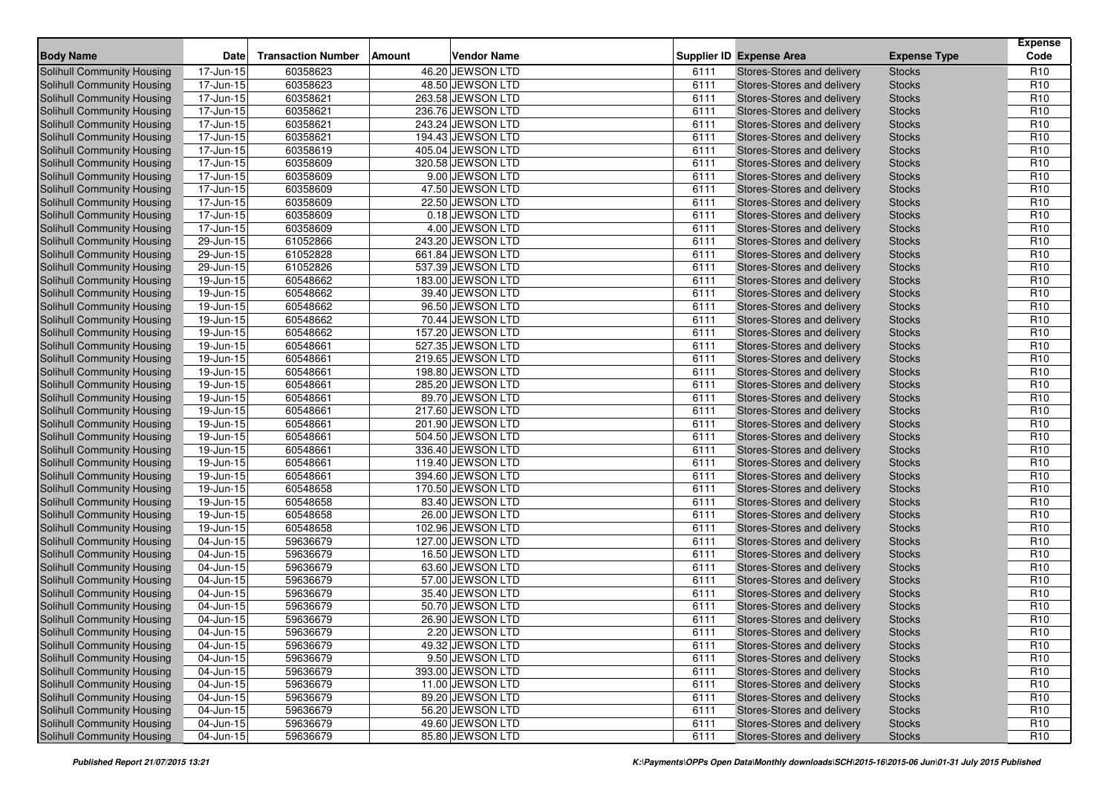| <b>Body Name</b>                  | <b>Date</b>             | <b>Transaction Number</b> | <b>Amount</b> | <b>Vendor Name</b> |      | <b>Supplier ID Expense Area</b> | <b>Expense Type</b> | <b>Expense</b><br>Code |
|-----------------------------------|-------------------------|---------------------------|---------------|--------------------|------|---------------------------------|---------------------|------------------------|
| <b>Solihull Community Housing</b> | 17-Jun-15               | 60358623                  |               | 46.20 JEWSON LTD   | 6111 | Stores-Stores and delivery      | <b>Stocks</b>       | R <sub>10</sub>        |
| Solihull Community Housing        | 17-Jun-15               | 60358623                  |               | 48.50 JEWSON LTD   | 6111 | Stores-Stores and delivery      | <b>Stocks</b>       | R <sub>10</sub>        |
| Solihull Community Housing        | 17-Jun-15               | 60358621                  |               | 263.58 JEWSON LTD  | 6111 | Stores-Stores and delivery      | <b>Stocks</b>       | R <sub>10</sub>        |
| <b>Solihull Community Housing</b> | 17-Jun-15               | 60358621                  |               | 236.76 JEWSON LTD  | 6111 | Stores-Stores and delivery      | <b>Stocks</b>       | R <sub>10</sub>        |
| Solihull Community Housing        | 17-Jun-15               | 60358621                  |               | 243.24 JEWSON LTD  | 6111 | Stores-Stores and delivery      | <b>Stocks</b>       | R <sub>10</sub>        |
| Solihull Community Housing        | 17-Jun-15               | 60358621                  |               | 194.43 JEWSON LTD  | 6111 | Stores-Stores and delivery      | <b>Stocks</b>       | R <sub>10</sub>        |
| Solihull Community Housing        | 17-Jun-15               | 60358619                  |               | 405.04 JEWSON LTD  | 6111 | Stores-Stores and delivery      | <b>Stocks</b>       | R <sub>10</sub>        |
| <b>Solihull Community Housing</b> | 17-Jun-15               | 60358609                  |               | 320.58 JEWSON LTD  | 6111 | Stores-Stores and delivery      | <b>Stocks</b>       | R <sub>10</sub>        |
| Solihull Community Housing        | 17-Jun-15               | 60358609                  |               | 9.00 JEWSON LTD    | 6111 | Stores-Stores and delivery      | <b>Stocks</b>       | R <sub>10</sub>        |
| Solihull Community Housing        | 17-Jun-15               | 60358609                  |               | 47.50 JEWSON LTD   | 6111 | Stores-Stores and delivery      | <b>Stocks</b>       | R <sub>10</sub>        |
| Solihull Community Housing        | 17-Jun-15               | 60358609                  |               | 22.50 JEWSON LTD   | 6111 | Stores-Stores and delivery      | <b>Stocks</b>       | R <sub>10</sub>        |
| Solihull Community Housing        | 17-Jun-15               | 60358609                  |               | 0.18 JEWSON LTD    | 6111 | Stores-Stores and delivery      | <b>Stocks</b>       | R <sub>10</sub>        |
| Solihull Community Housing        | 17-Jun-15               | 60358609                  |               | 4.00 JEWSON LTD    | 6111 | Stores-Stores and delivery      | <b>Stocks</b>       | R <sub>10</sub>        |
| <b>Solihull Community Housing</b> | 29-Jun-15               | 61052866                  |               | 243.20 JEWSON LTD  | 6111 | Stores-Stores and delivery      | <b>Stocks</b>       | R <sub>10</sub>        |
| <b>Solihull Community Housing</b> | 29-Jun-15               | 61052828                  |               | 661.84 JEWSON LTD  | 6111 | Stores-Stores and delivery      | <b>Stocks</b>       | R <sub>10</sub>        |
| Solihull Community Housing        | 29-Jun-15               | 61052826                  |               | 537.39 JEWSON LTD  | 6111 | Stores-Stores and delivery      | <b>Stocks</b>       | R <sub>10</sub>        |
| Solihull Community Housing        | 19-Jun-15               | 60548662                  |               | 183.00 JEWSON LTD  | 6111 | Stores-Stores and delivery      | <b>Stocks</b>       | R <sub>10</sub>        |
| Solihull Community Housing        | 19-Jun-15               | 60548662                  |               | 39.40 JEWSON LTD   | 6111 | Stores-Stores and delivery      | <b>Stocks</b>       | R <sub>10</sub>        |
| <b>Solihull Community Housing</b> | 19-Jun-15               | 60548662                  |               | 96.50 JEWSON LTD   | 6111 | Stores-Stores and delivery      | <b>Stocks</b>       | R <sub>10</sub>        |
| Solihull Community Housing        | 19-Jun-15               | 60548662                  |               | 70.44 JEWSON LTD   | 6111 | Stores-Stores and delivery      | <b>Stocks</b>       | R <sub>10</sub>        |
| <b>Solihull Community Housing</b> | 19-Jun-15               | 60548662                  |               | 157.20 JEWSON LTD  | 6111 | Stores-Stores and delivery      | <b>Stocks</b>       | R <sub>10</sub>        |
| Solihull Community Housing        | 19-Jun-15               | 60548661                  |               | 527.35 JEWSON LTD  | 6111 | Stores-Stores and delivery      | <b>Stocks</b>       | R <sub>10</sub>        |
| <b>Solihull Community Housing</b> | 19-Jun-15               | 60548661                  |               | 219.65 JEWSON LTD  | 6111 | Stores-Stores and delivery      | <b>Stocks</b>       | R <sub>10</sub>        |
| Solihull Community Housing        | 19-Jun-15               | 60548661                  |               | 198.80 JEWSON LTD  | 6111 | Stores-Stores and delivery      | <b>Stocks</b>       | R <sub>10</sub>        |
| Solihull Community Housing        | 19-Jun-15               | 60548661                  |               | 285.20 JEWSON LTD  | 6111 | Stores-Stores and delivery      | <b>Stocks</b>       | R <sub>10</sub>        |
| Solihull Community Housing        | $\overline{19}$ -Jun-15 | 60548661                  |               | 89.70 JEWSON LTD   | 6111 | Stores-Stores and delivery      | <b>Stocks</b>       | R <sub>10</sub>        |
| Solihull Community Housing        | 19-Jun-15               | 60548661                  |               | 217.60 JEWSON LTD  | 6111 | Stores-Stores and delivery      | <b>Stocks</b>       | R <sub>10</sub>        |
| Solihull Community Housing        | 19-Jun-15               | 60548661                  |               | 201.90 JEWSON LTD  | 6111 | Stores-Stores and delivery      | <b>Stocks</b>       | R <sub>10</sub>        |
| <b>Solihull Community Housing</b> | $19 - Jun-15$           | 60548661                  |               | 504.50 JEWSON LTD  | 6111 | Stores-Stores and delivery      | <b>Stocks</b>       | R <sub>10</sub>        |
| <b>Solihull Community Housing</b> | 19-Jun-15               | 60548661                  |               | 336.40 JEWSON LTD  | 6111 | Stores-Stores and delivery      | <b>Stocks</b>       | R <sub>10</sub>        |
| Solihull Community Housing        | 19-Jun-15               | 60548661                  |               | 119.40 JEWSON LTD  | 6111 | Stores-Stores and delivery      | <b>Stocks</b>       | R <sub>10</sub>        |
| Solihull Community Housing        | 19-Jun-15               | 60548661                  |               | 394.60 JEWSON LTD  | 6111 | Stores-Stores and delivery      | <b>Stocks</b>       | R <sub>10</sub>        |
| Solihull Community Housing        | 19-Jun-15               | 60548658                  |               | 170.50 JEWSON LTD  | 6111 | Stores-Stores and delivery      | <b>Stocks</b>       | R <sub>10</sub>        |
| Solihull Community Housing        | 19-Jun-15               | 60548658                  |               | 83.40 JEWSON LTD   | 6111 | Stores-Stores and delivery      | <b>Stocks</b>       | R <sub>10</sub>        |
| <b>Solihull Community Housing</b> | 19-Jun-15               | 60548658                  |               | 26.00 JEWSON LTD   | 6111 | Stores-Stores and delivery      | <b>Stocks</b>       | R <sub>10</sub>        |
| Solihull Community Housing        | 19-Jun-15               | 60548658                  |               | 102.96 JEWSON LTD  | 6111 | Stores-Stores and delivery      | <b>Stocks</b>       | R <sub>10</sub>        |
| <b>Solihull Community Housing</b> | 04-Jun-15               | 59636679                  |               | 127.00 JEWSON LTD  | 6111 | Stores-Stores and delivery      | <b>Stocks</b>       | R <sub>10</sub>        |
| Solihull Community Housing        | 04-Jun-15               | 59636679                  |               | 16.50 JEWSON LTD   | 6111 | Stores-Stores and delivery      | <b>Stocks</b>       | R <sub>10</sub>        |
| Solihull Community Housing        | 04-Jun-15               | 59636679                  |               | 63.60 JEWSON LTD   | 6111 | Stores-Stores and delivery      | <b>Stocks</b>       | R <sub>10</sub>        |
| <b>Solihull Community Housing</b> | 04-Jun-15               | 59636679                  |               | 57.00 JEWSON LTD   | 6111 | Stores-Stores and delivery      | <b>Stocks</b>       | R <sub>10</sub>        |
| Solihull Community Housing        | 04-Jun-15               | 59636679                  |               | 35.40 JEWSON LTD   | 6111 | Stores-Stores and delivery      | <b>Stocks</b>       | R <sub>10</sub>        |
| Solihull Community Housing        | 04-Jun-15               | 59636679                  |               | 50.70 JEWSON LTD   | 6111 | Stores-Stores and delivery      | <b>Stocks</b>       | R <sub>10</sub>        |
| Solihull Community Housing        | 04-Jun-15               | 59636679                  |               | 26.90 JEWSON LTD   | 6111 | Stores-Stores and delivery      | <b>Stocks</b>       | R <sub>10</sub>        |
| Solihull Community Housing        | $04$ -Jun-15            | 59636679                  |               | 2.20 JEWSON LTD    | 6111 | Stores-Stores and delivery      | Stocks              | R <sub>10</sub>        |
| Solihull Community Housing        | 04-Jun-15               | 59636679                  |               | 49.32 JEWSON LTD   | 6111 | Stores-Stores and delivery      | <b>Stocks</b>       | R <sub>10</sub>        |
| Solihull Community Housing        | 04-Jun-15               | 59636679                  |               | 9.50 JEWSON LTD    | 6111 | Stores-Stores and delivery      | <b>Stocks</b>       | R <sub>10</sub>        |
| Solihull Community Housing        | 04-Jun-15               | 59636679                  |               | 393.00 JEWSON LTD  | 6111 | Stores-Stores and delivery      | <b>Stocks</b>       | R <sub>10</sub>        |
| Solihull Community Housing        | $04 - Jun - 15$         | 59636679                  |               | 11.00 JEWSON LTD   | 6111 | Stores-Stores and delivery      | <b>Stocks</b>       | R <sub>10</sub>        |
| Solihull Community Housing        | 04-Jun-15               | 59636679                  |               | 89.20 JEWSON LTD   | 6111 | Stores-Stores and delivery      | <b>Stocks</b>       | R <sub>10</sub>        |
| Solihull Community Housing        | 04-Jun-15               | 59636679                  |               | 56.20 JEWSON LTD   | 6111 | Stores-Stores and delivery      | <b>Stocks</b>       | R <sub>10</sub>        |
| Solihull Community Housing        | $04 - Jun - 15$         | 59636679                  |               | 49.60 JEWSON LTD   | 6111 | Stores-Stores and delivery      | <b>Stocks</b>       | R <sub>10</sub>        |
| <b>Solihull Community Housing</b> | 04-Jun-15               | 59636679                  |               | 85.80 JEWSON LTD   | 6111 | Stores-Stores and delivery      | <b>Stocks</b>       | R <sub>10</sub>        |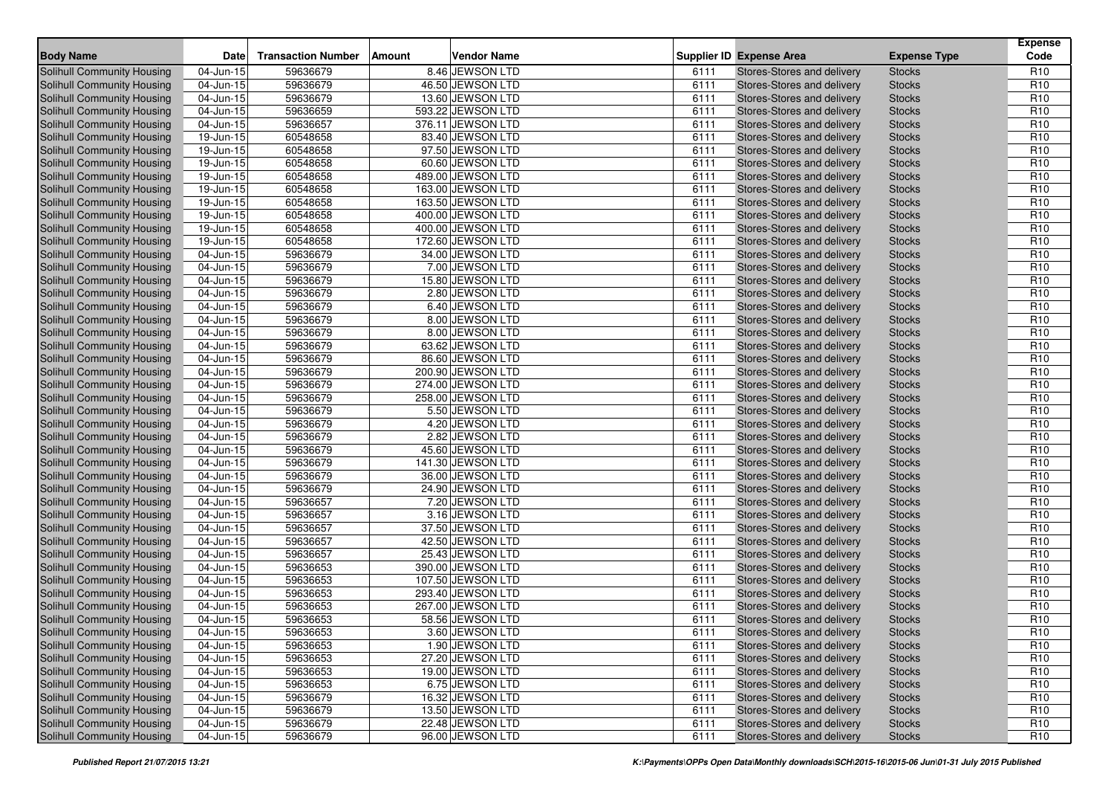| <b>Body Name</b>                                                | <b>Date</b>             | <b>Transaction Number</b> | <b>Amount</b> | <b>Vendor Name</b>                     |              | <b>Supplier ID Expense Area</b>                          | <b>Expense Type</b>            | <b>Expense</b><br>Code             |
|-----------------------------------------------------------------|-------------------------|---------------------------|---------------|----------------------------------------|--------------|----------------------------------------------------------|--------------------------------|------------------------------------|
| <b>Solihull Community Housing</b>                               | 04-Jun-15               | 59636679                  |               | 8.46 JEWSON LTD                        | 6111         | Stores-Stores and delivery                               | <b>Stocks</b>                  | R <sub>10</sub>                    |
| Solihull Community Housing                                      | 04-Jun-15               | 59636679                  |               | 46.50 JEWSON LTD                       | 6111         | Stores-Stores and delivery                               | <b>Stocks</b>                  | R <sub>10</sub>                    |
| Solihull Community Housing                                      | 04-Jun-15               | 59636679                  |               | 13.60 JEWSON LTD                       | 6111         | Stores-Stores and delivery                               | <b>Stocks</b>                  | R <sub>10</sub>                    |
| Solihull Community Housing                                      | 04-Jun-15               | 59636659                  |               | 593.22 JEWSON LTD                      | 6111         | Stores-Stores and delivery                               | <b>Stocks</b>                  | R <sub>10</sub>                    |
| Solihull Community Housing                                      | 04-Jun-15               | 59636657                  |               | 376.11 JEWSON LTD                      | 6111         | Stores-Stores and delivery                               | <b>Stocks</b>                  | R <sub>10</sub>                    |
| Solihull Community Housing                                      | 19-Jun-15               | 60548658                  |               | 83.40 JEWSON LTD                       | 6111         | Stores-Stores and delivery                               | <b>Stocks</b>                  | R <sub>10</sub>                    |
| Solihull Community Housing                                      | 19-Jun-15               | 60548658                  |               | 97.50 JEWSON LTD                       | 6111         | Stores-Stores and delivery                               | <b>Stocks</b>                  | R <sub>10</sub>                    |
| <b>Solihull Community Housing</b>                               | 19-Jun-15               | 60548658                  |               | 60.60 JEWSON LTD                       | 6111         | Stores-Stores and delivery                               | <b>Stocks</b>                  | R <sub>10</sub>                    |
| Solihull Community Housing                                      | 19-Jun-15               | 60548658                  |               | 489.00 JEWSON LTD                      | 6111         | Stores-Stores and delivery                               | <b>Stocks</b>                  | R <sub>10</sub>                    |
| Solihull Community Housing                                      | 19-Jun-15               | 60548658                  |               | 163.00 JEWSON LTD                      | 6111         | Stores-Stores and delivery                               | <b>Stocks</b>                  | R <sub>10</sub>                    |
| Solihull Community Housing                                      | 19-Jun-15               | 60548658                  |               | 163.50 JEWSON LTD                      | 6111         | Stores-Stores and delivery                               | <b>Stocks</b>                  | R <sub>10</sub>                    |
| Solihull Community Housing                                      | 19-Jun-15               | 60548658                  |               | 400.00 JEWSON LTD                      | 6111         | Stores-Stores and delivery                               | <b>Stocks</b>                  | R <sub>10</sub>                    |
| Solihull Community Housing                                      | 19-Jun-15               | 60548658                  |               | 400.00 JEWSON LTD                      | 6111         | Stores-Stores and delivery                               | <b>Stocks</b>                  | R <sub>10</sub>                    |
| <b>Solihull Community Housing</b>                               | 19-Jun-15               | 60548658                  |               | 172.60 JEWSON LTD                      | 6111         | Stores-Stores and delivery                               | <b>Stocks</b>                  | R <sub>10</sub>                    |
| Solihull Community Housing                                      | 04-Jun-15               | 59636679                  |               | 34.00 JEWSON LTD                       | 6111         | Stores-Stores and delivery                               | <b>Stocks</b>                  | R <sub>10</sub>                    |
| Solihull Community Housing                                      | 04-Jun-15               | 59636679                  |               | 7.00 JEWSON LTD                        | 6111         | Stores-Stores and delivery                               | <b>Stocks</b>                  | R <sub>10</sub>                    |
| Solihull Community Housing                                      | $\overline{04}$ -Jun-15 | 59636679                  |               | 15.80 JEWSON LTD                       | 6111         | Stores-Stores and delivery                               | <b>Stocks</b>                  | R <sub>10</sub>                    |
| Solihull Community Housing                                      | 04-Jun-15               | 59636679                  |               | 2.80 JEWSON LTD                        | 6111         | Stores-Stores and delivery                               | <b>Stocks</b>                  | R <sub>10</sub>                    |
| <b>Solihull Community Housing</b>                               | 04-Jun-15               | 59636679                  |               | 6.40 JEWSON LTD                        | 6111         | Stores-Stores and delivery                               | <b>Stocks</b>                  | R <sub>10</sub>                    |
| Solihull Community Housing                                      | $\overline{04}$ -Jun-15 | 59636679                  |               | 8.00 JEWSON LTD                        | 6111         | Stores-Stores and delivery                               | <b>Stocks</b>                  | R <sub>10</sub>                    |
| <b>Solihull Community Housing</b>                               | 04-Jun-15               | 59636679                  |               | 8.00 JEWSON LTD                        | 6111         | Stores-Stores and delivery                               | <b>Stocks</b>                  | R <sub>10</sub>                    |
| Solihull Community Housing                                      | 04-Jun-15               | 59636679                  |               | 63.62 JEWSON LTD                       | 6111         | Stores-Stores and delivery                               | <b>Stocks</b>                  | R <sub>10</sub>                    |
| Solihull Community Housing                                      | 04-Jun-15               | 59636679                  |               | 86.60 JEWSON LTD                       | 6111         | Stores-Stores and delivery                               | <b>Stocks</b>                  | R <sub>10</sub>                    |
| Solihull Community Housing                                      | 04-Jun-15               | 59636679                  |               | 200.90 JEWSON LTD                      | 6111         | Stores-Stores and delivery                               | <b>Stocks</b>                  | R <sub>10</sub>                    |
| Solihull Community Housing                                      | 04-Jun-15               | 59636679                  |               | 274.00 JEWSON LTD                      | 6111         | Stores-Stores and delivery                               | <b>Stocks</b>                  | R <sub>10</sub>                    |
| Solihull Community Housing                                      | $\overline{04}$ -Jun-15 | 59636679                  |               | 258.00 JEWSON LTD                      | 6111         | Stores-Stores and delivery                               | <b>Stocks</b>                  | R <sub>10</sub>                    |
| Solihull Community Housing                                      | 04-Jun-15               | 59636679                  |               | 5.50 JEWSON LTD                        | 6111         | Stores-Stores and delivery                               | <b>Stocks</b>                  | R <sub>10</sub>                    |
| Solihull Community Housing                                      | 04-Jun-15               | 59636679                  |               | 4.20 JEWSON LTD                        | 6111         | Stores-Stores and delivery                               | <b>Stocks</b>                  | R <sub>10</sub>                    |
| <b>Solihull Community Housing</b>                               | $\overline{04}$ -Jun-15 | 59636679                  |               | 2.82 JEWSON LTD                        | 6111         | Stores-Stores and delivery                               | <b>Stocks</b>                  | R <sub>10</sub>                    |
| Solihull Community Housing                                      | 04-Jun-15               | 59636679                  |               | 45.60 JEWSON LTD                       | 6111         | Stores-Stores and delivery                               | <b>Stocks</b>                  | R <sub>10</sub>                    |
| Solihull Community Housing                                      | 04-Jun-15               | 59636679                  |               | 141.30 JEWSON LTD                      | 6111         | Stores-Stores and delivery                               | <b>Stocks</b>                  | R <sub>10</sub>                    |
| Solihull Community Housing                                      | 04-Jun-15               | 59636679                  |               | 36.00 JEWSON LTD                       | 6111         | Stores-Stores and delivery                               | <b>Stocks</b>                  | R <sub>10</sub>                    |
| <b>Solihull Community Housing</b>                               | 04-Jun-15               | 59636679                  |               | 24.90 JEWSON LTD                       | 6111         | Stores-Stores and delivery                               | <b>Stocks</b>                  | R <sub>10</sub>                    |
| Solihull Community Housing                                      | 04-Jun-15               | 59636657                  |               | 7.20 JEWSON LTD                        | 6111         | Stores-Stores and delivery                               | <b>Stocks</b>                  | R <sub>10</sub>                    |
| Solihull Community Housing                                      | 04-Jun-15               | 59636657                  |               | 3.16 JEWSON LTD                        | 6111         | Stores-Stores and delivery                               | <b>Stocks</b>                  | R <sub>10</sub>                    |
| Solihull Community Housing                                      | 04-Jun-15               | 59636657                  |               | 37.50 JEWSON LTD                       | 6111         | Stores-Stores and delivery                               | <b>Stocks</b>                  | R <sub>10</sub>                    |
| <b>Solihull Community Housing</b>                               | 04-Jun-15<br>04-Jun-15  | 59636657                  |               | 42.50 JEWSON LTD                       | 6111<br>6111 | Stores-Stores and delivery                               | <b>Stocks</b>                  | R <sub>10</sub><br>R <sub>10</sub> |
| Solihull Community Housing                                      | 04-Jun-15               | 59636657<br>59636653      |               | 25.43 JEWSON LTD                       |              | Stores-Stores and delivery                               | <b>Stocks</b>                  | R <sub>10</sub>                    |
| Solihull Community Housing<br><b>Solihull Community Housing</b> |                         | 59636653                  |               | 390.00 JEWSON LTD<br>107.50 JEWSON LTD | 6111<br>6111 | Stores-Stores and delivery<br>Stores-Stores and delivery | <b>Stocks</b><br><b>Stocks</b> | R <sub>10</sub>                    |
| Solihull Community Housing                                      | 04-Jun-15<br>04-Jun-15  | 59636653                  |               | 293.40 JEWSON LTD                      | 6111         | Stores-Stores and delivery                               | <b>Stocks</b>                  | R <sub>10</sub>                    |
| Solihull Community Housing                                      | 04-Jun-15               | 59636653                  |               | 267.00 JEWSON LTD                      | 6111         | Stores-Stores and delivery                               | <b>Stocks</b>                  | R <sub>10</sub>                    |
| Solihull Community Housing                                      | 04-Jun-15               | 59636653                  |               | 58.56 JEWSON LTD                       | 6111         | Stores-Stores and delivery                               | <b>Stocks</b>                  | R <sub>10</sub>                    |
| Solihull Community Housing                                      | 04-Jun-15               | 59636653                  |               | 3.60 JEWSON LTD                        | 6111         | Stores-Stores and delivery                               | Stocks                         | R <sub>10</sub>                    |
| Solihull Community Housing                                      | 04-Jun-15               | 59636653                  |               | 1.90 JEWSON LTD                        | 6111         | Stores-Stores and delivery                               | <b>Stocks</b>                  | R <sub>10</sub>                    |
| Solihull Community Housing                                      | 04-Jun-15               | 59636653                  |               | 27.20 JEWSON LTD                       | 6111         | Stores-Stores and delivery                               | <b>Stocks</b>                  | R <sub>10</sub>                    |
| Solihull Community Housing                                      | 04-Jun-15               | 59636653                  |               | 19.00 JEWSON LTD                       | 6111         | Stores-Stores and delivery                               | <b>Stocks</b>                  | R <sub>10</sub>                    |
| Solihull Community Housing                                      | $04$ -Jun-15            | 59636653                  |               | 6.75 JEWSON LTD                        | 6111         | Stores-Stores and delivery                               | <b>Stocks</b>                  | R <sub>10</sub>                    |
| Solihull Community Housing                                      | 04-Jun-15               | 59636679                  |               | 16.32 JEWSON LTD                       | 6111         | Stores-Stores and delivery                               | <b>Stocks</b>                  | R <sub>10</sub>                    |
| Solihull Community Housing                                      | 04-Jun-15               | 59636679                  |               | 13.50 JEWSON LTD                       | 6111         | Stores-Stores and delivery                               | <b>Stocks</b>                  | R <sub>10</sub>                    |
| Solihull Community Housing                                      | $04$ -Jun-15            | 59636679                  |               | 22.48 JEWSON LTD                       | 6111         | Stores-Stores and delivery                               | <b>Stocks</b>                  | R <sub>10</sub>                    |
| <b>Solihull Community Housing</b>                               | 04-Jun-15               | 59636679                  |               | 96.00 JEWSON LTD                       | 6111         | Stores-Stores and delivery                               | <b>Stocks</b>                  | R <sub>10</sub>                    |
|                                                                 |                         |                           |               |                                        |              |                                                          |                                |                                    |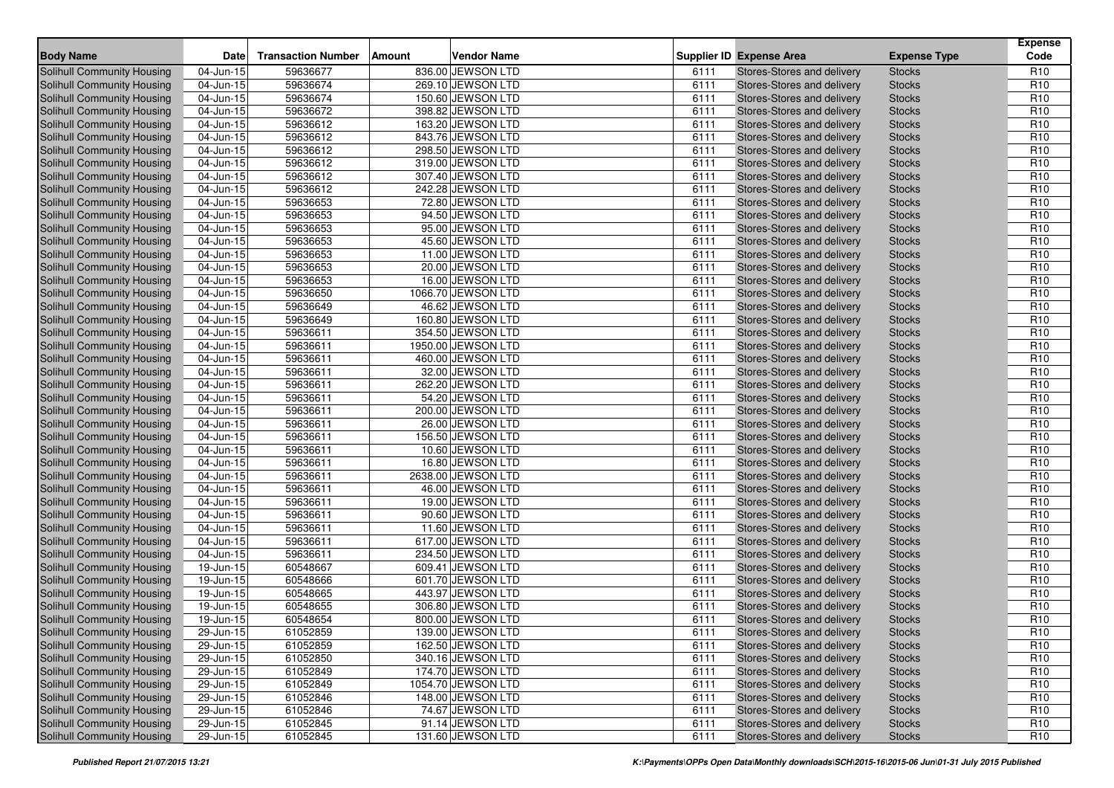| <b>Body Name</b>                                                |                           |                           |                                        |              |                                                          |                                | <b>Expense</b>                     |
|-----------------------------------------------------------------|---------------------------|---------------------------|----------------------------------------|--------------|----------------------------------------------------------|--------------------------------|------------------------------------|
|                                                                 | <b>Date</b>               | <b>Transaction Number</b> | Vendor Name<br>Amount                  |              | <b>Supplier ID Expense Area</b>                          | <b>Expense Type</b>            | Code                               |
| <b>Solihull Community Housing</b>                               | 04-Jun-15                 | 59636677                  | 836.00 JEWSON LTD                      | 6111         | Stores-Stores and delivery                               | <b>Stocks</b>                  | R <sub>10</sub>                    |
| Solihull Community Housing                                      | 04-Jun-15                 | 59636674                  | 269.10 JEWSON LTD                      | 6111         | Stores-Stores and delivery                               | <b>Stocks</b>                  | R <sub>10</sub>                    |
| Solihull Community Housing                                      | 04-Jun-15                 | 59636674                  | 150.60 JEWSON LTD                      | 6111         | Stores-Stores and delivery                               | <b>Stocks</b>                  | R <sub>10</sub>                    |
| Solihull Community Housing                                      | 04-Jun-15                 | 59636672                  | 398.82 JEWSON LTD                      | 6111         | Stores-Stores and delivery                               | <b>Stocks</b>                  | R <sub>10</sub>                    |
| Solihull Community Housing                                      | 04-Jun-15                 | 59636612                  | 163.20 JEWSON LTD                      | 6111         | Stores-Stores and delivery                               | <b>Stocks</b>                  | R <sub>10</sub>                    |
| Solihull Community Housing                                      | 04-Jun-15                 | 59636612                  | 843.76 JEWSON LTD                      | 6111         | Stores-Stores and delivery                               | <b>Stocks</b>                  | R <sub>10</sub><br>R <sub>10</sub> |
| Solihull Community Housing                                      | 04-Jun-15                 | 59636612                  | 298.50 JEWSON LTD                      | 6111         | Stores-Stores and delivery<br>Stores-Stores and delivery | <b>Stocks</b>                  |                                    |
| Solihull Community Housing<br>Solihull Community Housing        | 04-Jun-15                 | 59636612<br>59636612      | 319.00 JEWSON LTD                      | 6111<br>6111 |                                                          | <b>Stocks</b>                  | R <sub>10</sub>                    |
|                                                                 | 04-Jun-15                 |                           | 307.40 JEWSON LTD                      |              | Stores-Stores and delivery                               | <b>Stocks</b>                  | R <sub>10</sub><br>R <sub>10</sub> |
| Solihull Community Housing                                      | $04$ -Jun-15<br>04-Jun-15 | 59636612<br>59636653      | 242.28 JEWSON LTD<br>72.80 JEWSON LTD  | 6111<br>6111 | Stores-Stores and delivery<br>Stores-Stores and delivery | <b>Stocks</b><br><b>Stocks</b> | R <sub>10</sub>                    |
| Solihull Community Housing                                      | 04-Jun-15                 | 59636653                  | 94.50 JEWSON LTD                       | 6111         | Stores-Stores and delivery                               | <b>Stocks</b>                  | R <sub>10</sub>                    |
| Solihull Community Housing<br>Solihull Community Housing        |                           | 59636653                  |                                        | 6111         |                                                          |                                | R <sub>10</sub>                    |
|                                                                 | 04-Jun-15                 |                           | 95.00 JEWSON LTD                       |              | Stores-Stores and delivery                               | <b>Stocks</b>                  | R <sub>10</sub>                    |
| Solihull Community Housing<br><b>Solihull Community Housing</b> | 04-Jun-15<br>04-Jun-15    | 59636653<br>59636653      | 45.60 JEWSON LTD<br>11.00 JEWSON LTD   | 6111<br>6111 | Stores-Stores and delivery<br>Stores-Stores and delivery | <b>Stocks</b><br><b>Stocks</b> | R <sub>10</sub>                    |
|                                                                 | 04-Jun-15                 | 59636653                  | 20.00 JEWSON LTD                       | 6111         |                                                          | <b>Stocks</b>                  | R <sub>10</sub>                    |
| Solihull Community Housing                                      |                           |                           |                                        |              | Stores-Stores and delivery                               |                                | R <sub>10</sub>                    |
| Solihull Community Housing                                      | $04$ -Jun- $15$           | 59636653                  | 16.00 JEWSON LTD                       | 6111         | Stores-Stores and delivery                               | <b>Stocks</b>                  | R <sub>10</sub>                    |
| Solihull Community Housing                                      | 04-Jun-15                 | 59636650                  | 1066.70 JEWSON LTD<br>46.62 JEWSON LTD | 6111         | Stores-Stores and delivery                               | <b>Stocks</b>                  | R <sub>10</sub>                    |
| Solihull Community Housing                                      | 04-Jun-15                 | 59636649                  |                                        | 6111         | Stores-Stores and delivery                               | <b>Stocks</b>                  |                                    |
| Solihull Community Housing<br><b>Solihull Community Housing</b> | 04-Jun-15                 | 59636649                  | 160.80 JEWSON LTD                      | 6111         | Stores-Stores and delivery                               | <b>Stocks</b>                  | R <sub>10</sub><br>R <sub>10</sub> |
|                                                                 | 04-Jun-15                 | 59636611                  | 354.50 JEWSON LTD                      | 6111         | Stores-Stores and delivery                               | <b>Stocks</b>                  | R <sub>10</sub>                    |
| Solihull Community Housing                                      | 04-Jun-15                 | 59636611<br>59636611      | 1950.00 JEWSON LTD                     | 6111<br>6111 | Stores-Stores and delivery<br>Stores-Stores and delivery | <b>Stocks</b>                  |                                    |
| Solihull Community Housing<br><b>Solihull Community Housing</b> | 04-Jun-15                 |                           | 460.00 JEWSON LTD                      |              |                                                          | <b>Stocks</b>                  | R <sub>10</sub><br>R <sub>10</sub> |
|                                                                 | 04-Jun-15                 | 59636611<br>59636611      | 32.00 JEWSON LTD<br>262.20 JEWSON LTD  | 6111         | Stores-Stores and delivery                               | <b>Stocks</b>                  | R <sub>10</sub>                    |
| Solihull Community Housing<br><b>Solihull Community Housing</b> | 04-Jun-15<br>04-Jun-15    | 59636611                  | 54.20 JEWSON LTD                       | 6111<br>6111 | Stores-Stores and delivery<br>Stores-Stores and delivery | <b>Stocks</b><br><b>Stocks</b> | R <sub>10</sub>                    |
| <b>Solihull Community Housing</b>                               | 04-Jun-15                 | 59636611                  | 200.00 JEWSON LTD                      | 6111         | Stores-Stores and delivery                               | <b>Stocks</b>                  | R <sub>10</sub>                    |
| Solihull Community Housing                                      | 04-Jun-15                 | 59636611                  | 26.00 JEWSON LTD                       | 6111         | Stores-Stores and delivery                               | <b>Stocks</b>                  | R <sub>10</sub>                    |
| Solihull Community Housing                                      | 04-Jun-15                 | 59636611                  | 156.50 JEWSON LTD                      | 6111         | Stores-Stores and delivery                               | <b>Stocks</b>                  | R <sub>10</sub>                    |
| <b>Solihull Community Housing</b>                               | 04-Jun-15                 | 59636611                  | 10.60 JEWSON LTD                       | 6111         | Stores-Stores and delivery                               | <b>Stocks</b>                  | R <sub>10</sub>                    |
| Solihull Community Housing                                      | 04-Jun-15                 | 59636611                  | 16.80 JEWSON LTD                       | 6111         | Stores-Stores and delivery                               | <b>Stocks</b>                  | R <sub>10</sub>                    |
| Solihull Community Housing                                      | 04-Jun-15                 | 59636611                  | 2638.00 JEWSON LTD                     | 6111         | Stores-Stores and delivery                               | <b>Stocks</b>                  | R <sub>10</sub>                    |
| Solihull Community Housing                                      | 04-Jun-15                 | 59636611                  | 46.00 JEWSON LTD                       | 6111         | Stores-Stores and delivery                               | <b>Stocks</b>                  | R <sub>10</sub>                    |
| Solihull Community Housing                                      | 04-Jun-15                 | 59636611                  | 19.00 JEWSON LTD                       | 6111         | Stores-Stores and delivery                               | <b>Stocks</b>                  | R <sub>10</sub>                    |
| <b>Solihull Community Housing</b>                               | 04-Jun-15                 | 59636611                  | 90.60 JEWSON LTD                       | 6111         | Stores-Stores and delivery                               | <b>Stocks</b>                  | R <sub>10</sub>                    |
| Solihull Community Housing                                      | 04-Jun-15                 | 59636611                  | 11.60 JEWSON LTD                       | 6111         | Stores-Stores and delivery                               | <b>Stocks</b>                  | R <sub>10</sub>                    |
| Solihull Community Housing                                      | $\overline{04}$ -Jun-15   | 59636611                  | 617.00 JEWSON LTD                      | 6111         | Stores-Stores and delivery                               | <b>Stocks</b>                  | R <sub>10</sub>                    |
| Solihull Community Housing                                      | 04-Jun-15                 | 59636611                  | 234.50 JEWSON LTD                      | 6111         | Stores-Stores and delivery                               | <b>Stocks</b>                  | R <sub>10</sub>                    |
| Solihull Community Housing                                      | 19-Jun-15                 | 60548667                  | 609.41 JEWSON LTD                      | 6111         | Stores-Stores and delivery                               | <b>Stocks</b>                  | R <sub>10</sub>                    |
| Solihull Community Housing                                      | 19-Jun-15                 | 60548666                  | 601.70 JEWSON LTD                      | 6111         | Stores-Stores and delivery                               | <b>Stocks</b>                  | R <sub>10</sub>                    |
| Solihull Community Housing                                      | 19-Jun-15                 | 60548665                  | 443.97 JEWSON LTD                      | 6111         | Stores-Stores and delivery                               | <b>Stocks</b>                  | R <sub>10</sub>                    |
| Solihull Community Housing                                      | 19-Jun-15                 | 60548655                  | 306.80 JEWSON LTD                      | 6111         | Stores-Stores and delivery                               | <b>Stocks</b>                  | R <sub>10</sub>                    |
| <b>Solihull Community Housing</b>                               | 19-Jun-15                 | 60548654                  | 800.00 JEWSON LTD                      | 6111         | Stores-Stores and delivery                               | <b>Stocks</b>                  | R <sub>10</sub>                    |
| Solihull Community Housing                                      | $29$ -Jun-15              | 61052859                  | 139.00 JEWSON LTD                      | 6111         | Stores-Stores and delivery                               | <b>Stocks</b>                  | R <sub>10</sub>                    |
| Solihull Community Housing                                      | $\overline{29}$ -Jun-15   | 61052859                  | 162.50 JEWSON LTD                      | 6111         | Stores-Stores and delivery                               | <b>Stocks</b>                  | R <sub>10</sub>                    |
| Solihull Community Housing                                      | 29-Jun-15                 | 61052850                  | 340.16 JEWSON LTD                      | 6111         | Stores-Stores and delivery                               | <b>Stocks</b>                  | R <sub>10</sub>                    |
| Solihull Community Housing                                      | 29-Jun-15                 | 61052849                  | 174.70 JEWSON LTD                      | 6111         | Stores-Stores and delivery                               | <b>Stocks</b>                  | R <sub>10</sub>                    |
| Solihull Community Housing                                      | 29-Jun-15                 | 61052849                  | 1054.70 JEWSON LTD                     | 6111         | Stores-Stores and delivery                               | <b>Stocks</b>                  | R <sub>10</sub>                    |
| Solihull Community Housing                                      | 29-Jun-15                 | 61052846                  | 148.00 JEWSON LTD                      | 6111         | Stores-Stores and delivery                               | <b>Stocks</b>                  | R <sub>10</sub>                    |
| Solihull Community Housing                                      | 29-Jun-15                 | 61052846                  | 74.67 JEWSON LTD                       | 6111         | Stores-Stores and delivery                               | <b>Stocks</b>                  | R <sub>10</sub>                    |
| Solihull Community Housing                                      | 29-Jun-15                 | 61052845                  | 91.14 JEWSON LTD                       | 6111         | Stores-Stores and delivery                               | <b>Stocks</b>                  | R <sub>10</sub>                    |
| Solihull Community Housing                                      | 29-Jun-15                 | 61052845                  | 131.60 JEWSON LTD                      | 6111         | Stores-Stores and delivery                               | <b>Stocks</b>                  | R <sub>10</sub>                    |
|                                                                 |                           |                           |                                        |              |                                                          |                                |                                    |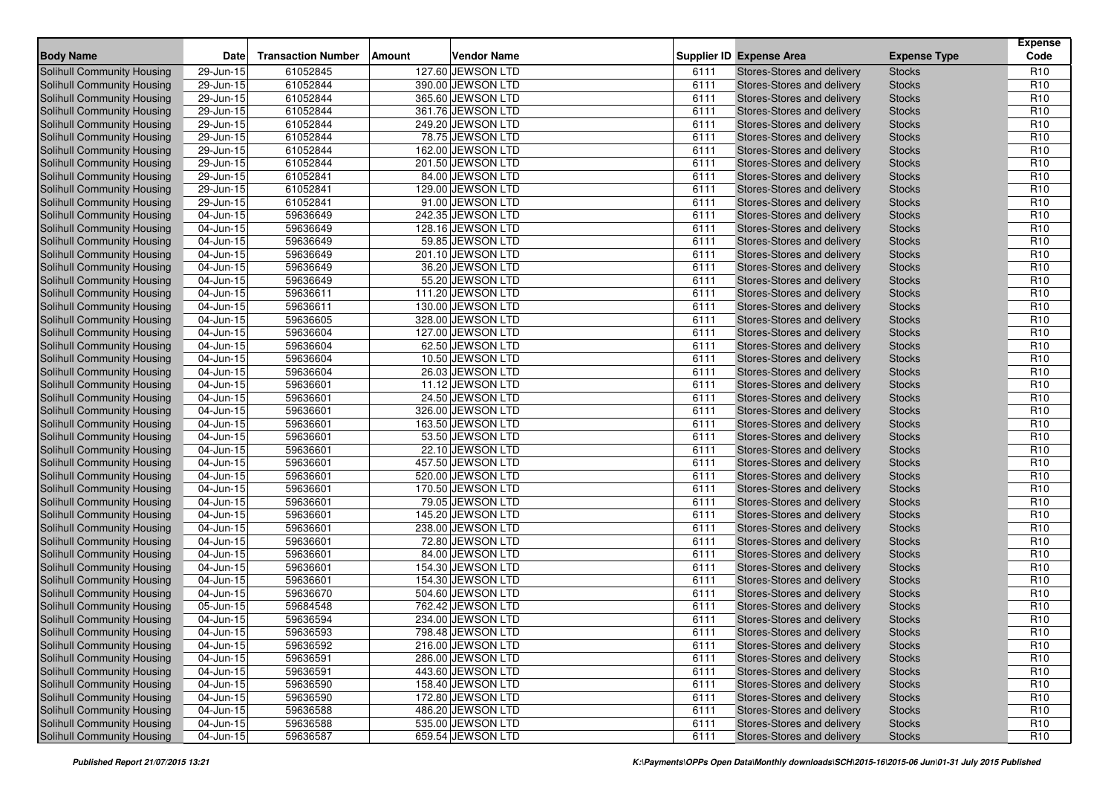| <b>Body Name</b>                                                | <b>Date</b>             | <b>Transaction Number</b> | Vendor Name<br>Amount                  |              | <b>Supplier ID Expense Area</b>                          | <b>Expense Type</b>            | <b>Expense</b><br>Code             |
|-----------------------------------------------------------------|-------------------------|---------------------------|----------------------------------------|--------------|----------------------------------------------------------|--------------------------------|------------------------------------|
|                                                                 |                         |                           |                                        |              |                                                          |                                |                                    |
| <b>Solihull Community Housing</b><br>Solihull Community Housing | 29-Jun-15               | 61052845                  | 127.60 JEWSON LTD                      | 6111         | Stores-Stores and delivery<br>Stores-Stores and delivery | <b>Stocks</b>                  | R <sub>10</sub><br>R <sub>10</sub> |
|                                                                 | 29-Jun-15               | 61052844<br>61052844      | 390.00 JEWSON LTD                      | 6111         |                                                          | <b>Stocks</b>                  | R <sub>10</sub>                    |
| Solihull Community Housing                                      | 29-Jun-15               |                           | 365.60 JEWSON LTD                      | 6111         | Stores-Stores and delivery                               | <b>Stocks</b>                  |                                    |
| Solihull Community Housing                                      | 29-Jun-15               | 61052844<br>61052844      | 361.76 JEWSON LTD<br>249.20 JEWSON LTD | 6111         | Stores-Stores and delivery                               | <b>Stocks</b>                  | R <sub>10</sub><br>R <sub>10</sub> |
| Solihull Community Housing                                      | 29-Jun-15               | 61052844                  |                                        | 6111         | Stores-Stores and delivery                               | <b>Stocks</b>                  |                                    |
| Solihull Community Housing                                      | 29-Jun-15               | 61052844                  | 78.75 JEWSON LTD<br>162.00 JEWSON LTD  | 6111<br>6111 | Stores-Stores and delivery<br>Stores-Stores and delivery | <b>Stocks</b><br><b>Stocks</b> | R <sub>10</sub><br>R <sub>10</sub> |
| Solihull Community Housing<br>Solihull Community Housing        | 29-Jun-15<br>29-Jun-15  | 61052844                  | 201.50 JEWSON LTD                      | 6111         | Stores-Stores and delivery                               | <b>Stocks</b>                  | R <sub>10</sub>                    |
| Solihull Community Housing                                      | 29-Jun-15               | 61052841                  | 84.00 JEWSON LTD                       | 6111         | Stores-Stores and delivery                               | <b>Stocks</b>                  | R <sub>10</sub>                    |
| Solihull Community Housing                                      | 29-Jun-15               | 61052841                  | 129.00 JEWSON LTD                      | 6111         | Stores-Stores and delivery                               | <b>Stocks</b>                  | R <sub>10</sub>                    |
| Solihull Community Housing                                      | 29-Jun-15               | 61052841                  | 91.00 JEWSON LTD                       | 6111         | Stores-Stores and delivery                               | <b>Stocks</b>                  | R <sub>10</sub>                    |
| Solihull Community Housing                                      | 04-Jun-15               | 59636649                  | 242.35 JEWSON LTD                      | 6111         | Stores-Stores and delivery                               | <b>Stocks</b>                  | R <sub>10</sub>                    |
| Solihull Community Housing                                      | 04-Jun-15               | 59636649                  | 128.16 JEWSON LTD                      | 6111         | Stores-Stores and delivery                               | <b>Stocks</b>                  | R <sub>10</sub>                    |
| Solihull Community Housing                                      | 04-Jun-15               | 59636649                  | 59.85 JEWSON LTD                       | 6111         | Stores-Stores and delivery                               | <b>Stocks</b>                  | R <sub>10</sub>                    |
| <b>Solihull Community Housing</b>                               | 04-Jun-15               | 59636649                  | 201.10 JEWSON LTD                      | 6111         | Stores-Stores and delivery                               | <b>Stocks</b>                  | R <sub>10</sub>                    |
| Solihull Community Housing                                      | 04-Jun-15               | 59636649                  | 36.20 JEWSON LTD                       | 6111         | Stores-Stores and delivery                               | <b>Stocks</b>                  | R <sub>10</sub>                    |
| Solihull Community Housing                                      | 04-Jun-15               | 59636649                  | 55.20 JEWSON LTD                       | 6111         | Stores-Stores and delivery                               | <b>Stocks</b>                  | R <sub>10</sub>                    |
| Solihull Community Housing                                      | 04-Jun-15               | 59636611                  | 111.20 JEWSON LTD                      | 6111         | Stores-Stores and delivery                               | <b>Stocks</b>                  | R <sub>10</sub>                    |
| Solihull Community Housing                                      | 04-Jun-15               | 59636611                  | 130.00 JEWSON LTD                      | 6111         | Stores-Stores and delivery                               | <b>Stocks</b>                  | R <sub>10</sub>                    |
| Solihull Community Housing                                      | 04-Jun-15               | 59636605                  | 328.00 JEWSON LTD                      | 6111         | Stores-Stores and delivery                               | <b>Stocks</b>                  | R <sub>10</sub>                    |
| <b>Solihull Community Housing</b>                               | 04-Jun-15               | 59636604                  | 127.00 JEWSON LTD                      | 6111         | Stores-Stores and delivery                               | <b>Stocks</b>                  | R <sub>10</sub>                    |
| Solihull Community Housing                                      | 04-Jun-15               | 59636604                  | 62.50 JEWSON LTD                       | 6111         | Stores-Stores and delivery                               | <b>Stocks</b>                  | R <sub>10</sub>                    |
| Solihull Community Housing                                      | 04-Jun-15               | 59636604                  | 10.50 JEWSON LTD                       | 6111         | Stores-Stores and delivery                               | <b>Stocks</b>                  | R <sub>10</sub>                    |
| <b>Solihull Community Housing</b>                               | 04-Jun-15               | 59636604                  | 26.03 JEWSON LTD                       | 6111         | Stores-Stores and delivery                               | <b>Stocks</b>                  | R <sub>10</sub>                    |
| Solihull Community Housing                                      | 04-Jun-15               | 59636601                  | 11.12 JEWSON LTD                       | 6111         | Stores-Stores and delivery                               | <b>Stocks</b>                  | R <sub>10</sub>                    |
| <b>Solihull Community Housing</b>                               | 04-Jun-15               | 59636601                  | 24.50 JEWSON LTD                       | 6111         | Stores-Stores and delivery                               | <b>Stocks</b>                  | R <sub>10</sub>                    |
| <b>Solihull Community Housing</b>                               | 04-Jun-15               | 59636601                  | 326.00 JEWSON LTD                      | 6111         | Stores-Stores and delivery                               | <b>Stocks</b>                  | R <sub>10</sub>                    |
| Solihull Community Housing                                      | 04-Jun-15               | 59636601                  | 163.50 JEWSON LTD                      | 6111         | Stores-Stores and delivery                               | <b>Stocks</b>                  | R <sub>10</sub>                    |
| Solihull Community Housing                                      | 04-Jun-15               | 59636601                  | 53.50 JEWSON LTD                       | 6111         | Stores-Stores and delivery                               | <b>Stocks</b>                  | R <sub>10</sub>                    |
| <b>Solihull Community Housing</b>                               | 04-Jun-15               | 59636601                  | 22.10 JEWSON LTD                       | 6111         | Stores-Stores and delivery                               | <b>Stocks</b>                  | R <sub>10</sub>                    |
| Solihull Community Housing                                      | 04-Jun-15               | 59636601                  | 457.50 JEWSON LTD                      | 6111         | Stores-Stores and delivery                               | <b>Stocks</b>                  | R <sub>10</sub>                    |
| Solihull Community Housing                                      | 04-Jun-15               | 59636601                  | 520.00 JEWSON LTD                      | 6111         | Stores-Stores and delivery                               | <b>Stocks</b>                  | R <sub>10</sub>                    |
| Solihull Community Housing                                      | 04-Jun-15               | 59636601                  | 170.50 JEWSON LTD                      | 6111         | Stores-Stores and delivery                               | <b>Stocks</b>                  | R <sub>10</sub>                    |
| Solihull Community Housing                                      | 04-Jun-15               | 59636601                  | 79.05 JEWSON LTD                       | 6111         | Stores-Stores and delivery                               | <b>Stocks</b>                  | R <sub>10</sub>                    |
| <b>Solihull Community Housing</b>                               | 04-Jun-15               | 59636601                  | 145.20 JEWSON LTD                      | 6111         | Stores-Stores and delivery                               | <b>Stocks</b>                  | R <sub>10</sub>                    |
| Solihull Community Housing                                      | 04-Jun-15               | 59636601                  | 238.00 JEWSON LTD                      | 6111         | Stores-Stores and delivery                               | <b>Stocks</b>                  | R <sub>10</sub>                    |
| Solihull Community Housing                                      | 04-Jun-15               | 59636601                  | 72.80 JEWSON LTD                       | 6111         | Stores-Stores and delivery                               | <b>Stocks</b>                  | R <sub>10</sub>                    |
| Solihull Community Housing                                      | 04-Jun-15               | 59636601                  | 84.00 JEWSON LTD                       | 6111         | Stores-Stores and delivery                               | <b>Stocks</b>                  | R <sub>10</sub>                    |
| Solihull Community Housing                                      | 04-Jun-15               | 59636601                  | 154.30 JEWSON LTD                      | 6111         | Stores-Stores and delivery                               | <b>Stocks</b>                  | R <sub>10</sub>                    |
| Solihull Community Housing                                      | 04-Jun-15               | 59636601                  | 154.30 JEWSON LTD                      | 6111         | Stores-Stores and delivery                               | <b>Stocks</b>                  | R <sub>10</sub>                    |
| Solihull Community Housing                                      | 04-Jun-15               | 59636670                  | 504.60 JEWSON LTD                      | 6111         | Stores-Stores and delivery                               | <b>Stocks</b>                  | R <sub>10</sub>                    |
| Solihull Community Housing                                      | 05-Jun-15               | 59684548                  | 762.42 JEWSON LTD                      | 6111         | Stores-Stores and delivery                               | <b>Stocks</b>                  | R <sub>10</sub>                    |
| <b>Solihull Community Housing</b>                               | 04-Jun-15               | 59636594                  | 234.00 JEWSON LTD                      | 6111         | Stores-Stores and delivery                               | <b>Stocks</b>                  | R <sub>10</sub>                    |
| Solihull Community Housing                                      | $04$ -Jun-15            | 59636593                  | 798.48 JEWSON LTD                      | 6111         | Stores-Stores and delivery                               | <b>Stocks</b>                  | R <sub>10</sub>                    |
| Solihull Community Housing                                      | $\overline{04}$ -Jun-15 | 59636592                  | 216.00 JEWSON LTD                      | 6111         | Stores-Stores and delivery                               | <b>Stocks</b>                  | R <sub>10</sub>                    |
| Solihull Community Housing                                      | 04-Jun-15               | 59636591                  | 286.00 JEWSON LTD                      | 6111         | Stores-Stores and delivery                               | <b>Stocks</b>                  | R <sub>10</sub>                    |
| Solihull Community Housing                                      | 04-Jun-15               | 59636591                  | 443.60 JEWSON LTD                      | 6111         | Stores-Stores and delivery                               | <b>Stocks</b>                  | R <sub>10</sub>                    |
| Solihull Community Housing                                      | 04-Jun-15               | 59636590                  | 158.40 JEWSON LTD                      | 6111         | Stores-Stores and delivery                               | <b>Stocks</b>                  | R <sub>10</sub>                    |
| Solihull Community Housing                                      | 04-Jun-15               | 59636590                  | 172.80 JEWSON LTD                      | 6111         | Stores-Stores and delivery                               | <b>Stocks</b>                  | R <sub>10</sub>                    |
| Solihull Community Housing                                      | 04-Jun-15               | 59636588                  | 486.20 JEWSON LTD                      | 6111         | Stores-Stores and delivery                               | <b>Stocks</b>                  | R <sub>10</sub>                    |
| Solihull Community Housing                                      | 04-Jun-15               | 59636588                  | 535.00 JEWSON LTD                      | 6111         | Stores-Stores and delivery                               | <b>Stocks</b>                  | R <sub>10</sub>                    |
| <b>Solihull Community Housing</b>                               | 04-Jun-15               | 59636587                  | 659.54 JEWSON LTD                      | 6111         | Stores-Stores and delivery                               | <b>Stocks</b>                  | R <sub>10</sub>                    |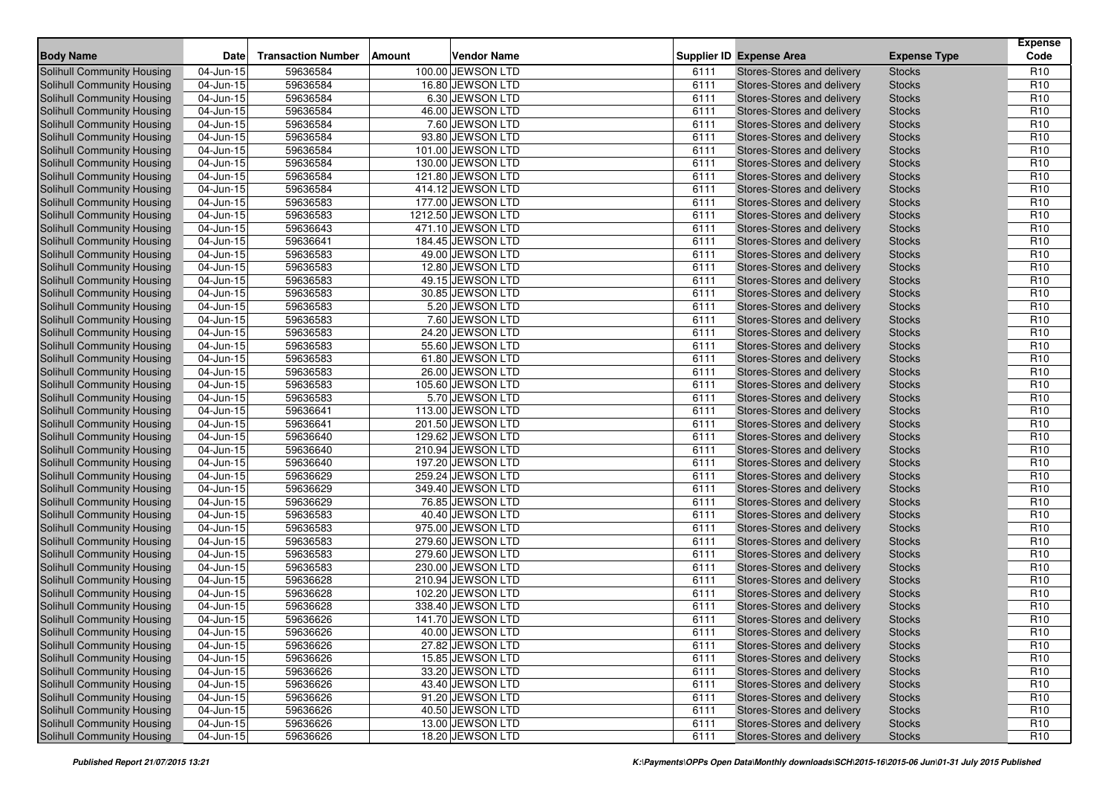| 100.00 JEWSON LTD<br>Solihull Community Housing<br>59636584<br>Stores-Stores and delivery<br>R <sub>10</sub><br>04-Jun-15<br><b>Stocks</b><br>6111<br>59636584<br>16.80 JEWSON LTD<br>R <sub>10</sub><br>Solihull Community Housing<br>04-Jun-15<br>6111<br>Stores-Stores and delivery<br><b>Stocks</b><br>59636584<br>6.30 JEWSON LTD<br>R <sub>10</sub><br>Solihull Community Housing<br>04-Jun-15<br>6111<br>Stores-Stores and delivery<br><b>Stocks</b><br>59636584<br>46.00 JEWSON LTD<br>R <sub>10</sub><br>Solihull Community Housing<br>04-Jun-15<br>6111<br>Stores-Stores and delivery<br><b>Stocks</b><br>59636584<br>7.60 JEWSON LTD<br>Solihull Community Housing<br>6111<br>Stores-Stores and delivery<br>R <sub>10</sub><br>04-Jun-15<br><b>Stocks</b><br>93.80 JEWSON LTD<br>59636584<br>R <sub>10</sub><br>Solihull Community Housing<br>04-Jun-15<br>6111<br>Stores-Stores and delivery<br><b>Stocks</b><br>R <sub>10</sub><br>59636584<br>101.00 JEWSON LTD<br>Solihull Community Housing<br>04-Jun-15<br>6111<br>Stores-Stores and delivery<br><b>Stocks</b><br>59636584<br>130.00 JEWSON LTD<br>R <sub>10</sub><br>Solihull Community Housing<br>04-Jun-15<br>6111<br>Stores-Stores and delivery<br><b>Stocks</b><br>59636584<br>Solihull Community Housing<br>121.80 JEWSON LTD<br>6111<br>Stores-Stores and delivery<br>R <sub>10</sub><br>04-Jun-15<br><b>Stocks</b><br>Solihull Community Housing<br>414.12 JEWSON LTD<br>R <sub>10</sub><br>04-Jun-15<br>59636584<br>6111<br>Stores-Stores and delivery<br><b>Stocks</b><br>R <sub>10</sub><br>59636583<br>177.00 JEWSON LTD<br>Solihull Community Housing<br>04-Jun-15<br>6111<br>Stores-Stores and delivery<br><b>Stocks</b><br>04-Jun-15<br>59636583<br>1212.50 JEWSON LTD<br>R <sub>10</sub><br>Solihull Community Housing<br>6111<br>Stores-Stores and delivery<br><b>Stocks</b><br>Solihull Community Housing<br>59636643<br>471.10 JEWSON LTD<br>6111<br>Stores-Stores and delivery<br>R <sub>10</sub><br>04-Jun-15<br><b>Stocks</b><br>59636641<br>184.45 JEWSON LTD<br>R <sub>10</sub><br>Solihull Community Housing<br>04-Jun-15<br>6111<br>Stores-Stores and delivery<br><b>Stocks</b><br>59636583<br>49.00 JEWSON LTD<br>R <sub>10</sub><br><b>Solihull Community Housing</b><br>04-Jun-15<br>6111<br>Stores-Stores and delivery<br><b>Stocks</b><br>59636583<br>12.80 JEWSON LTD<br>R <sub>10</sub><br>Solihull Community Housing<br>04-Jun-15<br>6111<br>Stores-Stores and delivery<br><b>Stocks</b><br>Solihull Community Housing<br>59636583<br>49.15 JEWSON LTD<br>Stores-Stores and delivery<br>R <sub>10</sub><br>04-Jun-15<br>6111<br><b>Stocks</b><br>59636583<br>30.85 JEWSON LTD<br>R <sub>10</sub><br>Solihull Community Housing<br>04-Jun-15<br>6111<br>Stores-Stores and delivery<br><b>Stocks</b><br>59636583<br>5.20 JEWSON LTD<br>R <sub>10</sub><br>Solihull Community Housing<br>04-Jun-15<br>6111<br>Stores-Stores and delivery<br><b>Stocks</b><br>59636583<br>7.60 JEWSON LTD<br>R <sub>10</sub><br>Solihull Community Housing<br>04-Jun-15<br>6111<br>Stores-Stores and delivery<br><b>Stocks</b><br>Solihull Community Housing<br>59636583<br>24.20 JEWSON LTD<br>Stores-Stores and delivery<br>R <sub>10</sub><br>04-Jun-15<br>6111<br><b>Stocks</b><br>59636583<br>55.60 JEWSON LTD<br>R <sub>10</sub><br>Solihull Community Housing<br>04-Jun-15<br>6111<br>Stores-Stores and delivery<br><b>Stocks</b><br>04-Jun-15<br>59636583<br>61.80 JEWSON LTD<br>R <sub>10</sub><br>Solihull Community Housing<br>6111<br>Stores-Stores and delivery<br><b>Stocks</b><br>59636583<br>26.00 JEWSON LTD<br>R <sub>10</sub><br>Solihull Community Housing<br>04-Jun-15<br>6111<br>Stores-Stores and delivery<br><b>Stocks</b><br>59636583<br>105.60 JEWSON LTD<br>R <sub>10</sub><br>Solihull Community Housing<br>Stores-Stores and delivery<br>04-Jun-15<br>6111<br><b>Stocks</b><br>59636583<br>5.70 JEWSON LTD<br>R <sub>10</sub><br><b>Solihull Community Housing</b><br>04-Jun-15<br>6111<br>Stores-Stores and delivery<br><b>Stocks</b><br>59636641<br>113.00 JEWSON LTD<br>R <sub>10</sub><br>Solihull Community Housing<br>04-Jun-15<br>6111<br>Stores-Stores and delivery<br><b>Stocks</b><br>59636641<br>201.50 JEWSON LTD<br>R <sub>10</sub><br>Solihull Community Housing<br>04-Jun-15<br>6111<br>Stores-Stores and delivery<br><b>Stocks</b><br>129.62 JEWSON LTD<br>R <sub>10</sub><br>Solihull Community Housing<br>59636640<br>Stores-Stores and delivery<br>04-Jun-15<br>6111<br><b>Stocks</b><br>59636640<br>210.94 JEWSON LTD<br>6111<br>R <sub>10</sub><br><b>Solihull Community Housing</b><br>04-Jun-15<br>Stores-Stores and delivery<br><b>Stocks</b><br>59636640<br>197.20 JEWSON LTD<br>R <sub>10</sub><br>Solihull Community Housing<br>04-Jun-15<br>6111<br>Stores-Stores and delivery<br><b>Stocks</b><br>59636629<br>R <sub>10</sub><br>Solihull Community Housing<br>04-Jun-15<br>259.24 JEWSON LTD<br>6111<br>Stores-Stores and delivery<br><b>Stocks</b><br>Solihull Community Housing<br>59636629<br>349.40 JEWSON LTD<br>Stores-Stores and delivery<br>R <sub>10</sub><br>04-Jun-15<br>6111<br><b>Stocks</b><br>59636629<br>76.85 JEWSON LTD<br>6111<br>R <sub>10</sub><br>Solihull Community Housing<br>04-Jun-15<br>Stores-Stores and delivery<br><b>Stocks</b><br>40.40 JEWSON LTD<br>R <sub>10</sub><br><b>Solihull Community Housing</b><br>04-Jun-15<br>59636583<br>6111<br>Stores-Stores and delivery<br><b>Stocks</b><br>59636583<br>975.00 JEWSON LTD<br>R <sub>10</sub><br>Solihull Community Housing<br>04-Jun-15<br>6111<br>Stores-Stores and delivery<br><b>Stocks</b><br>R <sub>10</sub><br>Solihull Community Housing<br>04-Jun-15<br>59636583<br>279.60 JEWSON LTD<br>6111<br>Stores-Stores and delivery<br><b>Stocks</b><br>59636583<br>279.60 JEWSON LTD<br>R <sub>10</sub><br>Solihull Community Housing<br>04-Jun-15<br>6111<br>Stores-Stores and delivery<br><b>Stocks</b><br>59636583<br>230.00 JEWSON LTD<br>R <sub>10</sub><br>Solihull Community Housing<br>04-Jun-15<br>6111<br>Stores-Stores and delivery<br><b>Stocks</b><br>R <sub>10</sub><br>59636628<br>210.94 JEWSON LTD<br>Solihull Community Housing<br>04-Jun-15<br>6111<br>Stores-Stores and delivery<br><b>Stocks</b><br>59636628<br>102.20 JEWSON LTD<br>6111<br>R <sub>10</sub><br>Solihull Community Housing<br>04-Jun-15<br>Stores-Stores and delivery<br><b>Stocks</b><br>Solihull Community Housing<br>59636628<br>338.40 JEWSON LTD<br>Stores-Stores and delivery<br>R <sub>10</sub><br>04-Jun-15<br>6111<br><b>Stocks</b><br>59636626<br>141.70 JEWSON LTD<br>R <sub>10</sub><br>Solihull Community Housing<br>04-Jun-15<br>6111<br>Stores-Stores and delivery<br><b>Stocks</b><br>04-Jun-15<br>59636626<br>40.00 JEWSON LTD<br>R <sub>10</sub><br>Solihull Community Housing<br>6111<br>Stores-Stores and delivery<br>Stocks<br>R <sub>10</sub><br>Solihull Community Housing<br>$\overline{04}$ -Jun-15<br>59636626<br>27.82 JEWSON LTD<br>6111<br>Stores-Stores and delivery<br><b>Stocks</b><br>Solihull Community Housing<br>59636626<br>15.85 JEWSON LTD<br>Stores-Stores and delivery<br>04-Jun-15<br>6111<br><b>Stocks</b><br>R <sub>10</sub><br>Solihull Community Housing<br>59636626<br>33.20 JEWSON LTD<br>Stores-Stores and delivery<br>R <sub>10</sub><br>04-Jun-15<br>6111<br><b>Stocks</b><br>Solihull Community Housing<br>04-Jun-15<br>59636626<br>43.40 JEWSON LTD<br>Stores-Stores and delivery<br>R <sub>10</sub><br>6111<br><b>Stocks</b><br>Solihull Community Housing<br>91.20 JEWSON LTD<br>04-Jun-15<br>59636626<br>6111<br>Stores-Stores and delivery<br><b>Stocks</b><br>R <sub>10</sub><br>Solihull Community Housing<br>59636626<br>40.50 JEWSON LTD<br>Stores-Stores and delivery<br>R <sub>10</sub><br>04-Jun-15<br>6111<br><b>Stocks</b><br>Solihull Community Housing<br>04-Jun-15<br>13.00 JEWSON LTD<br>Stores-Stores and delivery<br>R <sub>10</sub><br>59636626<br>6111<br><b>Stocks</b><br>Solihull Community Housing<br>59636626<br>18.20 JEWSON LTD<br>Stores-Stores and delivery<br>04-Jun-15<br>6111<br><b>Stocks</b><br>R <sub>10</sub> | <b>Body Name</b> | <b>Date</b> | <b>Transaction Number</b> | Amount | Vendor Name | <b>Supplier ID Expense Area</b> | <b>Expense Type</b> | <b>Expense</b><br>Code |
|--------------------------------------------------------------------------------------------------------------------------------------------------------------------------------------------------------------------------------------------------------------------------------------------------------------------------------------------------------------------------------------------------------------------------------------------------------------------------------------------------------------------------------------------------------------------------------------------------------------------------------------------------------------------------------------------------------------------------------------------------------------------------------------------------------------------------------------------------------------------------------------------------------------------------------------------------------------------------------------------------------------------------------------------------------------------------------------------------------------------------------------------------------------------------------------------------------------------------------------------------------------------------------------------------------------------------------------------------------------------------------------------------------------------------------------------------------------------------------------------------------------------------------------------------------------------------------------------------------------------------------------------------------------------------------------------------------------------------------------------------------------------------------------------------------------------------------------------------------------------------------------------------------------------------------------------------------------------------------------------------------------------------------------------------------------------------------------------------------------------------------------------------------------------------------------------------------------------------------------------------------------------------------------------------------------------------------------------------------------------------------------------------------------------------------------------------------------------------------------------------------------------------------------------------------------------------------------------------------------------------------------------------------------------------------------------------------------------------------------------------------------------------------------------------------------------------------------------------------------------------------------------------------------------------------------------------------------------------------------------------------------------------------------------------------------------------------------------------------------------------------------------------------------------------------------------------------------------------------------------------------------------------------------------------------------------------------------------------------------------------------------------------------------------------------------------------------------------------------------------------------------------------------------------------------------------------------------------------------------------------------------------------------------------------------------------------------------------------------------------------------------------------------------------------------------------------------------------------------------------------------------------------------------------------------------------------------------------------------------------------------------------------------------------------------------------------------------------------------------------------------------------------------------------------------------------------------------------------------------------------------------------------------------------------------------------------------------------------------------------------------------------------------------------------------------------------------------------------------------------------------------------------------------------------------------------------------------------------------------------------------------------------------------------------------------------------------------------------------------------------------------------------------------------------------------------------------------------------------------------------------------------------------------------------------------------------------------------------------------------------------------------------------------------------------------------------------------------------------------------------------------------------------------------------------------------------------------------------------------------------------------------------------------------------------------------------------------------------------------------------------------------------------------------------------------------------------------------------------------------------------------------------------------------------------------------------------------------------------------------------------------------------------------------------------------------------------------------------------------------------------------------------------------------------------------------------------------------------------------------------------------------------------------------------------------------------------------------------------------------------------------------------------------------------------------------------------------------------------------------------------------------------------------------------------------------------------------------------------------------------------------------------------------------------------------------------------------------------------------------------------------------------------------------------------------------------------------------------------------------------------------------------------------------------------------------------------------------------------------------------------------------------------------------------------------------------------------------------------------------------------------------------------------------------------------------------------------------------------------------------------------------------------------------------------------------------------------------------------------------------------------------------------------------------------------------------------------------------------------------------------------------------------------------------------------------------------------------------------------------------------------------------------------------------------------------------------------------------------------------------------------------------------------------------------------------------------------------------------------------------------------------------------------------------------------------------------------------------------------------------------------------------------------------------------------------------------------------------------------------------------------------------------------------------------------------------------------------------------------------------------------------------------------------------------------------------------------------------------------------------------------------------------------------------------------------------------------------------------------------------|------------------|-------------|---------------------------|--------|-------------|---------------------------------|---------------------|------------------------|
|                                                                                                                                                                                                                                                                                                                                                                                                                                                                                                                                                                                                                                                                                                                                                                                                                                                                                                                                                                                                                                                                                                                                                                                                                                                                                                                                                                                                                                                                                                                                                                                                                                                                                                                                                                                                                                                                                                                                                                                                                                                                                                                                                                                                                                                                                                                                                                                                                                                                                                                                                                                                                                                                                                                                                                                                                                                                                                                                                                                                                                                                                                                                                                                                                                                                                                                                                                                                                                                                                                                                                                                                                                                                                                                                                                                                                                                                                                                                                                                                                                                                                                                                                                                                                                                                                                                                                                                                                                                                                                                                                                                                                                                                                                                                                                                                                                                                                                                                                                                                                                                                                                                                                                                                                                                                                                                                                                                                                                                                                                                                                                                                                                                                                                                                                                                                                                                                                                                                                                                                                                                                                                                                                                                                                                                                                                                                                                                                                                                                                                                                                                                                                                                                                                                                                                                                                                                                                                                                                                                                                                                                                                                                                                                                                                                                                                                                                                                                                                                                                                                                                                                                                                                                                                                                                                                                                                                                                                                                                                                                                                                                                                                          |                  |             |                           |        |             |                                 |                     |                        |
|                                                                                                                                                                                                                                                                                                                                                                                                                                                                                                                                                                                                                                                                                                                                                                                                                                                                                                                                                                                                                                                                                                                                                                                                                                                                                                                                                                                                                                                                                                                                                                                                                                                                                                                                                                                                                                                                                                                                                                                                                                                                                                                                                                                                                                                                                                                                                                                                                                                                                                                                                                                                                                                                                                                                                                                                                                                                                                                                                                                                                                                                                                                                                                                                                                                                                                                                                                                                                                                                                                                                                                                                                                                                                                                                                                                                                                                                                                                                                                                                                                                                                                                                                                                                                                                                                                                                                                                                                                                                                                                                                                                                                                                                                                                                                                                                                                                                                                                                                                                                                                                                                                                                                                                                                                                                                                                                                                                                                                                                                                                                                                                                                                                                                                                                                                                                                                                                                                                                                                                                                                                                                                                                                                                                                                                                                                                                                                                                                                                                                                                                                                                                                                                                                                                                                                                                                                                                                                                                                                                                                                                                                                                                                                                                                                                                                                                                                                                                                                                                                                                                                                                                                                                                                                                                                                                                                                                                                                                                                                                                                                                                                                                          |                  |             |                           |        |             |                                 |                     |                        |
|                                                                                                                                                                                                                                                                                                                                                                                                                                                                                                                                                                                                                                                                                                                                                                                                                                                                                                                                                                                                                                                                                                                                                                                                                                                                                                                                                                                                                                                                                                                                                                                                                                                                                                                                                                                                                                                                                                                                                                                                                                                                                                                                                                                                                                                                                                                                                                                                                                                                                                                                                                                                                                                                                                                                                                                                                                                                                                                                                                                                                                                                                                                                                                                                                                                                                                                                                                                                                                                                                                                                                                                                                                                                                                                                                                                                                                                                                                                                                                                                                                                                                                                                                                                                                                                                                                                                                                                                                                                                                                                                                                                                                                                                                                                                                                                                                                                                                                                                                                                                                                                                                                                                                                                                                                                                                                                                                                                                                                                                                                                                                                                                                                                                                                                                                                                                                                                                                                                                                                                                                                                                                                                                                                                                                                                                                                                                                                                                                                                                                                                                                                                                                                                                                                                                                                                                                                                                                                                                                                                                                                                                                                                                                                                                                                                                                                                                                                                                                                                                                                                                                                                                                                                                                                                                                                                                                                                                                                                                                                                                                                                                                                                          |                  |             |                           |        |             |                                 |                     |                        |
|                                                                                                                                                                                                                                                                                                                                                                                                                                                                                                                                                                                                                                                                                                                                                                                                                                                                                                                                                                                                                                                                                                                                                                                                                                                                                                                                                                                                                                                                                                                                                                                                                                                                                                                                                                                                                                                                                                                                                                                                                                                                                                                                                                                                                                                                                                                                                                                                                                                                                                                                                                                                                                                                                                                                                                                                                                                                                                                                                                                                                                                                                                                                                                                                                                                                                                                                                                                                                                                                                                                                                                                                                                                                                                                                                                                                                                                                                                                                                                                                                                                                                                                                                                                                                                                                                                                                                                                                                                                                                                                                                                                                                                                                                                                                                                                                                                                                                                                                                                                                                                                                                                                                                                                                                                                                                                                                                                                                                                                                                                                                                                                                                                                                                                                                                                                                                                                                                                                                                                                                                                                                                                                                                                                                                                                                                                                                                                                                                                                                                                                                                                                                                                                                                                                                                                                                                                                                                                                                                                                                                                                                                                                                                                                                                                                                                                                                                                                                                                                                                                                                                                                                                                                                                                                                                                                                                                                                                                                                                                                                                                                                                                                          |                  |             |                           |        |             |                                 |                     |                        |
|                                                                                                                                                                                                                                                                                                                                                                                                                                                                                                                                                                                                                                                                                                                                                                                                                                                                                                                                                                                                                                                                                                                                                                                                                                                                                                                                                                                                                                                                                                                                                                                                                                                                                                                                                                                                                                                                                                                                                                                                                                                                                                                                                                                                                                                                                                                                                                                                                                                                                                                                                                                                                                                                                                                                                                                                                                                                                                                                                                                                                                                                                                                                                                                                                                                                                                                                                                                                                                                                                                                                                                                                                                                                                                                                                                                                                                                                                                                                                                                                                                                                                                                                                                                                                                                                                                                                                                                                                                                                                                                                                                                                                                                                                                                                                                                                                                                                                                                                                                                                                                                                                                                                                                                                                                                                                                                                                                                                                                                                                                                                                                                                                                                                                                                                                                                                                                                                                                                                                                                                                                                                                                                                                                                                                                                                                                                                                                                                                                                                                                                                                                                                                                                                                                                                                                                                                                                                                                                                                                                                                                                                                                                                                                                                                                                                                                                                                                                                                                                                                                                                                                                                                                                                                                                                                                                                                                                                                                                                                                                                                                                                                                                          |                  |             |                           |        |             |                                 |                     |                        |
|                                                                                                                                                                                                                                                                                                                                                                                                                                                                                                                                                                                                                                                                                                                                                                                                                                                                                                                                                                                                                                                                                                                                                                                                                                                                                                                                                                                                                                                                                                                                                                                                                                                                                                                                                                                                                                                                                                                                                                                                                                                                                                                                                                                                                                                                                                                                                                                                                                                                                                                                                                                                                                                                                                                                                                                                                                                                                                                                                                                                                                                                                                                                                                                                                                                                                                                                                                                                                                                                                                                                                                                                                                                                                                                                                                                                                                                                                                                                                                                                                                                                                                                                                                                                                                                                                                                                                                                                                                                                                                                                                                                                                                                                                                                                                                                                                                                                                                                                                                                                                                                                                                                                                                                                                                                                                                                                                                                                                                                                                                                                                                                                                                                                                                                                                                                                                                                                                                                                                                                                                                                                                                                                                                                                                                                                                                                                                                                                                                                                                                                                                                                                                                                                                                                                                                                                                                                                                                                                                                                                                                                                                                                                                                                                                                                                                                                                                                                                                                                                                                                                                                                                                                                                                                                                                                                                                                                                                                                                                                                                                                                                                                                          |                  |             |                           |        |             |                                 |                     |                        |
|                                                                                                                                                                                                                                                                                                                                                                                                                                                                                                                                                                                                                                                                                                                                                                                                                                                                                                                                                                                                                                                                                                                                                                                                                                                                                                                                                                                                                                                                                                                                                                                                                                                                                                                                                                                                                                                                                                                                                                                                                                                                                                                                                                                                                                                                                                                                                                                                                                                                                                                                                                                                                                                                                                                                                                                                                                                                                                                                                                                                                                                                                                                                                                                                                                                                                                                                                                                                                                                                                                                                                                                                                                                                                                                                                                                                                                                                                                                                                                                                                                                                                                                                                                                                                                                                                                                                                                                                                                                                                                                                                                                                                                                                                                                                                                                                                                                                                                                                                                                                                                                                                                                                                                                                                                                                                                                                                                                                                                                                                                                                                                                                                                                                                                                                                                                                                                                                                                                                                                                                                                                                                                                                                                                                                                                                                                                                                                                                                                                                                                                                                                                                                                                                                                                                                                                                                                                                                                                                                                                                                                                                                                                                                                                                                                                                                                                                                                                                                                                                                                                                                                                                                                                                                                                                                                                                                                                                                                                                                                                                                                                                                                                          |                  |             |                           |        |             |                                 |                     |                        |
|                                                                                                                                                                                                                                                                                                                                                                                                                                                                                                                                                                                                                                                                                                                                                                                                                                                                                                                                                                                                                                                                                                                                                                                                                                                                                                                                                                                                                                                                                                                                                                                                                                                                                                                                                                                                                                                                                                                                                                                                                                                                                                                                                                                                                                                                                                                                                                                                                                                                                                                                                                                                                                                                                                                                                                                                                                                                                                                                                                                                                                                                                                                                                                                                                                                                                                                                                                                                                                                                                                                                                                                                                                                                                                                                                                                                                                                                                                                                                                                                                                                                                                                                                                                                                                                                                                                                                                                                                                                                                                                                                                                                                                                                                                                                                                                                                                                                                                                                                                                                                                                                                                                                                                                                                                                                                                                                                                                                                                                                                                                                                                                                                                                                                                                                                                                                                                                                                                                                                                                                                                                                                                                                                                                                                                                                                                                                                                                                                                                                                                                                                                                                                                                                                                                                                                                                                                                                                                                                                                                                                                                                                                                                                                                                                                                                                                                                                                                                                                                                                                                                                                                                                                                                                                                                                                                                                                                                                                                                                                                                                                                                                                                          |                  |             |                           |        |             |                                 |                     |                        |
|                                                                                                                                                                                                                                                                                                                                                                                                                                                                                                                                                                                                                                                                                                                                                                                                                                                                                                                                                                                                                                                                                                                                                                                                                                                                                                                                                                                                                                                                                                                                                                                                                                                                                                                                                                                                                                                                                                                                                                                                                                                                                                                                                                                                                                                                                                                                                                                                                                                                                                                                                                                                                                                                                                                                                                                                                                                                                                                                                                                                                                                                                                                                                                                                                                                                                                                                                                                                                                                                                                                                                                                                                                                                                                                                                                                                                                                                                                                                                                                                                                                                                                                                                                                                                                                                                                                                                                                                                                                                                                                                                                                                                                                                                                                                                                                                                                                                                                                                                                                                                                                                                                                                                                                                                                                                                                                                                                                                                                                                                                                                                                                                                                                                                                                                                                                                                                                                                                                                                                                                                                                                                                                                                                                                                                                                                                                                                                                                                                                                                                                                                                                                                                                                                                                                                                                                                                                                                                                                                                                                                                                                                                                                                                                                                                                                                                                                                                                                                                                                                                                                                                                                                                                                                                                                                                                                                                                                                                                                                                                                                                                                                                                          |                  |             |                           |        |             |                                 |                     |                        |
|                                                                                                                                                                                                                                                                                                                                                                                                                                                                                                                                                                                                                                                                                                                                                                                                                                                                                                                                                                                                                                                                                                                                                                                                                                                                                                                                                                                                                                                                                                                                                                                                                                                                                                                                                                                                                                                                                                                                                                                                                                                                                                                                                                                                                                                                                                                                                                                                                                                                                                                                                                                                                                                                                                                                                                                                                                                                                                                                                                                                                                                                                                                                                                                                                                                                                                                                                                                                                                                                                                                                                                                                                                                                                                                                                                                                                                                                                                                                                                                                                                                                                                                                                                                                                                                                                                                                                                                                                                                                                                                                                                                                                                                                                                                                                                                                                                                                                                                                                                                                                                                                                                                                                                                                                                                                                                                                                                                                                                                                                                                                                                                                                                                                                                                                                                                                                                                                                                                                                                                                                                                                                                                                                                                                                                                                                                                                                                                                                                                                                                                                                                                                                                                                                                                                                                                                                                                                                                                                                                                                                                                                                                                                                                                                                                                                                                                                                                                                                                                                                                                                                                                                                                                                                                                                                                                                                                                                                                                                                                                                                                                                                                                          |                  |             |                           |        |             |                                 |                     |                        |
|                                                                                                                                                                                                                                                                                                                                                                                                                                                                                                                                                                                                                                                                                                                                                                                                                                                                                                                                                                                                                                                                                                                                                                                                                                                                                                                                                                                                                                                                                                                                                                                                                                                                                                                                                                                                                                                                                                                                                                                                                                                                                                                                                                                                                                                                                                                                                                                                                                                                                                                                                                                                                                                                                                                                                                                                                                                                                                                                                                                                                                                                                                                                                                                                                                                                                                                                                                                                                                                                                                                                                                                                                                                                                                                                                                                                                                                                                                                                                                                                                                                                                                                                                                                                                                                                                                                                                                                                                                                                                                                                                                                                                                                                                                                                                                                                                                                                                                                                                                                                                                                                                                                                                                                                                                                                                                                                                                                                                                                                                                                                                                                                                                                                                                                                                                                                                                                                                                                                                                                                                                                                                                                                                                                                                                                                                                                                                                                                                                                                                                                                                                                                                                                                                                                                                                                                                                                                                                                                                                                                                                                                                                                                                                                                                                                                                                                                                                                                                                                                                                                                                                                                                                                                                                                                                                                                                                                                                                                                                                                                                                                                                                                          |                  |             |                           |        |             |                                 |                     |                        |
|                                                                                                                                                                                                                                                                                                                                                                                                                                                                                                                                                                                                                                                                                                                                                                                                                                                                                                                                                                                                                                                                                                                                                                                                                                                                                                                                                                                                                                                                                                                                                                                                                                                                                                                                                                                                                                                                                                                                                                                                                                                                                                                                                                                                                                                                                                                                                                                                                                                                                                                                                                                                                                                                                                                                                                                                                                                                                                                                                                                                                                                                                                                                                                                                                                                                                                                                                                                                                                                                                                                                                                                                                                                                                                                                                                                                                                                                                                                                                                                                                                                                                                                                                                                                                                                                                                                                                                                                                                                                                                                                                                                                                                                                                                                                                                                                                                                                                                                                                                                                                                                                                                                                                                                                                                                                                                                                                                                                                                                                                                                                                                                                                                                                                                                                                                                                                                                                                                                                                                                                                                                                                                                                                                                                                                                                                                                                                                                                                                                                                                                                                                                                                                                                                                                                                                                                                                                                                                                                                                                                                                                                                                                                                                                                                                                                                                                                                                                                                                                                                                                                                                                                                                                                                                                                                                                                                                                                                                                                                                                                                                                                                                                          |                  |             |                           |        |             |                                 |                     |                        |
|                                                                                                                                                                                                                                                                                                                                                                                                                                                                                                                                                                                                                                                                                                                                                                                                                                                                                                                                                                                                                                                                                                                                                                                                                                                                                                                                                                                                                                                                                                                                                                                                                                                                                                                                                                                                                                                                                                                                                                                                                                                                                                                                                                                                                                                                                                                                                                                                                                                                                                                                                                                                                                                                                                                                                                                                                                                                                                                                                                                                                                                                                                                                                                                                                                                                                                                                                                                                                                                                                                                                                                                                                                                                                                                                                                                                                                                                                                                                                                                                                                                                                                                                                                                                                                                                                                                                                                                                                                                                                                                                                                                                                                                                                                                                                                                                                                                                                                                                                                                                                                                                                                                                                                                                                                                                                                                                                                                                                                                                                                                                                                                                                                                                                                                                                                                                                                                                                                                                                                                                                                                                                                                                                                                                                                                                                                                                                                                                                                                                                                                                                                                                                                                                                                                                                                                                                                                                                                                                                                                                                                                                                                                                                                                                                                                                                                                                                                                                                                                                                                                                                                                                                                                                                                                                                                                                                                                                                                                                                                                                                                                                                                                          |                  |             |                           |        |             |                                 |                     |                        |
|                                                                                                                                                                                                                                                                                                                                                                                                                                                                                                                                                                                                                                                                                                                                                                                                                                                                                                                                                                                                                                                                                                                                                                                                                                                                                                                                                                                                                                                                                                                                                                                                                                                                                                                                                                                                                                                                                                                                                                                                                                                                                                                                                                                                                                                                                                                                                                                                                                                                                                                                                                                                                                                                                                                                                                                                                                                                                                                                                                                                                                                                                                                                                                                                                                                                                                                                                                                                                                                                                                                                                                                                                                                                                                                                                                                                                                                                                                                                                                                                                                                                                                                                                                                                                                                                                                                                                                                                                                                                                                                                                                                                                                                                                                                                                                                                                                                                                                                                                                                                                                                                                                                                                                                                                                                                                                                                                                                                                                                                                                                                                                                                                                                                                                                                                                                                                                                                                                                                                                                                                                                                                                                                                                                                                                                                                                                                                                                                                                                                                                                                                                                                                                                                                                                                                                                                                                                                                                                                                                                                                                                                                                                                                                                                                                                                                                                                                                                                                                                                                                                                                                                                                                                                                                                                                                                                                                                                                                                                                                                                                                                                                                                          |                  |             |                           |        |             |                                 |                     |                        |
|                                                                                                                                                                                                                                                                                                                                                                                                                                                                                                                                                                                                                                                                                                                                                                                                                                                                                                                                                                                                                                                                                                                                                                                                                                                                                                                                                                                                                                                                                                                                                                                                                                                                                                                                                                                                                                                                                                                                                                                                                                                                                                                                                                                                                                                                                                                                                                                                                                                                                                                                                                                                                                                                                                                                                                                                                                                                                                                                                                                                                                                                                                                                                                                                                                                                                                                                                                                                                                                                                                                                                                                                                                                                                                                                                                                                                                                                                                                                                                                                                                                                                                                                                                                                                                                                                                                                                                                                                                                                                                                                                                                                                                                                                                                                                                                                                                                                                                                                                                                                                                                                                                                                                                                                                                                                                                                                                                                                                                                                                                                                                                                                                                                                                                                                                                                                                                                                                                                                                                                                                                                                                                                                                                                                                                                                                                                                                                                                                                                                                                                                                                                                                                                                                                                                                                                                                                                                                                                                                                                                                                                                                                                                                                                                                                                                                                                                                                                                                                                                                                                                                                                                                                                                                                                                                                                                                                                                                                                                                                                                                                                                                                                          |                  |             |                           |        |             |                                 |                     |                        |
|                                                                                                                                                                                                                                                                                                                                                                                                                                                                                                                                                                                                                                                                                                                                                                                                                                                                                                                                                                                                                                                                                                                                                                                                                                                                                                                                                                                                                                                                                                                                                                                                                                                                                                                                                                                                                                                                                                                                                                                                                                                                                                                                                                                                                                                                                                                                                                                                                                                                                                                                                                                                                                                                                                                                                                                                                                                                                                                                                                                                                                                                                                                                                                                                                                                                                                                                                                                                                                                                                                                                                                                                                                                                                                                                                                                                                                                                                                                                                                                                                                                                                                                                                                                                                                                                                                                                                                                                                                                                                                                                                                                                                                                                                                                                                                                                                                                                                                                                                                                                                                                                                                                                                                                                                                                                                                                                                                                                                                                                                                                                                                                                                                                                                                                                                                                                                                                                                                                                                                                                                                                                                                                                                                                                                                                                                                                                                                                                                                                                                                                                                                                                                                                                                                                                                                                                                                                                                                                                                                                                                                                                                                                                                                                                                                                                                                                                                                                                                                                                                                                                                                                                                                                                                                                                                                                                                                                                                                                                                                                                                                                                                                                          |                  |             |                           |        |             |                                 |                     |                        |
|                                                                                                                                                                                                                                                                                                                                                                                                                                                                                                                                                                                                                                                                                                                                                                                                                                                                                                                                                                                                                                                                                                                                                                                                                                                                                                                                                                                                                                                                                                                                                                                                                                                                                                                                                                                                                                                                                                                                                                                                                                                                                                                                                                                                                                                                                                                                                                                                                                                                                                                                                                                                                                                                                                                                                                                                                                                                                                                                                                                                                                                                                                                                                                                                                                                                                                                                                                                                                                                                                                                                                                                                                                                                                                                                                                                                                                                                                                                                                                                                                                                                                                                                                                                                                                                                                                                                                                                                                                                                                                                                                                                                                                                                                                                                                                                                                                                                                                                                                                                                                                                                                                                                                                                                                                                                                                                                                                                                                                                                                                                                                                                                                                                                                                                                                                                                                                                                                                                                                                                                                                                                                                                                                                                                                                                                                                                                                                                                                                                                                                                                                                                                                                                                                                                                                                                                                                                                                                                                                                                                                                                                                                                                                                                                                                                                                                                                                                                                                                                                                                                                                                                                                                                                                                                                                                                                                                                                                                                                                                                                                                                                                                                          |                  |             |                           |        |             |                                 |                     |                        |
|                                                                                                                                                                                                                                                                                                                                                                                                                                                                                                                                                                                                                                                                                                                                                                                                                                                                                                                                                                                                                                                                                                                                                                                                                                                                                                                                                                                                                                                                                                                                                                                                                                                                                                                                                                                                                                                                                                                                                                                                                                                                                                                                                                                                                                                                                                                                                                                                                                                                                                                                                                                                                                                                                                                                                                                                                                                                                                                                                                                                                                                                                                                                                                                                                                                                                                                                                                                                                                                                                                                                                                                                                                                                                                                                                                                                                                                                                                                                                                                                                                                                                                                                                                                                                                                                                                                                                                                                                                                                                                                                                                                                                                                                                                                                                                                                                                                                                                                                                                                                                                                                                                                                                                                                                                                                                                                                                                                                                                                                                                                                                                                                                                                                                                                                                                                                                                                                                                                                                                                                                                                                                                                                                                                                                                                                                                                                                                                                                                                                                                                                                                                                                                                                                                                                                                                                                                                                                                                                                                                                                                                                                                                                                                                                                                                                                                                                                                                                                                                                                                                                                                                                                                                                                                                                                                                                                                                                                                                                                                                                                                                                                                                          |                  |             |                           |        |             |                                 |                     |                        |
|                                                                                                                                                                                                                                                                                                                                                                                                                                                                                                                                                                                                                                                                                                                                                                                                                                                                                                                                                                                                                                                                                                                                                                                                                                                                                                                                                                                                                                                                                                                                                                                                                                                                                                                                                                                                                                                                                                                                                                                                                                                                                                                                                                                                                                                                                                                                                                                                                                                                                                                                                                                                                                                                                                                                                                                                                                                                                                                                                                                                                                                                                                                                                                                                                                                                                                                                                                                                                                                                                                                                                                                                                                                                                                                                                                                                                                                                                                                                                                                                                                                                                                                                                                                                                                                                                                                                                                                                                                                                                                                                                                                                                                                                                                                                                                                                                                                                                                                                                                                                                                                                                                                                                                                                                                                                                                                                                                                                                                                                                                                                                                                                                                                                                                                                                                                                                                                                                                                                                                                                                                                                                                                                                                                                                                                                                                                                                                                                                                                                                                                                                                                                                                                                                                                                                                                                                                                                                                                                                                                                                                                                                                                                                                                                                                                                                                                                                                                                                                                                                                                                                                                                                                                                                                                                                                                                                                                                                                                                                                                                                                                                                                                          |                  |             |                           |        |             |                                 |                     |                        |
|                                                                                                                                                                                                                                                                                                                                                                                                                                                                                                                                                                                                                                                                                                                                                                                                                                                                                                                                                                                                                                                                                                                                                                                                                                                                                                                                                                                                                                                                                                                                                                                                                                                                                                                                                                                                                                                                                                                                                                                                                                                                                                                                                                                                                                                                                                                                                                                                                                                                                                                                                                                                                                                                                                                                                                                                                                                                                                                                                                                                                                                                                                                                                                                                                                                                                                                                                                                                                                                                                                                                                                                                                                                                                                                                                                                                                                                                                                                                                                                                                                                                                                                                                                                                                                                                                                                                                                                                                                                                                                                                                                                                                                                                                                                                                                                                                                                                                                                                                                                                                                                                                                                                                                                                                                                                                                                                                                                                                                                                                                                                                                                                                                                                                                                                                                                                                                                                                                                                                                                                                                                                                                                                                                                                                                                                                                                                                                                                                                                                                                                                                                                                                                                                                                                                                                                                                                                                                                                                                                                                                                                                                                                                                                                                                                                                                                                                                                                                                                                                                                                                                                                                                                                                                                                                                                                                                                                                                                                                                                                                                                                                                                                          |                  |             |                           |        |             |                                 |                     |                        |
|                                                                                                                                                                                                                                                                                                                                                                                                                                                                                                                                                                                                                                                                                                                                                                                                                                                                                                                                                                                                                                                                                                                                                                                                                                                                                                                                                                                                                                                                                                                                                                                                                                                                                                                                                                                                                                                                                                                                                                                                                                                                                                                                                                                                                                                                                                                                                                                                                                                                                                                                                                                                                                                                                                                                                                                                                                                                                                                                                                                                                                                                                                                                                                                                                                                                                                                                                                                                                                                                                                                                                                                                                                                                                                                                                                                                                                                                                                                                                                                                                                                                                                                                                                                                                                                                                                                                                                                                                                                                                                                                                                                                                                                                                                                                                                                                                                                                                                                                                                                                                                                                                                                                                                                                                                                                                                                                                                                                                                                                                                                                                                                                                                                                                                                                                                                                                                                                                                                                                                                                                                                                                                                                                                                                                                                                                                                                                                                                                                                                                                                                                                                                                                                                                                                                                                                                                                                                                                                                                                                                                                                                                                                                                                                                                                                                                                                                                                                                                                                                                                                                                                                                                                                                                                                                                                                                                                                                                                                                                                                                                                                                                                                          |                  |             |                           |        |             |                                 |                     |                        |
|                                                                                                                                                                                                                                                                                                                                                                                                                                                                                                                                                                                                                                                                                                                                                                                                                                                                                                                                                                                                                                                                                                                                                                                                                                                                                                                                                                                                                                                                                                                                                                                                                                                                                                                                                                                                                                                                                                                                                                                                                                                                                                                                                                                                                                                                                                                                                                                                                                                                                                                                                                                                                                                                                                                                                                                                                                                                                                                                                                                                                                                                                                                                                                                                                                                                                                                                                                                                                                                                                                                                                                                                                                                                                                                                                                                                                                                                                                                                                                                                                                                                                                                                                                                                                                                                                                                                                                                                                                                                                                                                                                                                                                                                                                                                                                                                                                                                                                                                                                                                                                                                                                                                                                                                                                                                                                                                                                                                                                                                                                                                                                                                                                                                                                                                                                                                                                                                                                                                                                                                                                                                                                                                                                                                                                                                                                                                                                                                                                                                                                                                                                                                                                                                                                                                                                                                                                                                                                                                                                                                                                                                                                                                                                                                                                                                                                                                                                                                                                                                                                                                                                                                                                                                                                                                                                                                                                                                                                                                                                                                                                                                                                                          |                  |             |                           |        |             |                                 |                     |                        |
|                                                                                                                                                                                                                                                                                                                                                                                                                                                                                                                                                                                                                                                                                                                                                                                                                                                                                                                                                                                                                                                                                                                                                                                                                                                                                                                                                                                                                                                                                                                                                                                                                                                                                                                                                                                                                                                                                                                                                                                                                                                                                                                                                                                                                                                                                                                                                                                                                                                                                                                                                                                                                                                                                                                                                                                                                                                                                                                                                                                                                                                                                                                                                                                                                                                                                                                                                                                                                                                                                                                                                                                                                                                                                                                                                                                                                                                                                                                                                                                                                                                                                                                                                                                                                                                                                                                                                                                                                                                                                                                                                                                                                                                                                                                                                                                                                                                                                                                                                                                                                                                                                                                                                                                                                                                                                                                                                                                                                                                                                                                                                                                                                                                                                                                                                                                                                                                                                                                                                                                                                                                                                                                                                                                                                                                                                                                                                                                                                                                                                                                                                                                                                                                                                                                                                                                                                                                                                                                                                                                                                                                                                                                                                                                                                                                                                                                                                                                                                                                                                                                                                                                                                                                                                                                                                                                                                                                                                                                                                                                                                                                                                                                          |                  |             |                           |        |             |                                 |                     |                        |
|                                                                                                                                                                                                                                                                                                                                                                                                                                                                                                                                                                                                                                                                                                                                                                                                                                                                                                                                                                                                                                                                                                                                                                                                                                                                                                                                                                                                                                                                                                                                                                                                                                                                                                                                                                                                                                                                                                                                                                                                                                                                                                                                                                                                                                                                                                                                                                                                                                                                                                                                                                                                                                                                                                                                                                                                                                                                                                                                                                                                                                                                                                                                                                                                                                                                                                                                                                                                                                                                                                                                                                                                                                                                                                                                                                                                                                                                                                                                                                                                                                                                                                                                                                                                                                                                                                                                                                                                                                                                                                                                                                                                                                                                                                                                                                                                                                                                                                                                                                                                                                                                                                                                                                                                                                                                                                                                                                                                                                                                                                                                                                                                                                                                                                                                                                                                                                                                                                                                                                                                                                                                                                                                                                                                                                                                                                                                                                                                                                                                                                                                                                                                                                                                                                                                                                                                                                                                                                                                                                                                                                                                                                                                                                                                                                                                                                                                                                                                                                                                                                                                                                                                                                                                                                                                                                                                                                                                                                                                                                                                                                                                                                                          |                  |             |                           |        |             |                                 |                     |                        |
|                                                                                                                                                                                                                                                                                                                                                                                                                                                                                                                                                                                                                                                                                                                                                                                                                                                                                                                                                                                                                                                                                                                                                                                                                                                                                                                                                                                                                                                                                                                                                                                                                                                                                                                                                                                                                                                                                                                                                                                                                                                                                                                                                                                                                                                                                                                                                                                                                                                                                                                                                                                                                                                                                                                                                                                                                                                                                                                                                                                                                                                                                                                                                                                                                                                                                                                                                                                                                                                                                                                                                                                                                                                                                                                                                                                                                                                                                                                                                                                                                                                                                                                                                                                                                                                                                                                                                                                                                                                                                                                                                                                                                                                                                                                                                                                                                                                                                                                                                                                                                                                                                                                                                                                                                                                                                                                                                                                                                                                                                                                                                                                                                                                                                                                                                                                                                                                                                                                                                                                                                                                                                                                                                                                                                                                                                                                                                                                                                                                                                                                                                                                                                                                                                                                                                                                                                                                                                                                                                                                                                                                                                                                                                                                                                                                                                                                                                                                                                                                                                                                                                                                                                                                                                                                                                                                                                                                                                                                                                                                                                                                                                                                          |                  |             |                           |        |             |                                 |                     |                        |
|                                                                                                                                                                                                                                                                                                                                                                                                                                                                                                                                                                                                                                                                                                                                                                                                                                                                                                                                                                                                                                                                                                                                                                                                                                                                                                                                                                                                                                                                                                                                                                                                                                                                                                                                                                                                                                                                                                                                                                                                                                                                                                                                                                                                                                                                                                                                                                                                                                                                                                                                                                                                                                                                                                                                                                                                                                                                                                                                                                                                                                                                                                                                                                                                                                                                                                                                                                                                                                                                                                                                                                                                                                                                                                                                                                                                                                                                                                                                                                                                                                                                                                                                                                                                                                                                                                                                                                                                                                                                                                                                                                                                                                                                                                                                                                                                                                                                                                                                                                                                                                                                                                                                                                                                                                                                                                                                                                                                                                                                                                                                                                                                                                                                                                                                                                                                                                                                                                                                                                                                                                                                                                                                                                                                                                                                                                                                                                                                                                                                                                                                                                                                                                                                                                                                                                                                                                                                                                                                                                                                                                                                                                                                                                                                                                                                                                                                                                                                                                                                                                                                                                                                                                                                                                                                                                                                                                                                                                                                                                                                                                                                                                                          |                  |             |                           |        |             |                                 |                     |                        |
|                                                                                                                                                                                                                                                                                                                                                                                                                                                                                                                                                                                                                                                                                                                                                                                                                                                                                                                                                                                                                                                                                                                                                                                                                                                                                                                                                                                                                                                                                                                                                                                                                                                                                                                                                                                                                                                                                                                                                                                                                                                                                                                                                                                                                                                                                                                                                                                                                                                                                                                                                                                                                                                                                                                                                                                                                                                                                                                                                                                                                                                                                                                                                                                                                                                                                                                                                                                                                                                                                                                                                                                                                                                                                                                                                                                                                                                                                                                                                                                                                                                                                                                                                                                                                                                                                                                                                                                                                                                                                                                                                                                                                                                                                                                                                                                                                                                                                                                                                                                                                                                                                                                                                                                                                                                                                                                                                                                                                                                                                                                                                                                                                                                                                                                                                                                                                                                                                                                                                                                                                                                                                                                                                                                                                                                                                                                                                                                                                                                                                                                                                                                                                                                                                                                                                                                                                                                                                                                                                                                                                                                                                                                                                                                                                                                                                                                                                                                                                                                                                                                                                                                                                                                                                                                                                                                                                                                                                                                                                                                                                                                                                                                          |                  |             |                           |        |             |                                 |                     |                        |
|                                                                                                                                                                                                                                                                                                                                                                                                                                                                                                                                                                                                                                                                                                                                                                                                                                                                                                                                                                                                                                                                                                                                                                                                                                                                                                                                                                                                                                                                                                                                                                                                                                                                                                                                                                                                                                                                                                                                                                                                                                                                                                                                                                                                                                                                                                                                                                                                                                                                                                                                                                                                                                                                                                                                                                                                                                                                                                                                                                                                                                                                                                                                                                                                                                                                                                                                                                                                                                                                                                                                                                                                                                                                                                                                                                                                                                                                                                                                                                                                                                                                                                                                                                                                                                                                                                                                                                                                                                                                                                                                                                                                                                                                                                                                                                                                                                                                                                                                                                                                                                                                                                                                                                                                                                                                                                                                                                                                                                                                                                                                                                                                                                                                                                                                                                                                                                                                                                                                                                                                                                                                                                                                                                                                                                                                                                                                                                                                                                                                                                                                                                                                                                                                                                                                                                                                                                                                                                                                                                                                                                                                                                                                                                                                                                                                                                                                                                                                                                                                                                                                                                                                                                                                                                                                                                                                                                                                                                                                                                                                                                                                                                                          |                  |             |                           |        |             |                                 |                     |                        |
|                                                                                                                                                                                                                                                                                                                                                                                                                                                                                                                                                                                                                                                                                                                                                                                                                                                                                                                                                                                                                                                                                                                                                                                                                                                                                                                                                                                                                                                                                                                                                                                                                                                                                                                                                                                                                                                                                                                                                                                                                                                                                                                                                                                                                                                                                                                                                                                                                                                                                                                                                                                                                                                                                                                                                                                                                                                                                                                                                                                                                                                                                                                                                                                                                                                                                                                                                                                                                                                                                                                                                                                                                                                                                                                                                                                                                                                                                                                                                                                                                                                                                                                                                                                                                                                                                                                                                                                                                                                                                                                                                                                                                                                                                                                                                                                                                                                                                                                                                                                                                                                                                                                                                                                                                                                                                                                                                                                                                                                                                                                                                                                                                                                                                                                                                                                                                                                                                                                                                                                                                                                                                                                                                                                                                                                                                                                                                                                                                                                                                                                                                                                                                                                                                                                                                                                                                                                                                                                                                                                                                                                                                                                                                                                                                                                                                                                                                                                                                                                                                                                                                                                                                                                                                                                                                                                                                                                                                                                                                                                                                                                                                                                          |                  |             |                           |        |             |                                 |                     |                        |
|                                                                                                                                                                                                                                                                                                                                                                                                                                                                                                                                                                                                                                                                                                                                                                                                                                                                                                                                                                                                                                                                                                                                                                                                                                                                                                                                                                                                                                                                                                                                                                                                                                                                                                                                                                                                                                                                                                                                                                                                                                                                                                                                                                                                                                                                                                                                                                                                                                                                                                                                                                                                                                                                                                                                                                                                                                                                                                                                                                                                                                                                                                                                                                                                                                                                                                                                                                                                                                                                                                                                                                                                                                                                                                                                                                                                                                                                                                                                                                                                                                                                                                                                                                                                                                                                                                                                                                                                                                                                                                                                                                                                                                                                                                                                                                                                                                                                                                                                                                                                                                                                                                                                                                                                                                                                                                                                                                                                                                                                                                                                                                                                                                                                                                                                                                                                                                                                                                                                                                                                                                                                                                                                                                                                                                                                                                                                                                                                                                                                                                                                                                                                                                                                                                                                                                                                                                                                                                                                                                                                                                                                                                                                                                                                                                                                                                                                                                                                                                                                                                                                                                                                                                                                                                                                                                                                                                                                                                                                                                                                                                                                                                                          |                  |             |                           |        |             |                                 |                     |                        |
|                                                                                                                                                                                                                                                                                                                                                                                                                                                                                                                                                                                                                                                                                                                                                                                                                                                                                                                                                                                                                                                                                                                                                                                                                                                                                                                                                                                                                                                                                                                                                                                                                                                                                                                                                                                                                                                                                                                                                                                                                                                                                                                                                                                                                                                                                                                                                                                                                                                                                                                                                                                                                                                                                                                                                                                                                                                                                                                                                                                                                                                                                                                                                                                                                                                                                                                                                                                                                                                                                                                                                                                                                                                                                                                                                                                                                                                                                                                                                                                                                                                                                                                                                                                                                                                                                                                                                                                                                                                                                                                                                                                                                                                                                                                                                                                                                                                                                                                                                                                                                                                                                                                                                                                                                                                                                                                                                                                                                                                                                                                                                                                                                                                                                                                                                                                                                                                                                                                                                                                                                                                                                                                                                                                                                                                                                                                                                                                                                                                                                                                                                                                                                                                                                                                                                                                                                                                                                                                                                                                                                                                                                                                                                                                                                                                                                                                                                                                                                                                                                                                                                                                                                                                                                                                                                                                                                                                                                                                                                                                                                                                                                                                          |                  |             |                           |        |             |                                 |                     |                        |
|                                                                                                                                                                                                                                                                                                                                                                                                                                                                                                                                                                                                                                                                                                                                                                                                                                                                                                                                                                                                                                                                                                                                                                                                                                                                                                                                                                                                                                                                                                                                                                                                                                                                                                                                                                                                                                                                                                                                                                                                                                                                                                                                                                                                                                                                                                                                                                                                                                                                                                                                                                                                                                                                                                                                                                                                                                                                                                                                                                                                                                                                                                                                                                                                                                                                                                                                                                                                                                                                                                                                                                                                                                                                                                                                                                                                                                                                                                                                                                                                                                                                                                                                                                                                                                                                                                                                                                                                                                                                                                                                                                                                                                                                                                                                                                                                                                                                                                                                                                                                                                                                                                                                                                                                                                                                                                                                                                                                                                                                                                                                                                                                                                                                                                                                                                                                                                                                                                                                                                                                                                                                                                                                                                                                                                                                                                                                                                                                                                                                                                                                                                                                                                                                                                                                                                                                                                                                                                                                                                                                                                                                                                                                                                                                                                                                                                                                                                                                                                                                                                                                                                                                                                                                                                                                                                                                                                                                                                                                                                                                                                                                                                                          |                  |             |                           |        |             |                                 |                     |                        |
|                                                                                                                                                                                                                                                                                                                                                                                                                                                                                                                                                                                                                                                                                                                                                                                                                                                                                                                                                                                                                                                                                                                                                                                                                                                                                                                                                                                                                                                                                                                                                                                                                                                                                                                                                                                                                                                                                                                                                                                                                                                                                                                                                                                                                                                                                                                                                                                                                                                                                                                                                                                                                                                                                                                                                                                                                                                                                                                                                                                                                                                                                                                                                                                                                                                                                                                                                                                                                                                                                                                                                                                                                                                                                                                                                                                                                                                                                                                                                                                                                                                                                                                                                                                                                                                                                                                                                                                                                                                                                                                                                                                                                                                                                                                                                                                                                                                                                                                                                                                                                                                                                                                                                                                                                                                                                                                                                                                                                                                                                                                                                                                                                                                                                                                                                                                                                                                                                                                                                                                                                                                                                                                                                                                                                                                                                                                                                                                                                                                                                                                                                                                                                                                                                                                                                                                                                                                                                                                                                                                                                                                                                                                                                                                                                                                                                                                                                                                                                                                                                                                                                                                                                                                                                                                                                                                                                                                                                                                                                                                                                                                                                                                          |                  |             |                           |        |             |                                 |                     |                        |
|                                                                                                                                                                                                                                                                                                                                                                                                                                                                                                                                                                                                                                                                                                                                                                                                                                                                                                                                                                                                                                                                                                                                                                                                                                                                                                                                                                                                                                                                                                                                                                                                                                                                                                                                                                                                                                                                                                                                                                                                                                                                                                                                                                                                                                                                                                                                                                                                                                                                                                                                                                                                                                                                                                                                                                                                                                                                                                                                                                                                                                                                                                                                                                                                                                                                                                                                                                                                                                                                                                                                                                                                                                                                                                                                                                                                                                                                                                                                                                                                                                                                                                                                                                                                                                                                                                                                                                                                                                                                                                                                                                                                                                                                                                                                                                                                                                                                                                                                                                                                                                                                                                                                                                                                                                                                                                                                                                                                                                                                                                                                                                                                                                                                                                                                                                                                                                                                                                                                                                                                                                                                                                                                                                                                                                                                                                                                                                                                                                                                                                                                                                                                                                                                                                                                                                                                                                                                                                                                                                                                                                                                                                                                                                                                                                                                                                                                                                                                                                                                                                                                                                                                                                                                                                                                                                                                                                                                                                                                                                                                                                                                                                                          |                  |             |                           |        |             |                                 |                     |                        |
|                                                                                                                                                                                                                                                                                                                                                                                                                                                                                                                                                                                                                                                                                                                                                                                                                                                                                                                                                                                                                                                                                                                                                                                                                                                                                                                                                                                                                                                                                                                                                                                                                                                                                                                                                                                                                                                                                                                                                                                                                                                                                                                                                                                                                                                                                                                                                                                                                                                                                                                                                                                                                                                                                                                                                                                                                                                                                                                                                                                                                                                                                                                                                                                                                                                                                                                                                                                                                                                                                                                                                                                                                                                                                                                                                                                                                                                                                                                                                                                                                                                                                                                                                                                                                                                                                                                                                                                                                                                                                                                                                                                                                                                                                                                                                                                                                                                                                                                                                                                                                                                                                                                                                                                                                                                                                                                                                                                                                                                                                                                                                                                                                                                                                                                                                                                                                                                                                                                                                                                                                                                                                                                                                                                                                                                                                                                                                                                                                                                                                                                                                                                                                                                                                                                                                                                                                                                                                                                                                                                                                                                                                                                                                                                                                                                                                                                                                                                                                                                                                                                                                                                                                                                                                                                                                                                                                                                                                                                                                                                                                                                                                                                          |                  |             |                           |        |             |                                 |                     |                        |
|                                                                                                                                                                                                                                                                                                                                                                                                                                                                                                                                                                                                                                                                                                                                                                                                                                                                                                                                                                                                                                                                                                                                                                                                                                                                                                                                                                                                                                                                                                                                                                                                                                                                                                                                                                                                                                                                                                                                                                                                                                                                                                                                                                                                                                                                                                                                                                                                                                                                                                                                                                                                                                                                                                                                                                                                                                                                                                                                                                                                                                                                                                                                                                                                                                                                                                                                                                                                                                                                                                                                                                                                                                                                                                                                                                                                                                                                                                                                                                                                                                                                                                                                                                                                                                                                                                                                                                                                                                                                                                                                                                                                                                                                                                                                                                                                                                                                                                                                                                                                                                                                                                                                                                                                                                                                                                                                                                                                                                                                                                                                                                                                                                                                                                                                                                                                                                                                                                                                                                                                                                                                                                                                                                                                                                                                                                                                                                                                                                                                                                                                                                                                                                                                                                                                                                                                                                                                                                                                                                                                                                                                                                                                                                                                                                                                                                                                                                                                                                                                                                                                                                                                                                                                                                                                                                                                                                                                                                                                                                                                                                                                                                                          |                  |             |                           |        |             |                                 |                     |                        |
|                                                                                                                                                                                                                                                                                                                                                                                                                                                                                                                                                                                                                                                                                                                                                                                                                                                                                                                                                                                                                                                                                                                                                                                                                                                                                                                                                                                                                                                                                                                                                                                                                                                                                                                                                                                                                                                                                                                                                                                                                                                                                                                                                                                                                                                                                                                                                                                                                                                                                                                                                                                                                                                                                                                                                                                                                                                                                                                                                                                                                                                                                                                                                                                                                                                                                                                                                                                                                                                                                                                                                                                                                                                                                                                                                                                                                                                                                                                                                                                                                                                                                                                                                                                                                                                                                                                                                                                                                                                                                                                                                                                                                                                                                                                                                                                                                                                                                                                                                                                                                                                                                                                                                                                                                                                                                                                                                                                                                                                                                                                                                                                                                                                                                                                                                                                                                                                                                                                                                                                                                                                                                                                                                                                                                                                                                                                                                                                                                                                                                                                                                                                                                                                                                                                                                                                                                                                                                                                                                                                                                                                                                                                                                                                                                                                                                                                                                                                                                                                                                                                                                                                                                                                                                                                                                                                                                                                                                                                                                                                                                                                                                                                          |                  |             |                           |        |             |                                 |                     |                        |
|                                                                                                                                                                                                                                                                                                                                                                                                                                                                                                                                                                                                                                                                                                                                                                                                                                                                                                                                                                                                                                                                                                                                                                                                                                                                                                                                                                                                                                                                                                                                                                                                                                                                                                                                                                                                                                                                                                                                                                                                                                                                                                                                                                                                                                                                                                                                                                                                                                                                                                                                                                                                                                                                                                                                                                                                                                                                                                                                                                                                                                                                                                                                                                                                                                                                                                                                                                                                                                                                                                                                                                                                                                                                                                                                                                                                                                                                                                                                                                                                                                                                                                                                                                                                                                                                                                                                                                                                                                                                                                                                                                                                                                                                                                                                                                                                                                                                                                                                                                                                                                                                                                                                                                                                                                                                                                                                                                                                                                                                                                                                                                                                                                                                                                                                                                                                                                                                                                                                                                                                                                                                                                                                                                                                                                                                                                                                                                                                                                                                                                                                                                                                                                                                                                                                                                                                                                                                                                                                                                                                                                                                                                                                                                                                                                                                                                                                                                                                                                                                                                                                                                                                                                                                                                                                                                                                                                                                                                                                                                                                                                                                                                                          |                  |             |                           |        |             |                                 |                     |                        |
|                                                                                                                                                                                                                                                                                                                                                                                                                                                                                                                                                                                                                                                                                                                                                                                                                                                                                                                                                                                                                                                                                                                                                                                                                                                                                                                                                                                                                                                                                                                                                                                                                                                                                                                                                                                                                                                                                                                                                                                                                                                                                                                                                                                                                                                                                                                                                                                                                                                                                                                                                                                                                                                                                                                                                                                                                                                                                                                                                                                                                                                                                                                                                                                                                                                                                                                                                                                                                                                                                                                                                                                                                                                                                                                                                                                                                                                                                                                                                                                                                                                                                                                                                                                                                                                                                                                                                                                                                                                                                                                                                                                                                                                                                                                                                                                                                                                                                                                                                                                                                                                                                                                                                                                                                                                                                                                                                                                                                                                                                                                                                                                                                                                                                                                                                                                                                                                                                                                                                                                                                                                                                                                                                                                                                                                                                                                                                                                                                                                                                                                                                                                                                                                                                                                                                                                                                                                                                                                                                                                                                                                                                                                                                                                                                                                                                                                                                                                                                                                                                                                                                                                                                                                                                                                                                                                                                                                                                                                                                                                                                                                                                                                          |                  |             |                           |        |             |                                 |                     |                        |
|                                                                                                                                                                                                                                                                                                                                                                                                                                                                                                                                                                                                                                                                                                                                                                                                                                                                                                                                                                                                                                                                                                                                                                                                                                                                                                                                                                                                                                                                                                                                                                                                                                                                                                                                                                                                                                                                                                                                                                                                                                                                                                                                                                                                                                                                                                                                                                                                                                                                                                                                                                                                                                                                                                                                                                                                                                                                                                                                                                                                                                                                                                                                                                                                                                                                                                                                                                                                                                                                                                                                                                                                                                                                                                                                                                                                                                                                                                                                                                                                                                                                                                                                                                                                                                                                                                                                                                                                                                                                                                                                                                                                                                                                                                                                                                                                                                                                                                                                                                                                                                                                                                                                                                                                                                                                                                                                                                                                                                                                                                                                                                                                                                                                                                                                                                                                                                                                                                                                                                                                                                                                                                                                                                                                                                                                                                                                                                                                                                                                                                                                                                                                                                                                                                                                                                                                                                                                                                                                                                                                                                                                                                                                                                                                                                                                                                                                                                                                                                                                                                                                                                                                                                                                                                                                                                                                                                                                                                                                                                                                                                                                                                                          |                  |             |                           |        |             |                                 |                     |                        |
|                                                                                                                                                                                                                                                                                                                                                                                                                                                                                                                                                                                                                                                                                                                                                                                                                                                                                                                                                                                                                                                                                                                                                                                                                                                                                                                                                                                                                                                                                                                                                                                                                                                                                                                                                                                                                                                                                                                                                                                                                                                                                                                                                                                                                                                                                                                                                                                                                                                                                                                                                                                                                                                                                                                                                                                                                                                                                                                                                                                                                                                                                                                                                                                                                                                                                                                                                                                                                                                                                                                                                                                                                                                                                                                                                                                                                                                                                                                                                                                                                                                                                                                                                                                                                                                                                                                                                                                                                                                                                                                                                                                                                                                                                                                                                                                                                                                                                                                                                                                                                                                                                                                                                                                                                                                                                                                                                                                                                                                                                                                                                                                                                                                                                                                                                                                                                                                                                                                                                                                                                                                                                                                                                                                                                                                                                                                                                                                                                                                                                                                                                                                                                                                                                                                                                                                                                                                                                                                                                                                                                                                                                                                                                                                                                                                                                                                                                                                                                                                                                                                                                                                                                                                                                                                                                                                                                                                                                                                                                                                                                                                                                                                          |                  |             |                           |        |             |                                 |                     |                        |
|                                                                                                                                                                                                                                                                                                                                                                                                                                                                                                                                                                                                                                                                                                                                                                                                                                                                                                                                                                                                                                                                                                                                                                                                                                                                                                                                                                                                                                                                                                                                                                                                                                                                                                                                                                                                                                                                                                                                                                                                                                                                                                                                                                                                                                                                                                                                                                                                                                                                                                                                                                                                                                                                                                                                                                                                                                                                                                                                                                                                                                                                                                                                                                                                                                                                                                                                                                                                                                                                                                                                                                                                                                                                                                                                                                                                                                                                                                                                                                                                                                                                                                                                                                                                                                                                                                                                                                                                                                                                                                                                                                                                                                                                                                                                                                                                                                                                                                                                                                                                                                                                                                                                                                                                                                                                                                                                                                                                                                                                                                                                                                                                                                                                                                                                                                                                                                                                                                                                                                                                                                                                                                                                                                                                                                                                                                                                                                                                                                                                                                                                                                                                                                                                                                                                                                                                                                                                                                                                                                                                                                                                                                                                                                                                                                                                                                                                                                                                                                                                                                                                                                                                                                                                                                                                                                                                                                                                                                                                                                                                                                                                                                                          |                  |             |                           |        |             |                                 |                     |                        |
|                                                                                                                                                                                                                                                                                                                                                                                                                                                                                                                                                                                                                                                                                                                                                                                                                                                                                                                                                                                                                                                                                                                                                                                                                                                                                                                                                                                                                                                                                                                                                                                                                                                                                                                                                                                                                                                                                                                                                                                                                                                                                                                                                                                                                                                                                                                                                                                                                                                                                                                                                                                                                                                                                                                                                                                                                                                                                                                                                                                                                                                                                                                                                                                                                                                                                                                                                                                                                                                                                                                                                                                                                                                                                                                                                                                                                                                                                                                                                                                                                                                                                                                                                                                                                                                                                                                                                                                                                                                                                                                                                                                                                                                                                                                                                                                                                                                                                                                                                                                                                                                                                                                                                                                                                                                                                                                                                                                                                                                                                                                                                                                                                                                                                                                                                                                                                                                                                                                                                                                                                                                                                                                                                                                                                                                                                                                                                                                                                                                                                                                                                                                                                                                                                                                                                                                                                                                                                                                                                                                                                                                                                                                                                                                                                                                                                                                                                                                                                                                                                                                                                                                                                                                                                                                                                                                                                                                                                                                                                                                                                                                                                                                          |                  |             |                           |        |             |                                 |                     |                        |
|                                                                                                                                                                                                                                                                                                                                                                                                                                                                                                                                                                                                                                                                                                                                                                                                                                                                                                                                                                                                                                                                                                                                                                                                                                                                                                                                                                                                                                                                                                                                                                                                                                                                                                                                                                                                                                                                                                                                                                                                                                                                                                                                                                                                                                                                                                                                                                                                                                                                                                                                                                                                                                                                                                                                                                                                                                                                                                                                                                                                                                                                                                                                                                                                                                                                                                                                                                                                                                                                                                                                                                                                                                                                                                                                                                                                                                                                                                                                                                                                                                                                                                                                                                                                                                                                                                                                                                                                                                                                                                                                                                                                                                                                                                                                                                                                                                                                                                                                                                                                                                                                                                                                                                                                                                                                                                                                                                                                                                                                                                                                                                                                                                                                                                                                                                                                                                                                                                                                                                                                                                                                                                                                                                                                                                                                                                                                                                                                                                                                                                                                                                                                                                                                                                                                                                                                                                                                                                                                                                                                                                                                                                                                                                                                                                                                                                                                                                                                                                                                                                                                                                                                                                                                                                                                                                                                                                                                                                                                                                                                                                                                                                                          |                  |             |                           |        |             |                                 |                     |                        |
|                                                                                                                                                                                                                                                                                                                                                                                                                                                                                                                                                                                                                                                                                                                                                                                                                                                                                                                                                                                                                                                                                                                                                                                                                                                                                                                                                                                                                                                                                                                                                                                                                                                                                                                                                                                                                                                                                                                                                                                                                                                                                                                                                                                                                                                                                                                                                                                                                                                                                                                                                                                                                                                                                                                                                                                                                                                                                                                                                                                                                                                                                                                                                                                                                                                                                                                                                                                                                                                                                                                                                                                                                                                                                                                                                                                                                                                                                                                                                                                                                                                                                                                                                                                                                                                                                                                                                                                                                                                                                                                                                                                                                                                                                                                                                                                                                                                                                                                                                                                                                                                                                                                                                                                                                                                                                                                                                                                                                                                                                                                                                                                                                                                                                                                                                                                                                                                                                                                                                                                                                                                                                                                                                                                                                                                                                                                                                                                                                                                                                                                                                                                                                                                                                                                                                                                                                                                                                                                                                                                                                                                                                                                                                                                                                                                                                                                                                                                                                                                                                                                                                                                                                                                                                                                                                                                                                                                                                                                                                                                                                                                                                                                          |                  |             |                           |        |             |                                 |                     |                        |
|                                                                                                                                                                                                                                                                                                                                                                                                                                                                                                                                                                                                                                                                                                                                                                                                                                                                                                                                                                                                                                                                                                                                                                                                                                                                                                                                                                                                                                                                                                                                                                                                                                                                                                                                                                                                                                                                                                                                                                                                                                                                                                                                                                                                                                                                                                                                                                                                                                                                                                                                                                                                                                                                                                                                                                                                                                                                                                                                                                                                                                                                                                                                                                                                                                                                                                                                                                                                                                                                                                                                                                                                                                                                                                                                                                                                                                                                                                                                                                                                                                                                                                                                                                                                                                                                                                                                                                                                                                                                                                                                                                                                                                                                                                                                                                                                                                                                                                                                                                                                                                                                                                                                                                                                                                                                                                                                                                                                                                                                                                                                                                                                                                                                                                                                                                                                                                                                                                                                                                                                                                                                                                                                                                                                                                                                                                                                                                                                                                                                                                                                                                                                                                                                                                                                                                                                                                                                                                                                                                                                                                                                                                                                                                                                                                                                                                                                                                                                                                                                                                                                                                                                                                                                                                                                                                                                                                                                                                                                                                                                                                                                                                                          |                  |             |                           |        |             |                                 |                     |                        |
|                                                                                                                                                                                                                                                                                                                                                                                                                                                                                                                                                                                                                                                                                                                                                                                                                                                                                                                                                                                                                                                                                                                                                                                                                                                                                                                                                                                                                                                                                                                                                                                                                                                                                                                                                                                                                                                                                                                                                                                                                                                                                                                                                                                                                                                                                                                                                                                                                                                                                                                                                                                                                                                                                                                                                                                                                                                                                                                                                                                                                                                                                                                                                                                                                                                                                                                                                                                                                                                                                                                                                                                                                                                                                                                                                                                                                                                                                                                                                                                                                                                                                                                                                                                                                                                                                                                                                                                                                                                                                                                                                                                                                                                                                                                                                                                                                                                                                                                                                                                                                                                                                                                                                                                                                                                                                                                                                                                                                                                                                                                                                                                                                                                                                                                                                                                                                                                                                                                                                                                                                                                                                                                                                                                                                                                                                                                                                                                                                                                                                                                                                                                                                                                                                                                                                                                                                                                                                                                                                                                                                                                                                                                                                                                                                                                                                                                                                                                                                                                                                                                                                                                                                                                                                                                                                                                                                                                                                                                                                                                                                                                                                                                          |                  |             |                           |        |             |                                 |                     |                        |
|                                                                                                                                                                                                                                                                                                                                                                                                                                                                                                                                                                                                                                                                                                                                                                                                                                                                                                                                                                                                                                                                                                                                                                                                                                                                                                                                                                                                                                                                                                                                                                                                                                                                                                                                                                                                                                                                                                                                                                                                                                                                                                                                                                                                                                                                                                                                                                                                                                                                                                                                                                                                                                                                                                                                                                                                                                                                                                                                                                                                                                                                                                                                                                                                                                                                                                                                                                                                                                                                                                                                                                                                                                                                                                                                                                                                                                                                                                                                                                                                                                                                                                                                                                                                                                                                                                                                                                                                                                                                                                                                                                                                                                                                                                                                                                                                                                                                                                                                                                                                                                                                                                                                                                                                                                                                                                                                                                                                                                                                                                                                                                                                                                                                                                                                                                                                                                                                                                                                                                                                                                                                                                                                                                                                                                                                                                                                                                                                                                                                                                                                                                                                                                                                                                                                                                                                                                                                                                                                                                                                                                                                                                                                                                                                                                                                                                                                                                                                                                                                                                                                                                                                                                                                                                                                                                                                                                                                                                                                                                                                                                                                                                                          |                  |             |                           |        |             |                                 |                     |                        |
|                                                                                                                                                                                                                                                                                                                                                                                                                                                                                                                                                                                                                                                                                                                                                                                                                                                                                                                                                                                                                                                                                                                                                                                                                                                                                                                                                                                                                                                                                                                                                                                                                                                                                                                                                                                                                                                                                                                                                                                                                                                                                                                                                                                                                                                                                                                                                                                                                                                                                                                                                                                                                                                                                                                                                                                                                                                                                                                                                                                                                                                                                                                                                                                                                                                                                                                                                                                                                                                                                                                                                                                                                                                                                                                                                                                                                                                                                                                                                                                                                                                                                                                                                                                                                                                                                                                                                                                                                                                                                                                                                                                                                                                                                                                                                                                                                                                                                                                                                                                                                                                                                                                                                                                                                                                                                                                                                                                                                                                                                                                                                                                                                                                                                                                                                                                                                                                                                                                                                                                                                                                                                                                                                                                                                                                                                                                                                                                                                                                                                                                                                                                                                                                                                                                                                                                                                                                                                                                                                                                                                                                                                                                                                                                                                                                                                                                                                                                                                                                                                                                                                                                                                                                                                                                                                                                                                                                                                                                                                                                                                                                                                                                          |                  |             |                           |        |             |                                 |                     |                        |
|                                                                                                                                                                                                                                                                                                                                                                                                                                                                                                                                                                                                                                                                                                                                                                                                                                                                                                                                                                                                                                                                                                                                                                                                                                                                                                                                                                                                                                                                                                                                                                                                                                                                                                                                                                                                                                                                                                                                                                                                                                                                                                                                                                                                                                                                                                                                                                                                                                                                                                                                                                                                                                                                                                                                                                                                                                                                                                                                                                                                                                                                                                                                                                                                                                                                                                                                                                                                                                                                                                                                                                                                                                                                                                                                                                                                                                                                                                                                                                                                                                                                                                                                                                                                                                                                                                                                                                                                                                                                                                                                                                                                                                                                                                                                                                                                                                                                                                                                                                                                                                                                                                                                                                                                                                                                                                                                                                                                                                                                                                                                                                                                                                                                                                                                                                                                                                                                                                                                                                                                                                                                                                                                                                                                                                                                                                                                                                                                                                                                                                                                                                                                                                                                                                                                                                                                                                                                                                                                                                                                                                                                                                                                                                                                                                                                                                                                                                                                                                                                                                                                                                                                                                                                                                                                                                                                                                                                                                                                                                                                                                                                                                                          |                  |             |                           |        |             |                                 |                     |                        |
|                                                                                                                                                                                                                                                                                                                                                                                                                                                                                                                                                                                                                                                                                                                                                                                                                                                                                                                                                                                                                                                                                                                                                                                                                                                                                                                                                                                                                                                                                                                                                                                                                                                                                                                                                                                                                                                                                                                                                                                                                                                                                                                                                                                                                                                                                                                                                                                                                                                                                                                                                                                                                                                                                                                                                                                                                                                                                                                                                                                                                                                                                                                                                                                                                                                                                                                                                                                                                                                                                                                                                                                                                                                                                                                                                                                                                                                                                                                                                                                                                                                                                                                                                                                                                                                                                                                                                                                                                                                                                                                                                                                                                                                                                                                                                                                                                                                                                                                                                                                                                                                                                                                                                                                                                                                                                                                                                                                                                                                                                                                                                                                                                                                                                                                                                                                                                                                                                                                                                                                                                                                                                                                                                                                                                                                                                                                                                                                                                                                                                                                                                                                                                                                                                                                                                                                                                                                                                                                                                                                                                                                                                                                                                                                                                                                                                                                                                                                                                                                                                                                                                                                                                                                                                                                                                                                                                                                                                                                                                                                                                                                                                                                          |                  |             |                           |        |             |                                 |                     |                        |
|                                                                                                                                                                                                                                                                                                                                                                                                                                                                                                                                                                                                                                                                                                                                                                                                                                                                                                                                                                                                                                                                                                                                                                                                                                                                                                                                                                                                                                                                                                                                                                                                                                                                                                                                                                                                                                                                                                                                                                                                                                                                                                                                                                                                                                                                                                                                                                                                                                                                                                                                                                                                                                                                                                                                                                                                                                                                                                                                                                                                                                                                                                                                                                                                                                                                                                                                                                                                                                                                                                                                                                                                                                                                                                                                                                                                                                                                                                                                                                                                                                                                                                                                                                                                                                                                                                                                                                                                                                                                                                                                                                                                                                                                                                                                                                                                                                                                                                                                                                                                                                                                                                                                                                                                                                                                                                                                                                                                                                                                                                                                                                                                                                                                                                                                                                                                                                                                                                                                                                                                                                                                                                                                                                                                                                                                                                                                                                                                                                                                                                                                                                                                                                                                                                                                                                                                                                                                                                                                                                                                                                                                                                                                                                                                                                                                                                                                                                                                                                                                                                                                                                                                                                                                                                                                                                                                                                                                                                                                                                                                                                                                                                                          |                  |             |                           |        |             |                                 |                     |                        |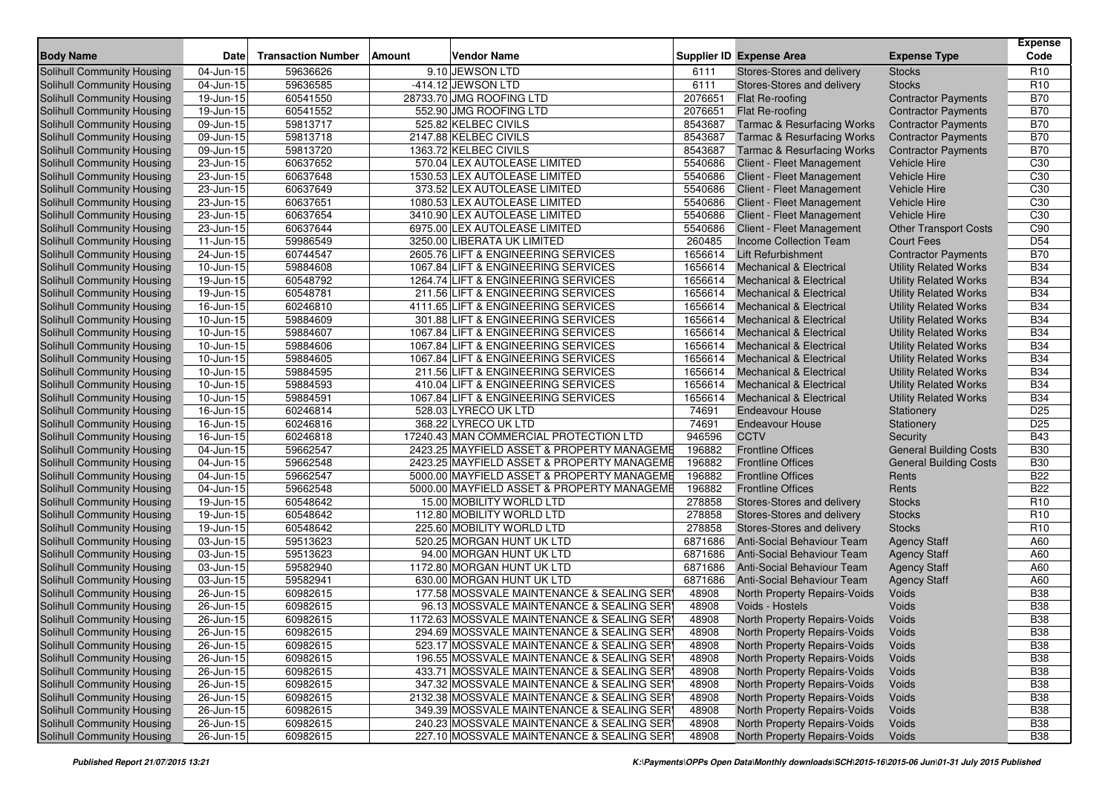| <b>Body Name</b>                                                | <b>Date</b>                | <b>Transaction Number</b> | <b>Amount</b> | <b>Vendor Name</b>                                                                      |                | <b>Supplier ID Expense Area</b>                              | <b>Expense Type</b>           | <b>Expense</b><br>Code   |
|-----------------------------------------------------------------|----------------------------|---------------------------|---------------|-----------------------------------------------------------------------------------------|----------------|--------------------------------------------------------------|-------------------------------|--------------------------|
| Solihull Community Housing                                      | 04-Jun-15                  | 59636626                  |               | 9.10 JEWSON LTD                                                                         | 6111           | Stores-Stores and delivery                                   | <b>Stocks</b>                 | R <sub>10</sub>          |
| Solihull Community Housing                                      | 04-Jun-15                  | 59636585                  |               | -414.12 JEWSON LTD                                                                      | 6111           | Stores-Stores and delivery                                   | <b>Stocks</b>                 | R <sub>10</sub>          |
| Solihull Community Housing                                      | 19-Jun-15                  | 60541550                  |               | 28733.70 JMG ROOFING LTD                                                                | 2076651        | Flat Re-roofing                                              | <b>Contractor Payments</b>    | <b>B70</b>               |
| Solihull Community Housing                                      | 19-Jun-15                  | 60541552                  |               | 552.90 JMG ROOFING LTD                                                                  | 2076651        | Flat Re-roofing                                              | <b>Contractor Payments</b>    | <b>B70</b>               |
| Solihull Community Housing                                      | 09-Jun-15                  | 59813717                  |               | 525.82 KELBEC CIVILS                                                                    | 8543687        | <b>Tarmac &amp; Resurfacing Works</b>                        | <b>Contractor Payments</b>    | <b>B70</b>               |
| Solihull Community Housing                                      | 09-Jun-15                  | 59813718                  |               | 2147.88 KELBEC CIVILS                                                                   | 8543687        | <b>Tarmac &amp; Resurfacing Works</b>                        | <b>Contractor Payments</b>    | <b>B70</b>               |
| Solihull Community Housing                                      | 09-Jun-15                  | 59813720                  |               | 1363.72 KELBEC CIVILS                                                                   | 8543687        | <b>Tarmac &amp; Resurfacing Works</b>                        | <b>Contractor Payments</b>    | <b>B70</b>               |
| Solihull Community Housing                                      | 23-Jun-15                  | 60637652                  |               | 570.04 LEX AUTOLEASE LIMITED                                                            | 5540686        | Client - Fleet Management                                    | <b>Vehicle Hire</b>           | C <sub>30</sub>          |
| Solihull Community Housing                                      | 23-Jun-15                  | 60637648                  |               | 1530.53 LEX AUTOLEASE LIMITED                                                           | 5540686        | Client - Fleet Management                                    | <b>Vehicle Hire</b>           | C30                      |
| Solihull Community Housing                                      | 23-Jun-15                  | 60637649                  |               | 373.52 LEX AUTOLEASE LIMITED                                                            | 5540686        | Client - Fleet Management                                    | <b>Vehicle Hire</b>           | C <sub>30</sub>          |
| Solihull Community Housing                                      | 23-Jun-15                  | 60637651                  |               | 1080.53 LEX AUTOLEASE LIMITED                                                           | 5540686        | Client - Fleet Management                                    | <b>Vehicle Hire</b>           | C <sub>30</sub>          |
| Solihull Community Housing                                      | $23 - Jun-15$              | 60637654                  |               | 3410.90 LEX AUTOLEASE LIMITED                                                           | 5540686        | Client - Fleet Management                                    | <b>Vehicle Hire</b>           | C30                      |
| Solihull Community Housing                                      | 23-Jun-15                  | 60637644                  |               | 6975.00 LEX AUTOLEASE LIMITED                                                           | 5540686        | Client - Fleet Management                                    | <b>Other Transport Costs</b>  | C90                      |
| Solihull Community Housing                                      | 11-Jun-15                  | 59986549                  |               | 3250.00 LIBERATA UK LIMITED                                                             | 260485         | Income Collection Team                                       | <b>Court Fees</b>             | D <sub>54</sub>          |
| Solihull Community Housing                                      | 24-Jun-15                  | 60744547                  |               | 2605.76 LIFT & ENGINEERING SERVICES                                                     | 1656614        | <b>Lift Refurbishment</b>                                    | <b>Contractor Payments</b>    | <b>B70</b>               |
| Solihull Community Housing                                      | $10$ -Jun- $\overline{15}$ | 59884608                  |               | 1067.84 LIFT & ENGINEERING SERVICES                                                     | 1656614        | <b>Mechanical &amp; Electrical</b>                           | <b>Utility Related Works</b>  | <b>B34</b>               |
| Solihull Community Housing                                      | 19-Jun-15                  | 60548792                  |               | 1264.74 LIFT & ENGINEERING SERVICES                                                     | 1656614        | <b>Mechanical &amp; Electrical</b>                           | <b>Utility Related Works</b>  | <b>B34</b>               |
| Solihull Community Housing                                      | 19-Jun-15                  | 60548781                  |               | 211.56 LIFT & ENGINEERING SERVICES                                                      | 1656614        | <b>Mechanical &amp; Electrical</b>                           | <b>Utility Related Works</b>  | <b>B34</b>               |
| Solihull Community Housing                                      | 16-Jun-15                  | 60246810                  |               | 4111.65 LIFT & ENGINEERING SERVICES                                                     | 1656614        | <b>Mechanical &amp; Electrical</b>                           | <b>Utility Related Works</b>  | <b>B34</b>               |
| Solihull Community Housing                                      | 10-Jun-15                  | 59884609                  |               | 301.88 LIFT & ENGINEERING SERVICES                                                      | 1656614        | <b>Mechanical &amp; Electrical</b>                           | <b>Utility Related Works</b>  | <b>B34</b>               |
| <b>Solihull Community Housing</b>                               | 10-Jun-15                  | 59884607                  |               | 1067.84 LIFT & ENGINEERING SERVICES                                                     | 1656614        | <b>Mechanical &amp; Electrical</b>                           | <b>Utility Related Works</b>  | <b>B34</b>               |
| Solihull Community Housing                                      | 10-Jun-15                  | 59884606                  |               | 1067.84 LIFT & ENGINEERING SERVICES                                                     | 1656614        | <b>Mechanical &amp; Electrical</b>                           | <b>Utility Related Works</b>  | <b>B34</b>               |
| Solihull Community Housing                                      | 10-Jun-15                  | 59884605                  |               | 1067.84 LIFT & ENGINEERING SERVICES                                                     | 1656614        | <b>Mechanical &amp; Electrical</b>                           | <b>Utility Related Works</b>  | <b>B34</b>               |
| Solihull Community Housing                                      | 10-Jun-15                  | 59884595                  |               | 211.56 LIFT & ENGINEERING SERVICES                                                      | 1656614        | <b>Mechanical &amp; Electrical</b>                           | <b>Utility Related Works</b>  | <b>B34</b>               |
| Solihull Community Housing                                      | 10-Jun-15                  | 59884593                  |               | 410.04 LIFT & ENGINEERING SERVICES                                                      | 1656614        | <b>Mechanical &amp; Electrical</b>                           | <b>Utility Related Works</b>  | <b>B34</b>               |
| Solihull Community Housing                                      | 10-Jun-15                  | 59884591                  |               | 1067.84 LIFT & ENGINEERING SERVICES                                                     | 1656614        | <b>Mechanical &amp; Electrical</b>                           | <b>Utility Related Works</b>  | <b>B34</b>               |
| Solihull Community Housing                                      | 16-Jun-15                  | 60246814                  |               | 528.03 LYRECO UK LTD                                                                    | 74691          | <b>Endeavour House</b>                                       | Stationery                    | D <sub>25</sub>          |
| Solihull Community Housing                                      | 16-Jun-15                  | 60246816                  |               | 368.22 LYRECO UK LTD                                                                    | 74691          | <b>Endeavour House</b>                                       | Stationery                    | D <sub>25</sub>          |
| <b>Solihull Community Housing</b>                               | 16-Jun-15                  | 60246818                  |               | 17240.43 MAN COMMERCIAL PROTECTION LTD                                                  | 946596         | <b>CCTV</b>                                                  | Security                      | <b>B43</b>               |
| Solihull Community Housing                                      | 04-Jun-15                  | 59662547                  |               | 2423.25 MAYFIELD ASSET & PROPERTY MANAGEME                                              | 196882         | <b>Frontline Offices</b>                                     | <b>General Building Costs</b> | <b>B30</b>               |
| Solihull Community Housing                                      | 04-Jun-15                  | 59662548                  |               | 2423.25 MAYFIELD ASSET & PROPERTY MANAGEME                                              | 196882         | <b>Frontline Offices</b>                                     | <b>General Building Costs</b> | <b>B30</b>               |
| Solihull Community Housing                                      | 04-Jun-15                  | 59662547                  |               | 5000.00 MAYFIELD ASSET & PROPERTY MANAGEME                                              | 196882         | <b>Frontline Offices</b>                                     | Rents                         | <b>B22</b>               |
| Solihull Community Housing                                      | 04-Jun-15                  | 59662548                  |               | 5000.00 MAYFIELD ASSET & PROPERTY MANAGEME                                              | 196882         | <b>Frontline Offices</b>                                     | Rents                         | <b>B22</b>               |
| Solihull Community Housing                                      | 19-Jun-15                  | 60548642                  |               | 15.00 MOBILITY WORLD LTD                                                                | 278858         | Stores-Stores and delivery                                   | <b>Stocks</b>                 | R <sub>10</sub>          |
| Solihull Community Housing                                      | 19-Jun-15                  | 60548642                  |               | 112.80 MOBILITY WORLD LTD                                                               | 278858         | Stores-Stores and delivery                                   | <b>Stocks</b>                 | R <sub>10</sub>          |
| Solihull Community Housing                                      | 19-Jun-15                  | 60548642                  |               | 225.60 MOBILITY WORLD LTD                                                               | 278858         | Stores-Stores and delivery                                   | <b>Stocks</b>                 | R <sub>10</sub>          |
| <b>Solihull Community Housing</b>                               | 03-Jun-15                  | 59513623                  |               | 520.25 MORGAN HUNT UK LTD                                                               | 6871686        | Anti-Social Behaviour Team                                   | <b>Agency Staff</b>           | A60                      |
| Solihull Community Housing                                      | 03-Jun-15                  | 59513623                  |               | 94.00 MORGAN HUNT UK LTD                                                                | 6871686        | <b>Anti-Social Behaviour Team</b>                            | <b>Agency Staff</b>           | A60                      |
| Solihull Community Housing                                      | 03-Jun-15                  | 59582940                  |               | 1172.80 MORGAN HUNT UK LTD                                                              | 6871686        | Anti-Social Behaviour Team                                   | <b>Agency Staff</b>           | A60                      |
| Solihull Community Housing                                      | 03-Jun-15                  | 59582941                  |               | 630.00 MORGAN HUNT UK LTD                                                               | 6871686        | <b>Anti-Social Behaviour Team</b>                            | <b>Agency Staff</b>           | A60                      |
| Solihull Community Housing                                      | 26-Jun-15                  | 60982615                  |               | 177.58 MOSSVALE MAINTENANCE & SEALING SER                                               | 48908          | North Property Repairs-Voids                                 | Voids                         | <b>B38</b>               |
| Solihull Community Housing                                      | 26-Jun-15                  | 60982615                  |               | 96.13 MOSSVALE MAINTENANCE & SEALING SER                                                | 48908          | Voids - Hostels                                              | Voids                         | <b>B38</b>               |
| Solihull Community Housing                                      | 26-Jun-15                  | 60982615                  |               | 1172.63 MOSSVALE MAINTENANCE & SEALING SER                                              | 48908          | North Property Repairs-Voids                                 | Voids                         | <b>B38</b>               |
| Solihull Community Housing                                      | $26 - Jun - 15$            | 60982615                  |               | 294.69 MOSSVALE MAINTENANCE & SEALING SER                                               | 48908          | North Property Repairs-Voids                                 | Voids                         | <b>B38</b>               |
| Solihull Community Housing                                      | $26$ -Jun-15               | 60982615                  |               | 523.17 MOSSVALE MAINTENANCE & SEALING SER                                               | 48908          | North Property Repairs-Voids                                 | Voids                         | <b>B38</b>               |
| <b>Solihull Community Housing</b><br>Solihull Community Housing | $26$ -Jun-15               | 60982615                  |               | 196.55 MOSSVALE MAINTENANCE & SEALING SER                                               | 48908          | North Property Repairs-Voids<br>North Property Repairs-Voids | Voids                         | <b>B38</b>               |
| Solihull Community Housing                                      | 26-Jun-15                  | 60982615<br>60982615      |               | 433.71 MOSSVALE MAINTENANCE & SEALING SER<br>347.32 MOSSVALE MAINTENANCE & SEALING SER  | 48908<br>48908 | North Property Repairs-Voids                                 | Voids                         | <b>B38</b><br><b>B38</b> |
| Solihull Community Housing                                      | 26-Jun-15                  |                           |               |                                                                                         | 48908          |                                                              | Voids                         | <b>B38</b>               |
| Solihull Community Housing                                      | 26-Jun-15                  | 60982615<br>60982615      |               | 2132.38 MOSSVALE MAINTENANCE & SEALING SER<br>349.39 MOSSVALE MAINTENANCE & SEALING SER |                | North Property Repairs-Voids<br>North Property Repairs-Voids | Voids                         | <b>B38</b>               |
| Solihull Community Housing                                      | 26-Jun-15                  | 60982615                  |               | 240.23 MOSSVALE MAINTENANCE & SEALING SER                                               | 48908<br>48908 | North Property Repairs-Voids                                 | Voids                         |                          |
|                                                                 | 26-Jun-15                  |                           |               |                                                                                         |                |                                                              | Voids                         | <b>B38</b>               |
| Solihull Community Housing                                      | 26-Jun-15                  | 60982615                  |               | 227.10 MOSSVALE MAINTENANCE & SEALING SERY                                              | 48908          | North Property Repairs-Voids                                 | Voids                         | <b>B38</b>               |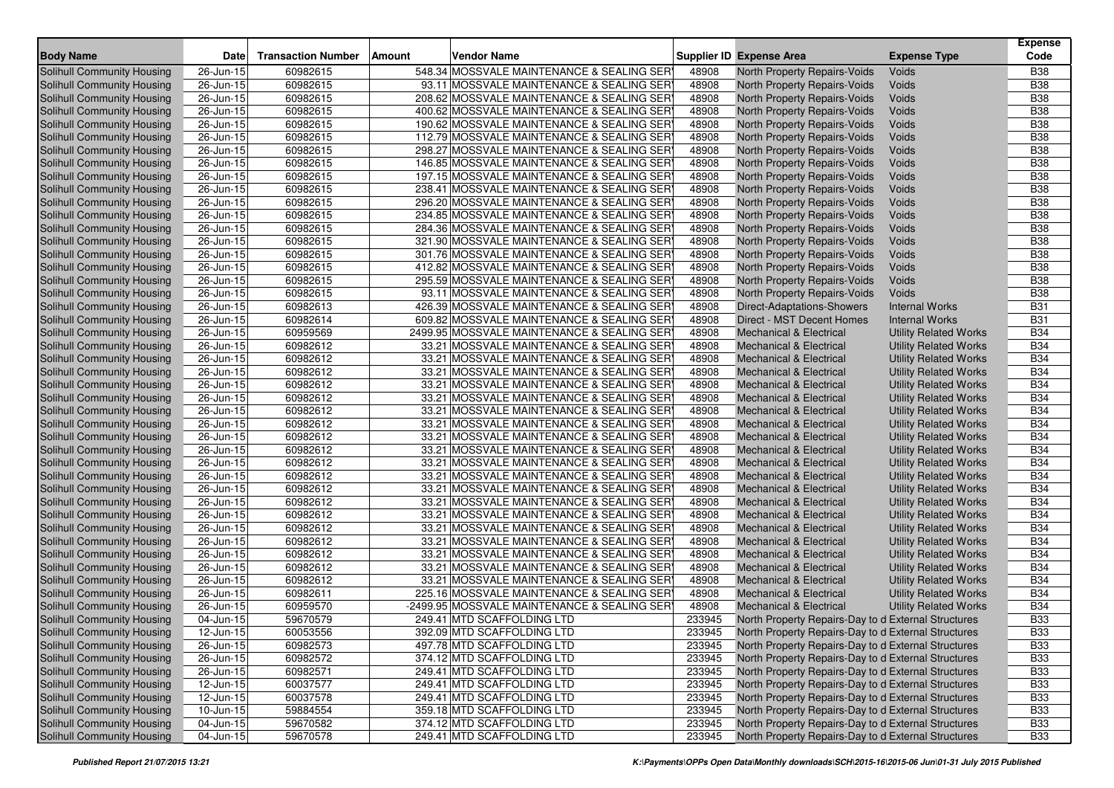| <b>Body Name</b>                  | <b>Date</b>             | <b>Transaction Number</b> | <b>Amount</b> | <b>Vendor Name</b>                          |        | <b>Supplier ID Expense Area</b>                     | <b>Expense Type</b>          | <b>Expense</b><br>Code |
|-----------------------------------|-------------------------|---------------------------|---------------|---------------------------------------------|--------|-----------------------------------------------------|------------------------------|------------------------|
| Solihull Community Housing        | 26-Jun-15               | 60982615                  |               | 548.34 MOSSVALE MAINTENANCE & SEALING SERY  | 48908  | <b>North Property Repairs-Voids</b>                 | Voids                        | <b>B38</b>             |
| Solihull Community Housing        | 26-Jun-15               | 60982615                  |               | 93.11 MOSSVALE MAINTENANCE & SEALING SER    | 48908  | North Property Repairs-Voids                        | Voids                        | <b>B38</b>             |
| Solihull Community Housing        | 26-Jun-15               | 60982615                  |               | 208.62 MOSSVALE MAINTENANCE & SEALING SER   | 48908  | North Property Repairs-Voids                        | Voids                        | <b>B38</b>             |
| <b>Solihull Community Housing</b> | 26-Jun-15               | 60982615                  |               | 400.62 MOSSVALE MAINTENANCE & SEALING SER   | 48908  | North Property Repairs-Voids                        | Voids                        | <b>B38</b>             |
| Solihull Community Housing        | 26-Jun-15               | 60982615                  |               | 190.62 MOSSVALE MAINTENANCE & SEALING SER   | 48908  | North Property Repairs-Voids                        | Voids                        | <b>B38</b>             |
| Solihull Community Housing        | 26-Jun-15               | 60982615                  |               | 112.79 MOSSVALE MAINTENANCE & SEALING SER   | 48908  | North Property Repairs-Voids                        | Voids                        | <b>B38</b>             |
| Solihull Community Housing        | 26-Jun-15               | 60982615                  |               | 298.27 MOSSVALE MAINTENANCE & SEALING SER   | 48908  | North Property Repairs-Voids                        | Voids                        | <b>B38</b>             |
| Solihull Community Housing        | $26$ -Jun- $15$         | 60982615                  |               | 146.85 MOSSVALE MAINTENANCE & SEALING SER   | 48908  | North Property Repairs-Voids                        | Voids                        | <b>B38</b>             |
| Solihull Community Housing        | 26-Jun-15               | 60982615                  |               | 197.15 MOSSVALE MAINTENANCE & SEALING SERY  | 48908  | North Property Repairs-Voids                        | Voids                        | <b>B38</b>             |
| Solihull Community Housing        | 26-Jun-15               | 60982615                  |               | 238.41 MOSSVALE MAINTENANCE & SEALING SER   | 48908  | North Property Repairs-Voids                        | Voids                        | <b>B38</b>             |
| Solihull Community Housing        | 26-Jun-15               | 60982615                  |               | 296.20 MOSSVALE MAINTENANCE & SEALING SER   | 48908  | North Property Repairs-Voids                        | Voids                        | <b>B38</b>             |
| <b>Solihull Community Housing</b> | 26-Jun-15               | 60982615                  |               | 234.85 MOSSVALE MAINTENANCE & SEALING SER   | 48908  | North Property Repairs-Voids                        | Voids                        | <b>B38</b>             |
| Solihull Community Housing        | 26-Jun-15               | 60982615                  |               | 284.36 MOSSVALE MAINTENANCE & SEALING SER   | 48908  | North Property Repairs-Voids                        | Voids                        | <b>B38</b>             |
| Solihull Community Housing        | 26-Jun-15               | 60982615                  |               | 321.90 MOSSVALE MAINTENANCE & SEALING SER   | 48908  | North Property Repairs-Voids                        | Voids                        | <b>B38</b>             |
| <b>Solihull Community Housing</b> | 26-Jun-15               | 60982615                  |               | 301.76 MOSSVALE MAINTENANCE & SEALING SER   | 48908  | North Property Repairs-Voids                        | Voids                        | <b>B38</b>             |
| Solihull Community Housing        | 26-Jun-15               | 60982615                  |               | 412.82 MOSSVALE MAINTENANCE & SEALING SER   | 48908  | North Property Repairs-Voids                        | Voids                        | <b>B38</b>             |
| Solihull Community Housing        | 26-Jun-15               | 60982615                  |               | 295.59 MOSSVALE MAINTENANCE & SEALING SER   | 48908  | North Property Repairs-Voids                        | Voids                        | <b>B38</b>             |
| Solihull Community Housing        | 26-Jun-15               | 60982615                  |               | 93.11 MOSSVALE MAINTENANCE & SEALING SER    | 48908  | North Property Repairs-Voids                        | Voids                        | <b>B38</b>             |
| Solihull Community Housing        | 26-Jun-15               | 60982613                  |               | 426.39 MOSSVALE MAINTENANCE & SEALING SER   | 48908  | Direct-Adaptations-Showers                          | <b>Internal Works</b>        | <b>B31</b>             |
| Solihull Community Housing        | 26-Jun-15               | 60982614                  |               | 609.82 MOSSVALE MAINTENANCE & SEALING SER   | 48908  | Direct - MST Decent Homes                           | <b>Internal Works</b>        | <b>B31</b>             |
| Solihull Community Housing        | 26-Jun-15               | 60959569                  |               | 2499.95 MOSSVALE MAINTENANCE & SEALING SER  | 48908  | <b>Mechanical &amp; Electrical</b>                  | <b>Utility Related Works</b> | <b>B34</b>             |
| Solihull Community Housing        | 26-Jun-15               | 60982612                  |               | 33.21 MOSSVALE MAINTENANCE & SEALING SERY   | 48908  | <b>Mechanical &amp; Electrical</b>                  | <b>Utility Related Works</b> | <b>B34</b>             |
| <b>Solihull Community Housing</b> | 26-Jun-15               | 60982612                  |               | 33.21 MOSSVALE MAINTENANCE & SEALING SERY   | 48908  | Mechanical & Electrical                             | <b>Utility Related Works</b> | <b>B34</b>             |
| <b>Solihull Community Housing</b> | 26-Jun-15               | 60982612                  |               | 33.21 MOSSVALE MAINTENANCE & SEALING SER    | 48908  | <b>Mechanical &amp; Electrical</b>                  | <b>Utility Related Works</b> | <b>B34</b>             |
| <b>Solihull Community Housing</b> | 26-Jun-15               | 60982612                  |               | 33.21 MOSSVALE MAINTENANCE & SEALING SER    | 48908  | <b>Mechanical &amp; Electrical</b>                  | <b>Utility Related Works</b> | <b>B34</b>             |
| <b>Solihull Community Housing</b> | $\overline{2}$ 6-Jun-15 | 60982612                  |               | 33.21 MOSSVALE MAINTENANCE & SEALING SER    | 48908  | <b>Mechanical &amp; Electrical</b>                  | <b>Utility Related Works</b> | <b>B34</b>             |
| <b>Solihull Community Housing</b> | 26-Jun-15               | 60982612                  |               | 33.21 MOSSVALE MAINTENANCE & SEALING SER    | 48908  | <b>Mechanical &amp; Electrical</b>                  | <b>Utility Related Works</b> | <b>B34</b>             |
| <b>Solihull Community Housing</b> | 26-Jun-15               | 60982612                  |               | 33.21 MOSSVALE MAINTENANCE & SEALING SER    | 48908  | Mechanical & Electrical                             | <b>Utility Related Works</b> | <b>B34</b>             |
| <b>Solihull Community Housing</b> | 26-Jun-15               | 60982612                  |               | 33.21 MOSSVALE MAINTENANCE & SEALING SER    | 48908  | <b>Mechanical &amp; Electrical</b>                  | <b>Utility Related Works</b> | <b>B34</b>             |
| <b>Solihull Community Housing</b> | 26-Jun-15               | 60982612                  |               | 33.21 MOSSVALE MAINTENANCE & SEALING SER    | 48908  | <b>Mechanical &amp; Electrical</b>                  | <b>Utility Related Works</b> | <b>B34</b>             |
| Solihull Community Housing        | 26-Jun-15               | 60982612                  |               | 33.21 MOSSVALE MAINTENANCE & SEALING SER    | 48908  | Mechanical & Electrical                             | <b>Utility Related Works</b> | <b>B34</b>             |
| Solihull Community Housing        | 26-Jun-15               | 60982612                  |               | 33.21 MOSSVALE MAINTENANCE & SEALING SER    | 48908  | Mechanical & Electrical                             | <b>Utility Related Works</b> | <b>B34</b>             |
| <b>Solihull Community Housing</b> | 26-Jun-15               | 60982612                  |               | 33.21 MOSSVALE MAINTENANCE & SEALING SER    | 48908  | <b>Mechanical &amp; Electrical</b>                  | <b>Utility Related Works</b> | <b>B34</b>             |
| <b>Solihull Community Housing</b> | 26-Jun-15               | 60982612                  |               | 33.21 MOSSVALE MAINTENANCE & SEALING SER    | 48908  | Mechanical & Electrical                             | <b>Utility Related Works</b> | <b>B34</b>             |
| <b>Solihull Community Housing</b> | 26-Jun-15               | 60982612                  |               | 33.21 MOSSVALE MAINTENANCE & SEALING SER    | 48908  | <b>Mechanical &amp; Electrical</b>                  | <b>Utility Related Works</b> | <b>B34</b>             |
| Solihull Community Housing        | 26-Jun-15               | 60982612                  |               | 33.21 MOSSVALE MAINTENANCE & SEALING SER    | 48908  | Mechanical & Electrical                             | <b>Utility Related Works</b> | <b>B34</b>             |
| <b>Solihull Community Housing</b> | 26-Jun-15               | 60982612                  |               | 33.21 MOSSVALE MAINTENANCE & SEALING SER    | 48908  | <b>Mechanical &amp; Electrical</b>                  | <b>Utility Related Works</b> | <b>B34</b>             |
| Solihull Community Housing        | 26-Jun-15               | 60982612                  |               | 33.21 MOSSVALE MAINTENANCE & SEALING SER    | 48908  | Mechanical & Electrical                             | <b>Utility Related Works</b> | <b>B34</b>             |
| <b>Solihull Community Housing</b> | 26-Jun-15               | 60982612                  |               | 33.21 MOSSVALE MAINTENANCE & SEALING SER    | 48908  | <b>Mechanical &amp; Electrical</b>                  | <b>Utility Related Works</b> | <b>B34</b>             |
| <b>Solihull Community Housing</b> | 26-Jun-15               | 60982612                  |               | 33.21 MOSSVALE MAINTENANCE & SEALING SER    | 48908  | Mechanical & Electrical                             | <b>Utility Related Works</b> | <b>B34</b>             |
| Solihull Community Housing        | 26-Jun-15               | 60982611                  |               | 225.16 MOSSVALE MAINTENANCE & SEALING SER   | 48908  | <b>Mechanical &amp; Electrical</b>                  | <b>Utility Related Works</b> | <b>B34</b>             |
| Solihull Community Housing        | 26-Jun-15               | 60959570                  |               | -2499.95 MOSSVALE MAINTENANCE & SEALING SER | 48908  | <b>Mechanical &amp; Electrical</b>                  | <b>Utility Related Works</b> | <b>B34</b>             |
| Solihull Community Housing        | 04-Jun-15               | 59670579                  |               | 249.41 MTD SCAFFOLDING LTD                  | 233945 | North Property Repairs-Day to d External Structures |                              | <b>B33</b>             |
| Solihull Community Housing        | $12$ -Jun-15            | 60053556                  |               | 392.09 MTD SCAFFOLDING LTD                  | 233945 | North Property Repairs-Day to d External Structures |                              | <b>B33</b>             |
| Solihull Community Housing        | $\overline{26}$ -Jun-15 | 60982573                  |               | 497.78 MTD SCAFFOLDING LTD                  | 233945 | North Property Repairs-Day to d External Structures |                              | <b>B33</b>             |
| Solihull Community Housing        | $\overline{26}$ -Jun-15 | 60982572                  |               | 374.12 MTD SCAFFOLDING LTD                  | 233945 | North Property Repairs-Day to d External Structures |                              | <b>B33</b>             |
| Solihull Community Housing        | 26-Jun-15               | 60982571                  |               | 249.41 MTD SCAFFOLDING LTD                  | 233945 | North Property Repairs-Day to d External Structures |                              | <b>B33</b>             |
| Solihull Community Housing        | $12$ -Jun-15            | 60037577                  |               | 249.41 MTD SCAFFOLDING LTD                  | 233945 | North Property Repairs-Day to d External Structures |                              | <b>B33</b>             |
| <b>Solihull Community Housing</b> | 12-Jun-15               | 60037578                  |               | 249.41 MTD SCAFFOLDING LTD                  | 233945 | North Property Repairs-Day to d External Structures |                              | <b>B33</b>             |
| Solihull Community Housing        | 10-Jun-15               | 59884554                  |               | 359.18 MTD SCAFFOLDING LTD                  | 233945 | North Property Repairs-Day to d External Structures |                              | <b>B33</b>             |
| Solihull Community Housing        | $04$ -Jun-15            | 59670582                  |               | 374.12 MTD SCAFFOLDING LTD                  | 233945 | North Property Repairs-Day to d External Structures |                              | <b>B33</b>             |
| Solihull Community Housing        | 04-Jun-15               | 59670578                  |               | 249.41 MTD SCAFFOLDING LTD                  | 233945 | North Property Repairs-Day to d External Structures |                              | <b>B33</b>             |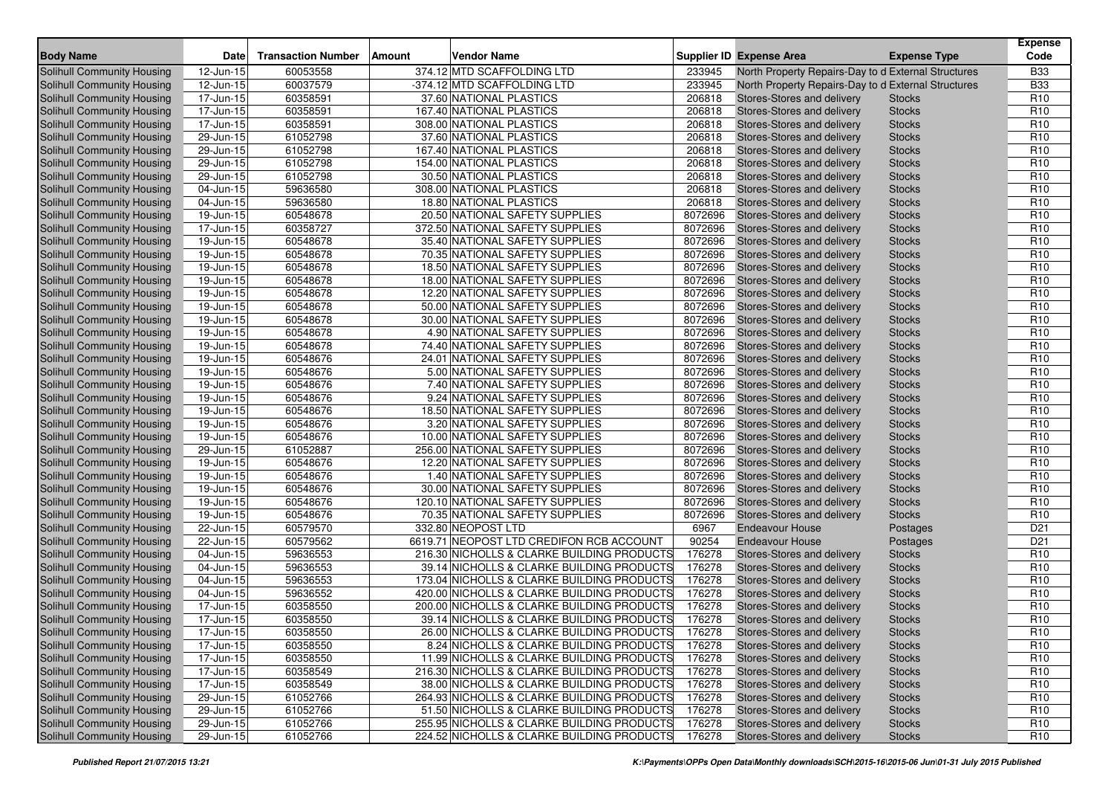| <b>Body Name</b>                  | <b>Date</b>                | <b>Transaction Number</b> | <b>Amount</b> | <b>Vendor Name</b>                         |         | <b>Supplier ID Expense Area</b>                     | <b>Expense Type</b> | <b>Expense</b><br>Code |
|-----------------------------------|----------------------------|---------------------------|---------------|--------------------------------------------|---------|-----------------------------------------------------|---------------------|------------------------|
| <b>Solihull Community Housing</b> | 12-Jun-15                  | 60053558                  |               | 374.12 MTD SCAFFOLDING LTD                 | 233945  | North Property Repairs-Day to d External Structures |                     | <b>B33</b>             |
| Solihull Community Housing        | 12-Jun-15                  | 60037579                  |               | -374.12 MTD SCAFFOLDING LTD                | 233945  | North Property Repairs-Day to d External Structures |                     | <b>B33</b>             |
| Solihull Community Housing        | 17-Jun-15                  | 60358591                  |               | 37.60 NATIONAL PLASTICS                    | 206818  | Stores-Stores and delivery                          | <b>Stocks</b>       | R <sub>10</sub>        |
| Solihull Community Housing        | 17-Jun-15                  | 60358591                  |               | 167.40 NATIONAL PLASTICS                   | 206818  | Stores-Stores and delivery                          | <b>Stocks</b>       | R <sub>10</sub>        |
| Solihull Community Housing        | 17-Jun-15                  | 60358591                  |               | 308.00 NATIONAL PLASTICS                   | 206818  | Stores-Stores and delivery                          | <b>Stocks</b>       | R <sub>10</sub>        |
| Solihull Community Housing        | 29-Jun-15                  | 61052798                  |               | 37.60 NATIONAL PLASTICS                    | 206818  | Stores-Stores and delivery                          | <b>Stocks</b>       | R <sub>10</sub>        |
| Solihull Community Housing        | 29-Jun-15                  | 61052798                  |               | 167.40 NATIONAL PLASTICS                   | 206818  | Stores-Stores and delivery                          | <b>Stocks</b>       | R <sub>10</sub>        |
| Solihull Community Housing        | 29-Jun-15                  | 61052798                  |               | 154.00 NATIONAL PLASTICS                   | 206818  | Stores-Stores and delivery                          | <b>Stocks</b>       | R <sub>10</sub>        |
| Solihull Community Housing        | 29-Jun-15                  | 61052798                  |               | 30.50 NATIONAL PLASTICS                    | 206818  | Stores-Stores and delivery                          | <b>Stocks</b>       | R <sub>10</sub>        |
| Solihull Community Housing        | 04-Jun-15                  | 59636580                  |               | 308.00 NATIONAL PLASTICS                   | 206818  | Stores-Stores and delivery                          | <b>Stocks</b>       | R <sub>10</sub>        |
| Solihull Community Housing        | 04-Jun-15                  | 59636580                  |               | 18.80 NATIONAL PLASTICS                    | 206818  | Stores-Stores and delivery                          | <b>Stocks</b>       | R <sub>10</sub>        |
| Solihull Community Housing        | 19-Jun-15                  | 60548678                  |               | 20.50 NATIONAL SAFETY SUPPLIES             | 8072696 | Stores-Stores and delivery                          | <b>Stocks</b>       | R <sub>10</sub>        |
| Solihull Community Housing        | 17-Jun-15                  | 60358727                  |               | 372.50 NATIONAL SAFETY SUPPLIES            | 8072696 | Stores-Stores and delivery                          | <b>Stocks</b>       | R <sub>10</sub>        |
| <b>Solihull Community Housing</b> | 19-Jun-15                  | 60548678                  |               | 35.40 NATIONAL SAFETY SUPPLIES             | 8072696 | Stores-Stores and delivery                          | <b>Stocks</b>       | R <sub>10</sub>        |
| Solihull Community Housing        | 19-Jun-15                  | 60548678                  |               | 70.35 NATIONAL SAFETY SUPPLIES             | 8072696 | Stores-Stores and delivery                          | <b>Stocks</b>       | R <sub>10</sub>        |
| Solihull Community Housing        | 19-Jun-15                  | 60548678                  |               | 18.50 NATIONAL SAFETY SUPPLIES             | 8072696 | Stores-Stores and delivery                          | <b>Stocks</b>       | R <sub>10</sub>        |
| Solihull Community Housing        | 19-Jun-15                  | 60548678                  |               | 18.00 NATIONAL SAFETY SUPPLIES             | 8072696 | Stores-Stores and delivery                          | <b>Stocks</b>       | R <sub>10</sub>        |
| Solihull Community Housing        | 19-Jun-15                  | 60548678                  |               | 12.20 NATIONAL SAFETY SUPPLIES             | 8072696 | Stores-Stores and delivery                          | <b>Stocks</b>       | R <sub>10</sub>        |
| <b>Solihull Community Housing</b> | 19-Jun-15                  | 60548678                  |               | 50.00 NATIONAL SAFETY SUPPLIES             | 8072696 | Stores-Stores and delivery                          | <b>Stocks</b>       | R <sub>10</sub>        |
| Solihull Community Housing        | 19-Jun-15                  | 60548678                  |               | 30.00 NATIONAL SAFETY SUPPLIES             | 8072696 | Stores-Stores and delivery                          | <b>Stocks</b>       | R <sub>10</sub>        |
| <b>Solihull Community Housing</b> | 19-Jun-15                  | 60548678                  |               | 4.90 NATIONAL SAFETY SUPPLIES              | 8072696 | Stores-Stores and delivery                          | <b>Stocks</b>       | R <sub>10</sub>        |
| <b>Solihull Community Housing</b> | $19$ -Jun- $\overline{15}$ | 60548678                  |               | 74.40 NATIONAL SAFETY SUPPLIES             | 8072696 | Stores-Stores and delivery                          | <b>Stocks</b>       | R <sub>10</sub>        |
| Solihull Community Housing        | 19-Jun-15                  | 60548676                  |               | 24.01 NATIONAL SAFETY SUPPLIES             | 8072696 | Stores-Stores and delivery                          | <b>Stocks</b>       | R <sub>10</sub>        |
| Solihull Community Housing        | $19$ -Jun-15               | 60548676                  |               | 5.00 NATIONAL SAFETY SUPPLIES              | 8072696 | Stores-Stores and delivery                          | <b>Stocks</b>       | R <sub>10</sub>        |
| Solihull Community Housing        | 19-Jun-15                  | 60548676                  |               | 7.40 NATIONAL SAFETY SUPPLIES              | 8072696 | Stores-Stores and delivery                          | <b>Stocks</b>       | R <sub>10</sub>        |
| Solihull Community Housing        | 19-Jun-15                  | 60548676                  |               | 9.24 NATIONAL SAFETY SUPPLIES              | 8072696 | Stores-Stores and delivery                          | <b>Stocks</b>       | R <sub>10</sub>        |
| Solihull Community Housing        | $19$ -Jun-15               | 60548676                  |               | 18.50 NATIONAL SAFETY SUPPLIES             | 8072696 | Stores-Stores and delivery                          | <b>Stocks</b>       | R <sub>10</sub>        |
| Solihull Community Housing        | 19-Jun-15                  | 60548676                  |               | 3.20 NATIONAL SAFETY SUPPLIES              | 8072696 | Stores-Stores and delivery                          | <b>Stocks</b>       | R <sub>10</sub>        |
| <b>Solihull Community Housing</b> | 19-Jun-15                  | 60548676                  |               | 10.00 NATIONAL SAFETY SUPPLIES             | 8072696 | Stores-Stores and delivery                          | <b>Stocks</b>       | R <sub>10</sub>        |
| Solihull Community Housing        | 29-Jun-15                  | 61052887                  |               | 256.00 NATIONAL SAFETY SUPPLIES            | 8072696 | Stores-Stores and delivery                          | <b>Stocks</b>       | R <sub>10</sub>        |
| Solihull Community Housing        | 19-Jun-15                  | 60548676                  |               | 12.20 NATIONAL SAFETY SUPPLIES             | 8072696 | Stores-Stores and delivery                          | <b>Stocks</b>       | R <sub>10</sub>        |
| Solihull Community Housing        | 19-Jun-15                  | 60548676                  |               | 1.40 NATIONAL SAFETY SUPPLIES              | 8072696 | Stores-Stores and delivery                          | <b>Stocks</b>       | R <sub>10</sub>        |
| Solihull Community Housing        | 19-Jun-15                  | 60548676                  |               | 30.00 NATIONAL SAFETY SUPPLIES             | 8072696 | Stores-Stores and delivery                          | <b>Stocks</b>       | R <sub>10</sub>        |
| Solihull Community Housing        | 19-Jun-15                  | 60548676                  |               | 120.10 NATIONAL SAFETY SUPPLIES            | 8072696 | Stores-Stores and delivery                          | <b>Stocks</b>       | R <sub>10</sub>        |
| Solihull Community Housing        | 19-Jun-15                  | 60548676                  |               | 70.35 NATIONAL SAFETY SUPPLIES             | 8072696 | Stores-Stores and delivery                          | <b>Stocks</b>       | R <sub>10</sub>        |
| Solihull Community Housing        | 22-Jun-15                  | 60579570                  |               | 332.80 NEOPOST LTD                         | 6967    | <b>Endeavour House</b>                              | Postages            | D <sub>21</sub>        |
| Solihull Community Housing        | 22-Jun-15                  | 60579562                  |               | 6619.71 NEOPOST LTD CREDIFON RCB ACCOUNT   | 90254   | <b>Endeavour House</b>                              | Postages            | D <sub>21</sub>        |
| Solihull Community Housing        | 04-Jun-15                  | 59636553                  |               | 216.30 NICHOLLS & CLARKE BUILDING PRODUCTS | 176278  | Stores-Stores and delivery                          | <b>Stocks</b>       | R <sub>10</sub>        |
| <b>Solihull Community Housing</b> | 04-Jun-15                  | 59636553                  |               | 39.14 NICHOLLS & CLARKE BUILDING PRODUCTS  | 176278  | Stores-Stores and delivery                          | <b>Stocks</b>       | R <sub>10</sub>        |
| Solihull Community Housing        | 04-Jun-15                  | 59636553                  |               | 173.04 NICHOLLS & CLARKE BUILDING PRODUCTS | 176278  | Stores-Stores and delivery                          | <b>Stocks</b>       | R <sub>10</sub>        |
| Solihull Community Housing        | 04-Jun-15                  | 59636552                  |               | 420.00 NICHOLLS & CLARKE BUILDING PRODUCTS | 176278  | Stores-Stores and delivery                          | <b>Stocks</b>       | R <sub>10</sub>        |
| Solihull Community Housing        | 17-Jun-15                  | 60358550                  |               | 200.00 NICHOLLS & CLARKE BUILDING PRODUCTS | 176278  | Stores-Stores and delivery                          | <b>Stocks</b>       | R <sub>10</sub>        |
| Solihull Community Housing        | 17-Jun-15                  | 60358550                  |               | 39.14 NICHOLLS & CLARKE BUILDING PRODUCTS  | 176278  | Stores-Stores and delivery                          | <b>Stocks</b>       | R <sub>10</sub>        |
| Solihull Community Housing        | 17-Jun-15                  | 60358550                  |               | 26.00 NICHOLLS & CLARKE BUILDING PRODUCTS  | 176278  | Stores-Stores and delivery                          | Stocks              | R <sub>10</sub>        |
| Solihull Community Housing        | 17-Jun-15                  | 60358550                  |               | 8.24 NICHOLLS & CLARKE BUILDING PRODUCTS   | 176278  | Stores-Stores and delivery                          | <b>Stocks</b>       | R <sub>10</sub>        |
| Solihull Community Housing        | $\overline{17}$ -Jun-15    | 60358550                  |               | 11.99 NICHOLLS & CLARKE BUILDING PRODUCTS  | 176278  | Stores-Stores and delivery                          | <b>Stocks</b>       | R <sub>10</sub>        |
| <b>Solihull Community Housing</b> | 17-Jun-15                  | 60358549                  |               | 216.30 NICHOLLS & CLARKE BUILDING PRODUCTS | 176278  | Stores-Stores and delivery                          | <b>Stocks</b>       | R <sub>10</sub>        |
| Solihull Community Housing        | 17-Jun-15                  | 60358549                  |               | 38.00 NICHOLLS & CLARKE BUILDING PRODUCTS  | 176278  | Stores-Stores and delivery                          | <b>Stocks</b>       | R <sub>10</sub>        |
| Solihull Community Housing        | 29-Jun-15                  | 61052766                  |               | 264.93 NICHOLLS & CLARKE BUILDING PRODUCTS | 176278  | Stores-Stores and delivery                          | <b>Stocks</b>       | R <sub>10</sub>        |
| Solihull Community Housing        | 29-Jun-15                  | 61052766                  |               | 51.50 NICHOLLS & CLARKE BUILDING PRODUCTS  | 176278  | Stores-Stores and delivery                          | <b>Stocks</b>       | R <sub>10</sub>        |
| Solihull Community Housing        | 29-Jun-15                  | 61052766                  |               | 255.95 NICHOLLS & CLARKE BUILDING PRODUCTS | 176278  | Stores-Stores and delivery                          | <b>Stocks</b>       | R <sub>10</sub>        |
| Solihull Community Housing        | 29-Jun-15                  | 61052766                  |               | 224.52 NICHOLLS & CLARKE BUILDING PRODUCTS | 176278  | Stores-Stores and delivery                          | <b>Stocks</b>       | R <sub>10</sub>        |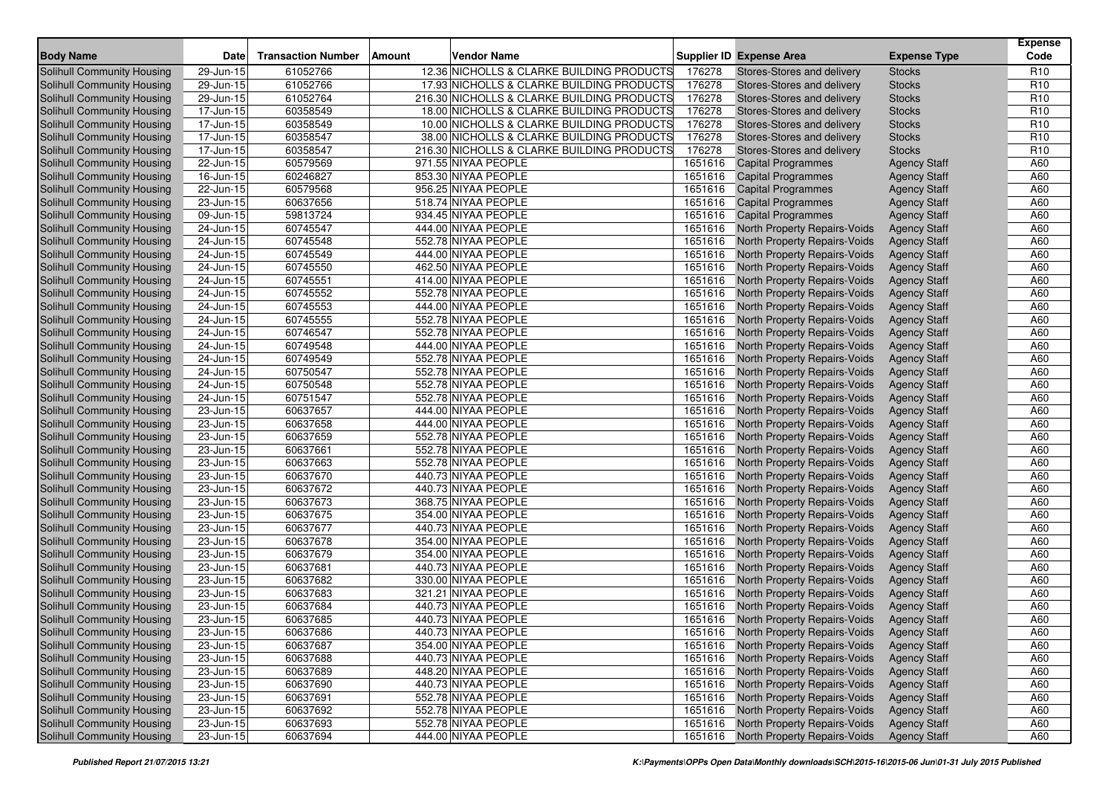| <b>Body Name</b>                  |                         |                           | Amount |                                            |         |                                      |                     | <b>Expense</b><br>Code |
|-----------------------------------|-------------------------|---------------------------|--------|--------------------------------------------|---------|--------------------------------------|---------------------|------------------------|
|                                   | <b>Date</b>             | <b>Transaction Number</b> |        | <b>Vendor Name</b>                         |         | <b>Supplier ID Expense Area</b>      | <b>Expense Type</b> |                        |
| <b>Solihull Community Housing</b> | 29-Jun-15               | 61052766                  |        | 12.36 NICHOLLS & CLARKE BUILDING PRODUCTS  | 176278  | Stores-Stores and delivery           | <b>Stocks</b>       | R <sub>10</sub>        |
| Solihull Community Housing        | 29-Jun-15               | 61052766                  |        | 17.93 NICHOLLS & CLARKE BUILDING PRODUCTS  | 176278  | Stores-Stores and delivery           | <b>Stocks</b>       | R <sub>10</sub>        |
| Solihull Community Housing        | 29-Jun-15               | 61052764                  |        | 216.30 NICHOLLS & CLARKE BUILDING PRODUCTS | 176278  | Stores-Stores and delivery           | <b>Stocks</b>       | R <sub>10</sub>        |
| Solihull Community Housing        | 17-Jun-15               | 60358549                  |        | 18.00 NICHOLLS & CLARKE BUILDING PRODUCTS  | 176278  | Stores-Stores and delivery           | <b>Stocks</b>       | R <sub>10</sub>        |
| Solihull Community Housing        | 17-Jun-15               | 60358549                  |        | 10.00 NICHOLLS & CLARKE BUILDING PRODUCTS  | 176278  | Stores-Stores and delivery           | <b>Stocks</b>       | R <sub>10</sub>        |
| Solihull Community Housing        | 17-Jun-15               | 60358547                  |        | 38.00 NICHOLLS & CLARKE BUILDING PRODUCTS  | 176278  | Stores-Stores and delivery           | <b>Stocks</b>       | R <sub>10</sub>        |
| Solihull Community Housing        | 17-Jun-15               | 60358547                  |        | 216.30 NICHOLLS & CLARKE BUILDING PRODUCTS | 176278  | Stores-Stores and delivery           | <b>Stocks</b>       | R <sub>10</sub>        |
| Solihull Community Housing        | 22-Jun-15               | 60579569                  |        | 971.55 NIYAA PEOPLE                        | 1651616 | <b>Capital Programmes</b>            | <b>Agency Staff</b> | A60                    |
| Solihull Community Housing        | 16-Jun-15               | 60246827                  |        | 853.30 NIYAA PEOPLE                        | 1651616 | <b>Capital Programmes</b>            | <b>Agency Staff</b> | A60                    |
| <b>Solihull Community Housing</b> | 22-Jun-15               | 60579568                  |        | 956.25 NIYAA PEOPLE                        | 1651616 | <b>Capital Programmes</b>            | <b>Agency Staff</b> | A60                    |
| Solihull Community Housing        | 23-Jun-15               | 60637656                  |        | 518.74 NIYAA PEOPLE                        | 1651616 | <b>Capital Programmes</b>            | <b>Agency Staff</b> | A60                    |
| Solihull Community Housing        | 09-Jun-15               | 59813724                  |        | 934.45 NIYAA PEOPLE                        | 1651616 | <b>Capital Programmes</b>            | <b>Agency Staff</b> | A60                    |
| Solihull Community Housing        | 24-Jun-15               | 60745547                  |        | 444.00 NIYAA PEOPLE                        | 1651616 | North Property Repairs-Voids         | <b>Agency Staff</b> | A60                    |
| Solihull Community Housing        | 24-Jun-15               | 60745548                  |        | 552.78 NIYAA PEOPLE                        | 1651616 | North Property Repairs-Voids         | <b>Agency Staff</b> | A60                    |
| <b>Solihull Community Housing</b> | 24-Jun-15               | 60745549                  |        | 444.00 NIYAA PEOPLE                        | 1651616 | North Property Repairs-Voids         | <b>Agency Staff</b> | A60                    |
| Solihull Community Housing        | 24-Jun-15               | 60745550                  |        | 462.50 NIYAA PEOPLE                        | 1651616 | North Property Repairs-Voids         | <b>Agency Staff</b> | A60                    |
| Solihull Community Housing        | 24-Jun-15               | 60745551                  |        | 414.00 NIYAA PEOPLE                        | 1651616 | North Property Repairs-Voids         | <b>Agency Staff</b> | A60                    |
| Solihull Community Housing        | 24-Jun-15               | 60745552                  |        | 552.78 NIYAA PEOPLE                        | 1651616 | North Property Repairs-Voids         | <b>Agency Staff</b> | A60                    |
| Solihull Community Housing        | 24-Jun-15               | 60745553                  |        | 444.00 NIYAA PEOPLE                        | 1651616 | North Property Repairs-Voids         | <b>Agency Staff</b> | A60                    |
| Solihull Community Housing        | 24-Jun-15               | 60745555                  |        | 552.78 NIYAA PEOPLE                        | 1651616 | North Property Repairs-Voids         | <b>Agency Staff</b> | A60                    |
| <b>Solihull Community Housing</b> | 24-Jun-15               | 60746547                  |        | 552.78 NIYAA PEOPLE                        | 1651616 | North Property Repairs-Voids         | <b>Agency Staff</b> | A60                    |
| Solihull Community Housing        | 24-Jun-15               | 60749548                  |        | 444.00 NIYAA PEOPLE                        | 1651616 | North Property Repairs-Voids         | <b>Agency Staff</b> | A60                    |
| Solihull Community Housing        | 24-Jun-15               | 60749549                  |        | 552.78 NIYAA PEOPLE                        | 1651616 | North Property Repairs-Voids         | <b>Agency Staff</b> | A60                    |
| <b>Solihull Community Housing</b> | 24-Jun-15               | 60750547                  |        | 552.78 NIYAA PEOPLE                        | 1651616 | North Property Repairs-Voids         | <b>Agency Staff</b> | A60                    |
| Solihull Community Housing        | 24-Jun-15               | 60750548                  |        | 552.78 NIYAA PEOPLE                        | 1651616 | North Property Repairs-Voids         | <b>Agency Staff</b> | A60                    |
| Solihull Community Housing        | 24-Jun-15               | 60751547                  |        | 552.78 NIYAA PEOPLE                        | 1651616 | North Property Repairs-Voids         | <b>Agency Staff</b> | A60                    |
| <b>Solihull Community Housing</b> | 23-Jun-15               | 60637657                  |        | 444.00 NIYAA PEOPLE                        | 1651616 | North Property Repairs-Voids         | <b>Agency Staff</b> | A60                    |
| Solihull Community Housing        | 23-Jun-15               | 60637658                  |        | 444.00 NIYAA PEOPLE                        | 1651616 | North Property Repairs-Voids         | <b>Agency Staff</b> | A60                    |
| Solihull Community Housing        | $23$ -Jun-15            | 60637659                  |        | 552.78 NIYAA PEOPLE                        | 1651616 | North Property Repairs-Voids         | <b>Agency Staff</b> | A60                    |
| <b>Solihull Community Housing</b> | 23-Jun-15               | 60637661                  |        | 552.78 NIYAA PEOPLE                        | 1651616 | North Property Repairs-Voids         | <b>Agency Staff</b> | A60                    |
| Solihull Community Housing        | 23-Jun-15               | 60637663                  |        | 552.78 NIYAA PEOPLE                        | 1651616 | North Property Repairs-Voids         | <b>Agency Staff</b> | A60                    |
| Solihull Community Housing        | 23-Jun-15               | 60637670                  |        | 440.73 NIYAA PEOPLE                        | 1651616 | North Property Repairs-Voids         | <b>Agency Staff</b> | A60                    |
| Solihull Community Housing        | 23-Jun-15               | 60637672                  |        | 440.73 NIYAA PEOPLE                        | 1651616 | North Property Repairs-Voids         | <b>Agency Staff</b> | A60                    |
| Solihull Community Housing        | 23-Jun-15               | 60637673                  |        | 368.75 NIYAA PEOPLE                        | 1651616 | North Property Repairs-Voids         | <b>Agency Staff</b> | A60                    |
| Solihull Community Housing        | 23-Jun-15               | 60637675                  |        | 354.00 NIYAA PEOPLE                        | 1651616 | North Property Repairs-Voids         | <b>Agency Staff</b> | A60                    |
| Solihull Community Housing        | 23-Jun-15               | 60637677                  |        | 440.73 NIYAA PEOPLE                        | 1651616 | North Property Repairs-Voids         | <b>Agency Staff</b> | A60                    |
| Solihull Community Housing        | 23-Jun-15               | 60637678                  |        | 354.00 NIYAA PEOPLE                        | 1651616 | North Property Repairs-Voids         | <b>Agency Staff</b> | A60                    |
| Solihull Community Housing        | 23-Jun-15               | 60637679                  |        | 354.00 NIYAA PEOPLE                        | 1651616 | North Property Repairs-Voids         | <b>Agency Staff</b> | A60                    |
| Solihull Community Housing        | 23-Jun-15               | 60637681                  |        | 440.73 NIYAA PEOPLE                        | 1651616 | North Property Repairs-Voids         | <b>Agency Staff</b> | A60                    |
| <b>Solihull Community Housing</b> | 23-Jun-15               | 60637682                  |        | 330.00 NIYAA PEOPLE                        | 1651616 | North Property Repairs-Voids         | <b>Agency Staff</b> | A60                    |
| <b>Solihull Community Housing</b> | 23-Jun-15               | 60637683                  |        | 321.21 NIYAA PEOPLE                        | 1651616 | North Property Repairs-Voids         | <b>Agency Staff</b> | A60                    |
| Solihull Community Housing        | 23-Jun-15               | 60637684                  |        | 440.73 NIYAA PEOPLE                        | 1651616 | North Property Repairs-Voids         | <b>Agency Staff</b> | A60                    |
| Solihull Community Housing        | 23-Jun-15               | 60637685                  |        | 440.73 NIYAA PEOPLE                        | 1651616 | North Property Repairs-Voids         | <b>Agency Staff</b> | A60                    |
| Solihull Community Housing        | 23-Jun-15               | 60637686                  |        | 440.73 NIYAA PEOPLE                        |         | 1651616 North Property Repairs-Voids | <b>Agency Staff</b> | A60                    |
| <b>Solihull Community Housing</b> | 23-Jun-15               | 60637687                  |        | 354.00 NIYAA PEOPLE                        |         | 1651616 North Property Repairs-Voids | <b>Agency Staff</b> | A60                    |
| Solihull Community Housing        | $\overline{2}3$ -Jun-15 | 60637688                  |        | 440.73 NIYAA PEOPLE                        | 1651616 | North Property Repairs-Voids         | <b>Agency Staff</b> | A60                    |
| <b>Solihull Community Housing</b> | 23-Jun-15               | 60637689                  |        | 448.20 NIYAA PEOPLE                        |         | 1651616 North Property Repairs-Voids | <b>Agency Staff</b> | A60                    |
| Solihull Community Housing        | $23$ -Jun-15            | 60637690                  |        | 440.73 NIYAA PEOPLE                        | 1651616 | North Property Repairs-Voids         | <b>Agency Staff</b> | A60                    |
| Solihull Community Housing        | 23-Jun-15               | 60637691                  |        | 552.78 NIYAA PEOPLE                        | 1651616 | North Property Repairs-Voids         | <b>Agency Staff</b> | A60                    |
| <b>Solihull Community Housing</b> | 23-Jun-15               | 60637692                  |        | 552.78 NIYAA PEOPLE                        | 1651616 | North Property Repairs-Voids         | <b>Agency Staff</b> | A60                    |
| <b>Solihull Community Housing</b> | $23$ -Jun-15            | 60637693                  |        | 552.78 NIYAA PEOPLE                        | 1651616 | North Property Repairs-Voids         | <b>Agency Staff</b> | A60                    |
| <b>Solihull Community Housing</b> | 23-Jun-15               | 60637694                  |        | 444.00 NIYAA PEOPLE                        | 1651616 | <b>North Property Repairs-Voids</b>  | <b>Agency Staff</b> | A60                    |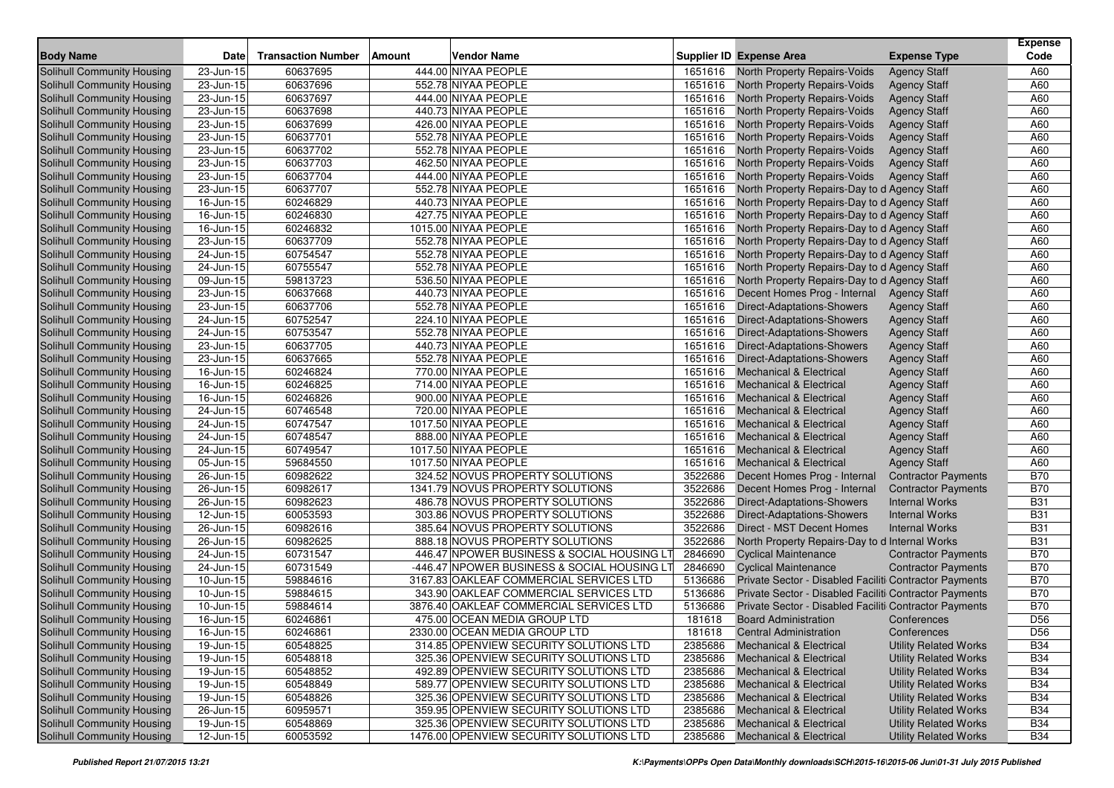|                                   |                         |                           |               |                                             |         |                                                        |                              | <b>Expense</b>  |
|-----------------------------------|-------------------------|---------------------------|---------------|---------------------------------------------|---------|--------------------------------------------------------|------------------------------|-----------------|
| <b>Body Name</b>                  | <b>Date</b>             | <b>Transaction Number</b> | <b>Amount</b> | Vendor Name                                 |         | <b>Supplier ID Expense Area</b>                        | <b>Expense Type</b>          | Code            |
| <b>Solihull Community Housing</b> | 23-Jun-15               | 60637695                  |               | 444.00 NIYAA PEOPLE                         | 1651616 | North Property Repairs-Voids                           | <b>Agency Staff</b>          | A60             |
| Solihull Community Housing        | 23-Jun-15               | 60637696                  |               | 552.78 NIYAA PEOPLE                         | 1651616 | North Property Repairs-Voids                           | <b>Agency Staff</b>          | A60             |
| Solihull Community Housing        | 23-Jun-15               | 60637697                  |               | 444.00 NIYAA PEOPLE                         | 1651616 | North Property Repairs-Voids                           | <b>Agency Staff</b>          | A60             |
| Solihull Community Housing        | 23-Jun-15               | 60637698                  |               | 440.73 NIYAA PEOPLE                         | 1651616 | North Property Repairs-Voids                           | <b>Agency Staff</b>          | A60             |
| Solihull Community Housing        | 23-Jun-15               | 60637699                  |               | 426.00 NIYAA PEOPLE                         | 1651616 | North Property Repairs-Voids                           | <b>Agency Staff</b>          | A60             |
| Solihull Community Housing        | 23-Jun-15               | 60637701                  |               | 552.78 NIYAA PEOPLE                         | 1651616 | North Property Repairs-Voids                           | <b>Agency Staff</b>          | A60             |
| Solihull Community Housing        | 23-Jun-15               | 60637702                  |               | 552.78 NIYAA PEOPLE                         | 1651616 | North Property Repairs-Voids                           | <b>Agency Staff</b>          | A60             |
| Solihull Community Housing        | 23-Jun-15               | 60637703                  |               | 462.50 NIYAA PEOPLE                         | 1651616 | North Property Repairs-Voids                           | <b>Agency Staff</b>          | A60             |
| Solihull Community Housing        | 23-Jun-15               | 60637704                  |               | 444.00 NIYAA PEOPLE                         | 1651616 | North Property Repairs-Voids                           | <b>Agency Staff</b>          | A60             |
| Solihull Community Housing        | $23$ -Jun-15            | 60637707                  |               | 552.78 NIYAA PEOPLE                         | 1651616 | North Property Repairs-Day to d Agency Staff           |                              | A60             |
| Solihull Community Housing        | 16-Jun-15               | 60246829                  |               | 440.73 NIYAA PEOPLE                         | 1651616 | North Property Repairs-Day to d Agency Staff           |                              | A60             |
| <b>Solihull Community Housing</b> | $16$ -Jun-15            | 60246830                  |               | 427.75 NIYAA PEOPLE                         | 1651616 | North Property Repairs-Day to d Agency Staff           |                              | A60             |
| Solihull Community Housing        | 16-Jun-15               | 60246832                  |               | 1015.00 NIYAA PEOPLE                        | 1651616 | North Property Repairs-Day to d Agency Staff           |                              | A60             |
| Solihull Community Housing        | 23-Jun-15               | 60637709                  |               | 552.78 NIYAA PEOPLE                         | 1651616 | North Property Repairs-Day to d Agency Staff           |                              | A60             |
| <b>Solihull Community Housing</b> | 24-Jun-15               | 60754547                  |               | 552.78 NIYAA PEOPLE                         | 1651616 | North Property Repairs-Day to d Agency Staff           |                              | A60             |
| Solihull Community Housing        | 24-Jun-15               | 60755547                  |               | 552.78 NIYAA PEOPLE                         | 1651616 | North Property Repairs-Day to d Agency Staff           |                              | A60             |
| <b>Solihull Community Housing</b> | 09-Jun-15               | 59813723                  |               | 536.50 NIYAA PEOPLE                         | 1651616 | North Property Repairs-Day to d Agency Staff           |                              | A60             |
| <b>Solihull Community Housing</b> | 23-Jun-15               | 60637668                  |               | 440.73 NIYAA PEOPLE                         | 1651616 | Decent Homes Prog - Internal                           | <b>Agency Staff</b>          | A60             |
| Solihull Community Housing        | 23-Jun-15               | 60637706                  |               | 552.78 NIYAA PEOPLE                         | 1651616 | Direct-Adaptations-Showers                             | <b>Agency Staff</b>          | A60             |
| Solihull Community Housing        | 24-Jun-15               | 60752547                  |               | 224.10 NIYAA PEOPLE                         | 1651616 | <b>Direct-Adaptations-Showers</b>                      | <b>Agency Staff</b>          | A60             |
| <b>Solihull Community Housing</b> | 24-Jun-15               | 60753547                  |               | 552.78 NIYAA PEOPLE                         | 1651616 | Direct-Adaptations-Showers                             | <b>Agency Staff</b>          | A60             |
| Solihull Community Housing        | 23-Jun-15               | 60637705                  |               | 440.73 NIYAA PEOPLE                         | 1651616 | Direct-Adaptations-Showers                             | <b>Agency Staff</b>          | A60             |
| <b>Solihull Community Housing</b> | 23-Jun-15               | 60637665                  |               | 552.78 NIYAA PEOPLE                         | 1651616 | <b>Direct-Adaptations-Showers</b>                      | <b>Agency Staff</b>          | A60             |
| Solihull Community Housing        | $16$ -Jun-15            | 60246824                  |               | 770.00 NIYAA PEOPLE                         | 1651616 | <b>Mechanical &amp; Electrical</b>                     | <b>Agency Staff</b>          | A60             |
| Solihull Community Housing        | 16-Jun-15               | 60246825                  |               | 714.00 NIYAA PEOPLE                         | 1651616 | <b>Mechanical &amp; Electrical</b>                     | <b>Agency Staff</b>          | A60             |
| <b>Solihull Community Housing</b> | 16-Jun-15               | 60246826                  |               | 900.00 NIYAA PEOPLE                         | 1651616 | <b>Mechanical &amp; Electrical</b>                     | <b>Agency Staff</b>          | A60             |
| Solihull Community Housing        | 24-Jun-15               | 60746548                  |               | 720.00 NIYAA PEOPLE                         | 1651616 | <b>Mechanical &amp; Electrical</b>                     | <b>Agency Staff</b>          | A60             |
| Solihull Community Housing        | 24-Jun-15               | 60747547                  |               | 1017.50 NIYAA PEOPLE                        | 1651616 | <b>Mechanical &amp; Electrical</b>                     | <b>Agency Staff</b>          | A60             |
| Solihull Community Housing        | 24-Jun-15               | 60748547                  |               | 888.00 NIYAA PEOPLE                         | 1651616 | <b>Mechanical &amp; Electrical</b>                     | <b>Agency Staff</b>          | A60             |
| Solihull Community Housing        | 24-Jun-15               | 60749547                  |               | 1017.50 NIYAA PEOPLE                        | 1651616 | <b>Mechanical &amp; Electrical</b>                     | <b>Agency Staff</b>          | A60             |
| Solihull Community Housing        | 05-Jun-15               | 59684550                  |               | 1017.50 NIYAA PEOPLE                        | 1651616 | <b>Mechanical &amp; Electrical</b>                     | <b>Agency Staff</b>          | A60             |
| Solihull Community Housing        | 26-Jun-15               | 60982622                  |               | 324.52 NOVUS PROPERTY SOLUTIONS             | 3522686 | Decent Homes Prog - Internal                           | <b>Contractor Payments</b>   | <b>B70</b>      |
| Solihull Community Housing        | 26-Jun-15               | 60982617                  |               | 1341.79 NOVUS PROPERTY SOLUTIONS            | 3522686 | Decent Homes Prog - Internal                           | <b>Contractor Payments</b>   | <b>B70</b>      |
| Solihull Community Housing        | 26-Jun-15               | 60982623                  |               | 486.78 NOVUS PROPERTY SOLUTIONS             | 3522686 | Direct-Adaptations-Showers                             | <b>Internal Works</b>        | <b>B31</b>      |
| Solihull Community Housing        | 12-Jun-15               | 60053593                  |               | 303.86 NOVUS PROPERTY SOLUTIONS             | 3522686 | <b>Direct-Adaptations-Showers</b>                      | <b>Internal Works</b>        | <b>B31</b>      |
| Solihull Community Housing        | 26-Jun-15               | 60982616                  |               | 385.64 NOVUS PROPERTY SOLUTIONS             | 3522686 | Direct - MST Decent Homes                              | <b>Internal Works</b>        | <b>B31</b>      |
| Solihull Community Housing        | $\overline{26}$ -Jun-15 | 60982625                  |               | 888.18 NOVUS PROPERTY SOLUTIONS             | 3522686 | North Property Repairs-Day to d Internal Works         |                              | <b>B31</b>      |
| Solihull Community Housing        | 24-Jun-15               | 60731547                  |               | 446.47 NPOWER BUSINESS & SOCIAL HOUSING LT  | 2846690 | <b>Cyclical Maintenance</b>                            | <b>Contractor Payments</b>   | <b>B70</b>      |
| Solihull Community Housing        | 24-Jun-15               | 60731549                  |               | -446.47 NPOWER BUSINESS & SOCIAL HOUSING LT | 2846690 | <b>Cyclical Maintenance</b>                            | <b>Contractor Payments</b>   | <b>B70</b>      |
| <b>Solihull Community Housing</b> | $10$ -Jun-15            | 59884616                  |               | 3167.83 OAKLEAF COMMERCIAL SERVICES LTD     | 5136686 | Private Sector - Disabled Faciliti Contractor Payments |                              | <b>B70</b>      |
| Solihull Community Housing        | $10$ -Jun-15            | 59884615                  |               | 343.90 OAKLEAF COMMERCIAL SERVICES LTD      | 5136686 | Private Sector - Disabled Faciliti Contractor Payments |                              | <b>B70</b>      |
| Solihull Community Housing        | $10$ -Jun-15            | 59884614                  |               | 3876.40 OAKLEAF COMMERCIAL SERVICES LTD     | 5136686 | Private Sector - Disabled Faciliti Contractor Payments |                              | <b>B70</b>      |
| Solihull Community Housing        | 16-Jun-15               | 60246861                  |               | 475.00 OCEAN MEDIA GROUP LTD                | 181618  | <b>Board Administration</b>                            | Conferences                  | D <sub>56</sub> |
| Solihull Community Housing        | $16$ -Jun-15            | 60246861                  |               | 2330.00 OCEAN MEDIA GROUP LTD               | 181618  | <b>Central Administration</b>                          | Conferences                  | D <sub>56</sub> |
| Solihull Community Housing        | 19-Jun-15               | 60548825                  |               | 314.85 OPENVIEW SECURITY SOLUTIONS LTD      | 2385686 | <b>Mechanical &amp; Electrical</b>                     | <b>Utility Related Works</b> | <b>B34</b>      |
| Solihull Community Housing        | 19-Jun-15               | 60548818                  |               | 325.36 OPENVIEW SECURITY SOLUTIONS LTD      | 2385686 | <b>Mechanical &amp; Electrical</b>                     | <b>Utility Related Works</b> | <b>B34</b>      |
| Solihull Community Housing        | 19-Jun-15               | 60548852                  |               | 492.89 OPENVIEW SECURITY SOLUTIONS LTD      | 2385686 | <b>Mechanical &amp; Electrical</b>                     | <b>Utility Related Works</b> | <b>B34</b>      |
| Solihull Community Housing        | 19-Jun-15               | 60548849                  |               | 589.77 OPENVIEW SECURITY SOLUTIONS LTD      | 2385686 | Mechanical & Electrical                                | <b>Utility Related Works</b> | <b>B34</b>      |
| Solihull Community Housing        | 19-Jun-15               | 60548826                  |               | 325.36 OPENVIEW SECURITY SOLUTIONS LTD      | 2385686 | <b>Mechanical &amp; Electrical</b>                     | <b>Utility Related Works</b> | <b>B34</b>      |
| <b>Solihull Community Housing</b> | 26-Jun-15               | 60959571                  |               | 359.95 OPENVIEW SECURITY SOLUTIONS LTD      | 2385686 | <b>Mechanical &amp; Electrical</b>                     | <b>Utility Related Works</b> | <b>B34</b>      |
| Solihull Community Housing        | 19-Jun-15               | 60548869                  |               | 325.36 OPENVIEW SECURITY SOLUTIONS LTD      | 2385686 | Mechanical & Electrical                                | <b>Utility Related Works</b> | <b>B34</b>      |
| Solihull Community Housing        | 12-Jun-15               | 60053592                  |               | 1476.00 OPENVIEW SECURITY SOLUTIONS LTD     | 2385686 | <b>Mechanical &amp; Electrical</b>                     | <b>Utility Related Works</b> | <b>B34</b>      |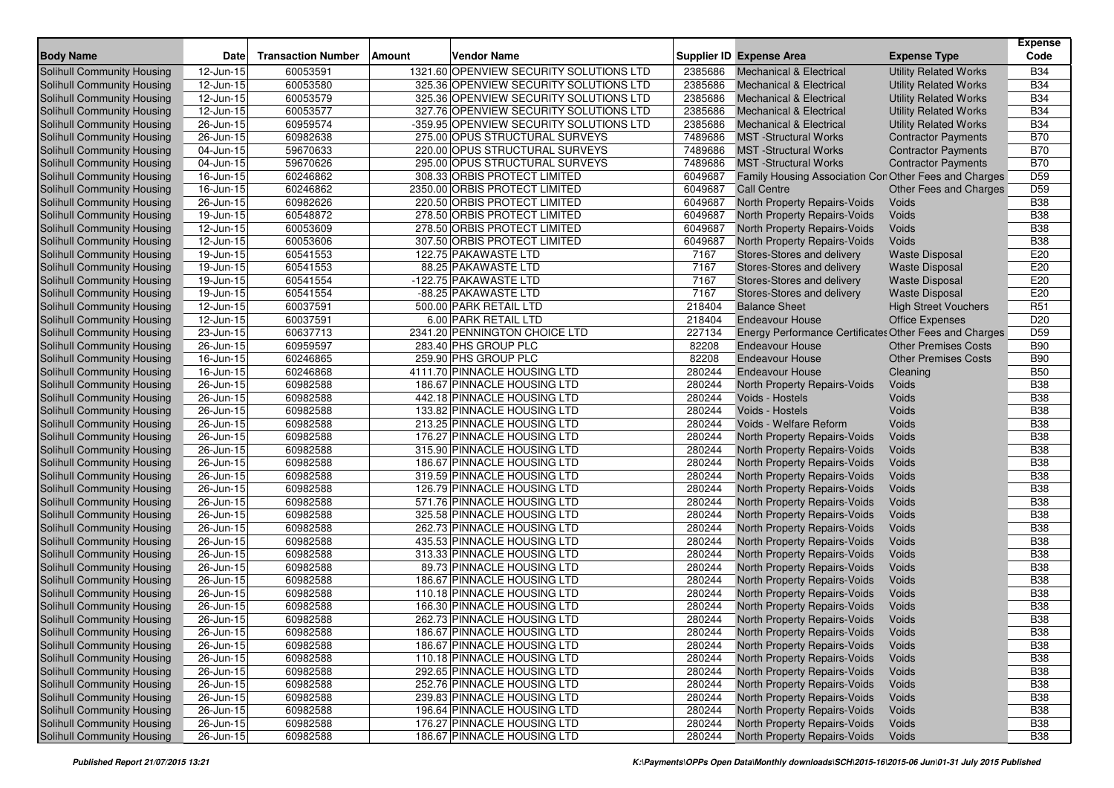| <b>Body Name</b>                                                | <b>Date</b>               | <b>Transaction Number</b> | Amount | Vendor Name                                           |                | <b>Supplier ID Expense Area</b>                        | <b>Expense Type</b>          | <b>Expense</b><br>Code |
|-----------------------------------------------------------------|---------------------------|---------------------------|--------|-------------------------------------------------------|----------------|--------------------------------------------------------|------------------------------|------------------------|
| Solihull Community Housing                                      | $12$ -Jun-15              | 60053591                  |        | 1321.60 OPENVIEW SECURITY SOLUTIONS LTD               | 2385686        | <b>Mechanical &amp; Electrical</b>                     | <b>Utility Related Works</b> | <b>B34</b>             |
| Solihull Community Housing                                      | 12-Jun-15                 | 60053580                  |        | 325.36 OPENVIEW SECURITY SOLUTIONS LTD                | 2385686        | <b>Mechanical &amp; Electrical</b>                     | <b>Utility Related Works</b> | <b>B34</b>             |
| Solihull Community Housing                                      | 12-Jun-15                 | 60053579                  |        | 325.36 OPENVIEW SECURITY SOLUTIONS LTD                | 2385686        | <b>Mechanical &amp; Electrical</b>                     | <b>Utility Related Works</b> | <b>B34</b>             |
| Solihull Community Housing                                      | $12$ -Jun-15              | 60053577                  |        | 327.76 OPENVIEW SECURITY SOLUTIONS LTD                | 2385686        | <b>Mechanical &amp; Electrical</b>                     | <b>Utility Related Works</b> | <b>B34</b>             |
| Solihull Community Housing                                      | 26-Jun-15                 | 60959574                  |        | -359.95 OPENVIEW SECURITY SOLUTIONS LTD               | 2385686        | <b>Mechanical &amp; Electrical</b>                     | <b>Utility Related Works</b> | <b>B34</b>             |
| Solihull Community Housing                                      | 26-Jun-15                 | 60982638                  |        | 275.00 OPUS STRUCTURAL SURVEYS                        | 7489686        | <b>MST</b> -Structural Works                           | <b>Contractor Payments</b>   | <b>B70</b>             |
| Solihull Community Housing                                      | 04-Jun-15                 | 59670633                  |        | 220.00 OPUS STRUCTURAL SURVEYS                        | 7489686        | <b>MST</b> -Structural Works                           | <b>Contractor Payments</b>   | <b>B70</b>             |
| Solihull Community Housing                                      | 04-Jun-15                 | 59670626                  |        | 295.00 OPUS STRUCTURAL SURVEYS                        | 7489686        | <b>MST</b> -Structural Works                           | <b>Contractor Payments</b>   | <b>B70</b>             |
| Solihull Community Housing                                      | 16-Jun-15                 | 60246862                  |        | 308.33 ORBIS PROTECT LIMITED                          | 6049687        | Family Housing Association Con Other Fees and Charges  |                              | D <sub>59</sub>        |
| <b>Solihull Community Housing</b>                               | 16-Jun-15                 | 60246862                  |        | 2350.00 ORBIS PROTECT LIMITED                         | 6049687        | <b>Call Centre</b>                                     | Other Fees and Charges       | D <sub>59</sub>        |
| Solihull Community Housing                                      | 26-Jun-15                 | 60982626                  |        | 220.50 ORBIS PROTECT LIMITED                          | 6049687        | North Property Repairs-Voids                           | Voids                        | <b>B38</b>             |
| Solihull Community Housing                                      | 19-Jun-15                 | 60548872                  |        | 278.50 ORBIS PROTECT LIMITED                          | 6049687        | North Property Repairs-Voids                           | Voids                        | <b>B38</b>             |
| <b>Solihull Community Housing</b>                               | 12-Jun-15                 | 60053609                  |        | 278.50 ORBIS PROTECT LIMITED                          | 6049687        | North Property Repairs-Voids                           | Voids                        | <b>B38</b>             |
| Solihull Community Housing                                      | 12-Jun-15                 | 60053606                  |        | 307.50 ORBIS PROTECT LIMITED                          | 6049687        | North Property Repairs-Voids                           | Voids                        | <b>B38</b>             |
| <b>Solihull Community Housing</b>                               | 19-Jun-15                 | 60541553                  |        | 122.75 PAKAWASTE LTD                                  | 7167           | Stores-Stores and delivery                             | <b>Waste Disposal</b>        | E20                    |
| Solihull Community Housing                                      | $19 - Jun - 15$           | 60541553                  |        | 88.25 PAKAWASTE LTD                                   | 7167           | Stores-Stores and delivery                             | <b>Waste Disposal</b>        | E20                    |
| Solihull Community Housing                                      | 19-Jun-15                 | 60541554                  |        | -122.75 PAKAWASTE LTD                                 | 7167           | Stores-Stores and delivery                             | <b>Waste Disposal</b>        | E20                    |
|                                                                 |                           | 60541554                  |        | -88.25 PAKAWASTE LTD                                  | 7167           | Stores-Stores and delivery                             | <b>Waste Disposal</b>        | E20                    |
| Solihull Community Housing<br><b>Solihull Community Housing</b> | 19-Jun-15<br>$12$ -Jun-15 | 60037591                  |        | 500.00 PARK RETAIL LTD                                | 218404         | <b>Balance Sheet</b>                                   |                              | <b>R51</b>             |
| Solihull Community Housing                                      | 12-Jun-15                 | 60037591                  |        | 6.00 PARK RETAIL LTD                                  | 218404         | <b>Endeavour House</b>                                 | <b>High Street Vouchers</b>  | D <sub>20</sub>        |
|                                                                 |                           | 60637713                  |        |                                                       | 227134         |                                                        | <b>Office Expenses</b>       | D <sub>59</sub>        |
| Solihull Community Housing                                      | 23-Jun-15                 | 60959597                  |        | 2341.20 PENNINGTON CHOICE LTD<br>283.40 PHS GROUP PLC |                | Energy Performance Certificates Other Fees and Charges | <b>Other Premises Costs</b>  |                        |
| Solihull Community Housing                                      | 26-Jun-15                 | 60246865                  |        |                                                       | 82208<br>82208 | <b>Endeavour House</b>                                 | <b>Other Premises Costs</b>  | <b>B90</b>             |
| Solihull Community Housing                                      | $16$ -Jun-15              |                           |        | 259.90 PHS GROUP PLC                                  |                | <b>Endeavour House</b>                                 |                              | <b>B90</b>             |
| Solihull Community Housing                                      | 16-Jun-15                 | 60246868                  |        | 4111.70 PINNACLE HOUSING LTD                          | 280244         | <b>Endeavour House</b>                                 | Cleaning                     | <b>B50</b>             |
| Solihull Community Housing                                      | 26-Jun-15                 | 60982588                  |        | 186.67 PINNACLE HOUSING LTD                           | 280244         | North Property Repairs-Voids                           | Voids                        | <b>B38</b>             |
| <b>Solihull Community Housing</b>                               | 26-Jun-15                 | 60982588                  |        | 442.18 PINNACLE HOUSING LTD                           | 280244         | Voids - Hostels                                        | Voids                        | <b>B38</b>             |
| Solihull Community Housing                                      | 26-Jun-15                 | 60982588                  |        | 133.82 PINNACLE HOUSING LTD                           | 280244         | Voids - Hostels                                        | Voids                        | <b>B38</b>             |
| Solihull Community Housing                                      | 26-Jun-15                 | 60982588                  |        | 213.25 PINNACLE HOUSING LTD                           | 280244         | Voids - Welfare Reform                                 | Voids                        | <b>B38</b>             |
| <b>Solihull Community Housing</b>                               | 26-Jun-15                 | 60982588                  |        | 176.27 PINNACLE HOUSING LTD                           | 280244         | North Property Repairs-Voids                           | Voids                        | <b>B38</b>             |
| <b>Solihull Community Housing</b>                               | 26-Jun-15                 | 60982588                  |        | 315.90 PINNACLE HOUSING LTD                           | 280244         | North Property Repairs-Voids                           | Voids                        | <b>B38</b>             |
| Solihull Community Housing                                      | 26-Jun-15                 | 60982588                  |        | 186.67 PINNACLE HOUSING LTD                           | 280244         | North Property Repairs-Voids                           | Voids                        | <b>B38</b>             |
| Solihull Community Housing                                      | 26-Jun-15                 | 60982588                  |        | 319.59 PINNACLE HOUSING LTD                           | 280244         | North Property Repairs-Voids                           | Voids                        | <b>B38</b>             |
| Solihull Community Housing                                      | 26-Jun-15                 | 60982588                  |        | 126.79 PINNACLE HOUSING LTD                           | 280244         | North Property Repairs-Voids                           | Voids                        | <b>B38</b>             |
| Solihull Community Housing                                      | 26-Jun-15                 | 60982588                  |        | 571.76 PINNACLE HOUSING LTD                           | 280244         | North Property Repairs-Voids                           | Voids                        | <b>B38</b>             |
| <b>Solihull Community Housing</b>                               | 26-Jun-15                 | 60982588                  |        | 325.58 PINNACLE HOUSING LTD                           | 280244         | North Property Repairs-Voids                           | Voids                        | <b>B38</b>             |
| Solihull Community Housing                                      | 26-Jun-15                 | 60982588                  |        | 262.73 PINNACLE HOUSING LTD                           | 280244         | North Property Repairs-Voids                           | Voids                        | <b>B38</b>             |
| <b>Solihull Community Housing</b>                               | $\overline{26}$ -Jun-15   | 60982588                  |        | 435.53 PINNACLE HOUSING LTD                           | 280244         | North Property Repairs-Voids                           | Voids                        | <b>B38</b>             |
| Solihull Community Housing                                      | 26-Jun-15                 | 60982588                  |        | 313.33 PINNACLE HOUSING LTD                           | 280244         | North Property Repairs-Voids                           | Voids                        | <b>B38</b>             |
| Solihull Community Housing                                      | 26-Jun-15                 | 60982588                  |        | 89.73 PINNACLE HOUSING LTD                            | 280244         | North Property Repairs-Voids                           | Voids                        | <b>B38</b>             |
| Solihull Community Housing                                      | 26-Jun-15                 | 60982588                  |        | 186.67 PINNACLE HOUSING LTD                           | 280244         | North Property Repairs-Voids                           | Voids                        | <b>B38</b>             |
| Solihull Community Housing                                      | 26-Jun-15                 | 60982588                  |        | 110.18 PINNACLE HOUSING LTD                           | 280244         | North Property Repairs-Voids                           | Voids                        | <b>B38</b>             |
| Solihull Community Housing                                      | 26-Jun-15                 | 60982588                  |        | 166.30 PINNACLE HOUSING LTD                           | 280244         | North Property Repairs-Voids                           | Voids                        | <b>B38</b>             |
| Solihull Community Housing                                      | 26-Jun-15                 | 60982588                  |        | 262.73 PINNACLE HOUSING LTD                           | 280244         | North Property Repairs-Voids                           | Voids                        | <b>B38</b>             |
| Solihull Community Housing                                      | $26$ -Jun-15              | 60982588                  |        | 186.67 PINNACLE HOUSING LTD                           | 280244         | North Property Repairs-Voids                           | Voids                        | <b>B38</b>             |
| Solihull Community Housing                                      | $\overline{26}$ -Jun-15   | 60982588                  |        | 186.67 PINNACLE HOUSING LTD                           | 280244         | North Property Repairs-Voids                           | Voids                        | <b>B38</b>             |
| <b>Solihull Community Housing</b>                               | 26-Jun-15                 | 60982588                  |        | 110.18 PINNACLE HOUSING LTD                           | 280244         | North Property Repairs-Voids                           | Voids                        | <b>B38</b>             |
| Solihull Community Housing                                      | 26-Jun-15                 | 60982588                  |        | 292.65 PINNACLE HOUSING LTD                           | 280244         | North Property Repairs-Voids                           | Voids                        | <b>B38</b>             |
| Solihull Community Housing                                      | 26-Jun-15                 | 60982588                  |        | 252.76 PINNACLE HOUSING LTD                           | 280244         | North Property Repairs-Voids                           | Voids                        | <b>B38</b>             |
| <b>Solihull Community Housing</b>                               | 26-Jun-15                 | 60982588                  |        | 239.83 PINNACLE HOUSING LTD                           | 280244         | North Property Repairs-Voids                           | Voids                        | <b>B38</b>             |
| Solihull Community Housing                                      | 26-Jun-15                 | 60982588                  |        | 196.64 PINNACLE HOUSING LTD                           | 280244         | North Property Repairs-Voids                           | Voids                        | <b>B38</b>             |
| Solihull Community Housing                                      | 26-Jun-15                 | 60982588                  |        | 176.27 PINNACLE HOUSING LTD                           | 280244         | North Property Repairs-Voids                           | Voids                        | <b>B38</b>             |
| Solihull Community Housing                                      | 26-Jun-15                 | 60982588                  |        | 186.67 PINNACLE HOUSING LTD                           | 280244         | North Property Repairs-Voids                           | Voids                        | <b>B38</b>             |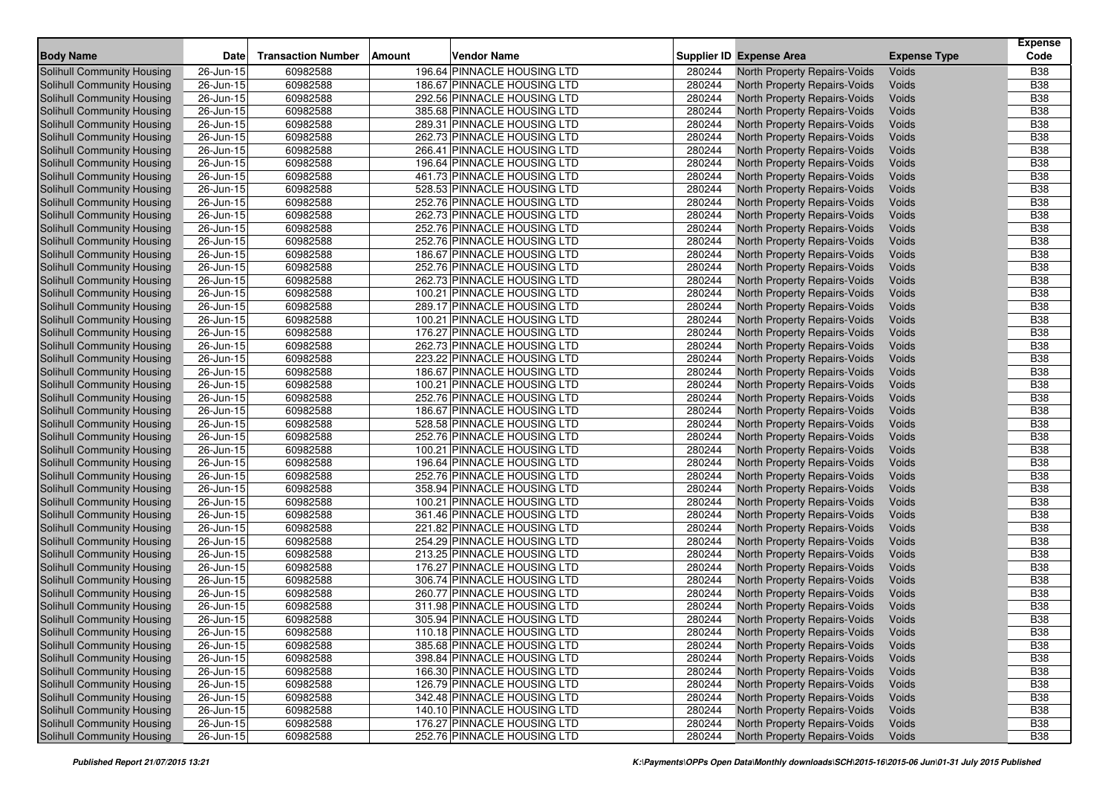| <b>Supplier ID Expense Area</b><br>Solihull Community Housing<br>196.64 PINNACLE HOUSING LTD<br>North Property Repairs-Voids<br><b>B38</b><br>26-Jun-15<br>60982588<br>280244<br>Voids<br>60982588<br>186.67 PINNACLE HOUSING LTD<br>280244<br><b>B38</b><br>Solihull Community Housing<br>26-Jun-15<br>North Property Repairs-Voids<br>Voids<br>292.56 PINNACLE HOUSING LTD<br>280244<br>Voids<br><b>B38</b><br>Solihull Community Housing<br>26-Jun-15<br>60982588<br>North Property Repairs-Voids<br>280244<br><b>B38</b><br>Solihull Community Housing<br>26-Jun-15<br>60982588<br>385.68 PINNACLE HOUSING LTD<br>North Property Repairs-Voids<br>Voids<br>60982588<br>289.31 PINNACLE HOUSING LTD<br>280244<br>Voids<br><b>B38</b><br><b>Solihull Community Housing</b><br>26-Jun-15<br>North Property Repairs-Voids<br>60982588<br>262.73 PINNACLE HOUSING LTD<br>280244<br>Voids<br><b>B38</b><br>Solihull Community Housing<br>26-Jun-15<br>North Property Repairs-Voids<br>280244<br><b>B38</b><br>Solihull Community Housing<br>26-Jun-15<br>60982588<br>266.41 PINNACLE HOUSING LTD<br>North Property Repairs-Voids<br>Voids<br>60982588<br>280244<br>Voids<br><b>B38</b><br>Solihull Community Housing<br>26-Jun-15<br>196.64 PINNACLE HOUSING LTD<br>North Property Repairs-Voids<br>60982588<br>461.73 PINNACLE HOUSING LTD<br>280244<br><b>B38</b><br>Solihull Community Housing<br>26-Jun-15<br>North Property Repairs-Voids<br>Voids<br>280244<br>Voids<br><b>B38</b><br><b>Solihull Community Housing</b><br>60982588<br>528.53 PINNACLE HOUSING LTD<br>North Property Repairs-Voids<br>26-Jun-15<br>60982588<br>280244<br><b>B38</b><br>Solihull Community Housing<br>26-Jun-15<br>252.76 PINNACLE HOUSING LTD<br>North Property Repairs-Voids<br>Voids<br>$26$ -Jun-15<br>60982588<br>262.73 PINNACLE HOUSING LTD<br>280244<br><b>B38</b><br>Solihull Community Housing<br>North Property Repairs-Voids<br>Voids<br>60982588<br>252.76 PINNACLE HOUSING LTD<br>280244<br><b>B38</b><br>Solihull Community Housing<br>26-Jun-15<br>North Property Repairs-Voids<br>Voids<br>280244<br><b>B38</b><br>60982588<br><b>Solihull Community Housing</b><br>26-Jun-15<br>252.76 PINNACLE HOUSING LTD<br>North Property Repairs-Voids<br>Voids<br>60982588<br>186.67 PINNACLE HOUSING LTD<br>280244<br><b>B38</b><br>Solihull Community Housing<br>26-Jun-15<br>North Property Repairs-Voids<br>Voids<br>60982588<br>280244<br><b>B38</b><br>Solihull Community Housing<br>26-Jun-15<br>252.76 PINNACLE HOUSING LTD<br>North Property Repairs-Voids<br>Voids<br><b>B38</b><br>60982588<br>262.73 PINNACLE HOUSING LTD<br>280244<br>Voids<br>Solihull Community Housing<br>26-Jun-15<br>North Property Repairs-Voids<br>60982588<br>100.21 PINNACLE HOUSING LTD<br>280244<br><b>B38</b><br>Solihull Community Housing<br>26-Jun-15<br>North Property Repairs-Voids<br>Voids<br>280244<br>Voids<br><b>B38</b><br><b>Solihull Community Housing</b><br>26-Jun-15<br>60982588<br>289.17 PINNACLE HOUSING LTD<br>North Property Repairs-Voids<br>60982588<br>100.21 PINNACLE HOUSING LTD<br>280244<br><b>B38</b><br>Solihull Community Housing<br>26-Jun-15<br>North Property Repairs-Voids<br>Voids<br>60982588<br>280244<br>Voids<br><b>B38</b><br>Solihull Community Housing<br>26-Jun-15<br>176.27 PINNACLE HOUSING LTD<br>North Property Repairs-Voids<br>$26$ -Jun- $15$<br>60982588<br>262.73 PINNACLE HOUSING LTD<br>280244<br>Voids<br><b>B38</b><br><b>Solihull Community Housing</b><br>North Property Repairs-Voids<br>60982588<br>223.22 PINNACLE HOUSING LTD<br>280244<br><b>B38</b><br>Solihull Community Housing<br>26-Jun-15<br>North Property Repairs-Voids<br>Voids<br>280244<br><b>B38</b><br><b>Solihull Community Housing</b><br>26-Jun-15<br>60982588<br>186.67 PINNACLE HOUSING LTD<br>North Property Repairs-Voids<br>Voids<br><b>B38</b><br>60982588<br>100.21 PINNACLE HOUSING LTD<br>280244<br>North Property Repairs-Voids<br><b>Solihull Community Housing</b><br>26-Jun-15<br>Voids<br>252.76 PINNACLE HOUSING LTD<br>280244<br><b>B38</b><br>Solihull Community Housing<br>26-Jun-15<br>60982588<br>North Property Repairs-Voids<br>Voids<br>186.67 PINNACLE HOUSING LTD<br>280244<br><b>B38</b><br><b>Solihull Community Housing</b><br>26-Jun-15<br>60982588<br>North Property Repairs-Voids<br>Voids<br>528.58 PINNACLE HOUSING LTD<br>280244<br>Voids<br><b>B38</b><br><b>Solihull Community Housing</b><br>26-Jun-15<br>60982588<br>North Property Repairs-Voids<br><b>Solihull Community Housing</b><br>60982588<br>252.76 PINNACLE HOUSING LTD<br>280244<br><b>B38</b><br>26-Jun-15<br>North Property Repairs-Voids<br>Voids<br>280244<br>60982588<br><b>B38</b><br><b>Solihull Community Housing</b><br>26-Jun-15<br>100.21 PINNACLE HOUSING LTD<br>North Property Repairs-Voids<br>Voids<br>60982588<br>280244<br><b>B38</b><br>Solihull Community Housing<br>26-Jun-15<br>196.64 PINNACLE HOUSING LTD<br>North Property Repairs-Voids<br>Voids<br>280244<br><b>B38</b><br>Solihull Community Housing<br>60982588<br>252.76 PINNACLE HOUSING LTD<br>North Property Repairs-Voids<br>Voids<br>26-Jun-15<br><b>B</b> 38<br><b>Solihull Community Housing</b><br>60982588<br>358.94 PINNACLE HOUSING LTD<br>280244<br>Voids<br>26-Jun-15<br>North Property Repairs-Voids<br>60982588<br>100.21 PINNACLE HOUSING LTD<br>280244<br><b>B38</b><br>Solihull Community Housing<br>26-Jun-15<br>North Property Repairs-Voids<br>Voids<br>280244<br><b>B38</b><br><b>Solihull Community Housing</b><br>60982588<br>361.46 PINNACLE HOUSING LTD<br>North Property Repairs-Voids<br>Voids<br>26-Jun-15<br>60982588<br>280244<br><b>B38</b><br>Solihull Community Housing<br>26-Jun-15<br>221.82 PINNACLE HOUSING LTD<br>North Property Repairs-Voids<br>Voids<br>280244<br>60982588<br>254.29 PINNACLE HOUSING LTD<br><b>B38</b><br>Solihull Community Housing<br>26-Jun-15<br>North Property Repairs-Voids<br>Voids<br>60982588<br>280244<br><b>B38</b><br>Solihull Community Housing<br>26-Jun-15<br>213.25 PINNACLE HOUSING LTD<br>North Property Repairs-Voids<br>Voids<br>280244<br><b>B38</b><br>60982588<br>176.27 PINNACLE HOUSING LTD<br>Solihull Community Housing<br>26-Jun-15<br>North Property Repairs-Voids<br>Voids<br>60982588<br>306.74 PINNACLE HOUSING LTD<br>280244<br><b>B38</b><br><b>Solihull Community Housing</b><br>26-Jun-15<br>North Property Repairs-Voids<br>Voids<br>60982588<br>260.77 PINNACLE HOUSING LTD<br>280244<br><b>B38</b><br>Solihull Community Housing<br>26-Jun-15<br>North Property Repairs-Voids<br>Voids<br>280244<br>Voids<br><b>B38</b><br>Solihull Community Housing<br>26-Jun-15<br>60982588<br>311.98 PINNACLE HOUSING LTD<br>North Property Repairs-Voids<br>60982588<br>305.94 PINNACLE HOUSING LTD<br>280244<br>North Property Repairs-Voids<br><b>B38</b><br>Solihull Community Housing<br>26-Jun-15<br>Voids<br>$26$ -Jun-15<br>280244<br>Voids<br><b>B38</b><br>Solihull Community Housing<br>60982588<br>110.18 PINNACLE HOUSING LTD<br>North Property Repairs-Voids<br><b>B38</b><br>Solihull Community Housing<br>$\overline{26}$ -Jun-15<br>60982588<br>385.68 PINNACLE HOUSING LTD<br>280244<br>North Property Repairs-Voids<br>Voids<br><b>Solihull Community Housing</b><br>North Property Repairs-Voids<br>$\overline{2}$ 6-Jun-15<br>60982588<br>398.84 PINNACLE HOUSING LTD<br>280244<br><b>B38</b><br>Voids<br>Solihull Community Housing<br>60982588<br>166.30 PINNACLE HOUSING LTD<br>280244<br>North Property Repairs-Voids<br><b>B38</b><br>26-Jun-15<br>Voids<br>Solihull Community Housing<br>26-Jun-15<br>126.79 PINNACLE HOUSING LTD<br>280244<br>North Property Repairs-Voids<br><b>B38</b><br>60982588<br>Voids<br>Solihull Community Housing<br>26-Jun-15<br>60982588<br>342.48 PINNACLE HOUSING LTD<br>280244<br>North Property Repairs-Voids<br><b>B38</b><br>Voids<br>Solihull Community Housing<br>60982588<br>140.10 PINNACLE HOUSING LTD<br>280244<br>North Property Repairs-Voids<br><b>B38</b><br>26-Jun-15<br>Voids<br><b>Solihull Community Housing</b><br>26-Jun-15<br>176.27 PINNACLE HOUSING LTD<br>280244<br>North Property Repairs-Voids<br>60982588<br>Voids<br><b>B38</b><br>252.76 PINNACLE HOUSING LTD<br>Solihull Community Housing<br>26-Jun-15<br>60982588<br>280244<br>North Property Repairs-Voids<br><b>B38</b><br>Voids | <b>Body Name</b> | Date | <b>Transaction Number</b> | <b>Amount</b> | Vendor Name |  | <b>Expense Type</b> | <b>Expense</b><br>Code |
|----------------------------------------------------------------------------------------------------------------------------------------------------------------------------------------------------------------------------------------------------------------------------------------------------------------------------------------------------------------------------------------------------------------------------------------------------------------------------------------------------------------------------------------------------------------------------------------------------------------------------------------------------------------------------------------------------------------------------------------------------------------------------------------------------------------------------------------------------------------------------------------------------------------------------------------------------------------------------------------------------------------------------------------------------------------------------------------------------------------------------------------------------------------------------------------------------------------------------------------------------------------------------------------------------------------------------------------------------------------------------------------------------------------------------------------------------------------------------------------------------------------------------------------------------------------------------------------------------------------------------------------------------------------------------------------------------------------------------------------------------------------------------------------------------------------------------------------------------------------------------------------------------------------------------------------------------------------------------------------------------------------------------------------------------------------------------------------------------------------------------------------------------------------------------------------------------------------------------------------------------------------------------------------------------------------------------------------------------------------------------------------------------------------------------------------------------------------------------------------------------------------------------------------------------------------------------------------------------------------------------------------------------------------------------------------------------------------------------------------------------------------------------------------------------------------------------------------------------------------------------------------------------------------------------------------------------------------------------------------------------------------------------------------------------------------------------------------------------------------------------------------------------------------------------------------------------------------------------------------------------------------------------------------------------------------------------------------------------------------------------------------------------------------------------------------------------------------------------------------------------------------------------------------------------------------------------------------------------------------------------------------------------------------------------------------------------------------------------------------------------------------------------------------------------------------------------------------------------------------------------------------------------------------------------------------------------------------------------------------------------------------------------------------------------------------------------------------------------------------------------------------------------------------------------------------------------------------------------------------------------------------------------------------------------------------------------------------------------------------------------------------------------------------------------------------------------------------------------------------------------------------------------------------------------------------------------------------------------------------------------------------------------------------------------------------------------------------------------------------------------------------------------------------------------------------------------------------------------------------------------------------------------------------------------------------------------------------------------------------------------------------------------------------------------------------------------------------------------------------------------------------------------------------------------------------------------------------------------------------------------------------------------------------------------------------------------------------------------------------------------------------------------------------------------------------------------------------------------------------------------------------------------------------------------------------------------------------------------------------------------------------------------------------------------------------------------------------------------------------------------------------------------------------------------------------------------------------------------------------------------------------------------------------------------------------------------------------------------------------------------------------------------------------------------------------------------------------------------------------------------------------------------------------------------------------------------------------------------------------------------------------------------------------------------------------------------------------------------------------------------------------------------------------------------------------------------------------------------------------------------------------------------------------------------------------------------------------------------------------------------------------------------------------------------------------------------------------------------------------------------------------------------------------------------------------------------------------------------------------------------------------------------------------------------------------------------------------------------------------------------------------------------------------------------------------------------------------------------------------------------------------------------------------------------------------------------------------------------------------------------------------------------------------------------------------------------------------------------------------------------------------------------------------------------------------------------------------------------------------------------------------------------------------------------------------------------------------------------------------------------------------------------------------------------------------------------------------------------------------------------------------------------------------------------------------------------------------------------------------------------------------------------------------------------------------------------------------------------------------------------------------------------------------------------------------------------------------------------------------------------------------------------------------------------------------------------------------------------------------------------------------------------------------------------------------------------------------------------------------------|------------------|------|---------------------------|---------------|-------------|--|---------------------|------------------------|
|                                                                                                                                                                                                                                                                                                                                                                                                                                                                                                                                                                                                                                                                                                                                                                                                                                                                                                                                                                                                                                                                                                                                                                                                                                                                                                                                                                                                                                                                                                                                                                                                                                                                                                                                                                                                                                                                                                                                                                                                                                                                                                                                                                                                                                                                                                                                                                                                                                                                                                                                                                                                                                                                                                                                                                                                                                                                                                                                                                                                                                                                                                                                                                                                                                                                                                                                                                                                                                                                                                                                                                                                                                                                                                                                                                                                                                                                                                                                                                                                                                                                                                                                                                                                                                                                                                                                                                                                                                                                                                                                                                                                                                                                                                                                                                                                                                                                                                                                                                                                                                                                                                                                                                                                                                                                                                                                                                                                                                                                                                                                                                                                                                                                                                                                                                                                                                                                                                                                                                                                                                                                                                                                                                                                                                                                                                                                                                                                                                                                                                                                                                                                                                                                                                                                                                                                                                                                                                                                                                                                                                                                                                                                                                                                                                                                                                                                                                                                                                                                                                                                                                                                                                                                                                                                                                                                                                                                                                                                                                                                                                                                                                                                                                                                                                                                                                                                                                      |                  |      |                           |               |             |  |                     |                        |
|                                                                                                                                                                                                                                                                                                                                                                                                                                                                                                                                                                                                                                                                                                                                                                                                                                                                                                                                                                                                                                                                                                                                                                                                                                                                                                                                                                                                                                                                                                                                                                                                                                                                                                                                                                                                                                                                                                                                                                                                                                                                                                                                                                                                                                                                                                                                                                                                                                                                                                                                                                                                                                                                                                                                                                                                                                                                                                                                                                                                                                                                                                                                                                                                                                                                                                                                                                                                                                                                                                                                                                                                                                                                                                                                                                                                                                                                                                                                                                                                                                                                                                                                                                                                                                                                                                                                                                                                                                                                                                                                                                                                                                                                                                                                                                                                                                                                                                                                                                                                                                                                                                                                                                                                                                                                                                                                                                                                                                                                                                                                                                                                                                                                                                                                                                                                                                                                                                                                                                                                                                                                                                                                                                                                                                                                                                                                                                                                                                                                                                                                                                                                                                                                                                                                                                                                                                                                                                                                                                                                                                                                                                                                                                                                                                                                                                                                                                                                                                                                                                                                                                                                                                                                                                                                                                                                                                                                                                                                                                                                                                                                                                                                                                                                                                                                                                                                                                      |                  |      |                           |               |             |  |                     |                        |
|                                                                                                                                                                                                                                                                                                                                                                                                                                                                                                                                                                                                                                                                                                                                                                                                                                                                                                                                                                                                                                                                                                                                                                                                                                                                                                                                                                                                                                                                                                                                                                                                                                                                                                                                                                                                                                                                                                                                                                                                                                                                                                                                                                                                                                                                                                                                                                                                                                                                                                                                                                                                                                                                                                                                                                                                                                                                                                                                                                                                                                                                                                                                                                                                                                                                                                                                                                                                                                                                                                                                                                                                                                                                                                                                                                                                                                                                                                                                                                                                                                                                                                                                                                                                                                                                                                                                                                                                                                                                                                                                                                                                                                                                                                                                                                                                                                                                                                                                                                                                                                                                                                                                                                                                                                                                                                                                                                                                                                                                                                                                                                                                                                                                                                                                                                                                                                                                                                                                                                                                                                                                                                                                                                                                                                                                                                                                                                                                                                                                                                                                                                                                                                                                                                                                                                                                                                                                                                                                                                                                                                                                                                                                                                                                                                                                                                                                                                                                                                                                                                                                                                                                                                                                                                                                                                                                                                                                                                                                                                                                                                                                                                                                                                                                                                                                                                                                                                      |                  |      |                           |               |             |  |                     |                        |
|                                                                                                                                                                                                                                                                                                                                                                                                                                                                                                                                                                                                                                                                                                                                                                                                                                                                                                                                                                                                                                                                                                                                                                                                                                                                                                                                                                                                                                                                                                                                                                                                                                                                                                                                                                                                                                                                                                                                                                                                                                                                                                                                                                                                                                                                                                                                                                                                                                                                                                                                                                                                                                                                                                                                                                                                                                                                                                                                                                                                                                                                                                                                                                                                                                                                                                                                                                                                                                                                                                                                                                                                                                                                                                                                                                                                                                                                                                                                                                                                                                                                                                                                                                                                                                                                                                                                                                                                                                                                                                                                                                                                                                                                                                                                                                                                                                                                                                                                                                                                                                                                                                                                                                                                                                                                                                                                                                                                                                                                                                                                                                                                                                                                                                                                                                                                                                                                                                                                                                                                                                                                                                                                                                                                                                                                                                                                                                                                                                                                                                                                                                                                                                                                                                                                                                                                                                                                                                                                                                                                                                                                                                                                                                                                                                                                                                                                                                                                                                                                                                                                                                                                                                                                                                                                                                                                                                                                                                                                                                                                                                                                                                                                                                                                                                                                                                                                                                      |                  |      |                           |               |             |  |                     |                        |
|                                                                                                                                                                                                                                                                                                                                                                                                                                                                                                                                                                                                                                                                                                                                                                                                                                                                                                                                                                                                                                                                                                                                                                                                                                                                                                                                                                                                                                                                                                                                                                                                                                                                                                                                                                                                                                                                                                                                                                                                                                                                                                                                                                                                                                                                                                                                                                                                                                                                                                                                                                                                                                                                                                                                                                                                                                                                                                                                                                                                                                                                                                                                                                                                                                                                                                                                                                                                                                                                                                                                                                                                                                                                                                                                                                                                                                                                                                                                                                                                                                                                                                                                                                                                                                                                                                                                                                                                                                                                                                                                                                                                                                                                                                                                                                                                                                                                                                                                                                                                                                                                                                                                                                                                                                                                                                                                                                                                                                                                                                                                                                                                                                                                                                                                                                                                                                                                                                                                                                                                                                                                                                                                                                                                                                                                                                                                                                                                                                                                                                                                                                                                                                                                                                                                                                                                                                                                                                                                                                                                                                                                                                                                                                                                                                                                                                                                                                                                                                                                                                                                                                                                                                                                                                                                                                                                                                                                                                                                                                                                                                                                                                                                                                                                                                                                                                                                                                      |                  |      |                           |               |             |  |                     |                        |
|                                                                                                                                                                                                                                                                                                                                                                                                                                                                                                                                                                                                                                                                                                                                                                                                                                                                                                                                                                                                                                                                                                                                                                                                                                                                                                                                                                                                                                                                                                                                                                                                                                                                                                                                                                                                                                                                                                                                                                                                                                                                                                                                                                                                                                                                                                                                                                                                                                                                                                                                                                                                                                                                                                                                                                                                                                                                                                                                                                                                                                                                                                                                                                                                                                                                                                                                                                                                                                                                                                                                                                                                                                                                                                                                                                                                                                                                                                                                                                                                                                                                                                                                                                                                                                                                                                                                                                                                                                                                                                                                                                                                                                                                                                                                                                                                                                                                                                                                                                                                                                                                                                                                                                                                                                                                                                                                                                                                                                                                                                                                                                                                                                                                                                                                                                                                                                                                                                                                                                                                                                                                                                                                                                                                                                                                                                                                                                                                                                                                                                                                                                                                                                                                                                                                                                                                                                                                                                                                                                                                                                                                                                                                                                                                                                                                                                                                                                                                                                                                                                                                                                                                                                                                                                                                                                                                                                                                                                                                                                                                                                                                                                                                                                                                                                                                                                                                                                      |                  |      |                           |               |             |  |                     |                        |
|                                                                                                                                                                                                                                                                                                                                                                                                                                                                                                                                                                                                                                                                                                                                                                                                                                                                                                                                                                                                                                                                                                                                                                                                                                                                                                                                                                                                                                                                                                                                                                                                                                                                                                                                                                                                                                                                                                                                                                                                                                                                                                                                                                                                                                                                                                                                                                                                                                                                                                                                                                                                                                                                                                                                                                                                                                                                                                                                                                                                                                                                                                                                                                                                                                                                                                                                                                                                                                                                                                                                                                                                                                                                                                                                                                                                                                                                                                                                                                                                                                                                                                                                                                                                                                                                                                                                                                                                                                                                                                                                                                                                                                                                                                                                                                                                                                                                                                                                                                                                                                                                                                                                                                                                                                                                                                                                                                                                                                                                                                                                                                                                                                                                                                                                                                                                                                                                                                                                                                                                                                                                                                                                                                                                                                                                                                                                                                                                                                                                                                                                                                                                                                                                                                                                                                                                                                                                                                                                                                                                                                                                                                                                                                                                                                                                                                                                                                                                                                                                                                                                                                                                                                                                                                                                                                                                                                                                                                                                                                                                                                                                                                                                                                                                                                                                                                                                                                      |                  |      |                           |               |             |  |                     |                        |
|                                                                                                                                                                                                                                                                                                                                                                                                                                                                                                                                                                                                                                                                                                                                                                                                                                                                                                                                                                                                                                                                                                                                                                                                                                                                                                                                                                                                                                                                                                                                                                                                                                                                                                                                                                                                                                                                                                                                                                                                                                                                                                                                                                                                                                                                                                                                                                                                                                                                                                                                                                                                                                                                                                                                                                                                                                                                                                                                                                                                                                                                                                                                                                                                                                                                                                                                                                                                                                                                                                                                                                                                                                                                                                                                                                                                                                                                                                                                                                                                                                                                                                                                                                                                                                                                                                                                                                                                                                                                                                                                                                                                                                                                                                                                                                                                                                                                                                                                                                                                                                                                                                                                                                                                                                                                                                                                                                                                                                                                                                                                                                                                                                                                                                                                                                                                                                                                                                                                                                                                                                                                                                                                                                                                                                                                                                                                                                                                                                                                                                                                                                                                                                                                                                                                                                                                                                                                                                                                                                                                                                                                                                                                                                                                                                                                                                                                                                                                                                                                                                                                                                                                                                                                                                                                                                                                                                                                                                                                                                                                                                                                                                                                                                                                                                                                                                                                                                      |                  |      |                           |               |             |  |                     |                        |
|                                                                                                                                                                                                                                                                                                                                                                                                                                                                                                                                                                                                                                                                                                                                                                                                                                                                                                                                                                                                                                                                                                                                                                                                                                                                                                                                                                                                                                                                                                                                                                                                                                                                                                                                                                                                                                                                                                                                                                                                                                                                                                                                                                                                                                                                                                                                                                                                                                                                                                                                                                                                                                                                                                                                                                                                                                                                                                                                                                                                                                                                                                                                                                                                                                                                                                                                                                                                                                                                                                                                                                                                                                                                                                                                                                                                                                                                                                                                                                                                                                                                                                                                                                                                                                                                                                                                                                                                                                                                                                                                                                                                                                                                                                                                                                                                                                                                                                                                                                                                                                                                                                                                                                                                                                                                                                                                                                                                                                                                                                                                                                                                                                                                                                                                                                                                                                                                                                                                                                                                                                                                                                                                                                                                                                                                                                                                                                                                                                                                                                                                                                                                                                                                                                                                                                                                                                                                                                                                                                                                                                                                                                                                                                                                                                                                                                                                                                                                                                                                                                                                                                                                                                                                                                                                                                                                                                                                                                                                                                                                                                                                                                                                                                                                                                                                                                                                                                      |                  |      |                           |               |             |  |                     |                        |
|                                                                                                                                                                                                                                                                                                                                                                                                                                                                                                                                                                                                                                                                                                                                                                                                                                                                                                                                                                                                                                                                                                                                                                                                                                                                                                                                                                                                                                                                                                                                                                                                                                                                                                                                                                                                                                                                                                                                                                                                                                                                                                                                                                                                                                                                                                                                                                                                                                                                                                                                                                                                                                                                                                                                                                                                                                                                                                                                                                                                                                                                                                                                                                                                                                                                                                                                                                                                                                                                                                                                                                                                                                                                                                                                                                                                                                                                                                                                                                                                                                                                                                                                                                                                                                                                                                                                                                                                                                                                                                                                                                                                                                                                                                                                                                                                                                                                                                                                                                                                                                                                                                                                                                                                                                                                                                                                                                                                                                                                                                                                                                                                                                                                                                                                                                                                                                                                                                                                                                                                                                                                                                                                                                                                                                                                                                                                                                                                                                                                                                                                                                                                                                                                                                                                                                                                                                                                                                                                                                                                                                                                                                                                                                                                                                                                                                                                                                                                                                                                                                                                                                                                                                                                                                                                                                                                                                                                                                                                                                                                                                                                                                                                                                                                                                                                                                                                                                      |                  |      |                           |               |             |  |                     |                        |
|                                                                                                                                                                                                                                                                                                                                                                                                                                                                                                                                                                                                                                                                                                                                                                                                                                                                                                                                                                                                                                                                                                                                                                                                                                                                                                                                                                                                                                                                                                                                                                                                                                                                                                                                                                                                                                                                                                                                                                                                                                                                                                                                                                                                                                                                                                                                                                                                                                                                                                                                                                                                                                                                                                                                                                                                                                                                                                                                                                                                                                                                                                                                                                                                                                                                                                                                                                                                                                                                                                                                                                                                                                                                                                                                                                                                                                                                                                                                                                                                                                                                                                                                                                                                                                                                                                                                                                                                                                                                                                                                                                                                                                                                                                                                                                                                                                                                                                                                                                                                                                                                                                                                                                                                                                                                                                                                                                                                                                                                                                                                                                                                                                                                                                                                                                                                                                                                                                                                                                                                                                                                                                                                                                                                                                                                                                                                                                                                                                                                                                                                                                                                                                                                                                                                                                                                                                                                                                                                                                                                                                                                                                                                                                                                                                                                                                                                                                                                                                                                                                                                                                                                                                                                                                                                                                                                                                                                                                                                                                                                                                                                                                                                                                                                                                                                                                                                                                      |                  |      |                           |               |             |  |                     |                        |
|                                                                                                                                                                                                                                                                                                                                                                                                                                                                                                                                                                                                                                                                                                                                                                                                                                                                                                                                                                                                                                                                                                                                                                                                                                                                                                                                                                                                                                                                                                                                                                                                                                                                                                                                                                                                                                                                                                                                                                                                                                                                                                                                                                                                                                                                                                                                                                                                                                                                                                                                                                                                                                                                                                                                                                                                                                                                                                                                                                                                                                                                                                                                                                                                                                                                                                                                                                                                                                                                                                                                                                                                                                                                                                                                                                                                                                                                                                                                                                                                                                                                                                                                                                                                                                                                                                                                                                                                                                                                                                                                                                                                                                                                                                                                                                                                                                                                                                                                                                                                                                                                                                                                                                                                                                                                                                                                                                                                                                                                                                                                                                                                                                                                                                                                                                                                                                                                                                                                                                                                                                                                                                                                                                                                                                                                                                                                                                                                                                                                                                                                                                                                                                                                                                                                                                                                                                                                                                                                                                                                                                                                                                                                                                                                                                                                                                                                                                                                                                                                                                                                                                                                                                                                                                                                                                                                                                                                                                                                                                                                                                                                                                                                                                                                                                                                                                                                                                      |                  |      |                           |               |             |  |                     |                        |
|                                                                                                                                                                                                                                                                                                                                                                                                                                                                                                                                                                                                                                                                                                                                                                                                                                                                                                                                                                                                                                                                                                                                                                                                                                                                                                                                                                                                                                                                                                                                                                                                                                                                                                                                                                                                                                                                                                                                                                                                                                                                                                                                                                                                                                                                                                                                                                                                                                                                                                                                                                                                                                                                                                                                                                                                                                                                                                                                                                                                                                                                                                                                                                                                                                                                                                                                                                                                                                                                                                                                                                                                                                                                                                                                                                                                                                                                                                                                                                                                                                                                                                                                                                                                                                                                                                                                                                                                                                                                                                                                                                                                                                                                                                                                                                                                                                                                                                                                                                                                                                                                                                                                                                                                                                                                                                                                                                                                                                                                                                                                                                                                                                                                                                                                                                                                                                                                                                                                                                                                                                                                                                                                                                                                                                                                                                                                                                                                                                                                                                                                                                                                                                                                                                                                                                                                                                                                                                                                                                                                                                                                                                                                                                                                                                                                                                                                                                                                                                                                                                                                                                                                                                                                                                                                                                                                                                                                                                                                                                                                                                                                                                                                                                                                                                                                                                                                                                      |                  |      |                           |               |             |  |                     |                        |
|                                                                                                                                                                                                                                                                                                                                                                                                                                                                                                                                                                                                                                                                                                                                                                                                                                                                                                                                                                                                                                                                                                                                                                                                                                                                                                                                                                                                                                                                                                                                                                                                                                                                                                                                                                                                                                                                                                                                                                                                                                                                                                                                                                                                                                                                                                                                                                                                                                                                                                                                                                                                                                                                                                                                                                                                                                                                                                                                                                                                                                                                                                                                                                                                                                                                                                                                                                                                                                                                                                                                                                                                                                                                                                                                                                                                                                                                                                                                                                                                                                                                                                                                                                                                                                                                                                                                                                                                                                                                                                                                                                                                                                                                                                                                                                                                                                                                                                                                                                                                                                                                                                                                                                                                                                                                                                                                                                                                                                                                                                                                                                                                                                                                                                                                                                                                                                                                                                                                                                                                                                                                                                                                                                                                                                                                                                                                                                                                                                                                                                                                                                                                                                                                                                                                                                                                                                                                                                                                                                                                                                                                                                                                                                                                                                                                                                                                                                                                                                                                                                                                                                                                                                                                                                                                                                                                                                                                                                                                                                                                                                                                                                                                                                                                                                                                                                                                                                      |                  |      |                           |               |             |  |                     |                        |
|                                                                                                                                                                                                                                                                                                                                                                                                                                                                                                                                                                                                                                                                                                                                                                                                                                                                                                                                                                                                                                                                                                                                                                                                                                                                                                                                                                                                                                                                                                                                                                                                                                                                                                                                                                                                                                                                                                                                                                                                                                                                                                                                                                                                                                                                                                                                                                                                                                                                                                                                                                                                                                                                                                                                                                                                                                                                                                                                                                                                                                                                                                                                                                                                                                                                                                                                                                                                                                                                                                                                                                                                                                                                                                                                                                                                                                                                                                                                                                                                                                                                                                                                                                                                                                                                                                                                                                                                                                                                                                                                                                                                                                                                                                                                                                                                                                                                                                                                                                                                                                                                                                                                                                                                                                                                                                                                                                                                                                                                                                                                                                                                                                                                                                                                                                                                                                                                                                                                                                                                                                                                                                                                                                                                                                                                                                                                                                                                                                                                                                                                                                                                                                                                                                                                                                                                                                                                                                                                                                                                                                                                                                                                                                                                                                                                                                                                                                                                                                                                                                                                                                                                                                                                                                                                                                                                                                                                                                                                                                                                                                                                                                                                                                                                                                                                                                                                                                      |                  |      |                           |               |             |  |                     |                        |
|                                                                                                                                                                                                                                                                                                                                                                                                                                                                                                                                                                                                                                                                                                                                                                                                                                                                                                                                                                                                                                                                                                                                                                                                                                                                                                                                                                                                                                                                                                                                                                                                                                                                                                                                                                                                                                                                                                                                                                                                                                                                                                                                                                                                                                                                                                                                                                                                                                                                                                                                                                                                                                                                                                                                                                                                                                                                                                                                                                                                                                                                                                                                                                                                                                                                                                                                                                                                                                                                                                                                                                                                                                                                                                                                                                                                                                                                                                                                                                                                                                                                                                                                                                                                                                                                                                                                                                                                                                                                                                                                                                                                                                                                                                                                                                                                                                                                                                                                                                                                                                                                                                                                                                                                                                                                                                                                                                                                                                                                                                                                                                                                                                                                                                                                                                                                                                                                                                                                                                                                                                                                                                                                                                                                                                                                                                                                                                                                                                                                                                                                                                                                                                                                                                                                                                                                                                                                                                                                                                                                                                                                                                                                                                                                                                                                                                                                                                                                                                                                                                                                                                                                                                                                                                                                                                                                                                                                                                                                                                                                                                                                                                                                                                                                                                                                                                                                                                      |                  |      |                           |               |             |  |                     |                        |
|                                                                                                                                                                                                                                                                                                                                                                                                                                                                                                                                                                                                                                                                                                                                                                                                                                                                                                                                                                                                                                                                                                                                                                                                                                                                                                                                                                                                                                                                                                                                                                                                                                                                                                                                                                                                                                                                                                                                                                                                                                                                                                                                                                                                                                                                                                                                                                                                                                                                                                                                                                                                                                                                                                                                                                                                                                                                                                                                                                                                                                                                                                                                                                                                                                                                                                                                                                                                                                                                                                                                                                                                                                                                                                                                                                                                                                                                                                                                                                                                                                                                                                                                                                                                                                                                                                                                                                                                                                                                                                                                                                                                                                                                                                                                                                                                                                                                                                                                                                                                                                                                                                                                                                                                                                                                                                                                                                                                                                                                                                                                                                                                                                                                                                                                                                                                                                                                                                                                                                                                                                                                                                                                                                                                                                                                                                                                                                                                                                                                                                                                                                                                                                                                                                                                                                                                                                                                                                                                                                                                                                                                                                                                                                                                                                                                                                                                                                                                                                                                                                                                                                                                                                                                                                                                                                                                                                                                                                                                                                                                                                                                                                                                                                                                                                                                                                                                                                      |                  |      |                           |               |             |  |                     |                        |
|                                                                                                                                                                                                                                                                                                                                                                                                                                                                                                                                                                                                                                                                                                                                                                                                                                                                                                                                                                                                                                                                                                                                                                                                                                                                                                                                                                                                                                                                                                                                                                                                                                                                                                                                                                                                                                                                                                                                                                                                                                                                                                                                                                                                                                                                                                                                                                                                                                                                                                                                                                                                                                                                                                                                                                                                                                                                                                                                                                                                                                                                                                                                                                                                                                                                                                                                                                                                                                                                                                                                                                                                                                                                                                                                                                                                                                                                                                                                                                                                                                                                                                                                                                                                                                                                                                                                                                                                                                                                                                                                                                                                                                                                                                                                                                                                                                                                                                                                                                                                                                                                                                                                                                                                                                                                                                                                                                                                                                                                                                                                                                                                                                                                                                                                                                                                                                                                                                                                                                                                                                                                                                                                                                                                                                                                                                                                                                                                                                                                                                                                                                                                                                                                                                                                                                                                                                                                                                                                                                                                                                                                                                                                                                                                                                                                                                                                                                                                                                                                                                                                                                                                                                                                                                                                                                                                                                                                                                                                                                                                                                                                                                                                                                                                                                                                                                                                                                      |                  |      |                           |               |             |  |                     |                        |
|                                                                                                                                                                                                                                                                                                                                                                                                                                                                                                                                                                                                                                                                                                                                                                                                                                                                                                                                                                                                                                                                                                                                                                                                                                                                                                                                                                                                                                                                                                                                                                                                                                                                                                                                                                                                                                                                                                                                                                                                                                                                                                                                                                                                                                                                                                                                                                                                                                                                                                                                                                                                                                                                                                                                                                                                                                                                                                                                                                                                                                                                                                                                                                                                                                                                                                                                                                                                                                                                                                                                                                                                                                                                                                                                                                                                                                                                                                                                                                                                                                                                                                                                                                                                                                                                                                                                                                                                                                                                                                                                                                                                                                                                                                                                                                                                                                                                                                                                                                                                                                                                                                                                                                                                                                                                                                                                                                                                                                                                                                                                                                                                                                                                                                                                                                                                                                                                                                                                                                                                                                                                                                                                                                                                                                                                                                                                                                                                                                                                                                                                                                                                                                                                                                                                                                                                                                                                                                                                                                                                                                                                                                                                                                                                                                                                                                                                                                                                                                                                                                                                                                                                                                                                                                                                                                                                                                                                                                                                                                                                                                                                                                                                                                                                                                                                                                                                                                      |                  |      |                           |               |             |  |                     |                        |
|                                                                                                                                                                                                                                                                                                                                                                                                                                                                                                                                                                                                                                                                                                                                                                                                                                                                                                                                                                                                                                                                                                                                                                                                                                                                                                                                                                                                                                                                                                                                                                                                                                                                                                                                                                                                                                                                                                                                                                                                                                                                                                                                                                                                                                                                                                                                                                                                                                                                                                                                                                                                                                                                                                                                                                                                                                                                                                                                                                                                                                                                                                                                                                                                                                                                                                                                                                                                                                                                                                                                                                                                                                                                                                                                                                                                                                                                                                                                                                                                                                                                                                                                                                                                                                                                                                                                                                                                                                                                                                                                                                                                                                                                                                                                                                                                                                                                                                                                                                                                                                                                                                                                                                                                                                                                                                                                                                                                                                                                                                                                                                                                                                                                                                                                                                                                                                                                                                                                                                                                                                                                                                                                                                                                                                                                                                                                                                                                                                                                                                                                                                                                                                                                                                                                                                                                                                                                                                                                                                                                                                                                                                                                                                                                                                                                                                                                                                                                                                                                                                                                                                                                                                                                                                                                                                                                                                                                                                                                                                                                                                                                                                                                                                                                                                                                                                                                                                      |                  |      |                           |               |             |  |                     |                        |
|                                                                                                                                                                                                                                                                                                                                                                                                                                                                                                                                                                                                                                                                                                                                                                                                                                                                                                                                                                                                                                                                                                                                                                                                                                                                                                                                                                                                                                                                                                                                                                                                                                                                                                                                                                                                                                                                                                                                                                                                                                                                                                                                                                                                                                                                                                                                                                                                                                                                                                                                                                                                                                                                                                                                                                                                                                                                                                                                                                                                                                                                                                                                                                                                                                                                                                                                                                                                                                                                                                                                                                                                                                                                                                                                                                                                                                                                                                                                                                                                                                                                                                                                                                                                                                                                                                                                                                                                                                                                                                                                                                                                                                                                                                                                                                                                                                                                                                                                                                                                                                                                                                                                                                                                                                                                                                                                                                                                                                                                                                                                                                                                                                                                                                                                                                                                                                                                                                                                                                                                                                                                                                                                                                                                                                                                                                                                                                                                                                                                                                                                                                                                                                                                                                                                                                                                                                                                                                                                                                                                                                                                                                                                                                                                                                                                                                                                                                                                                                                                                                                                                                                                                                                                                                                                                                                                                                                                                                                                                                                                                                                                                                                                                                                                                                                                                                                                                                      |                  |      |                           |               |             |  |                     |                        |
|                                                                                                                                                                                                                                                                                                                                                                                                                                                                                                                                                                                                                                                                                                                                                                                                                                                                                                                                                                                                                                                                                                                                                                                                                                                                                                                                                                                                                                                                                                                                                                                                                                                                                                                                                                                                                                                                                                                                                                                                                                                                                                                                                                                                                                                                                                                                                                                                                                                                                                                                                                                                                                                                                                                                                                                                                                                                                                                                                                                                                                                                                                                                                                                                                                                                                                                                                                                                                                                                                                                                                                                                                                                                                                                                                                                                                                                                                                                                                                                                                                                                                                                                                                                                                                                                                                                                                                                                                                                                                                                                                                                                                                                                                                                                                                                                                                                                                                                                                                                                                                                                                                                                                                                                                                                                                                                                                                                                                                                                                                                                                                                                                                                                                                                                                                                                                                                                                                                                                                                                                                                                                                                                                                                                                                                                                                                                                                                                                                                                                                                                                                                                                                                                                                                                                                                                                                                                                                                                                                                                                                                                                                                                                                                                                                                                                                                                                                                                                                                                                                                                                                                                                                                                                                                                                                                                                                                                                                                                                                                                                                                                                                                                                                                                                                                                                                                                                                      |                  |      |                           |               |             |  |                     |                        |
|                                                                                                                                                                                                                                                                                                                                                                                                                                                                                                                                                                                                                                                                                                                                                                                                                                                                                                                                                                                                                                                                                                                                                                                                                                                                                                                                                                                                                                                                                                                                                                                                                                                                                                                                                                                                                                                                                                                                                                                                                                                                                                                                                                                                                                                                                                                                                                                                                                                                                                                                                                                                                                                                                                                                                                                                                                                                                                                                                                                                                                                                                                                                                                                                                                                                                                                                                                                                                                                                                                                                                                                                                                                                                                                                                                                                                                                                                                                                                                                                                                                                                                                                                                                                                                                                                                                                                                                                                                                                                                                                                                                                                                                                                                                                                                                                                                                                                                                                                                                                                                                                                                                                                                                                                                                                                                                                                                                                                                                                                                                                                                                                                                                                                                                                                                                                                                                                                                                                                                                                                                                                                                                                                                                                                                                                                                                                                                                                                                                                                                                                                                                                                                                                                                                                                                                                                                                                                                                                                                                                                                                                                                                                                                                                                                                                                                                                                                                                                                                                                                                                                                                                                                                                                                                                                                                                                                                                                                                                                                                                                                                                                                                                                                                                                                                                                                                                                                      |                  |      |                           |               |             |  |                     |                        |
|                                                                                                                                                                                                                                                                                                                                                                                                                                                                                                                                                                                                                                                                                                                                                                                                                                                                                                                                                                                                                                                                                                                                                                                                                                                                                                                                                                                                                                                                                                                                                                                                                                                                                                                                                                                                                                                                                                                                                                                                                                                                                                                                                                                                                                                                                                                                                                                                                                                                                                                                                                                                                                                                                                                                                                                                                                                                                                                                                                                                                                                                                                                                                                                                                                                                                                                                                                                                                                                                                                                                                                                                                                                                                                                                                                                                                                                                                                                                                                                                                                                                                                                                                                                                                                                                                                                                                                                                                                                                                                                                                                                                                                                                                                                                                                                                                                                                                                                                                                                                                                                                                                                                                                                                                                                                                                                                                                                                                                                                                                                                                                                                                                                                                                                                                                                                                                                                                                                                                                                                                                                                                                                                                                                                                                                                                                                                                                                                                                                                                                                                                                                                                                                                                                                                                                                                                                                                                                                                                                                                                                                                                                                                                                                                                                                                                                                                                                                                                                                                                                                                                                                                                                                                                                                                                                                                                                                                                                                                                                                                                                                                                                                                                                                                                                                                                                                                                                      |                  |      |                           |               |             |  |                     |                        |
|                                                                                                                                                                                                                                                                                                                                                                                                                                                                                                                                                                                                                                                                                                                                                                                                                                                                                                                                                                                                                                                                                                                                                                                                                                                                                                                                                                                                                                                                                                                                                                                                                                                                                                                                                                                                                                                                                                                                                                                                                                                                                                                                                                                                                                                                                                                                                                                                                                                                                                                                                                                                                                                                                                                                                                                                                                                                                                                                                                                                                                                                                                                                                                                                                                                                                                                                                                                                                                                                                                                                                                                                                                                                                                                                                                                                                                                                                                                                                                                                                                                                                                                                                                                                                                                                                                                                                                                                                                                                                                                                                                                                                                                                                                                                                                                                                                                                                                                                                                                                                                                                                                                                                                                                                                                                                                                                                                                                                                                                                                                                                                                                                                                                                                                                                                                                                                                                                                                                                                                                                                                                                                                                                                                                                                                                                                                                                                                                                                                                                                                                                                                                                                                                                                                                                                                                                                                                                                                                                                                                                                                                                                                                                                                                                                                                                                                                                                                                                                                                                                                                                                                                                                                                                                                                                                                                                                                                                                                                                                                                                                                                                                                                                                                                                                                                                                                                                                      |                  |      |                           |               |             |  |                     |                        |
|                                                                                                                                                                                                                                                                                                                                                                                                                                                                                                                                                                                                                                                                                                                                                                                                                                                                                                                                                                                                                                                                                                                                                                                                                                                                                                                                                                                                                                                                                                                                                                                                                                                                                                                                                                                                                                                                                                                                                                                                                                                                                                                                                                                                                                                                                                                                                                                                                                                                                                                                                                                                                                                                                                                                                                                                                                                                                                                                                                                                                                                                                                                                                                                                                                                                                                                                                                                                                                                                                                                                                                                                                                                                                                                                                                                                                                                                                                                                                                                                                                                                                                                                                                                                                                                                                                                                                                                                                                                                                                                                                                                                                                                                                                                                                                                                                                                                                                                                                                                                                                                                                                                                                                                                                                                                                                                                                                                                                                                                                                                                                                                                                                                                                                                                                                                                                                                                                                                                                                                                                                                                                                                                                                                                                                                                                                                                                                                                                                                                                                                                                                                                                                                                                                                                                                                                                                                                                                                                                                                                                                                                                                                                                                                                                                                                                                                                                                                                                                                                                                                                                                                                                                                                                                                                                                                                                                                                                                                                                                                                                                                                                                                                                                                                                                                                                                                                                                      |                  |      |                           |               |             |  |                     |                        |
|                                                                                                                                                                                                                                                                                                                                                                                                                                                                                                                                                                                                                                                                                                                                                                                                                                                                                                                                                                                                                                                                                                                                                                                                                                                                                                                                                                                                                                                                                                                                                                                                                                                                                                                                                                                                                                                                                                                                                                                                                                                                                                                                                                                                                                                                                                                                                                                                                                                                                                                                                                                                                                                                                                                                                                                                                                                                                                                                                                                                                                                                                                                                                                                                                                                                                                                                                                                                                                                                                                                                                                                                                                                                                                                                                                                                                                                                                                                                                                                                                                                                                                                                                                                                                                                                                                                                                                                                                                                                                                                                                                                                                                                                                                                                                                                                                                                                                                                                                                                                                                                                                                                                                                                                                                                                                                                                                                                                                                                                                                                                                                                                                                                                                                                                                                                                                                                                                                                                                                                                                                                                                                                                                                                                                                                                                                                                                                                                                                                                                                                                                                                                                                                                                                                                                                                                                                                                                                                                                                                                                                                                                                                                                                                                                                                                                                                                                                                                                                                                                                                                                                                                                                                                                                                                                                                                                                                                                                                                                                                                                                                                                                                                                                                                                                                                                                                                                                      |                  |      |                           |               |             |  |                     |                        |
|                                                                                                                                                                                                                                                                                                                                                                                                                                                                                                                                                                                                                                                                                                                                                                                                                                                                                                                                                                                                                                                                                                                                                                                                                                                                                                                                                                                                                                                                                                                                                                                                                                                                                                                                                                                                                                                                                                                                                                                                                                                                                                                                                                                                                                                                                                                                                                                                                                                                                                                                                                                                                                                                                                                                                                                                                                                                                                                                                                                                                                                                                                                                                                                                                                                                                                                                                                                                                                                                                                                                                                                                                                                                                                                                                                                                                                                                                                                                                                                                                                                                                                                                                                                                                                                                                                                                                                                                                                                                                                                                                                                                                                                                                                                                                                                                                                                                                                                                                                                                                                                                                                                                                                                                                                                                                                                                                                                                                                                                                                                                                                                                                                                                                                                                                                                                                                                                                                                                                                                                                                                                                                                                                                                                                                                                                                                                                                                                                                                                                                                                                                                                                                                                                                                                                                                                                                                                                                                                                                                                                                                                                                                                                                                                                                                                                                                                                                                                                                                                                                                                                                                                                                                                                                                                                                                                                                                                                                                                                                                                                                                                                                                                                                                                                                                                                                                                                                      |                  |      |                           |               |             |  |                     |                        |
|                                                                                                                                                                                                                                                                                                                                                                                                                                                                                                                                                                                                                                                                                                                                                                                                                                                                                                                                                                                                                                                                                                                                                                                                                                                                                                                                                                                                                                                                                                                                                                                                                                                                                                                                                                                                                                                                                                                                                                                                                                                                                                                                                                                                                                                                                                                                                                                                                                                                                                                                                                                                                                                                                                                                                                                                                                                                                                                                                                                                                                                                                                                                                                                                                                                                                                                                                                                                                                                                                                                                                                                                                                                                                                                                                                                                                                                                                                                                                                                                                                                                                                                                                                                                                                                                                                                                                                                                                                                                                                                                                                                                                                                                                                                                                                                                                                                                                                                                                                                                                                                                                                                                                                                                                                                                                                                                                                                                                                                                                                                                                                                                                                                                                                                                                                                                                                                                                                                                                                                                                                                                                                                                                                                                                                                                                                                                                                                                                                                                                                                                                                                                                                                                                                                                                                                                                                                                                                                                                                                                                                                                                                                                                                                                                                                                                                                                                                                                                                                                                                                                                                                                                                                                                                                                                                                                                                                                                                                                                                                                                                                                                                                                                                                                                                                                                                                                                                      |                  |      |                           |               |             |  |                     |                        |
|                                                                                                                                                                                                                                                                                                                                                                                                                                                                                                                                                                                                                                                                                                                                                                                                                                                                                                                                                                                                                                                                                                                                                                                                                                                                                                                                                                                                                                                                                                                                                                                                                                                                                                                                                                                                                                                                                                                                                                                                                                                                                                                                                                                                                                                                                                                                                                                                                                                                                                                                                                                                                                                                                                                                                                                                                                                                                                                                                                                                                                                                                                                                                                                                                                                                                                                                                                                                                                                                                                                                                                                                                                                                                                                                                                                                                                                                                                                                                                                                                                                                                                                                                                                                                                                                                                                                                                                                                                                                                                                                                                                                                                                                                                                                                                                                                                                                                                                                                                                                                                                                                                                                                                                                                                                                                                                                                                                                                                                                                                                                                                                                                                                                                                                                                                                                                                                                                                                                                                                                                                                                                                                                                                                                                                                                                                                                                                                                                                                                                                                                                                                                                                                                                                                                                                                                                                                                                                                                                                                                                                                                                                                                                                                                                                                                                                                                                                                                                                                                                                                                                                                                                                                                                                                                                                                                                                                                                                                                                                                                                                                                                                                                                                                                                                                                                                                                                                      |                  |      |                           |               |             |  |                     |                        |
|                                                                                                                                                                                                                                                                                                                                                                                                                                                                                                                                                                                                                                                                                                                                                                                                                                                                                                                                                                                                                                                                                                                                                                                                                                                                                                                                                                                                                                                                                                                                                                                                                                                                                                                                                                                                                                                                                                                                                                                                                                                                                                                                                                                                                                                                                                                                                                                                                                                                                                                                                                                                                                                                                                                                                                                                                                                                                                                                                                                                                                                                                                                                                                                                                                                                                                                                                                                                                                                                                                                                                                                                                                                                                                                                                                                                                                                                                                                                                                                                                                                                                                                                                                                                                                                                                                                                                                                                                                                                                                                                                                                                                                                                                                                                                                                                                                                                                                                                                                                                                                                                                                                                                                                                                                                                                                                                                                                                                                                                                                                                                                                                                                                                                                                                                                                                                                                                                                                                                                                                                                                                                                                                                                                                                                                                                                                                                                                                                                                                                                                                                                                                                                                                                                                                                                                                                                                                                                                                                                                                                                                                                                                                                                                                                                                                                                                                                                                                                                                                                                                                                                                                                                                                                                                                                                                                                                                                                                                                                                                                                                                                                                                                                                                                                                                                                                                                                                      |                  |      |                           |               |             |  |                     |                        |
|                                                                                                                                                                                                                                                                                                                                                                                                                                                                                                                                                                                                                                                                                                                                                                                                                                                                                                                                                                                                                                                                                                                                                                                                                                                                                                                                                                                                                                                                                                                                                                                                                                                                                                                                                                                                                                                                                                                                                                                                                                                                                                                                                                                                                                                                                                                                                                                                                                                                                                                                                                                                                                                                                                                                                                                                                                                                                                                                                                                                                                                                                                                                                                                                                                                                                                                                                                                                                                                                                                                                                                                                                                                                                                                                                                                                                                                                                                                                                                                                                                                                                                                                                                                                                                                                                                                                                                                                                                                                                                                                                                                                                                                                                                                                                                                                                                                                                                                                                                                                                                                                                                                                                                                                                                                                                                                                                                                                                                                                                                                                                                                                                                                                                                                                                                                                                                                                                                                                                                                                                                                                                                                                                                                                                                                                                                                                                                                                                                                                                                                                                                                                                                                                                                                                                                                                                                                                                                                                                                                                                                                                                                                                                                                                                                                                                                                                                                                                                                                                                                                                                                                                                                                                                                                                                                                                                                                                                                                                                                                                                                                                                                                                                                                                                                                                                                                                                                      |                  |      |                           |               |             |  |                     |                        |
|                                                                                                                                                                                                                                                                                                                                                                                                                                                                                                                                                                                                                                                                                                                                                                                                                                                                                                                                                                                                                                                                                                                                                                                                                                                                                                                                                                                                                                                                                                                                                                                                                                                                                                                                                                                                                                                                                                                                                                                                                                                                                                                                                                                                                                                                                                                                                                                                                                                                                                                                                                                                                                                                                                                                                                                                                                                                                                                                                                                                                                                                                                                                                                                                                                                                                                                                                                                                                                                                                                                                                                                                                                                                                                                                                                                                                                                                                                                                                                                                                                                                                                                                                                                                                                                                                                                                                                                                                                                                                                                                                                                                                                                                                                                                                                                                                                                                                                                                                                                                                                                                                                                                                                                                                                                                                                                                                                                                                                                                                                                                                                                                                                                                                                                                                                                                                                                                                                                                                                                                                                                                                                                                                                                                                                                                                                                                                                                                                                                                                                                                                                                                                                                                                                                                                                                                                                                                                                                                                                                                                                                                                                                                                                                                                                                                                                                                                                                                                                                                                                                                                                                                                                                                                                                                                                                                                                                                                                                                                                                                                                                                                                                                                                                                                                                                                                                                                                      |                  |      |                           |               |             |  |                     |                        |
|                                                                                                                                                                                                                                                                                                                                                                                                                                                                                                                                                                                                                                                                                                                                                                                                                                                                                                                                                                                                                                                                                                                                                                                                                                                                                                                                                                                                                                                                                                                                                                                                                                                                                                                                                                                                                                                                                                                                                                                                                                                                                                                                                                                                                                                                                                                                                                                                                                                                                                                                                                                                                                                                                                                                                                                                                                                                                                                                                                                                                                                                                                                                                                                                                                                                                                                                                                                                                                                                                                                                                                                                                                                                                                                                                                                                                                                                                                                                                                                                                                                                                                                                                                                                                                                                                                                                                                                                                                                                                                                                                                                                                                                                                                                                                                                                                                                                                                                                                                                                                                                                                                                                                                                                                                                                                                                                                                                                                                                                                                                                                                                                                                                                                                                                                                                                                                                                                                                                                                                                                                                                                                                                                                                                                                                                                                                                                                                                                                                                                                                                                                                                                                                                                                                                                                                                                                                                                                                                                                                                                                                                                                                                                                                                                                                                                                                                                                                                                                                                                                                                                                                                                                                                                                                                                                                                                                                                                                                                                                                                                                                                                                                                                                                                                                                                                                                                                                      |                  |      |                           |               |             |  |                     |                        |
|                                                                                                                                                                                                                                                                                                                                                                                                                                                                                                                                                                                                                                                                                                                                                                                                                                                                                                                                                                                                                                                                                                                                                                                                                                                                                                                                                                                                                                                                                                                                                                                                                                                                                                                                                                                                                                                                                                                                                                                                                                                                                                                                                                                                                                                                                                                                                                                                                                                                                                                                                                                                                                                                                                                                                                                                                                                                                                                                                                                                                                                                                                                                                                                                                                                                                                                                                                                                                                                                                                                                                                                                                                                                                                                                                                                                                                                                                                                                                                                                                                                                                                                                                                                                                                                                                                                                                                                                                                                                                                                                                                                                                                                                                                                                                                                                                                                                                                                                                                                                                                                                                                                                                                                                                                                                                                                                                                                                                                                                                                                                                                                                                                                                                                                                                                                                                                                                                                                                                                                                                                                                                                                                                                                                                                                                                                                                                                                                                                                                                                                                                                                                                                                                                                                                                                                                                                                                                                                                                                                                                                                                                                                                                                                                                                                                                                                                                                                                                                                                                                                                                                                                                                                                                                                                                                                                                                                                                                                                                                                                                                                                                                                                                                                                                                                                                                                                                                      |                  |      |                           |               |             |  |                     |                        |
|                                                                                                                                                                                                                                                                                                                                                                                                                                                                                                                                                                                                                                                                                                                                                                                                                                                                                                                                                                                                                                                                                                                                                                                                                                                                                                                                                                                                                                                                                                                                                                                                                                                                                                                                                                                                                                                                                                                                                                                                                                                                                                                                                                                                                                                                                                                                                                                                                                                                                                                                                                                                                                                                                                                                                                                                                                                                                                                                                                                                                                                                                                                                                                                                                                                                                                                                                                                                                                                                                                                                                                                                                                                                                                                                                                                                                                                                                                                                                                                                                                                                                                                                                                                                                                                                                                                                                                                                                                                                                                                                                                                                                                                                                                                                                                                                                                                                                                                                                                                                                                                                                                                                                                                                                                                                                                                                                                                                                                                                                                                                                                                                                                                                                                                                                                                                                                                                                                                                                                                                                                                                                                                                                                                                                                                                                                                                                                                                                                                                                                                                                                                                                                                                                                                                                                                                                                                                                                                                                                                                                                                                                                                                                                                                                                                                                                                                                                                                                                                                                                                                                                                                                                                                                                                                                                                                                                                                                                                                                                                                                                                                                                                                                                                                                                                                                                                                                                      |                  |      |                           |               |             |  |                     |                        |
|                                                                                                                                                                                                                                                                                                                                                                                                                                                                                                                                                                                                                                                                                                                                                                                                                                                                                                                                                                                                                                                                                                                                                                                                                                                                                                                                                                                                                                                                                                                                                                                                                                                                                                                                                                                                                                                                                                                                                                                                                                                                                                                                                                                                                                                                                                                                                                                                                                                                                                                                                                                                                                                                                                                                                                                                                                                                                                                                                                                                                                                                                                                                                                                                                                                                                                                                                                                                                                                                                                                                                                                                                                                                                                                                                                                                                                                                                                                                                                                                                                                                                                                                                                                                                                                                                                                                                                                                                                                                                                                                                                                                                                                                                                                                                                                                                                                                                                                                                                                                                                                                                                                                                                                                                                                                                                                                                                                                                                                                                                                                                                                                                                                                                                                                                                                                                                                                                                                                                                                                                                                                                                                                                                                                                                                                                                                                                                                                                                                                                                                                                                                                                                                                                                                                                                                                                                                                                                                                                                                                                                                                                                                                                                                                                                                                                                                                                                                                                                                                                                                                                                                                                                                                                                                                                                                                                                                                                                                                                                                                                                                                                                                                                                                                                                                                                                                                                                      |                  |      |                           |               |             |  |                     |                        |
|                                                                                                                                                                                                                                                                                                                                                                                                                                                                                                                                                                                                                                                                                                                                                                                                                                                                                                                                                                                                                                                                                                                                                                                                                                                                                                                                                                                                                                                                                                                                                                                                                                                                                                                                                                                                                                                                                                                                                                                                                                                                                                                                                                                                                                                                                                                                                                                                                                                                                                                                                                                                                                                                                                                                                                                                                                                                                                                                                                                                                                                                                                                                                                                                                                                                                                                                                                                                                                                                                                                                                                                                                                                                                                                                                                                                                                                                                                                                                                                                                                                                                                                                                                                                                                                                                                                                                                                                                                                                                                                                                                                                                                                                                                                                                                                                                                                                                                                                                                                                                                                                                                                                                                                                                                                                                                                                                                                                                                                                                                                                                                                                                                                                                                                                                                                                                                                                                                                                                                                                                                                                                                                                                                                                                                                                                                                                                                                                                                                                                                                                                                                                                                                                                                                                                                                                                                                                                                                                                                                                                                                                                                                                                                                                                                                                                                                                                                                                                                                                                                                                                                                                                                                                                                                                                                                                                                                                                                                                                                                                                                                                                                                                                                                                                                                                                                                                                                      |                  |      |                           |               |             |  |                     |                        |
|                                                                                                                                                                                                                                                                                                                                                                                                                                                                                                                                                                                                                                                                                                                                                                                                                                                                                                                                                                                                                                                                                                                                                                                                                                                                                                                                                                                                                                                                                                                                                                                                                                                                                                                                                                                                                                                                                                                                                                                                                                                                                                                                                                                                                                                                                                                                                                                                                                                                                                                                                                                                                                                                                                                                                                                                                                                                                                                                                                                                                                                                                                                                                                                                                                                                                                                                                                                                                                                                                                                                                                                                                                                                                                                                                                                                                                                                                                                                                                                                                                                                                                                                                                                                                                                                                                                                                                                                                                                                                                                                                                                                                                                                                                                                                                                                                                                                                                                                                                                                                                                                                                                                                                                                                                                                                                                                                                                                                                                                                                                                                                                                                                                                                                                                                                                                                                                                                                                                                                                                                                                                                                                                                                                                                                                                                                                                                                                                                                                                                                                                                                                                                                                                                                                                                                                                                                                                                                                                                                                                                                                                                                                                                                                                                                                                                                                                                                                                                                                                                                                                                                                                                                                                                                                                                                                                                                                                                                                                                                                                                                                                                                                                                                                                                                                                                                                                                                      |                  |      |                           |               |             |  |                     |                        |
|                                                                                                                                                                                                                                                                                                                                                                                                                                                                                                                                                                                                                                                                                                                                                                                                                                                                                                                                                                                                                                                                                                                                                                                                                                                                                                                                                                                                                                                                                                                                                                                                                                                                                                                                                                                                                                                                                                                                                                                                                                                                                                                                                                                                                                                                                                                                                                                                                                                                                                                                                                                                                                                                                                                                                                                                                                                                                                                                                                                                                                                                                                                                                                                                                                                                                                                                                                                                                                                                                                                                                                                                                                                                                                                                                                                                                                                                                                                                                                                                                                                                                                                                                                                                                                                                                                                                                                                                                                                                                                                                                                                                                                                                                                                                                                                                                                                                                                                                                                                                                                                                                                                                                                                                                                                                                                                                                                                                                                                                                                                                                                                                                                                                                                                                                                                                                                                                                                                                                                                                                                                                                                                                                                                                                                                                                                                                                                                                                                                                                                                                                                                                                                                                                                                                                                                                                                                                                                                                                                                                                                                                                                                                                                                                                                                                                                                                                                                                                                                                                                                                                                                                                                                                                                                                                                                                                                                                                                                                                                                                                                                                                                                                                                                                                                                                                                                                                                      |                  |      |                           |               |             |  |                     |                        |
|                                                                                                                                                                                                                                                                                                                                                                                                                                                                                                                                                                                                                                                                                                                                                                                                                                                                                                                                                                                                                                                                                                                                                                                                                                                                                                                                                                                                                                                                                                                                                                                                                                                                                                                                                                                                                                                                                                                                                                                                                                                                                                                                                                                                                                                                                                                                                                                                                                                                                                                                                                                                                                                                                                                                                                                                                                                                                                                                                                                                                                                                                                                                                                                                                                                                                                                                                                                                                                                                                                                                                                                                                                                                                                                                                                                                                                                                                                                                                                                                                                                                                                                                                                                                                                                                                                                                                                                                                                                                                                                                                                                                                                                                                                                                                                                                                                                                                                                                                                                                                                                                                                                                                                                                                                                                                                                                                                                                                                                                                                                                                                                                                                                                                                                                                                                                                                                                                                                                                                                                                                                                                                                                                                                                                                                                                                                                                                                                                                                                                                                                                                                                                                                                                                                                                                                                                                                                                                                                                                                                                                                                                                                                                                                                                                                                                                                                                                                                                                                                                                                                                                                                                                                                                                                                                                                                                                                                                                                                                                                                                                                                                                                                                                                                                                                                                                                                                                      |                  |      |                           |               |             |  |                     |                        |
|                                                                                                                                                                                                                                                                                                                                                                                                                                                                                                                                                                                                                                                                                                                                                                                                                                                                                                                                                                                                                                                                                                                                                                                                                                                                                                                                                                                                                                                                                                                                                                                                                                                                                                                                                                                                                                                                                                                                                                                                                                                                                                                                                                                                                                                                                                                                                                                                                                                                                                                                                                                                                                                                                                                                                                                                                                                                                                                                                                                                                                                                                                                                                                                                                                                                                                                                                                                                                                                                                                                                                                                                                                                                                                                                                                                                                                                                                                                                                                                                                                                                                                                                                                                                                                                                                                                                                                                                                                                                                                                                                                                                                                                                                                                                                                                                                                                                                                                                                                                                                                                                                                                                                                                                                                                                                                                                                                                                                                                                                                                                                                                                                                                                                                                                                                                                                                                                                                                                                                                                                                                                                                                                                                                                                                                                                                                                                                                                                                                                                                                                                                                                                                                                                                                                                                                                                                                                                                                                                                                                                                                                                                                                                                                                                                                                                                                                                                                                                                                                                                                                                                                                                                                                                                                                                                                                                                                                                                                                                                                                                                                                                                                                                                                                                                                                                                                                                                      |                  |      |                           |               |             |  |                     |                        |
|                                                                                                                                                                                                                                                                                                                                                                                                                                                                                                                                                                                                                                                                                                                                                                                                                                                                                                                                                                                                                                                                                                                                                                                                                                                                                                                                                                                                                                                                                                                                                                                                                                                                                                                                                                                                                                                                                                                                                                                                                                                                                                                                                                                                                                                                                                                                                                                                                                                                                                                                                                                                                                                                                                                                                                                                                                                                                                                                                                                                                                                                                                                                                                                                                                                                                                                                                                                                                                                                                                                                                                                                                                                                                                                                                                                                                                                                                                                                                                                                                                                                                                                                                                                                                                                                                                                                                                                                                                                                                                                                                                                                                                                                                                                                                                                                                                                                                                                                                                                                                                                                                                                                                                                                                                                                                                                                                                                                                                                                                                                                                                                                                                                                                                                                                                                                                                                                                                                                                                                                                                                                                                                                                                                                                                                                                                                                                                                                                                                                                                                                                                                                                                                                                                                                                                                                                                                                                                                                                                                                                                                                                                                                                                                                                                                                                                                                                                                                                                                                                                                                                                                                                                                                                                                                                                                                                                                                                                                                                                                                                                                                                                                                                                                                                                                                                                                                                                      |                  |      |                           |               |             |  |                     |                        |
|                                                                                                                                                                                                                                                                                                                                                                                                                                                                                                                                                                                                                                                                                                                                                                                                                                                                                                                                                                                                                                                                                                                                                                                                                                                                                                                                                                                                                                                                                                                                                                                                                                                                                                                                                                                                                                                                                                                                                                                                                                                                                                                                                                                                                                                                                                                                                                                                                                                                                                                                                                                                                                                                                                                                                                                                                                                                                                                                                                                                                                                                                                                                                                                                                                                                                                                                                                                                                                                                                                                                                                                                                                                                                                                                                                                                                                                                                                                                                                                                                                                                                                                                                                                                                                                                                                                                                                                                                                                                                                                                                                                                                                                                                                                                                                                                                                                                                                                                                                                                                                                                                                                                                                                                                                                                                                                                                                                                                                                                                                                                                                                                                                                                                                                                                                                                                                                                                                                                                                                                                                                                                                                                                                                                                                                                                                                                                                                                                                                                                                                                                                                                                                                                                                                                                                                                                                                                                                                                                                                                                                                                                                                                                                                                                                                                                                                                                                                                                                                                                                                                                                                                                                                                                                                                                                                                                                                                                                                                                                                                                                                                                                                                                                                                                                                                                                                                                                      |                  |      |                           |               |             |  |                     |                        |
|                                                                                                                                                                                                                                                                                                                                                                                                                                                                                                                                                                                                                                                                                                                                                                                                                                                                                                                                                                                                                                                                                                                                                                                                                                                                                                                                                                                                                                                                                                                                                                                                                                                                                                                                                                                                                                                                                                                                                                                                                                                                                                                                                                                                                                                                                                                                                                                                                                                                                                                                                                                                                                                                                                                                                                                                                                                                                                                                                                                                                                                                                                                                                                                                                                                                                                                                                                                                                                                                                                                                                                                                                                                                                                                                                                                                                                                                                                                                                                                                                                                                                                                                                                                                                                                                                                                                                                                                                                                                                                                                                                                                                                                                                                                                                                                                                                                                                                                                                                                                                                                                                                                                                                                                                                                                                                                                                                                                                                                                                                                                                                                                                                                                                                                                                                                                                                                                                                                                                                                                                                                                                                                                                                                                                                                                                                                                                                                                                                                                                                                                                                                                                                                                                                                                                                                                                                                                                                                                                                                                                                                                                                                                                                                                                                                                                                                                                                                                                                                                                                                                                                                                                                                                                                                                                                                                                                                                                                                                                                                                                                                                                                                                                                                                                                                                                                                                                                      |                  |      |                           |               |             |  |                     |                        |
|                                                                                                                                                                                                                                                                                                                                                                                                                                                                                                                                                                                                                                                                                                                                                                                                                                                                                                                                                                                                                                                                                                                                                                                                                                                                                                                                                                                                                                                                                                                                                                                                                                                                                                                                                                                                                                                                                                                                                                                                                                                                                                                                                                                                                                                                                                                                                                                                                                                                                                                                                                                                                                                                                                                                                                                                                                                                                                                                                                                                                                                                                                                                                                                                                                                                                                                                                                                                                                                                                                                                                                                                                                                                                                                                                                                                                                                                                                                                                                                                                                                                                                                                                                                                                                                                                                                                                                                                                                                                                                                                                                                                                                                                                                                                                                                                                                                                                                                                                                                                                                                                                                                                                                                                                                                                                                                                                                                                                                                                                                                                                                                                                                                                                                                                                                                                                                                                                                                                                                                                                                                                                                                                                                                                                                                                                                                                                                                                                                                                                                                                                                                                                                                                                                                                                                                                                                                                                                                                                                                                                                                                                                                                                                                                                                                                                                                                                                                                                                                                                                                                                                                                                                                                                                                                                                                                                                                                                                                                                                                                                                                                                                                                                                                                                                                                                                                                                                      |                  |      |                           |               |             |  |                     |                        |
|                                                                                                                                                                                                                                                                                                                                                                                                                                                                                                                                                                                                                                                                                                                                                                                                                                                                                                                                                                                                                                                                                                                                                                                                                                                                                                                                                                                                                                                                                                                                                                                                                                                                                                                                                                                                                                                                                                                                                                                                                                                                                                                                                                                                                                                                                                                                                                                                                                                                                                                                                                                                                                                                                                                                                                                                                                                                                                                                                                                                                                                                                                                                                                                                                                                                                                                                                                                                                                                                                                                                                                                                                                                                                                                                                                                                                                                                                                                                                                                                                                                                                                                                                                                                                                                                                                                                                                                                                                                                                                                                                                                                                                                                                                                                                                                                                                                                                                                                                                                                                                                                                                                                                                                                                                                                                                                                                                                                                                                                                                                                                                                                                                                                                                                                                                                                                                                                                                                                                                                                                                                                                                                                                                                                                                                                                                                                                                                                                                                                                                                                                                                                                                                                                                                                                                                                                                                                                                                                                                                                                                                                                                                                                                                                                                                                                                                                                                                                                                                                                                                                                                                                                                                                                                                                                                                                                                                                                                                                                                                                                                                                                                                                                                                                                                                                                                                                                                      |                  |      |                           |               |             |  |                     |                        |
|                                                                                                                                                                                                                                                                                                                                                                                                                                                                                                                                                                                                                                                                                                                                                                                                                                                                                                                                                                                                                                                                                                                                                                                                                                                                                                                                                                                                                                                                                                                                                                                                                                                                                                                                                                                                                                                                                                                                                                                                                                                                                                                                                                                                                                                                                                                                                                                                                                                                                                                                                                                                                                                                                                                                                                                                                                                                                                                                                                                                                                                                                                                                                                                                                                                                                                                                                                                                                                                                                                                                                                                                                                                                                                                                                                                                                                                                                                                                                                                                                                                                                                                                                                                                                                                                                                                                                                                                                                                                                                                                                                                                                                                                                                                                                                                                                                                                                                                                                                                                                                                                                                                                                                                                                                                                                                                                                                                                                                                                                                                                                                                                                                                                                                                                                                                                                                                                                                                                                                                                                                                                                                                                                                                                                                                                                                                                                                                                                                                                                                                                                                                                                                                                                                                                                                                                                                                                                                                                                                                                                                                                                                                                                                                                                                                                                                                                                                                                                                                                                                                                                                                                                                                                                                                                                                                                                                                                                                                                                                                                                                                                                                                                                                                                                                                                                                                                                                      |                  |      |                           |               |             |  |                     |                        |
|                                                                                                                                                                                                                                                                                                                                                                                                                                                                                                                                                                                                                                                                                                                                                                                                                                                                                                                                                                                                                                                                                                                                                                                                                                                                                                                                                                                                                                                                                                                                                                                                                                                                                                                                                                                                                                                                                                                                                                                                                                                                                                                                                                                                                                                                                                                                                                                                                                                                                                                                                                                                                                                                                                                                                                                                                                                                                                                                                                                                                                                                                                                                                                                                                                                                                                                                                                                                                                                                                                                                                                                                                                                                                                                                                                                                                                                                                                                                                                                                                                                                                                                                                                                                                                                                                                                                                                                                                                                                                                                                                                                                                                                                                                                                                                                                                                                                                                                                                                                                                                                                                                                                                                                                                                                                                                                                                                                                                                                                                                                                                                                                                                                                                                                                                                                                                                                                                                                                                                                                                                                                                                                                                                                                                                                                                                                                                                                                                                                                                                                                                                                                                                                                                                                                                                                                                                                                                                                                                                                                                                                                                                                                                                                                                                                                                                                                                                                                                                                                                                                                                                                                                                                                                                                                                                                                                                                                                                                                                                                                                                                                                                                                                                                                                                                                                                                                                                      |                  |      |                           |               |             |  |                     |                        |
|                                                                                                                                                                                                                                                                                                                                                                                                                                                                                                                                                                                                                                                                                                                                                                                                                                                                                                                                                                                                                                                                                                                                                                                                                                                                                                                                                                                                                                                                                                                                                                                                                                                                                                                                                                                                                                                                                                                                                                                                                                                                                                                                                                                                                                                                                                                                                                                                                                                                                                                                                                                                                                                                                                                                                                                                                                                                                                                                                                                                                                                                                                                                                                                                                                                                                                                                                                                                                                                                                                                                                                                                                                                                                                                                                                                                                                                                                                                                                                                                                                                                                                                                                                                                                                                                                                                                                                                                                                                                                                                                                                                                                                                                                                                                                                                                                                                                                                                                                                                                                                                                                                                                                                                                                                                                                                                                                                                                                                                                                                                                                                                                                                                                                                                                                                                                                                                                                                                                                                                                                                                                                                                                                                                                                                                                                                                                                                                                                                                                                                                                                                                                                                                                                                                                                                                                                                                                                                                                                                                                                                                                                                                                                                                                                                                                                                                                                                                                                                                                                                                                                                                                                                                                                                                                                                                                                                                                                                                                                                                                                                                                                                                                                                                                                                                                                                                                                                      |                  |      |                           |               |             |  |                     |                        |
|                                                                                                                                                                                                                                                                                                                                                                                                                                                                                                                                                                                                                                                                                                                                                                                                                                                                                                                                                                                                                                                                                                                                                                                                                                                                                                                                                                                                                                                                                                                                                                                                                                                                                                                                                                                                                                                                                                                                                                                                                                                                                                                                                                                                                                                                                                                                                                                                                                                                                                                                                                                                                                                                                                                                                                                                                                                                                                                                                                                                                                                                                                                                                                                                                                                                                                                                                                                                                                                                                                                                                                                                                                                                                                                                                                                                                                                                                                                                                                                                                                                                                                                                                                                                                                                                                                                                                                                                                                                                                                                                                                                                                                                                                                                                                                                                                                                                                                                                                                                                                                                                                                                                                                                                                                                                                                                                                                                                                                                                                                                                                                                                                                                                                                                                                                                                                                                                                                                                                                                                                                                                                                                                                                                                                                                                                                                                                                                                                                                                                                                                                                                                                                                                                                                                                                                                                                                                                                                                                                                                                                                                                                                                                                                                                                                                                                                                                                                                                                                                                                                                                                                                                                                                                                                                                                                                                                                                                                                                                                                                                                                                                                                                                                                                                                                                                                                                                                      |                  |      |                           |               |             |  |                     |                        |
|                                                                                                                                                                                                                                                                                                                                                                                                                                                                                                                                                                                                                                                                                                                                                                                                                                                                                                                                                                                                                                                                                                                                                                                                                                                                                                                                                                                                                                                                                                                                                                                                                                                                                                                                                                                                                                                                                                                                                                                                                                                                                                                                                                                                                                                                                                                                                                                                                                                                                                                                                                                                                                                                                                                                                                                                                                                                                                                                                                                                                                                                                                                                                                                                                                                                                                                                                                                                                                                                                                                                                                                                                                                                                                                                                                                                                                                                                                                                                                                                                                                                                                                                                                                                                                                                                                                                                                                                                                                                                                                                                                                                                                                                                                                                                                                                                                                                                                                                                                                                                                                                                                                                                                                                                                                                                                                                                                                                                                                                                                                                                                                                                                                                                                                                                                                                                                                                                                                                                                                                                                                                                                                                                                                                                                                                                                                                                                                                                                                                                                                                                                                                                                                                                                                                                                                                                                                                                                                                                                                                                                                                                                                                                                                                                                                                                                                                                                                                                                                                                                                                                                                                                                                                                                                                                                                                                                                                                                                                                                                                                                                                                                                                                                                                                                                                                                                                                                      |                  |      |                           |               |             |  |                     |                        |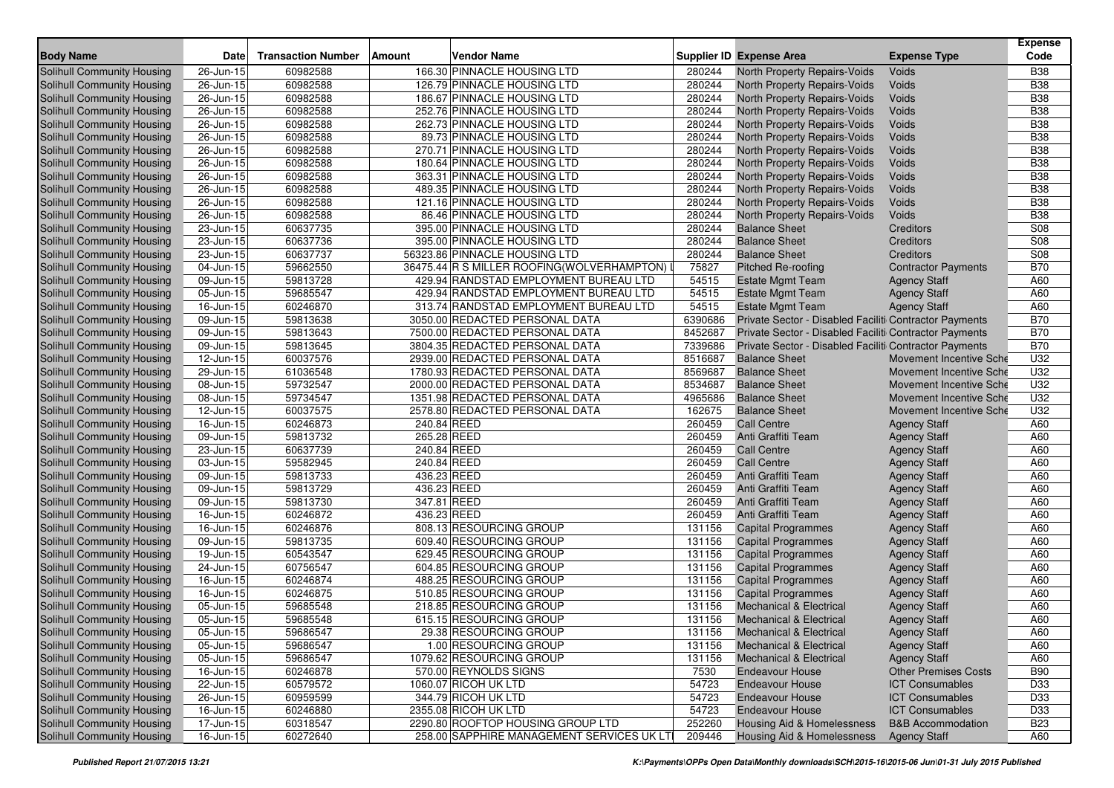| <b>Body Name</b>                  | Date                    | <b>Transaction Number</b> | <b>Amount</b> | <b>Vendor Name</b>                          |         | Supplier ID Expense Area                               | <b>Expense Type</b>            | <b>Expense</b><br>Code |
|-----------------------------------|-------------------------|---------------------------|---------------|---------------------------------------------|---------|--------------------------------------------------------|--------------------------------|------------------------|
| Solihull Community Housing        | 26-Jun-15               | 60982588                  |               | 166.30 PINNACLE HOUSING LTD                 | 280244  | North Property Repairs-Voids                           | Voids                          | <b>B38</b>             |
| Solihull Community Housing        | 26-Jun-15               | 60982588                  |               | 126.79 PINNACLE HOUSING LTD                 | 280244  | North Property Repairs-Voids                           | Voids                          | <b>B38</b>             |
| Solihull Community Housing        | 26-Jun-15               | 60982588                  |               | 186.67 PINNACLE HOUSING LTD                 | 280244  | North Property Repairs-Voids                           | Voids                          | <b>B38</b>             |
| Solihull Community Housing        | 26-Jun-15               | 60982588                  |               | 252.76 PINNACLE HOUSING LTD                 | 280244  | North Property Repairs-Voids                           | Voids                          | <b>B38</b>             |
| Solihull Community Housing        | 26-Jun-15               | 60982588                  |               | 262.73 PINNACLE HOUSING LTD                 | 280244  | North Property Repairs-Voids                           | Voids                          | <b>B38</b>             |
| Solihull Community Housing        | 26-Jun-15               | 60982588                  |               | 89.73 PINNACLE HOUSING LTD                  | 280244  | North Property Repairs-Voids                           | Voids                          | <b>B38</b>             |
| Solihull Community Housing        | 26-Jun-15               | 60982588                  |               | 270.71 PINNACLE HOUSING LTD                 | 280244  | North Property Repairs-Voids                           | Voids                          | <b>B38</b>             |
| Solihull Community Housing        | 26-Jun-15               | 60982588                  |               | 180.64 PINNACLE HOUSING LTD                 | 280244  | North Property Repairs-Voids                           | Voids                          | <b>B38</b>             |
| Solihull Community Housing        | 26-Jun-15               | 60982588                  |               | 363.31 PINNACLE HOUSING LTD                 | 280244  | North Property Repairs-Voids                           | Voids                          | <b>B38</b>             |
| Solihull Community Housing        | 26-Jun-15               | 60982588                  |               | 489.35 PINNACLE HOUSING LTD                 | 280244  | North Property Repairs-Voids                           | Voids                          | <b>B38</b>             |
| Solihull Community Housing        | 26-Jun-15               | 60982588                  |               | 121.16 PINNACLE HOUSING LTD                 | 280244  | North Property Repairs-Voids                           | Voids                          | <b>B38</b>             |
| Solihull Community Housing        | 26-Jun-15               | 60982588                  |               | 86.46 PINNACLE HOUSING LTD                  | 280244  | North Property Repairs-Voids                           | Voids                          | <b>B38</b>             |
| Solihull Community Housing        | 23-Jun-15               | 60637735                  |               | 395.00 PINNACLE HOUSING LTD                 | 280244  | <b>Balance Sheet</b>                                   | <b>Creditors</b>               | S08                    |
| Solihull Community Housing        | 23-Jun-15               | 60637736                  |               | 395.00 PINNACLE HOUSING LTD                 | 280244  | <b>Balance Sheet</b>                                   | Creditors                      | S08                    |
| Solihull Community Housing        | 23-Jun-15               | 60637737                  |               | 56323.86 PINNACLE HOUSING LTD               | 280244  | <b>Balance Sheet</b>                                   | <b>Creditors</b>               | S08                    |
| Solihull Community Housing        | 04-Jun-15               | 59662550                  |               | 36475.44 R S MILLER ROOFING (WOLVERHAMPTON) | 75827   | <b>Pitched Re-roofing</b>                              | <b>Contractor Payments</b>     | <b>B70</b>             |
| Solihull Community Housing        | 09-Jun-15               | 59813728                  |               | 429.94 RANDSTAD EMPLOYMENT BUREAU LTD       | 54515   | <b>Estate Mgmt Team</b>                                | <b>Agency Staff</b>            | A60                    |
| Solihull Community Housing        | 05-Jun-15               | 59685547                  |               | 429.94 RANDSTAD EMPLOYMENT BUREAU LTD       | 54515   | <b>Estate Mgmt Team</b>                                | <b>Agency Staff</b>            | A60                    |
| Solihull Community Housing        | 16-Jun-15               | 60246870                  |               | 313.74 RANDSTAD EMPLOYMENT BUREAU LTD       | 54515   | <b>Estate Mgmt Team</b>                                | <b>Agency Staff</b>            | A60                    |
| Solihull Community Housing        | 09-Jun-15               | 59813638                  |               | 3050.00 REDACTED PERSONAL DATA              | 6390686 | Private Sector - Disabled Faciliti Contractor Payments |                                | <b>B70</b>             |
| Solihull Community Housing        | 09-Jun-15               | 59813643                  |               | 7500.00 REDACTED PERSONAL DATA              | 8452687 | Private Sector - Disabled Faciliti Contractor Payments |                                | <b>B70</b>             |
| Solihull Community Housing        | 09-Jun-15               | 59813645                  |               | 3804.35 REDACTED PERSONAL DATA              | 7339686 | Private Sector - Disabled Faciliti Contractor Payments |                                | <b>B70</b>             |
| <b>Solihull Community Housing</b> | 12-Jun-15               | 60037576                  |               | 2939.00 REDACTED PERSONAL DATA              | 8516687 | <b>Balance Sheet</b>                                   | <b>Movement Incentive Sche</b> | U32                    |
| Solihull Community Housing        | 29-Jun-15               | 61036548                  |               | 1780.93 REDACTED PERSONAL DATA              | 8569687 | <b>Balance Sheet</b>                                   | <b>Movement Incentive Sche</b> | U32                    |
| Solihull Community Housing        | 08-Jun-15               | 59732547                  |               | 2000.00 REDACTED PERSONAL DATA              | 8534687 | <b>Balance Sheet</b>                                   | Movement Incentive Sche        | U32                    |
| Solihull Community Housing        | 08-Jun-15               | 59734547                  |               | 1351.98 REDACTED PERSONAL DATA              | 4965686 | <b>Balance Sheet</b>                                   | Movement Incentive Sche        | U32                    |
| Solihull Community Housing        | 12-Jun-15               | 60037575                  |               | 2578.80 REDACTED PERSONAL DATA              | 162675  | <b>Balance Sheet</b>                                   | Movement Incentive Sche        | U32                    |
| Solihull Community Housing        | 16-Jun-15               | 60246873                  | 240.84 REED   |                                             | 260459  | <b>Call Centre</b>                                     | <b>Agency Staff</b>            | A60                    |
| <b>Solihull Community Housing</b> | 09-Jun-15               | 59813732                  | 265.28 REED   |                                             | 260459  | Anti Graffiti Team                                     | <b>Agency Staff</b>            | A60                    |
| Solihull Community Housing        | 23-Jun-15               | 60637739                  | 240.84 REED   |                                             | 260459  | <b>Call Centre</b>                                     | <b>Agency Staff</b>            | A60                    |
| Solihull Community Housing        | 03-Jun-15               | 59582945                  | 240.84 REED   |                                             | 260459  | <b>Call Centre</b>                                     | <b>Agency Staff</b>            | A60                    |
| <b>Solihull Community Housing</b> | 09-Jun-15               | 59813733                  | 436.23 REED   |                                             | 260459  | Anti Graffiti Team                                     | <b>Agency Staff</b>            | A60                    |
| Solihull Community Housing        | 09-Jun-15               | 59813729                  | 436.23 REED   |                                             | 260459  | Anti Graffiti Team                                     | <b>Agency Staff</b>            | A60                    |
| Solihull Community Housing        | 09-Jun-15               | 59813730                  | 347.81 REED   |                                             | 260459  | Anti Graffiti Team                                     | <b>Agency Staff</b>            | A60                    |
| Solihull Community Housing        | 16-Jun-15               | 60246872                  | 436.23 REED   |                                             | 260459  | Anti Graffiti Team                                     | <b>Agency Staff</b>            | A60                    |
| Solihull Community Housing        | 16-Jun-15               | 60246876                  |               | 808.13 RESOURCING GROUP                     | 131156  | <b>Capital Programmes</b>                              | <b>Agency Staff</b>            | A60                    |
| <b>Solihull Community Housing</b> | 09-Jun-15               | 59813735                  |               | 609.40 RESOURCING GROUP                     | 131156  | <b>Capital Programmes</b>                              | <b>Agency Staff</b>            | A60                    |
| <b>Solihull Community Housing</b> | 19-Jun-15               | 60543547                  |               | 629.45 RESOURCING GROUP                     | 131156  | <b>Capital Programmes</b>                              | <b>Agency Staff</b>            | A60                    |
| Solihull Community Housing        | 24-Jun-15               | 60756547                  |               | 604.85 RESOURCING GROUP                     | 131156  | <b>Capital Programmes</b>                              | <b>Agency Staff</b>            | A60                    |
| Solihull Community Housing        | 16-Jun-15               | 60246874                  |               | 488.25 RESOURCING GROUP                     | 131156  | <b>Capital Programmes</b>                              | <b>Agency Staff</b>            | A60                    |
| Solihull Community Housing        | 16-Jun-15               | 60246875                  |               | 510.85 RESOURCING GROUP                     | 131156  | <b>Capital Programmes</b>                              | <b>Agency Staff</b>            | A60                    |
| Solihull Community Housing        | 05-Jun-15               | 59685548                  |               | 218.85 RESOURCING GROUP                     | 131156  | <b>Mechanical &amp; Electrical</b>                     | <b>Agency Staff</b>            | A60                    |
| Solihull Community Housing        | 05-Jun-15               | 59685548                  |               | 615.15 RESOURCING GROUP                     | 131156  | <b>Mechanical &amp; Electrical</b>                     | <b>Agency Staff</b>            | A60                    |
| Solihull Community Housing        | 05-Jun-15               | 59686547                  |               | 29.38 RESOURCING GROUP                      | 131156  | Mechanical & Electrical                                | <b>Agency Staff</b>            | A60                    |
| Solihull Community Housing        | $\overline{05}$ -Jun-15 | 59686547                  |               | 1.00 RESOURCING GROUP                       | 131156  | <b>Mechanical &amp; Electrical</b>                     | <b>Agency Staff</b>            | A60                    |
| Solihull Community Housing        | 05-Jun-15               | 59686547                  |               | 1079.62 RESOURCING GROUP                    | 131156  | <b>Mechanical &amp; Electrical</b>                     | <b>Agency Staff</b>            | A60                    |
| <b>Solihull Community Housing</b> | 16-Jun-15               | 60246878                  |               | 570.00 REYNOLDS SIGNS                       | 7530    | <b>Endeavour House</b>                                 | <b>Other Premises Costs</b>    | <b>B90</b>             |
| Solihull Community Housing        | $\overline{22}$ -Jun-15 | 60579572                  |               | 1060.07 RICOH UK LTD                        | 54723   | <b>Endeavour House</b>                                 | <b>ICT Consumables</b>         | D33                    |
| Solihull Community Housing        | 26-Jun-15               | 60959599                  |               | 344.79 RICOH UK LTD                         | 54723   | <b>Endeavour House</b>                                 | <b>ICT Consumables</b>         | D33                    |
| <b>Solihull Community Housing</b> | 16-Jun-15               | 60246880                  |               | 2355.08 RICOH UK LTD                        | 54723   | <b>Endeavour House</b>                                 | <b>ICT Consumables</b>         | D33                    |
| Solihull Community Housing        | 17-Jun-15               | 60318547                  |               | 2290.80 ROOFTOP HOUSING GROUP LTD           | 252260  | <b>Housing Aid &amp; Homelessness</b>                  | <b>B&amp;B Accommodation</b>   | <b>B23</b>             |
| Solihull Community Housing        | $16$ -Jun-15            | 60272640                  |               | 258.00 SAPPHIRE MANAGEMENT SERVICES UK LT   | 209446  | Housing Aid & Homelessness                             | <b>Agency Staff</b>            | A60                    |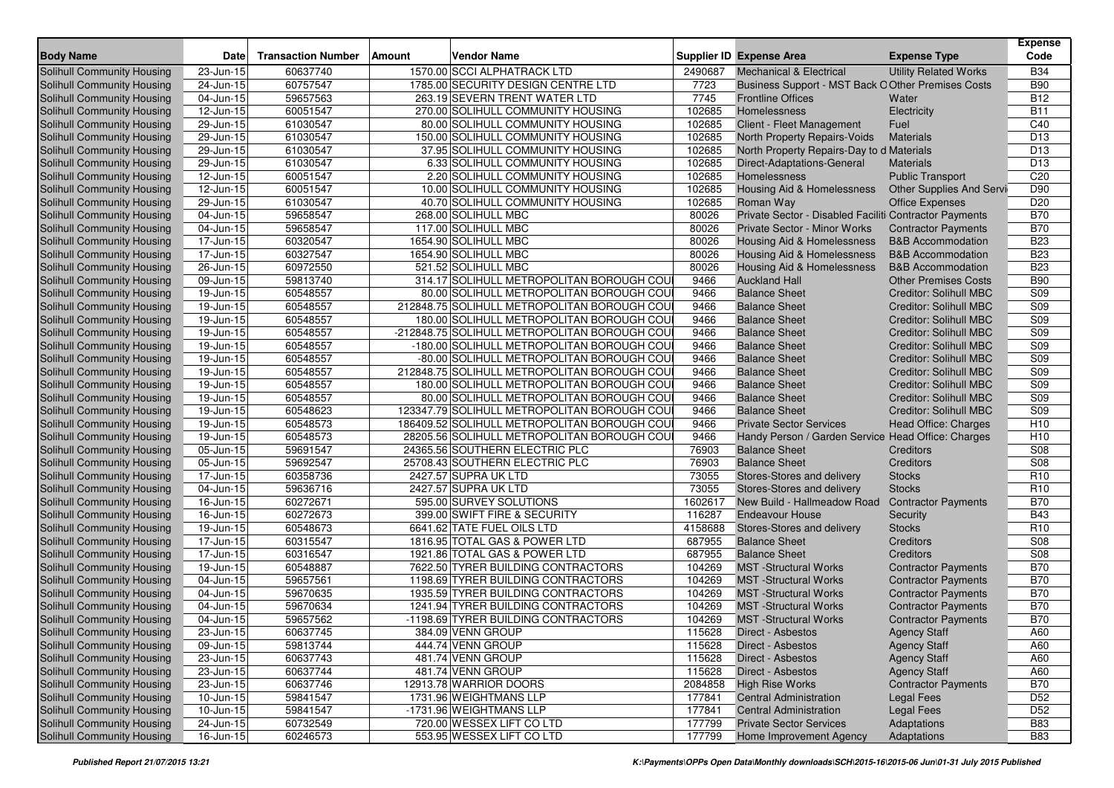| <b>Body Name</b>                                         | <b>Date</b>             | <b>Transaction Number</b> | Amount | <b>Vendor Name</b>                                   |                  | <b>Supplier ID Expense Area</b>                                 | <b>Expense Type</b>           | <b>Expense</b><br>Code   |
|----------------------------------------------------------|-------------------------|---------------------------|--------|------------------------------------------------------|------------------|-----------------------------------------------------------------|-------------------------------|--------------------------|
| Solihull Community Housing                               | 23-Jun-15               | 60637740                  |        | 1570.00 SCCI ALPHATRACK LTD                          | 2490687          | <b>Mechanical &amp; Electrical</b>                              | <b>Utility Related Works</b>  | <b>B34</b>               |
| <b>Solihull Community Housing</b>                        | 24-Jun-15               | 60757547                  |        | 1785.00 SECURITY DESIGN CENTRE LTD                   | 7723             | Business Support - MST Back O Other Premises Costs              |                               | <b>B90</b>               |
| <b>Solihull Community Housing</b>                        | 04-Jun-15               | 59657563                  |        | 263.19 SEVERN TRENT WATER LTD                        | 7745             | <b>Frontline Offices</b>                                        | Water                         | <b>B12</b>               |
| Solihull Community Housing                               | 12-Jun-15               | 60051547                  |        | 270.00 SOLIHULL COMMUNITY HOUSING                    | 102685           | Homelessness                                                    | Electricity                   | <b>B11</b>               |
| Solihull Community Housing                               | $29$ -Jun-15            | 61030547                  |        | 80.00 SOLIHULL COMMUNITY HOUSING                     | 102685           | Client - Fleet Management                                       | Fuel                          | C40                      |
| <b>Solihull Community Housing</b>                        | 29-Jun-15               | 61030547                  |        | 150.00 SOLIHULL COMMUNITY HOUSING                    | 102685           | North Property Repairs-Voids                                    | <b>Materials</b>              | D <sub>13</sub>          |
| Solihull Community Housing                               | $29$ -Jun-15            | 61030547                  |        | 37.95 SOLIHULL COMMUNITY HOUSING                     | 102685           | North Property Repairs-Day to d Materials                       |                               | D <sub>13</sub>          |
| <b>Solihull Community Housing</b>                        | 29-Jun-15               | 61030547                  |        | 6.33 SOLIHULL COMMUNITY HOUSING                      | 102685           | Direct-Adaptations-General                                      | <b>Materials</b>              | D <sub>13</sub>          |
| <b>Solihull Community Housing</b>                        | 12-Jun-15               | 60051547                  |        | 2.20 SOLIHULL COMMUNITY HOUSING                      | 102685           | Homelessness                                                    | <b>Public Transport</b>       | C20                      |
| <b>Solihull Community Housing</b>                        | 12-Jun-15               | 60051547                  |        | 10.00 SOLIHULL COMMUNITY HOUSING                     | 102685           | Housing Aid & Homelessness                                      | Other Supplies And Servi      | D90                      |
| Solihull Community Housing                               | 29-Jun-15               | 61030547                  |        | 40.70 SOLIHULL COMMUNITY HOUSING                     | 102685           | Roman Way                                                       | Office Expenses               | D <sub>20</sub>          |
| Solihull Community Housing                               | 04-Jun-15               | 59658547                  |        | 268.00 SOLIHULL MBC                                  | 80026            | Private Sector - Disabled Faciliti Contractor Payments          |                               | <b>B70</b>               |
| Solihull Community Housing                               | 04-Jun-15               | 59658547                  |        | 117.00 SOLIHULL MBC                                  | 80026            | <b>Private Sector - Minor Works</b>                             | <b>Contractor Payments</b>    | <b>B70</b>               |
| <b>Solihull Community Housing</b>                        | 17-Jun-15               | 60320547                  |        | 1654.90 SOLIHULL MBC                                 | 80026            | Housing Aid & Homelessness                                      | <b>B&amp;B Accommodation</b>  | <b>B23</b>               |
| Solihull Community Housing                               | 17-Jun-15               | 60327547                  |        | 1654.90 SOLIHULL MBC                                 | 80026            | <b>Housing Aid &amp; Homelessness</b>                           | <b>B&amp;B Accommodation</b>  | <b>B23</b>               |
| <b>Solihull Community Housing</b>                        | $\overline{26}$ -Jun-15 | 60972550                  |        | 521.52 SOLIHULL MBC                                  | 80026            | Housing Aid & Homelessness                                      | <b>B&amp;B</b> Accommodation  | <b>B23</b>               |
| <b>Solihull Community Housing</b>                        | 09-Jun-15               | 59813740                  |        | 314.17 SOLIHULL METROPOLITAN BOROUGH COU             | 9466             | <b>Auckland Hall</b>                                            | <b>Other Premises Costs</b>   | <b>B90</b>               |
| Solihull Community Housing                               | 19-Jun-15               | 60548557                  |        | 80.00 SOLIHULL METROPOLITAN BOROUGH COU              | 9466             | <b>Balance Sheet</b>                                            | <b>Creditor: Solihull MBC</b> | S09                      |
| <b>Solihull Community Housing</b>                        | 19-Jun-15               | 60548557                  |        | 212848.75 SOLIHULL METROPOLITAN BOROUGH COU          | 9466             | <b>Balance Sheet</b>                                            | <b>Creditor: Solihull MBC</b> | <b>S09</b>               |
| <b>Solihull Community Housing</b>                        | 19-Jun-15               | 60548557                  |        | 180.00 SOLIHULL METROPOLITAN BOROUGH COU             | 9466             | <b>Balance Sheet</b>                                            | <b>Creditor: Solihull MBC</b> | S09                      |
| Solihull Community Housing                               | 19-Jun-15               | 60548557                  |        | -212848.75 SOLIHULL METROPOLITAN BOROUGH COU         | 9466             | <b>Balance Sheet</b>                                            | <b>Creditor: Solihull MBC</b> | S09                      |
| <b>Solihull Community Housing</b>                        | $19$ -Jun-15            | 60548557                  |        | -180.00 SOLIHULL METROPOLITAN BOROUGH COU            | 9466             | <b>Balance Sheet</b>                                            | <b>Creditor: Solihull MBC</b> | S09                      |
| Solihull Community Housing                               | 19-Jun-15               | 60548557                  |        | -80.00 SOLIHULL METROPOLITAN BOROUGH COU             | 9466             | <b>Balance Sheet</b>                                            | <b>Creditor: Solihull MBC</b> | S <sub>09</sub>          |
| <b>Solihull Community Housing</b>                        | 19-Jun-15               | 60548557                  |        | 212848.75 SOLIHULL METROPOLITAN BOROUGH COU          | 9466             | <b>Balance Sheet</b>                                            | <b>Creditor: Solihull MBC</b> | S09                      |
| <b>Solihull Community Housing</b>                        | 19-Jun-15               | 60548557                  |        | 180.00 SOLIHULL METROPOLITAN BOROUGH COU             | 9466             | <b>Balance Sheet</b>                                            | <b>Creditor: Solihull MBC</b> | S <sub>09</sub>          |
| Solihull Community Housing                               | 19-Jun-15               | 60548557                  |        | 80.00 SOLIHULL METROPOLITAN BOROUGH COU              | 9466             | <b>Balance Sheet</b>                                            | <b>Creditor: Solihull MBC</b> | S <sub>09</sub>          |
| Solihull Community Housing                               | 19-Jun-15               | 60548623                  |        | 123347.79 SOLIHULL METROPOLITAN BOROUGH COU          | 9466             | <b>Balance Sheet</b>                                            | <b>Creditor: Solihull MBC</b> | <b>S09</b>               |
| <b>Solihull Community Housing</b>                        | 19-Jun-15               | 60548573                  |        | 186409.52 SOLIHULL METROPOLITAN BOROUGH COU          | 9466             | <b>Private Sector Services</b>                                  | Head Office: Charges          | H <sub>10</sub>          |
| Solihull Community Housing                               | 19-Jun-15               | 60548573                  |        | 28205.56 SOLIHULL METROPOLITAN BOROUGH COU           | 9466             | Handy Person / Garden Service Head Office: Charges              |                               | H <sub>10</sub>          |
| <b>Solihull Community Housing</b>                        | 05-Jun-15               | 59691547                  |        | 24365.56 SOUTHERN ELECTRIC PLC                       | 76903            | <b>Balance Sheet</b>                                            | Creditors                     | S08                      |
| <b>Solihull Community Housing</b>                        | 05-Jun-15               | 59692547                  |        | 25708.43 SOUTHERN ELECTRIC PLC                       | 76903            | <b>Balance Sheet</b>                                            | Creditors                     | S08                      |
| Solihull Community Housing                               | 17-Jun-15               | 60358736                  |        | 2427.57 SUPRA UK LTD                                 | 73055            | Stores-Stores and delivery                                      | <b>Stocks</b>                 | R <sub>10</sub>          |
| <b>Solihull Community Housing</b>                        | 04-Jun-15               | 59636716                  |        | 2427.57 SUPRA UK LTD                                 | 73055            | Stores-Stores and delivery                                      | <b>Stocks</b>                 | R <sub>10</sub>          |
| <b>Solihull Community Housing</b>                        | $\overline{16}$ -Jun-15 | 60272671                  |        | 595.00 SURVEY SOLUTIONS                              | 1602617          | New Build - Hallmeadow Road                                     | <b>Contractor Payments</b>    | <b>B70</b>               |
| <b>Solihull Community Housing</b>                        | 16-Jun-15               | 60272673                  |        | 399.00 SWIFT FIRE & SECURITY                         | 116287           | <b>Endeavour House</b>                                          | Security                      | <b>B43</b>               |
| <b>Solihull Community Housing</b>                        | 19-Jun-15               | 60548673                  |        | 6641.62 TATE FUEL OILS LTD                           | 4158688          | Stores-Stores and delivery                                      | <b>Stocks</b>                 | R <sub>10</sub>          |
| Solihull Community Housing                               | $\overline{17}$ -Jun-15 | 60315547                  |        | 1816.95 TOTAL GAS & POWER LTD                        | 687955           | <b>Balance Sheet</b>                                            | Creditors                     | S08                      |
| Solihull Community Housing                               | 17-Jun-15               | 60316547                  |        | 1921.86 TOTAL GAS & POWER LTD                        | 687955           | <b>Balance Sheet</b>                                            | Creditors                     | S08                      |
| Solihull Community Housing                               | 19-Jun-15               | 60548887                  |        | 7622.50 TYRER BUILDING CONTRACTORS                   | 104269           | <b>MST</b> -Structural Works                                    | <b>Contractor Payments</b>    | <b>B70</b>               |
| Solihull Community Housing                               | 04-Jun-15               | 59657561                  |        | 1198.69 TYRER BUILDING CONTRACTORS                   | 104269           | <b>MST</b> -Structural Works                                    | <b>Contractor Payments</b>    | <b>B70</b>               |
| <b>Solihull Community Housing</b>                        | 04-Jun-15               | 59670635                  |        | 1935.59 TYRER BUILDING CONTRACTORS                   | 104269           | <b>MST</b> -Structural Works                                    | <b>Contractor Payments</b>    | <b>B70</b>               |
| <b>Solihull Community Housing</b>                        | 04-Jun-15               | 59670634                  |        | 1241.94 TYRER BUILDING CONTRACTORS                   | 104269           | <b>MST</b> -Structural Works                                    | <b>Contractor Payments</b>    | <b>B70</b>               |
| Solihull Community Housing                               | $\overline{0}$ 4-Jun-15 | 59657562                  |        | -1198.69 TYRER BUILDING CONTRACTORS                  | 104269           | <b>MST</b> -Structural Works                                    | <b>Contractor Payments</b>    | <b>B70</b>               |
| Solihull Community Housing                               | 23-Jun-15               | 60637745                  |        | 384.09 VENN GROUP                                    | 115628           | Direct - Asbestos                                               | <b>Agency Staff</b>           | A60                      |
| Solihull Community Housing                               | $\overline{0}9$ -Jun-15 | 59813744                  |        | 444.74 VENN GROUP                                    | 115628           | Direct - Asbestos                                               | <b>Agency Staff</b>           | A60                      |
| Solihull Community Housing                               | 23-Jun-15               | 60637743                  |        | 481.74 VENN GROUP                                    | 115628           | Direct - Asbestos                                               | <b>Agency Staff</b>           | A60                      |
| Solihull Community Housing                               | 23-Jun-15               | 60637744                  |        | 481.74 VENN GROUP                                    | 115628           | Direct - Asbestos                                               | <b>Agency Staff</b>           | A60                      |
| Solihull Community Housing                               | 23-Jun-15               | 60637746                  |        | 12913.78 WARRIOR DOORS                               | 2084858          | <b>High Rise Works</b>                                          | <b>Contractor Payments</b>    | <b>B70</b>               |
| Solihull Community Housing                               | $\overline{10}$ -Jun-15 | 59841547                  |        | 1731.96 WEIGHTMANS LLP                               | 177841           | <b>Central Administration</b>                                   | <b>Legal Fees</b>             | D <sub>52</sub>          |
| Solihull Community Housing                               | $10$ -Jun-15            | 59841547                  |        | -1731.96 WEIGHTMANS LLP<br>720.00 WESSEX LIFT CO LTD | 177841           | <b>Central Administration</b><br><b>Private Sector Services</b> | <b>Legal Fees</b>             | D <sub>52</sub>          |
| Solihull Community Housing<br>Solihull Community Housing | 24-Jun-15               | 60732549<br>60246573      |        | 553.95 WESSEX LIFT CO LTD                            | 177799<br>177799 | Home Improvement Agency                                         | Adaptations<br>Adaptations    | <b>B83</b><br><b>B83</b> |
|                                                          | $16$ -Jun-15            |                           |        |                                                      |                  |                                                                 |                               |                          |